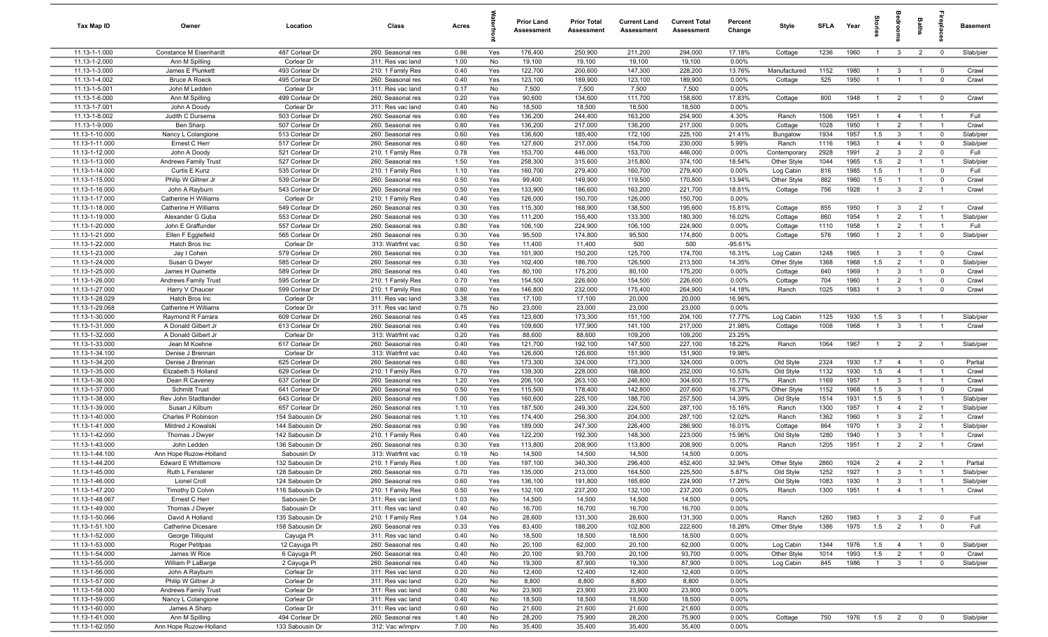| Tax Map ID                       | Owner                                    | Location                           | Class                                  | Acres        |            | Prior Land<br><b>Assessment</b> | <b>Prior Total</b><br>Assessment | <b>Current Land</b><br>Assessment | <b>Current Total</b><br>Assessment | Percent<br>Change | Style              | SFLA         | Year         | Stori                            | <b>aroo</b>                      | Baths                            |                                  | Basement           |
|----------------------------------|------------------------------------------|------------------------------------|----------------------------------------|--------------|------------|---------------------------------|----------------------------------|-----------------------------------|------------------------------------|-------------------|--------------------|--------------|--------------|----------------------------------|----------------------------------|----------------------------------|----------------------------------|--------------------|
| 11.13-1-1.000                    | Constance M Eisenhardt                   | 487 Corlear Dr                     | 260: Seasonal res                      | 0.86         | Yes        | 176,400                         | 250,900                          | 211,200                           | 294,000                            | 17.18%            | Cottage            | 1236         | 1960         | $\overline{1}$                   | $\mathbf{3}$                     | $\overline{2}$                   | $\overline{0}$                   | Slab/pier          |
| 11.13-1-2.000                    | Ann M Spilling                           | Corlear Dr                         | 311: Res vac land                      | 1.00         | No         | 19,100                          | 19,100                           | 19,100                            | 19,100                             | 0.00%             |                    |              |              |                                  |                                  |                                  |                                  |                    |
| 11.13-1-3.000                    | James E Plunkett                         | 493 Corlear Dr                     | 210: 1 Family Res                      | 0.40         | Yes        | 122,700                         | 200,600                          | 147,300                           | 228,200                            | 13.76%            | Manufactured       | 1152         | 1980         | $\overline{1}$                   | $\mathbf{3}$                     | $\mathbf{1}$                     | $\overline{0}$                   | Crawl              |
| 11.13-1-4.002                    | <b>Bruce A Roeck</b>                     | 495 Corlear Dr                     | 260: Seasonal res                      | 0.40         | Yes        | 123,100                         | 189,900                          | 123,100                           | 189,900                            | 0.00%             | Cottage            | 525          | 1950         | $\overline{1}$                   | $\overline{1}$                   |                                  | $\overline{0}$                   | Crawl              |
| 11.13-1-5.001<br>11.13-1-6.000   | John M Ledden                            | Corlear Dr<br>499 Corlear Dr       | 311: Res vac land<br>260: Seasonal res | 0.17<br>0.20 | No<br>Yes  | 7,500<br>90,600                 | 7,500<br>134,600                 | 7,500<br>111,700                  | 7,500<br>158,600                   | 0.00%<br>17.83%   | Cottage            | 800          | 1948         | $\mathbf{1}$                     | $\overline{2}$                   |                                  | $\overline{0}$                   | Crawl              |
| 11.13-1-7.001                    | Ann M Spilling<br>John A Doody           | Corlear Dr                         | 311: Res vac land                      | 0.40         | No         | 18,500                          | 18,500                           | 18,500                            | 18,500                             | 0.00%             |                    |              |              |                                  |                                  |                                  |                                  |                    |
| 11.13-1-8.002                    | Judith C Dursema                         | 503 Corlear Dr                     | 260: Seasonal res                      | 0.60         | Yes        | 136,200                         | 244,400                          | 163,200                           | 254,900                            | 4.30%             | Ranch              | 1506         | 1951         | $\overline{1}$                   | $\overline{4}$                   | $\overline{1}$                   | $\overline{1}$                   | Full               |
| 11.13-1-9.000                    | Ben Sharp                                | 507 Corlear Dr                     | 260: Seasonal res                      | 0.80         | Yes        | 136,200                         | 217,000                          | 136,200                           | 217,000                            | 0.00%             | Cottage            | 1028         | 1950         | $\overline{1}$                   | $\overline{2}$                   | $\overline{1}$                   | $\overline{1}$                   | Crawl              |
| 11.13-1-10.000                   | Nancy L Colangione                       | 513 Corlear Dr                     | 260: Seasonal res                      | 0.60         | Yes        | 136,600                         | 185,400                          | 172,100                           | 225,100                            | 21.41%            | Bungalow           | 1934         | 1957         | 1.5                              | $\overline{3}$                   | $\overline{1}$                   | $\mathbf 0$                      | Slab/pier          |
| 11.13-1-11.000                   | Ernest C Herr                            | 517 Corlear Dr                     | 260: Seasonal res                      | 0.60         | Yes        | 127,600                         | 217,000                          | 154,700                           | 230,000                            | 5.99%             | Ranch              | 1116         | 1963         | $\overline{1}$                   | $\overline{4}$                   | $\overline{1}$                   | $\mathbf 0$                      | Slab/pier          |
| 11.13-1-12.000                   | John A Doody                             | 521 Corlear Dr                     | 210: 1 Family Res                      | 0.78         | Yes        | 153,700                         | 446,000                          | 153,700                           | 446,000                            | 0.00%             | Contemporary       | 2928         | 1991         | 2                                | $\overline{3}$                   | 2                                | $\overline{0}$                   | Full               |
| 11.13-1-13.000                   | <b>Andrews Family Trust</b>              | 527 Corlear Dr                     | 260: Seasonal res                      | 1.50         | Yes        | 258,300                         | 315,600                          | 315,800                           | 374,100                            | 18.54%            | Other Style        | 1044         | 1965         | 1.5                              | $\overline{2}$                   | $\overline{1}$                   | $\overline{1}$                   | Slab/pier          |
| 11.13-1-14.000                   | Curtis E Kunz                            | 535 Corlear Dr                     | 210: 1 Family Res                      | 1.10         | Yes        | 160,700                         | 279,400                          | 160,700                           | 279,400                            | 0.00%             | Log Cabin          | 816          | 1985         | 1.5                              | -1                               | $\overline{1}$                   | $\mathbf 0$                      | Full               |
| 11.13-1-15.000                   | Philip W Giltner Jr                      | 539 Corlear Dr                     | 260: Seasonal res                      | 0.50         | Yes        | 99,400                          | 149,900                          | 119,500                           | 170,800                            | 13.94%            | Other Style        | 882          | 1960         | 1.5                              |                                  | $\overline{1}$                   | $\mathbf 0$                      | Crawl              |
| 11.13-1-16.000                   | John A Rayburn                           | 543 Corlear Dr                     | 260: Seasonal res                      | 0.50         | Yes        | 133,900                         | 186,600                          | 163,200                           | 221,700                            | 18.81%            | Cottage            | 756          | 1928         | $\overline{1}$                   | $\mathbf{3}$                     | $\overline{2}$                   | $\overline{1}$                   | Crawl              |
| 11.13-1-17.000                   | Catherine H Williams                     | Corlear Dr                         | 210: 1 Family Res                      | 0.40         | Yes        | 126,000                         | 150,700                          | 126,000                           | 150,700                            | 0.00%             |                    |              |              |                                  |                                  |                                  |                                  |                    |
| 11.13-1-18.000                   | Catherine H Williams                     | 549 Corlear Dr<br>553 Corlear Dr   | 260: Seasonal res                      | 0.30         | Yes        | 115,300<br>111,200              | 168,900                          | 138,500                           | 195,600<br>180,300                 | 15.81%<br>16.02%  | Cottage            | 855<br>860   | 1950<br>1954 | $\overline{1}$                   | $\mathbf{3}$                     | $\overline{2}$                   | $\overline{1}$<br>$\overline{1}$ | Crawl<br>Slab/pier |
| 11.13-1-19.000<br>11.13-1-20.000 | Alexander G Guba<br>John E Graffunder    | 557 Corlear Dr                     | 260: Seasonal res<br>260: Seasonal res | 0.30<br>0.80 | Yes<br>Yes | 106,100                         | 155,400<br>224,900               | 133,300<br>106,100                | 224,900                            | 0.00%             | Cottage<br>Cottage | 1110         | 1958         | $\mathbf{1}$                     | $\overline{2}$<br>$\overline{2}$ |                                  | $\overline{1}$                   | Full               |
| 11.13-1-21.000                   | Ellen F Egglefield                       | 565 Corlear Dr                     | 260: Seasonal res                      | 0.30         | Yes        | 95,500                          | 174,800                          | 95,500                            | 174,800                            | 0.00%             | Cottage            | 576          | 1960         | $\overline{1}$                   | $\overline{2}$                   | $\overline{1}$                   | $\overline{0}$                   | Slab/pier          |
| 11.13-1-22.000                   | Hatch Bros Inc                           | Corlear Dr                         | 313: Watrfrnt vac                      | 0.50         | Yes        | 11,400                          | 11,400                           | 500                               | 500                                | $-95.61%$         |                    |              |              |                                  |                                  |                                  |                                  |                    |
| 11.13-1-23.000                   | Jay I Cohen                              | 579 Corlear Dr                     | 260: Seasonal res                      | 0.30         | Yes        | 101,900                         | 150,200                          | 125,700                           | 174,700                            | 16.31%            | Log Cabin          | 1248         | 1965         | $\overline{1}$                   | $\overline{3}$                   | $\overline{1}$                   | $\overline{0}$                   | Crawl              |
| 11.13-1-24.000                   | Susan G Dwyer                            | 585 Corlear Dr                     | 260: Seasonal res                      | 0.30         | Yes        | 102,400                         | 186,700                          | 126,500                           | 213,500                            | 14.35%            | Other Style        | 1368         | 1968         | 1.5                              | $\overline{2}$                   | $\overline{1}$                   | $\mathbf 0$                      | Slab/pier          |
| 11.13-1-25.000                   | James H Ouimette                         | 589 Corlear Dr                     | 260: Seasonal res                      | 0.40         | Yes        | 80,100                          | 175,200                          | 80,100                            | 175,200                            | 0.00%             | Cottage            | 640          | 1969         | $\overline{1}$                   | $\mathbf{3}$                     | $\overline{1}$                   | $\overline{0}$                   | Crawl              |
| 11.13-1-26.000                   | <b>Andrews Family Trust</b>              | 595 Corlear Dr                     | 210: 1 Family Res                      | 0.70         | Yes        | 154,500                         | 226,600                          | 154,500                           | 226,600                            | 0.00%             | Cottage            | 704          | 1960         | $\overline{1}$                   | $\overline{2}$                   | $\overline{1}$                   | $\overline{0}$                   | Crawl              |
| 11.13-1-27.000                   | Harry V Chaucer                          | 599 Corlear Dr                     | 210: 1 Family Res                      | 0.80         | Yes        | 146,800                         | 232,000                          | 175,400                           | 264,900                            | 14.18%            | Ranch              | 1025         | 1983         | $\overline{1}$                   | $\mathbf{3}$                     | $\overline{1}$                   | $\mathbf 0$                      | Crawl              |
| 11.13-1-28.029                   | Hatch Bros Inc                           | Corlear Dr                         | 311: Res vac land                      | 3.38         | Yes        | 17,100                          | 17,100                           | 20,000                            | 20,000                             | 16.96%            |                    |              |              |                                  |                                  |                                  |                                  |                    |
| 11.13-1-29.068                   | Catherine H Williams                     | Corlear Dr                         | 311: Res vac land                      | 0.75         | No         | 23,000                          | 23,000                           | 23,000                            | 23,000                             | 0.00%             |                    |              |              |                                  |                                  |                                  |                                  |                    |
| 11.13-1-30.000                   | Raymond R Farrara                        | 609 Corlear Dr                     | 260: Seasonal res                      | 0.45         | Yes        | 123,600                         | 173,300                          | 151,100                           | 204,100                            | 17.77%            | Log Cabin          | 1125         | 1930         | 1.5                              | $\overline{3}$                   |                                  | - 1                              | Slab/pier          |
| 11.13-1-31.000                   | A Donald Gilbert Jr                      | 613 Corlear Dr                     | 260: Seasonal res                      | 0.40         | Yes        | 109,600                         | 177,900                          | 141,100                           | 217,000                            | 21.98%            | Cottage            | 1008         | 1968         | $\mathbf{1}$                     | $\mathbf{3}$                     |                                  |                                  | Crawl              |
| 11.13-1-32.000                   | A Donald Gilbert Jr                      | Corlear Dr                         | 313: Watrfrnt vac                      | 0.20         | Yes        | 88,600                          | 88,600                           | 109,200                           | 109,200                            | 23.25%            |                    |              |              |                                  |                                  |                                  |                                  |                    |
| 11.13-1-33.000<br>11.13-1-34.100 | Jean M Koehne<br>Denise J Brennan        | 617 Corlear Dr<br>Corlear Dr       | 260: Seasonal res<br>313: Watrfrnt vac | 0.40<br>0.40 | Yes<br>Yes | 121,700<br>126,600              | 192,100<br>126,600               | 147,500<br>151,900                | 227,100<br>151,900                 | 18.22%<br>19.98%  | Ranch              | 1064         | 1967         | $\overline{1}$                   | $\overline{2}$                   | $\overline{2}$                   | $\overline{1}$                   | Slab/pier          |
| 11.13-1-34.200                   | Denise J Brennan                         | 625 Corlear Dr                     | 260: Seasonal res                      | 0.80         | Yes        | 173,300                         | 324,000                          | 173,300                           | 324,000                            | 0.00%             | Old Style          | 2324         | 1930         | 1.7                              | $\overline{4}$                   | $\overline{1}$                   | $\overline{0}$                   | Partial            |
| 11.13-1-35.000                   | Elizabeth S Holland                      | 629 Corlear Dr                     | 210: 1 Family Res                      | 0.70         | Yes        | 139,300                         | 228,000                          | 168,800                           | 252,000                            | 10.53%            | Old Style          | 1132         | 1930         | 1.5                              | $\overline{4}$                   | $\overline{1}$                   | $\overline{1}$                   | Crawl              |
| 11.13-1-36.000                   | Dean R Caveney                           | 637 Corlear Dr                     | 260: Seasonal res                      | 1.20         | Yes        | 206,100                         | 263,100                          | 246,800                           | 304,600                            | 15.77%            | Ranch              | 1169         | 1957         | $\overline{1}$                   | $\mathbf{3}$                     | $\overline{1}$                   | $\overline{1}$                   | Crawl              |
| 11.13-1-37.000                   | <b>Schmitt Trust</b>                     | 641 Corlear Dr                     | 260: Seasonal res                      | 0.50         | Yes        | 115,500                         | 178,400                          | 142,800                           | 207,600                            | 16.37%            | Other Style        | 1152         | 1968         | 1.5                              | $\mathbf{3}$                     | $\overline{1}$                   | $\overline{0}$                   | Crawl              |
| 11.13-1-38.000                   | Rev John Stadtlander                     | 643 Corlear Dr                     | 260: Seasonal res                      | 1.00         | Yes        | 160,600                         | 225,100                          | 188,700                           | 257,500                            | 14.39%            | Old Style          | 1514         | 1931         | 1.5                              | 5                                | $\overline{1}$                   | $\overline{1}$                   | Slab/pier          |
| 11.13-1-39.000                   | Susan J Kilburn                          | 657 Corlear Dr                     | 260: Seasonal res                      | 1.10         | Yes        | 187,500                         | 249,300                          | 224,500                           | 287,100                            | 15.16%            | Ranch              | 1300         | 1957         | $\overline{1}$                   | $\overline{4}$                   | $\overline{2}$                   | $\overline{1}$                   | Slab/pier          |
| 11.13-1-40.000                   | Charles P Robinson                       | 154 Sabousin Dr                    | 260: Seasonal res                      | 1.10         | Yes        | 174,400                         | 256,300                          | 204,000                           | 287,100                            | 12.02%            | Ranch              | 1362         | 1960         | $\overline{1}$                   | $\overline{3}$                   | $\overline{2}$                   | $\overline{1}$                   | Crawl              |
| 11.13-1-41.000                   | Mildred J Kowalski                       | 144 Sabousin Dr                    | 260: Seasonal res                      | 0.90         | Yes        | 189,000                         | 247,300                          | 226,400                           | 286,900                            | 16.01%            | Cottage            | 864          | 1970         | $\mathbf{1}$                     | $\overline{3}$                   | $\overline{2}$                   | $\overline{1}$                   | Slab/pier          |
| 11.13-1-42.000                   | Thomas J Dwyer                           | 142 Sabousin Dr                    | 210: 1 Family Res                      | 0.40         | Yes        | 122,200                         | 192,300                          | 148,300                           | 223,000                            | 15.96%            | Old Style          | 1280         | 1940         | $\mathbf{1}$                     | $\overline{3}$                   |                                  | $\overline{1}$                   | Crawl              |
| 11.13-1-43.000                   | John Ledden                              | 136 Sabousin Dr                    | 260: Seasonal res                      | 0.30         | Yes        | 113,800                         | 208,900                          | 113,800                           | 208,900                            | 0.00%             | Ranch              | 1205         | 1951         | $\mathbf{1}$                     | $\overline{2}$                   | $\overline{2}$                   | - 1                              | Crawl              |
| 11.13-1-44.100                   | Ann Hope Ruzow-Holland                   | Sabousin Dr                        | 313: Watrfrnt vac                      | 0.19         | No         | 14,500                          | 14,500                           | 14,500                            | 14,500                             | 0.00%             |                    |              |              |                                  |                                  |                                  |                                  |                    |
| 11.13-1-44.200                   | Edward E Whittemore                      | 132 Sabousin Dr                    | 210: 1 Family Res                      | 1.00         | Yes        | 197,100                         | 340,300                          | 296,400                           | 452,400                            | 32.94%            | Other Style        | 2860         | 1924         | $\overline{2}$                   | 4                                | $\overline{2}$                   | - 1                              | Partial            |
| 11.13-1-45.000                   | Ruth L Fensterer                         | 128 Sabousin Dr                    | 260: Seasonal res<br>260: Seasonal res | 0.70         | Yes        | 135,000                         | 213,000                          | 164,500                           | 225,500                            | 5.87%             | Old Style          | 1252         | 1927         |                                  | -3                               |                                  |                                  | Slab/pier          |
| 11.13-1-46.000<br>11.13-1-47.200 | Lionel Croll<br>Timothy D Colvin         | 124 Sabousin Dr<br>116 Sabousin Dr | 210: 1 Family Res                      | 0.60<br>0.50 | Yes<br>Yes | 136,100<br>132,100              | 191,800<br>237,200               | 165,600<br>132,100                | 224,900<br>237,200                 | 17.26%<br>0.00%   | Old Style<br>Ranch | 1083<br>1300 | 1930<br>1951 | $\overline{1}$<br>$\overline{1}$ | $\mathbf{3}$<br>$\overline{4}$   | $\overline{1}$<br>$\overline{1}$ | $\overline{1}$<br>$\overline{1}$ | Slab/pier<br>Crawl |
| 11.13-1-48.067                   | Ernest C Herr                            | Sabousin Dr                        | 311: Res vac land                      | 1.03         | No         | 14,500                          | 14,500                           | 14,500                            | 14,500                             | 0.00%             |                    |              |              |                                  |                                  |                                  |                                  |                    |
| 11.13-1-49.000                   | Thomas J Dwyer                           | Sabousin Dr                        | 311: Res vac land                      | 0.40         | No         | 16,700                          | 16,700                           | 16,700                            | 16,700                             | 0.00%             |                    |              |              |                                  |                                  |                                  |                                  |                    |
| 11.13-1-50.066                   | David A Holland                          | 135 Sabousin Dr                    | 210: 1 Family Res                      | 1.04         | No         | 28,600                          | 131,300                          | 28,600                            | 131,300                            | 0.00%             | Ranch              | 1260         | 1983         | $\overline{1}$                   | $\mathbf{3}$                     | $\overline{2}$                   | $\overline{0}$                   | Full               |
| 11.13-1-51.100                   | Catherine Dicesare                       | 158 Sabousin Dr                    | 260: Seasonal res                      | 0.33         | Yes        | 83,400                          | 188,200                          | 102,800                           | 222,600                            | 18.28%            | Other Style        | 1386         | 1975         | 1.5                              | $\overline{2}$                   | $\overline{1}$                   | $\overline{0}$                   | Full               |
| 11.13-1-52.000                   | George Tilliquist                        | Cayuga Pl                          | 311: Res vac land                      | 0.40         | No         | 18,500                          | 18,500                           | 18,500                            | 18,500                             | 0.00%             |                    |              |              |                                  |                                  |                                  |                                  |                    |
| 11.13-1-53.000                   | Roger Petitpas                           | 12 Cayuga Pl                       | 260: Seasonal res                      | 0.40         | No         | 20,100                          | 62,000                           | 20,100                            | 62,000                             | 0.00%             | Log Cabin          | 1344         | 1976         | 1.5                              | $\overline{4}$                   | $\overline{1}$                   | $\overline{\mathbf{0}}$          | Slab/pier          |
| 11.13-1-54.000                   | James W Rice                             | 6 Cayuga Pl                        | 260: Seasonal res                      | 0.40         | No         | 20,100                          | 93,700                           | 20,100                            | 93,700                             | 0.00%             | Other Style        | 1014         | 1993         | 1.5                              | $\overline{2}$                   | $\overline{1}$                   | $\overline{0}$                   | Crawl              |
| 11.13-1-55.000                   | William P LaBarge                        | 2 Cayuga Pl                        | 260: Seasonal res                      | 0.40         | No         | 19,300                          | 87,900                           | 19,300                            | 87,900                             | 0.00%             | Log Cabin          | 845          | 1986         | $\overline{1}$                   | $\mathbf{3}$                     | $\overline{1}$                   | $\overline{0}$                   | Slab/pier          |
| 11.13-1-56.000                   | John A Rayburn                           | Corlear Dr                         | 311: Res vac land                      | 0.20         | No         | 12,400                          | 12,400                           | 12,400                            | 12,400                             | 0.00%             |                    |              |              |                                  |                                  |                                  |                                  |                    |
| 11.13-1-57.000                   | Philip W Giltner Jr                      | Corlear Dr                         | 311: Res vac land                      | 0.20         | No         | 8,800                           | 8,800                            | 8,800                             | 8,800                              | 0.00%             |                    |              |              |                                  |                                  |                                  |                                  |                    |
| 11.13-1-58.000                   | Andrews Family Trust                     | Corlear Dr                         | 311: Res vac land                      | 0.80         | No         | 23,900                          | 23,900                           | 23,900                            | 23,900                             | 0.00%             |                    |              |              |                                  |                                  |                                  |                                  |                    |
| 11.13-1-59.000                   | Nancy L Colangione                       | Corlear Dr                         | 311: Res vac land                      | 0.40         | No         | 18,500                          | 18,500                           | 18,500                            | 18,500                             | 0.00%             |                    |              |              |                                  |                                  |                                  |                                  |                    |
| 11.13-1-60.000                   | James A Sharp                            | Corlear Dr                         | 311: Res vac land                      | 0.60         | No         | 21,600                          | 21,600                           | 21,600                            | 21,600                             | 0.00%             |                    | 750          | 1976         | 1.5                              |                                  |                                  |                                  | Slab/pier          |
| 11.13-1-61.000<br>11.13-1-62.050 | Ann M Spilling<br>Ann Hope Ruzow-Holland | 494 Corlear Dr<br>133 Sabousin Dr  | 260: Seasonal res<br>312: Vac w/imprv  | 1.40<br>7.00 | No<br>No   | 28,200<br>35,400                | 75,900<br>35,400                 | 28,200<br>35,400                  | 75,900<br>35,400                   | 0.00%<br>0.00%    | Cottage            |              |              |                                  | $\overline{2}$                   | $\mathbf{0}$                     | $\overline{0}$                   |                    |
|                                  |                                          |                                    |                                        |              |            |                                 |                                  |                                   |                                    |                   |                    |              |              |                                  |                                  |                                  |                                  |                    |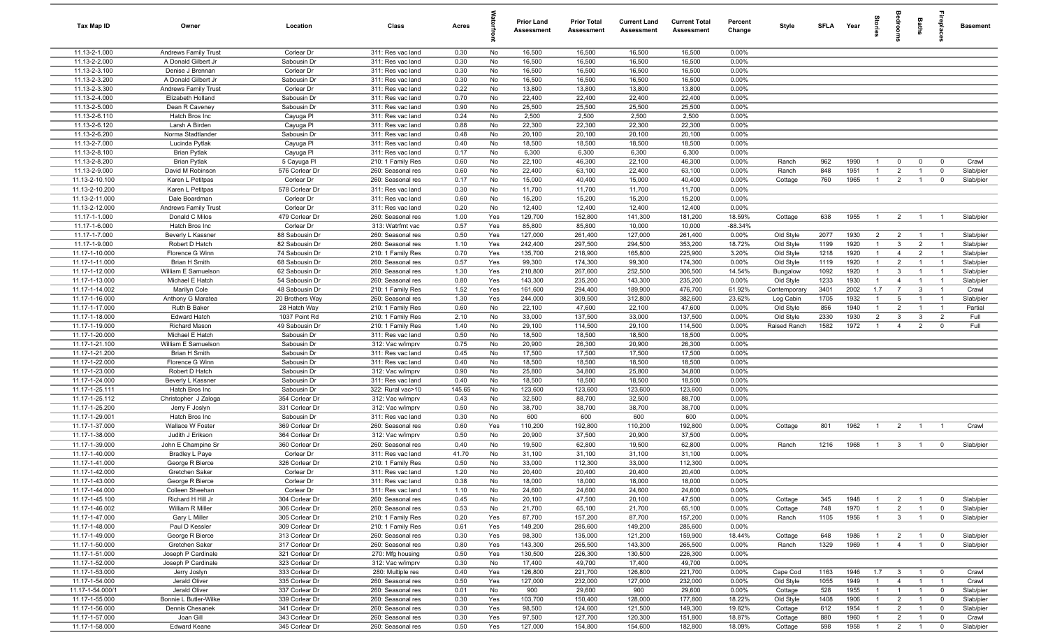| Tax Map ID                       | Owner                                              | Location                         | Class                                  | Acres        |            | <b>Prior Land</b><br>Assessment | <b>Prior Total</b><br>Assessment | <b>Current Land</b><br>Assessment | <b>Current Total</b><br><b>Assessment</b> | Percent<br>Change | Style              | SFLA Year  |              | tories                       | droom                            | Baths                            | epla                             | <b>Basement</b>    |
|----------------------------------|----------------------------------------------------|----------------------------------|----------------------------------------|--------------|------------|---------------------------------|----------------------------------|-----------------------------------|-------------------------------------------|-------------------|--------------------|------------|--------------|------------------------------|----------------------------------|----------------------------------|----------------------------------|--------------------|
| 11.13-2-1.000                    | <b>Andrews Family Trust</b>                        | Corlear Dr                       | 311: Res vac land                      | 0.30         | No         | 16,500                          | 16,500                           | 16,500                            | 16,500                                    | 0.00%             |                    |            |              |                              |                                  |                                  |                                  |                    |
| 11.13-2-2.000                    | A Donald Gilbert Jr                                | Sabousin Dr                      | 311: Res vac land                      | 0.30         | No         | 16,500                          | 16,500                           | 16,500                            | 16,500                                    | 0.00%             |                    |            |              |                              |                                  |                                  |                                  |                    |
| 11.13-2-3.100                    | Denise J Brennan                                   | Corlear Dr                       | 311: Res vac land                      | 0.30         | No         | 16,500                          | 16,500                           | 16,500                            | 16,500                                    | 0.00%             |                    |            |              |                              |                                  |                                  |                                  |                    |
| 11.13-2-3.200<br>11.13-2-3.300   | A Donald Gilbert Jr<br><b>Andrews Family Trust</b> | Sabousin Dr<br>Corlear Dr        | 311: Res vac land<br>311: Res vac land | 0.30<br>0.22 | No<br>No   | 16,500<br>13,800                | 16,500<br>13,800                 | 16,500<br>13,800                  | 16,500<br>13,800                          | 0.00%<br>0.00%    |                    |            |              |                              |                                  |                                  |                                  |                    |
| 11.13-2-4.000                    | Elizabeth Holland                                  | Sabousin Dr                      | 311: Res vac land                      | 0.70         | No         | 22,400                          | 22,400                           | 22,400                            | 22,400                                    | 0.00%             |                    |            |              |                              |                                  |                                  |                                  |                    |
| 11.13-2-5.000                    | Dean R Caveney                                     | Sabousin Dr                      | 311: Res vac land                      | 0.90         | No         | 25,500                          | 25,500                           | 25,500                            | 25,500                                    | 0.00%             |                    |            |              |                              |                                  |                                  |                                  |                    |
| 11.13-2-6.110                    | Hatch Bros Inc                                     | Cayuga Pl                        | 311: Res vac land                      | 0.24         | No         | 2,500                           | 2,500                            | 2,500                             | 2,500                                     | 0.00%             |                    |            |              |                              |                                  |                                  |                                  |                    |
| 11.13-2-6.120                    | Larsh A Birden                                     | Cayuga PI                        | 311: Res vac land                      | 0.88         | No         | 22,300                          | 22,300                           | 22,300                            | 22,300                                    | 0.00%             |                    |            |              |                              |                                  |                                  |                                  |                    |
| 11.13-2-6.200                    | Norma Stadtlander                                  | Sabousin Dr                      | 311: Res vac land                      | 0.48         | No         | 20,100                          | 20,100                           | 20,100                            | 20,100                                    | 0.00%             |                    |            |              |                              |                                  |                                  |                                  |                    |
| 11.13-2-7.000                    | Lucinda Pytlak                                     | Cayuga Pl                        | 311: Res vac land                      | 0.40         | No         | 18,500                          | 18,500                           | 18,500                            | 18,500                                    | 0.00%             |                    |            |              |                              |                                  |                                  |                                  |                    |
| 11.13-2-8.100                    | <b>Brian Pytlak</b>                                | Cayuga Pl                        | 311: Res vac land                      | 0.17         | No         | 6,300                           | 6,300                            | 6,300                             | 6,300                                     | 0.00%             |                    |            |              |                              |                                  |                                  |                                  |                    |
| 11.13-2-8.200                    | <b>Brian Pytlak</b>                                | 5 Cayuga Pl                      | 210: 1 Family Res                      | 0.60         | No         | 22,100                          | 46,300                           | 22,100                            | 46,300                                    | 0.00%             | Ranch              | 962        | 1990         | $\overline{1}$               | $\mathbf 0$                      | $\mathbf 0$                      | $\overline{0}$                   | Crawl              |
| 11.13-2-9.000                    | David M Robinson                                   | 576 Corlear Dr                   | 260: Seasonal res                      | 0.60         | No         | 22,400                          | 63,100                           | 22,400                            | 63,100                                    | 0.00%             | Ranch              | 848        | 1951         | $\overline{1}$               | $\overline{2}$                   | $\overline{1}$                   | $\overline{0}$                   | Slab/pier          |
| 11.13-2-10.100                   | Karen L Petitpas                                   | Corlear Dr                       | 260: Seasonal res                      | 0.17         | No         | 15,000                          | 40,400                           | 15,000                            | 40,400                                    | 0.00%             | Cottage            | 760        | 1965         | $\overline{1}$               | $\overline{2}$                   | $\overline{1}$                   | $\overline{0}$                   | Slab/pier          |
| 11.13-2-10.200                   | Karen L Petitpas                                   | 578 Corlear Dr                   | 311: Res vac land                      | 0.30         | No         | 11,700                          | 11,700                           | 11,700                            | 11,700                                    | 0.00%             |                    |            |              |                              |                                  |                                  |                                  |                    |
| 11.13-2-11.000                   | Dale Boardman                                      | Corlear Dr                       | 311: Res vac land                      | 0.60         | No         | 15,200                          | 15,200                           | 15,200                            | 15,200                                    | 0.00%             |                    |            |              |                              |                                  |                                  |                                  |                    |
| 11.13-2-12.000<br>11.17-1-1.000  | <b>Andrews Family Trust</b><br>Donald C Milos      | Corlear Dr<br>479 Corlear Dr     | 311: Res vac land<br>260: Seasonal res | 0.20<br>1.00 | No<br>Yes  | 12,400<br>129,700               | 12,400<br>152,800                | 12,400<br>141,300                 | 12,400<br>181,200                         | 0.00%<br>18.59%   |                    | 638        | 1955         | $\overline{1}$               |                                  |                                  | $\overline{1}$                   | Slab/pier          |
| 11.17-1-6.000                    | Hatch Bros Inc                                     | Corlear Dr                       | 313: Watrfrnt vac                      | 0.57         | Yes        | 85,800                          | 85,800                           | 10,000                            | 10,000                                    | $-88.34%$         | Cottage            |            |              |                              | $\overline{2}$                   | $\overline{1}$                   |                                  |                    |
| 11.17-1-7.000                    | Beverly L Kassner                                  | 88 Sabousin Dr                   | 260: Seasonal res                      | 0.50         | Yes        | 127,000                         | 261,400                          | 127,000                           | 261,400                                   | 0.00%             | Old Style          | 2077       | 1930         | $\overline{2}$               | $\overline{2}$                   | $\overline{1}$                   | $\overline{1}$                   | Slab/pier          |
| 11.17-1-9.000                    | Robert D Hatch                                     | 82 Sabousin Dr                   | 260: Seasonal res                      | 1.10         | Yes        | 242,400                         | 297,500                          | 294,500                           | 353,200                                   | 18.72%            | Old Style          | 1199       | 1920         | $\overline{1}$               | $\mathbf{3}$                     | $\overline{2}$                   | $\overline{1}$                   | Slab/pier          |
| 11.17-1-10.000                   | Florence G Winn                                    | 74 Sabousin Dr                   | 210: 1 Family Res                      | 0.70         | Yes        | 135,700                         | 218,900                          | 165,800                           | 225,900                                   | 3.20%             | Old Style          | 1218       | 1920         | $\overline{1}$               | $\overline{4}$                   | $\overline{2}$                   | $\overline{1}$                   | Slab/pier          |
| 11.17-1-11.000                   | Brian H Smith                                      | 68 Sabousin Dr                   | 260: Seasonal res                      | 0.57         | Yes        | 99,300                          | 174,300                          | 99,300                            | 174,300                                   | 0.00%             | Old Style          | 1119       | 1920         | $\overline{1}$               | $\overline{2}$                   | $\overline{1}$                   | $\overline{1}$                   | Slab/pier          |
| 11.17-1-12.000                   | William E Samuelson                                | 62 Sabousin Dr                   | 260: Seasonal res                      | 1.30         | Yes        | 210,800                         | 267,600                          | 252,500                           | 306,500                                   | 14.54%            | Bungalow           | 1092       | 1920         | $\overline{1}$               | $\mathbf{3}$                     | $\overline{1}$                   | $\overline{1}$                   | Slab/pier          |
| 11.17-1-13.000                   | Michael E Hatch                                    | 54 Sabousin Dr                   | 260: Seasonal res                      | 0.80         | Yes        | 143,300                         | 235,200                          | 143,300                           | 235,200                                   | 0.00%             | Old Style          | 1233       | 1930         | $\overline{1}$               | $\overline{4}$                   | $\overline{1}$                   | -1                               | Slab/pier          |
| 11.17-1-14.002                   | Marilyn Cole                                       | 48 Sabousin Dr                   | 210: 1 Family Res                      | 1.52         | Yes        | 161,600                         | 294,400                          | 189,900                           | 476,700                                   | 61.92%            | Contemporary       | 3401       | 2002         | 1.7                          | $\overline{7}$                   | 3                                |                                  | Crawl              |
| 11.17-1-16.000                   | Anthony G Maratea                                  | 20 Brothers Way                  | 260: Seasonal res                      | 1.30         | Yes        | 244,000                         | 309,500                          | 312,800                           | 382,600                                   | 23.62%            | Log Cabin          | 1705       | 1932         | $\mathbf{1}$                 | 5                                |                                  |                                  | Slab/pier          |
| 11.17-1-17.000                   | Ruth B Baker                                       | 28 Hatch Way                     | 210: 1 Family Res                      | 0.60         | No         | 22,100                          | 47,600                           | 22,100                            | 47,600                                    | 0.00%             | Old Style          | 856        | 1940         | $\overline{1}$               | $\overline{2}$                   | $\overline{1}$                   | $\overline{1}$                   | Partial            |
| 11.17-1-18.000                   | <b>Edward Hatch</b>                                | 1037 Point Rd                    | 210: 1 Family Res                      | 2.10         | No         | 33,000                          | 137,500                          | 33,000                            | 137,500                                   | 0.00%             | Old Style          | 2330       | 1930         | $\overline{2}$               | $\overline{3}$                   | $\mathbf{3}$                     | $\overline{2}$                   | Full               |
| 11.17-1-19.000                   | <b>Richard Mason</b>                               | 49 Sabousin Dr                   | 210: 1 Family Res                      | 1.40         | No         | 29,100                          | 114,500                          | 29,100                            | 114,500                                   | 0.00%             | Raised Ranch       | 1582       | 1972         | $\overline{1}$               | $\overline{4}$                   | $\overline{2}$                   | $\overline{\mathbf{0}}$          | Full               |
| 11.17-1-20.000                   | Michael E Hatch                                    | Sabousin Dr                      | 311: Res vac land                      | 0.50         | No         | 18,500                          | 18,500                           | 18,500                            | 18,500                                    | 0.00%             |                    |            |              |                              |                                  |                                  |                                  |                    |
| 11.17-1-21.100<br>11.17-1-21.200 | William E Samuelson<br><b>Brian H Smith</b>        | Sabousin Dr<br>Sabousin Dr       | 312: Vac w/imprv<br>311: Res vac land  | 0.75<br>0.45 | No<br>No   | 20,900<br>17,500                | 26,300<br>17,500                 | 20,900<br>17,500                  | 26,300<br>17,500                          | 0.00%<br>0.00%    |                    |            |              |                              |                                  |                                  |                                  |                    |
| 11.17-1-22.000                   | Florence G Winn                                    | Sabousin Dr                      | 311: Res vac land                      | 0.40         | No         | 18,500                          | 18,500                           | 18,500                            | 18,500                                    | 0.00%             |                    |            |              |                              |                                  |                                  |                                  |                    |
| 11.17-1-23.000                   | Robert D Hatch                                     | Sabousin Dr                      | 312: Vac w/imprv                       | 0.90         | No         | 25,800                          | 34,800                           | 25,800                            | 34,800                                    | 0.00%             |                    |            |              |                              |                                  |                                  |                                  |                    |
| 11.17-1-24.000                   | Beverly L Kassner                                  | Sabousin Dr                      | 311: Res vac land                      | 0.40         | No         | 18,500                          | 18,500                           | 18,500                            | 18,500                                    | 0.00%             |                    |            |              |                              |                                  |                                  |                                  |                    |
| 11.17-1-25.111                   | Hatch Bros Inc                                     | Sabousin Dr                      | 322: Rural vac>10                      | 145.65       | No         | 123,600                         | 123,600                          | 123,600                           | 123,600                                   | 0.00%             |                    |            |              |                              |                                  |                                  |                                  |                    |
| 11.17-1-25.112                   | Christopher J Zaloga                               | 354 Corlear Dr                   | 312: Vac w/imprv                       | 0.43         | No         | 32,500                          | 88,700                           | 32,500                            | 88,700                                    | 0.00%             |                    |            |              |                              |                                  |                                  |                                  |                    |
| 11.17-1-25.200                   | Jerry F Joslyn                                     | 331 Corlear Dr                   | 312: Vac w/imprv                       | 0.50         | No         | 38,700                          | 38,700                           | 38,700                            | 38,700                                    | 0.00%             |                    |            |              |                              |                                  |                                  |                                  |                    |
| 11.17-1-29.001                   | Hatch Bros Inc                                     | Sabousin Dr                      | 311: Res vac land                      | 0.30         | No         | 600                             | 600                              | 600                               | 600                                       | 0.00%             |                    |            |              |                              |                                  |                                  |                                  |                    |
| 11.17-1-37.000                   | Wallace W Foster                                   | 369 Corlear Dr                   | 260: Seasonal res                      | 0.60         | Yes        | 110,200                         | 192,800                          | 110,200                           | 192,800                                   | 0.00%             | Cottage            | 801        | 1962         | $\overline{1}$               | $\overline{2}$                   | $\overline{1}$                   |                                  | Crawl              |
| 11.17-1-38.000                   | Judith J Erikson                                   | 364 Corlear Dr                   | 312: Vac w/imprv                       | 0.50         | No         | 20,900                          | 37,500                           | 20,900                            | 37,500                                    | 0.00%             |                    |            |              |                              |                                  |                                  |                                  |                    |
| 11.17-1-39.000                   | John E Champine Sr                                 | 360 Corlear Dr                   | 260: Seasonal res                      | 0.40         | No         | 19,500                          | 62,800                           | 19,500                            | 62,800                                    | 0.00%             | Ranch              | 1216       | 1968         | $\overline{1}$               | $\overline{\mathbf{3}}$          | $\overline{1}$                   | $\overline{\mathbf{0}}$          | Slab/pier          |
| 11.17-1-40.000                   | Bradley L Paye                                     | Corlear Dr                       | 311: Res vac land                      | 41.70        | No         | 31,100                          | 31,100                           | 31,100                            | 31,100                                    | 0.00%             |                    |            |              |                              |                                  |                                  |                                  |                    |
| 11.17-1-41.000<br>11.17-1-42.000 | George R Bierce<br>Gretchen Saker                  | 326 Corlear Dr<br>Corlear Dr     | 210: 1 Family Res                      | 0.50         | No<br>No   | 33,000                          | 112,300                          | 33,000                            | 112,300                                   | 0.00%             |                    |            |              |                              |                                  |                                  |                                  |                    |
| 11.17-1-43.000                   |                                                    | Corlear Dr                       | 311: Res vac land                      | 1.20<br>0.38 | No         | 20,400<br>18,000                | 20,400<br>18,000                 | 20,400<br>18,000                  | 20,400<br>18,000                          | 0.00%<br>0.00%    |                    |            |              |                              |                                  |                                  |                                  |                    |
| 11.17-1-44.000                   | George R Bierce<br>Colleen Sheehan                 | Corlear Dr                       | 311: Res vac land<br>311: Res vac land | 1.10         | No         | 24,600                          | 24,600                           | 24,600                            | 24,600                                    | 0.00%             |                    |            |              |                              |                                  |                                  |                                  |                    |
| 11.17-1-45.100                   | Richard H Hill Jr                                  | 304 Corlear Dr                   | 260: Seasonal res                      | 0.45         | No         | 20,100                          | 47,500                           | 20,100                            | 47,500                                    | 0.00%             | Cottage            | 345        | 1948         | $\overline{1}$               | $\overline{2}$                   | $\overline{1}$                   | $\overline{0}$                   | Slab/pier          |
| 11.17-1-46.002                   | William R Miller                                   | 306 Corlear Dr                   | 260: Seasonal res                      | 0.53         | No         | 21,700                          | 65,100                           | 21,700                            | 65,100                                    | 0.00%             | Cottage            | 748        | 1970         | $\overline{1}$               | $\overline{2}$                   | $\mathbf{1}$                     | $\overline{0}$                   | Slab/pier          |
| 11.17-1-47.000                   | Gary L Miller                                      | 305 Corlear Dr                   | 210: 1 Family Res                      | 0.20         | Yes        | 87,700                          | 157,200                          | 87,700                            | 157,200                                   | 0.00%             | Ranch              | 1105       | 1956         | $\overline{1}$               | $\mathbf{3}$                     | $\overline{1}$                   | $\mathbf{0}$                     | Slab/pier          |
| 11.17-1-48.000                   | Paul D Kessler                                     | 309 Corlear Dr                   | 210: 1 Family Res                      | 0.61         | Yes        | 149,200                         | 285,600                          | 149,200                           | 285,600                                   | 0.00%             |                    |            |              |                              |                                  |                                  |                                  |                    |
| 11.17-1-49.000                   | George R Bierce                                    | 313 Corlear Dr                   | 260: Seasonal res                      | 0.30         | Yes        | 98,300                          | 135,000                          | 121,200                           | 159,900                                   | 18.44%            | Cottage            | 648        | 1986         |                              | $\overline{2}$                   | $\overline{1}$                   | $\overline{0}$                   | Slab/pier          |
| 11.17-1-50.000                   | Gretchen Saker                                     | 317 Corlear Dr                   | 260: Seasonal res                      | 0.80         | Yes        | 143,300                         | 265,500                          | 143,300                           | 265,500                                   | 0.00%             | Ranch              | 1329       | 1969         | $\overline{1}$               | $\overline{4}$                   | $\overline{1}$                   | $\overline{0}$                   | Slab/pier          |
| 11.17-1-51.000                   | Joseph P Cardinale                                 | 321 Corlear Dr                   | 270: Mfg housing                       | 0.50         | Yes        | 130,500                         | 226,300                          | 130,500                           | 226,300                                   | 0.00%             |                    |            |              |                              |                                  |                                  |                                  |                    |
| 11.17-1-52.000                   | Joseph P Cardinale                                 | 323 Corlear Dr                   | 312: Vac w/imprv                       | 0.30         | No         | 17,400                          | 49,700                           | 17,400                            | 49,700                                    | 0.00%             |                    |            |              |                              |                                  |                                  |                                  |                    |
| 11.17-1-53.000                   | Jerry Joslyn                                       | 333 Corlear Dr                   | 280: Multiple res                      | 0.40         | Yes        | 126,800                         | 221,700                          | 126,800                           | 221,700                                   | 0.00%             | Cape Cod           | 1163       | 1946         | 1.7                          | $\mathbf{3}$                     | $\overline{1}$                   | $\overline{0}$                   | Crawl              |
| 11.17-1-54.000                   | Jerald Oliver                                      | 335 Corlear Dr                   | 260: Seasonal res                      | 0.50         | Yes        | 127,000                         | 232,000                          | 127,000                           | 232,000                                   | 0.00%             | Old Style          | 1055       | 1949         | $\overline{1}$               | $\overline{4}$                   | $\overline{1}$                   | $\overline{1}$                   | Crawl              |
| 11.17-1-54.000/1                 | Jerald Oliver                                      | 337 Corlear Dr                   | 260: Seasonal res                      | 0.01         | No         | 900                             | 29,600                           | 900                               | 29,600                                    | 0.00%             | Cottage            | 528        | 1955         | $\overline{1}$               | $\overline{1}$                   | $\overline{1}$                   | $\overline{0}$                   | Slab/pier          |
| 11.17-1-55.000                   | Bonnie L Butler-Wilke                              | 339 Corlear Dr                   | 260: Seasonal res                      | 0.30         | Yes        | 103,700                         | 150,400                          | 128,000                           | 177,800                                   | 18.22%            | Old Style          | 1408       | 1906         | $\mathbf{1}$                 | $\overline{2}$                   | $\mathbf{1}$                     | $\overline{0}$                   | Slab/pier          |
| 11.17-1-56.000                   | Dennis Chesanek                                    | 341 Corlear Dr                   | 260: Seasonal res                      | 0.30         | Yes        | 98,500                          | 124,600                          | 121,500                           | 149,300                                   | 19.82%            | Cottage            | 612        | 1954         | $\mathbf{1}$                 | $\overline{2}$                   | $\overline{1}$                   | $\overline{0}$                   | Slab/pier          |
| 11.17-1-57.000<br>11.17-1-58.000 | Joan Gill<br>Edward Keane                          | 343 Corlear Dr<br>345 Corlear Dr | 260: Seasonal res<br>260: Seasonal res | 0.30<br>0.50 | Yes<br>Yes | 97,500<br>127,000               | 127,700<br>154,800               | 120,300<br>154,600                | 151,800<br>182,800                        | 18.87%<br>18.09%  | Cottage<br>Cottage | 880<br>598 | 1960<br>1958 | $\overline{1}$<br>$\sqrt{1}$ | $\overline{2}$<br>$\overline{2}$ | $\overline{1}$<br>$\overline{1}$ | $\overline{0}$<br>$\overline{0}$ | Crawl<br>Slab/pier |
|                                  |                                                    |                                  |                                        |              |            |                                 |                                  |                                   |                                           |                   |                    |            |              |                              |                                  |                                  |                                  |                    |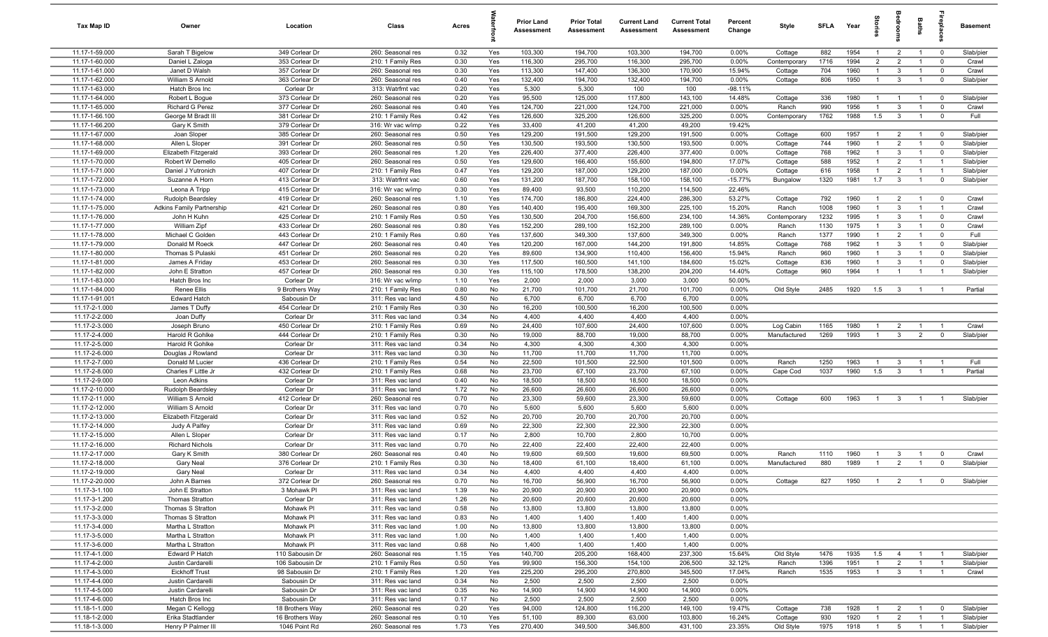| Tax Map ID                       | Owner                                  | Location                         | Class                                  | Acres        |            | Prior Land<br><b>Assessment</b> | <b>Prior Total</b><br>Assessment | <b>Current Land</b><br>Assessment | <b>Current Total</b><br><b>Assessment</b> | Percent<br>Change | Style            | <b>SFLA</b>  | Year         | ğ                                |                                | <b>Baths</b>                     | -e                               | <b>Basement</b>        |
|----------------------------------|----------------------------------------|----------------------------------|----------------------------------------|--------------|------------|---------------------------------|----------------------------------|-----------------------------------|-------------------------------------------|-------------------|------------------|--------------|--------------|----------------------------------|--------------------------------|----------------------------------|----------------------------------|------------------------|
| 11.17-1-59.000                   | Sarah T Bigelow                        | 349 Corlear Dr                   | 260: Seasonal res                      | 0.32         | Yes        | 103,300                         | 194,700                          | 103,300                           | 194,700                                   | 0.00%             | Cottage          | 882          | 1954         | $\mathbf{1}$                     | $\overline{2}$                 | $\overline{1}$                   | $\overline{0}$                   | Slab/pier              |
| 11.17-1-60.000                   | Daniel L Zaloga                        | 353 Corlear Dr                   | 210: 1 Family Res                      | 0.30         | Yes        | 116,300                         | 295,700                          | 116,300                           | 295,700                                   | 0.00%             | Contemporary     | 1716         | 1994         | $\overline{2}$                   | $\overline{2}$                 | $\overline{1}$                   | $\overline{0}$                   | Crawl                  |
| 11.17-1-61.000                   | Janet D Walsh                          | 357 Corlear Dr                   | 260: Seasonal res                      | 0.30         | Yes        | 113,300                         | 147,400                          | 136,300                           | 170,900                                   | 15.94%            | Cottage          | 704          | 1960         | $\mathbf{1}$                     | $\overline{3}$                 | $\overline{1}$                   | $\mathbf 0$                      | Crawl                  |
| 11.17-1-62.000                   | William S Arnold                       | 363 Corlear Dr                   | 260: Seasonal res                      | 0.40         | Yes        | 132,400                         | 194,700                          | 132,400                           | 194,700                                   | 0.00%             | Cottage          | 806          | 1950         | $\mathbf{1}$                     | $\mathbf{3}$                   |                                  | $\mathbf 0$                      | Slab/pier              |
| 11.17-1-63.000                   | Hatch Bros Inc                         | Corlear Dr                       | 313: Watrfrnt vac                      | 0.20         | Yes        | 5,300                           | 5,300                            | 100                               | 100                                       | $-98.11%$         |                  |              |              |                                  |                                |                                  |                                  |                        |
| 11.17-1-64.000                   | Robert L Bogue                         | 373 Corlear Dr                   | 260: Seasonal res                      | 0.20         | Yes        | 95,500                          | 125,000                          | 117,800                           | 143,100                                   | 14.48%            | Cottage          | 336          | 1980         |                                  |                                |                                  | $\overline{0}$                   | Slab/pier              |
| 11.17-1-65.000                   | <b>Richard G Perez</b>                 | 377 Corlear Dr                   | 260: Seasonal res                      | 0.40         | Yes        | 124,700                         | 221,000                          | 124,700                           | 221,000                                   | 0.00%             | Ranch            | 990          | 1956         | $\overline{1}$                   | $\overline{3}$                 | $\overline{1}$                   | $\mathbf 0$                      | Crawl                  |
| 11.17-1-66.100                   | George M Bradt III                     | 381 Corlear Dr                   | 210: 1 Family Res                      | 0.42         | Yes        | 126,600                         | 325,200                          | 126,600                           | 325,200                                   | 0.00%             | Contemporary     | 1762         | 1988         | 1.5                              | $\overline{3}$                 | $\overline{1}$                   | $\mathbf 0$                      | Full                   |
| 11.17-1-66.200<br>11.17-1-67.000 | Gary K Smith<br>Joan Sloper            | 379 Corlear Dr<br>385 Corlear Dr | 316: Wr vac w/imp<br>260: Seasonal res | 0.22<br>0.50 | Yes<br>Yes | 33,400<br>129,200               | 41,200<br>191,500                | 41,200<br>129,200                 | 49,200<br>191,500                         | 19.42%<br>0.00%   | Cottage          | 600          | 1957         | $\overline{1}$                   | $\overline{2}$                 | $\overline{1}$                   | $\overline{0}$                   | Slab/pier              |
| 11.17-1-68.000                   | Allen L Sloper                         | 391 Corlear Dr                   | 260: Seasonal res                      | 0.50         | Yes        | 130,500                         | 193,500                          | 130,500                           | 193,500                                   | 0.00%             | Cottage          | 744          | 1960         | $\overline{1}$                   | $\overline{2}$                 | $\overline{1}$                   | $\overline{0}$                   | Slab/pier              |
| 11.17-1-69.000                   | Elizabeth Fitzgerald                   | 393 Corlear Dr                   | 260: Seasonal res                      | 1.20         | Yes        | 226,400                         | 377,400                          | 226,400                           | 377,400                                   | 0.00%             | Cottage          | 768          | 1962         | $\overline{1}$                   | $\mathbf{3}$                   | $\overline{1}$                   | $\overline{0}$                   | Slab/pier              |
| 11.17-1-70.000                   | Robert W Demello                       | 405 Corlear Dr                   | 260: Seasonal res                      | 0.50         | Yes        | 129,600                         | 166,400                          | 155,600                           | 194,800                                   | 17.07%            | Cottage          | 588          | 1952         | $\overline{1}$                   | 2                              | $\overline{1}$                   | $\overline{1}$                   | Slab/pier              |
| 11.17-1-71.000                   | Daniel J Yutronich                     | 407 Corlear Dr                   | 210: 1 Family Res                      | 0.47         | Yes        | 129,200                         | 187,000                          | 129,200                           | 187,000                                   | 0.00%             | Cottage          | 616          | 1958         | $\overline{1}$                   | $\overline{2}$                 | $\overline{1}$                   | $\overline{1}$                   | Slab/pier              |
| 11.17-1-72.000                   | Suzanne A Horn                         | 413 Corlear Dr                   | 313: Watrfrnt vac                      | 0.60         | Yes        | 131,200                         | 187,700                          | 158,100                           | 158,100                                   | $-15.77%$         | Bungalow         | 1320         | 1981         | 1.7                              | $\overline{\mathbf{3}}$        | $\overline{1}$                   | $\mathbf 0$                      | Slab/pier              |
| 11.17-1-73.000                   | Leona A Tripp                          | 415 Corlear Dr                   | 316: Wr vac w/imp                      | 0.30         | Yes        | 89,400                          | 93,500                           | 110,200                           | 114,500                                   | 22.46%            |                  |              |              |                                  |                                |                                  |                                  |                        |
| 11.17-1-74.000                   | Rudolph Beardsley                      | 419 Corlear Dr                   | 260: Seasonal res                      | 1.10         | Yes        | 174,700                         | 186,800                          | 224,400                           | 286,300                                   | 53.27%            | Cottage          | 792          | 1960         | $\mathbf{1}$                     | $\overline{2}$                 |                                  | $\overline{0}$                   | Crawl                  |
| 11.17-1-75.000                   | <b>Adkins Family Partnership</b>       | 421 Corlear Dr                   | 260: Seasonal res                      | 0.80         | Yes        | 140,400                         | 195,400                          | 169,300                           | 225,100                                   | 15.20%            | Ranch            | 1008         | 1960         | $\mathbf{1}$                     | $\overline{3}$                 |                                  | $\overline{1}$                   | Crawl                  |
| 11.17-1-76.000                   | John H Kuhn                            | 425 Corlear Dr                   | 210: 1 Family Res                      | 0.50         | Yes        | 130,500                         | 204,700                          | 156,600                           | 234,100                                   | 14.36%            | Contemporary     | 1232         | 1995         | -1                               | $\overline{3}$                 |                                  | $\mathbf 0$                      | Crawl                  |
| 11.17-1-77.000                   | William Zipf                           | 433 Corlear Dr                   | 260: Seasonal res                      | 0.80         | Yes        | 152,200                         | 289,100                          | 152,200                           | 289,100                                   | 0.00%             | Ranch            | 1130         | 1975         | $\overline{1}$                   | $\overline{3}$                 | $\overline{1}$                   | $\overline{0}$                   | Crawl                  |
| 11.17-1-78.000                   | Michael C Golden                       | 443 Corlear Dr                   | 210: 1 Family Res                      | 0.60         | Yes        | 137,600                         | 349,300                          | 137,600                           | 349,300                                   | 0.00%             | Ranch            | 1377         | 1990         | $\mathbf{1}$                     | $\overline{2}$                 | $\overline{1}$                   | $\mathbf 0$                      | Full                   |
| 11.17-1-79.000<br>11.17-1-80.000 | Donald M Roeck<br>Thomas S Pulaski     | 447 Corlear Dr<br>451 Corlear Dr | 260: Seasonal res<br>260: Seasonal res | 0.40<br>0.20 | Yes<br>Yes | 120,200<br>89,600               | 167,000<br>134,900               | 144,200<br>110,400                | 191,800<br>156,400                        | 14.85%<br>15.94%  | Cottage<br>Ranch | 768<br>960   | 1962<br>1960 | $\overline{1}$<br>$\overline{1}$ | $\overline{3}$<br>$\mathbf{3}$ | $\overline{1}$<br>$\overline{1}$ | $\overline{0}$<br>$\overline{0}$ | Slab/pier<br>Slab/pier |
| 11.17-1-81.000                   | James A Friday                         | 453 Corlear Dr                   | 260: Seasonal res                      | 0.30         | Yes        | 117,500                         | 160,500                          | 141,100                           | 184,600                                   | 15.02%            | Cottage          | 836          | 1960         | $\overline{1}$                   | $\mathbf{3}$                   | $\overline{1}$                   | $\overline{0}$                   | Slab/pier              |
| 11.17-1-82.000                   | John E Stratton                        | 457 Corlear Dr                   | 260: Seasonal res                      | 0.30         | Yes        | 115,100                         | 178,500                          | 138,200                           | 204,200                                   | 14.40%            | Cottage          | 960          | 1964         | $\overline{1}$                   | $\overline{1}$                 | $\mathbf{1}$                     | $\overline{1}$                   | Slab/pier              |
| 11.17-1-83.000                   | Hatch Bros Inc                         | Corlear Dr                       | 316: Wr vac w/imp                      | 1.10         | Yes        | 2,000                           | 2,000                            | 3,000                             | 3,000                                     | 50.00%            |                  |              |              |                                  |                                |                                  |                                  |                        |
| 11.17-1-84.000                   | <b>Renee Ellis</b>                     | 9 Brothers Way                   | 210: 1 Family Res                      | 0.80         | No         | 21,700                          | 101,700                          | 21,700                            | 101,700                                   | 0.00%             | Old Style        | 2485         | 1920         | 1.5                              | $\overline{\mathbf{3}}$        | $\overline{1}$                   | $\overline{1}$                   | Partial                |
| 11.17-1-91.001                   | <b>Edward Hatch</b>                    | Sabousin Dr                      | 311: Res vac land                      | 4.50         | No         | 6,700                           | 6,700                            | 6,700                             | 6,700                                     | 0.00%             |                  |              |              |                                  |                                |                                  |                                  |                        |
| 11.17-2-1.000                    | James T Duffy                          | 454 Corlear Dr                   | 210: 1 Family Res                      | 0.30         | No         | 16,200                          | 100,500                          | 16,200                            | 100,500                                   | 0.00%             |                  |              |              |                                  |                                |                                  |                                  |                        |
| 11.17-2-2.000                    | Joan Duffy                             | Corlear Dr                       | 311: Res vac land                      | 0.34         | No         | 4,400                           | 4,400                            | 4,400                             | 4,400                                     | 0.00%             |                  |              |              |                                  |                                |                                  |                                  |                        |
| 11.17-2-3.000                    | Joseph Bruno                           | 450 Corlear Dr                   | 210: 1 Family Res                      | 0.69         | No         | 24,400                          | 107,600                          | 24,400                            | 107,600                                   | 0.00%             | Log Cabin        | 1165         | 1980         | -1                               | $\overline{2}$                 |                                  | - 1                              | Crawl                  |
| 11.17-2-4.000                    | Harold R Gohlke                        | 444 Corlear Dr                   | 210: 1 Family Res                      | 0.30         | No         | 19,000                          | 88,700                           | 19,000                            | 88,700                                    | 0.00%             | Manufactured     | 1269         | 1993         | $\overline{1}$                   | $\mathbf{3}$                   | 2                                | $\mathbf 0$                      | Slab/pier              |
| 11.17-2-5.000                    | Harold R Gohlke                        | Corlear Dr                       | 311: Res vac land                      | 0.34         | No         | 4,300                           | 4,300                            | 4,300                             | 4,300                                     | 0.00%             |                  |              |              |                                  |                                |                                  |                                  |                        |
| 11.17-2-6.000                    | Douglas J Rowland                      | Corlear Dr                       | 311: Res vac land                      | 0.30         | No         | 11,700                          | 11,700                           | 11,700                            | 11,700                                    | 0.00%             |                  |              |              |                                  |                                |                                  |                                  |                        |
| 11.17-2-7.000<br>11.17-2-8.000   | Donald M Lucier<br>Charles F Little Jr | 436 Corlear Dr                   | 210: 1 Family Res                      | 0.54         | No         | 22,500                          | 101,500                          | 22,500                            | 101,500                                   | 0.00%             | Ranch            | 1250<br>1037 | 1963<br>1960 | $\overline{1}$                   | $\overline{3}$                 | $\overline{1}$<br>$\overline{1}$ | $\overline{1}$<br>$\overline{1}$ | Full<br>Partial        |
| 11.17-2-9.000                    | Leon Adkins                            | 432 Corlear Dr<br>Corlear Dr     | 210: 1 Family Res<br>311: Res vac land | 0.68<br>0.40 | No<br>No   | 23,700<br>18,500                | 67,100<br>18,500                 | 23,700<br>18,500                  | 67,100<br>18,500                          | 0.00%<br>0.00%    | Cape Cod         |              |              | 1.5                              | $\mathbf{3}$                   |                                  |                                  |                        |
| 11.17-2-10.000                   | Rudolph Beardsley                      | Corlear Dr                       | 311: Res vac land                      | 1.72         | No         | 26,600                          | 26,600                           | 26,600                            | 26,600                                    | 0.00%             |                  |              |              |                                  |                                |                                  |                                  |                        |
| 11.17-2-11.000                   | William S Arnold                       | 412 Corlear Dr                   | 260: Seasonal res                      | 0.70         | No         | 23,300                          | 59,600                           | 23,300                            | 59,600                                    | 0.00%             | Cottage          | 600          | 1963         | $\overline{1}$                   | $\overline{3}$                 |                                  |                                  | Slab/pier              |
| 11.17-2-12.000                   | William S Arnold                       | Corlear Dr                       | 311: Res vac land                      | 0.70         | No         | 5,600                           | 5,600                            | 5,600                             | 5,600                                     | 0.00%             |                  |              |              |                                  |                                |                                  |                                  |                        |
| 11.17-2-13.000                   | Elizabeth Fitzgerald                   | Corlear Dr                       | 311: Res vac land                      | 0.52         | No         | 20,700                          | 20,700                           | 20,700                            | 20,700                                    | 0.00%             |                  |              |              |                                  |                                |                                  |                                  |                        |
| 11.17-2-14.000                   | Judy A Palfey                          | Corlear Dr                       | 311: Res vac land                      | 0.69         | No         | 22,300                          | 22,300                           | 22,300                            | 22,300                                    | 0.00%             |                  |              |              |                                  |                                |                                  |                                  |                        |
| 11.17-2-15.000                   | Allen L Sloper                         | Corlear Dr                       | 311: Res vac land                      | 0.17         | No         | 2,800                           | 10,700                           | 2,800                             | 10,700                                    | 0.00%             |                  |              |              |                                  |                                |                                  |                                  |                        |
| 11.17-2-16.000                   | <b>Richard Nichols</b>                 | Corlear Dr                       | 311: Res vac land                      | 0.70         | No         | 22,400                          | 22,400                           | 22,400                            | 22,400                                    | 0.00%             |                  |              |              |                                  |                                |                                  |                                  |                        |
| 11.17-2-17.000                   | Gary K Smith                           | 380 Corlear Dr                   | 260: Seasonal res                      | 0.40         | No         | 19,600                          | 69,500                           | 19,600                            | 69,500                                    | 0.00%             | Ranch            | 1110         | 1960         | -1                               | $\mathbf{3}$                   |                                  | $\mathbf 0$                      | Crawl                  |
| 11.17-2-18.000                   | Gary Neal                              | 376 Corlear Dr                   | 210: 1 Family Res                      | 0.30         | No         | 18,400                          | 61,100                           | 18,400                            | 61,100                                    | 0.00%             | Manufactured     | 880          | 1989         | $\overline{1}$                   | $\overline{2}$                 | $\overline{1}$                   | $\mathbf 0$                      | Slab/pier              |
| 11.17-2-19.000<br>11.17-2-20.000 | Gary Neal                              | Corlear Dr                       | 311: Res vac land                      | 0.34         | No         | 4,400                           | 4,400                            | 4,400                             | 4,400                                     | 0.00%             |                  |              | 1950         |                                  |                                |                                  |                                  | Slab/pier              |
| 11.17-3-1.100                    | John A Barnes<br>John E Stratton       | 372 Corlear Dr<br>3 Mohawk PI    | 260: Seasonal res<br>311: Res vac land | 0.70<br>1.39 | No<br>No   | 16,700<br>20,900                | 56,900<br>20,900                 | 16,700<br>20,900                  | 56,900<br>20,900                          | 0.00%<br>0.00%    | Cottage          | 827          |              | $\overline{1}$                   | $\overline{2}$                 | $\overline{1}$                   | $\overline{\mathbf{0}}$          |                        |
| 11.17-3-1.200                    | Thomas Stratton                        | Corlear Dr                       | 311: Res vac land                      | 1.26         | No         | 20,600                          | 20,600                           | 20,600                            | 20,600                                    | 0.00%             |                  |              |              |                                  |                                |                                  |                                  |                        |
| 11.17-3-2.000                    | Thomas S Stratton                      | Mohawk PI                        | 311: Res vac land                      | 0.58         | No         | 13,800                          | 13,800                           | 13,800                            | 13,800                                    | 0.00%             |                  |              |              |                                  |                                |                                  |                                  |                        |
| 11.17-3-3.000                    | Thomas S Stratton                      | Mohawk PI                        | 311: Res vac land                      | 0.83         | No         | 1,400                           | 1,400                            | 1,400                             | 1,400                                     | 0.00%             |                  |              |              |                                  |                                |                                  |                                  |                        |
| 11.17-3-4.000                    | Martha L Stratton                      | Mohawk PI                        | 311: Res vac land                      | 1.00         | No         | 13,800                          | 13,800                           | 13,800                            | 13,800                                    | 0.00%             |                  |              |              |                                  |                                |                                  |                                  |                        |
| 11.17-3-5.000                    | Martha L Stratton                      | Mohawk PI                        | 311: Res vac land                      | 1.00         | No         | 1,400                           | 1,400                            | 1,400                             | 1,400                                     | 0.00%             |                  |              |              |                                  |                                |                                  |                                  |                        |
| 11.17-3-6.000                    | Martha L Stratton                      | Mohawk PI                        | 311: Res vac land                      | 0.68         | No         | 1,400                           | 1,400                            | 1,400                             | 1,400                                     | 0.00%             |                  |              |              |                                  |                                |                                  |                                  |                        |
| 11.17-4-1.000                    | Edward P Hatch                         | 110 Sabousin Dr                  | 260: Seasonal res                      | 1.15         | Yes        | 140,700                         | 205,200                          | 168,400                           | 237,300                                   | 15.64%            | Old Style        | 1476         | 1935         | 1.5                              | $\overline{4}$                 | $\overline{1}$                   | $\overline{1}$                   | Slab/pier              |
| 11.17-4-2.000                    | Justin Cardarelli                      | 106 Sabousin Dr                  | 210: 1 Family Res                      | 0.50         | Yes        | 99,900                          | 156,300                          | 154,100                           | 206,500                                   | 32.12%            | Ranch            | 1396         | 1951         | $\overline{1}$                   | $\overline{2}$                 | $\overline{1}$                   | $\overline{1}$                   | Slab/pier              |
| 11.17-4-3.000                    | <b>Eickhoff Trust</b>                  | 98 Sabousin Dr                   | 210: 1 Family Res                      | 1.20         | Yes        | 225,200                         | 295,200                          | 270,800                           | 345,500                                   | 17.04%            | Ranch            | 1535         | 1953         | $\overline{1}$                   | $\mathbf{3}$                   | $\overline{1}$                   | $\overline{1}$                   | Crawl                  |
| 11.17-4-4.000                    | Justin Cardarelli                      | Sabousin Dr                      | 311: Res vac land                      | 0.34         | No         | 2,500                           | 2,500                            | 2,500                             | 2,500                                     | 0.00%             |                  |              |              |                                  |                                |                                  |                                  |                        |
| 11.17-4-5.000                    | Justin Cardarelli                      | Sabousin Dr                      | 311: Res vac land                      | 0.35         | No         | 14,900                          | 14,900                           | 14,900                            | 14,900                                    | 0.00%             |                  |              |              |                                  |                                |                                  |                                  |                        |
| 11.17-4-6.000<br>11.18-1-1.000   | Hatch Bros Inc<br>Megan C Kellogg      | Sabousin Dr<br>18 Brothers Way   | 311: Res vac land<br>260: Seasonal res | 0.17<br>0.20 | No<br>Yes  | 2,500<br>94,000                 | 2,500<br>124,800                 | 2,500<br>116,200                  | 2,500<br>149,100                          | 0.00%<br>19.47%   | Cottage          | 738          | 1928         | $\overline{1}$                   | $\overline{2}$                 | $\overline{1}$                   | $\overline{0}$                   | Slab/pier              |
| 11.18-1-2.000                    | Erika Stadtlander                      | 16 Brothers Way                  | 260: Seasonal res                      | 0.10         | Yes        | 51,100                          | 89,300                           | 63,000                            | 103,800                                   | 16.24%            | Cottage          | 930          | 1920         | $\overline{1}$                   | $\overline{2}$                 | $\overline{1}$                   | $\overline{1}$                   | Slab/pier              |
| 11.18-1-3.000                    | Henry P Palmer III                     | 1046 Point Rd                    | 260: Seasonal res                      | 1.73         | Yes        | 270,400                         | 349,500                          | 346,800                           | 431,100                                   | 23.35%            | Old Style        | 1975         | 1918         | $\overline{1}$                   | $5^{\circ}$                    | $\overline{1}$                   | $\overline{1}$                   | Slab/pier              |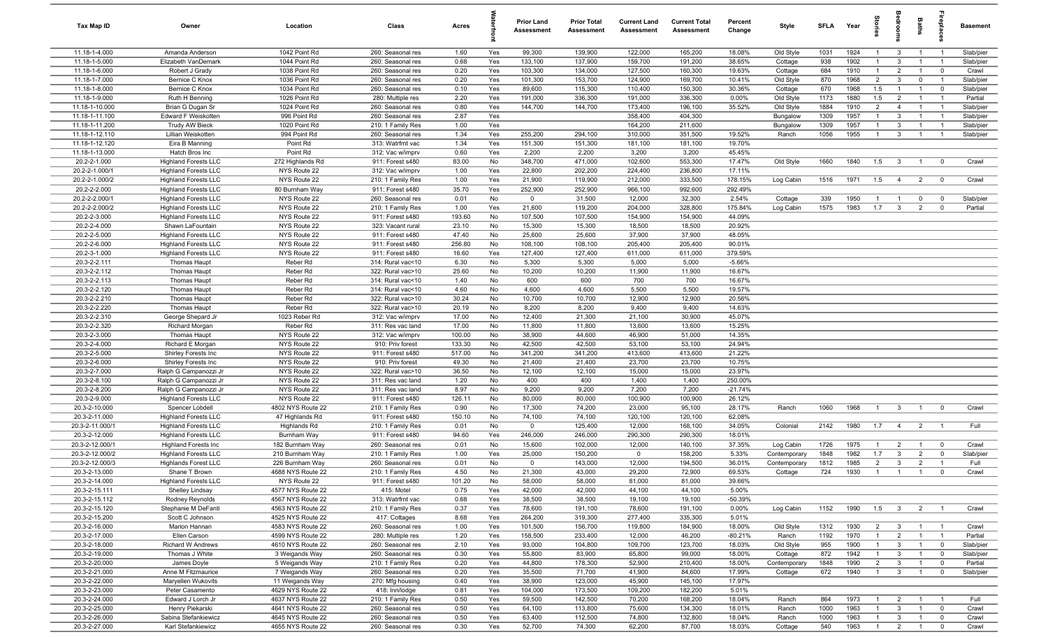| Tax Map ID                     | Owner                                           | Location                               | Class                                  | Acres           |            | Prior Land<br><b>Assessment</b> | <b>Prior Total</b><br>Assessment | <b>Current Land</b><br>Assessment | <b>Current Total</b><br>Assessment | Percent<br>Change  | Style                | SFLA        | Year         | ā.             | droon                            | Baths                            | epla                             | <b>Basement</b>      |
|--------------------------------|-------------------------------------------------|----------------------------------------|----------------------------------------|-----------------|------------|---------------------------------|----------------------------------|-----------------------------------|------------------------------------|--------------------|----------------------|-------------|--------------|----------------|----------------------------------|----------------------------------|----------------------------------|----------------------|
| 11.18-1-4.000                  | Amanda Anderson                                 | 1042 Point Rd                          | 260: Seasonal res                      | 1.60            | Yes        | 99,300                          | 139,900                          | 122,000                           | 165,200                            | 18.08%             | Old Style            | 1031        | 1924         | $\overline{1}$ | $\overline{3}$                   | $\overline{1}$                   | $\overline{1}$                   | Slab/pier            |
| 11.18-1-5.000                  | Elizabeth VanDemark                             | 1044 Point Rd                          | 260: Seasonal res                      | 0.68            | Yes        | 133,100                         | 137,900                          | 159,700                           | 191,200                            | 38.65%             | Cottage              | 938         | 1902         |                | $\mathbf{3}$                     | $\mathbf{1}$                     | $\overline{1}$                   | Slab/pier            |
| 11.18-1-6.000                  | Robert J Grady                                  | 1038 Point Rd                          | 260: Seasonal res                      | 0.20            | Yes        | 103,300                         | 134,000                          | 127,500                           | 160,300                            | 19.63%             | Cottage              | 684         | 1910         | $\overline{1}$ | $\overline{2}$                   | $\overline{1}$                   | $\overline{0}$                   | Crawl                |
| $11.18 - 1 - 7.000$            | Bernice C Knox                                  | 1036 Point Rd                          | 260: Seasonal res                      | 0.20            | Yes        | 101,300                         | 153,700                          | 124,900                           | 169,700                            | 10.41%             | Old Style            | 870         | 1968         | $\overline{2}$ | $\mathbf{3}$                     | $\mathbf 0$                      | $\overline{1}$                   | Slab/pier            |
| 11.18-1-8.000<br>11.18-1-9.000 | Bernice C Knox<br>Ruth H Benning                | 1034 Point Rd<br>1026 Point Rd         | 260: Seasonal res<br>280: Multiple res | 0.10<br>2.20    | Yes<br>Yes | 89,600<br>191,000               | 115,300<br>336,300               | 110,400<br>191,000                | 150,300<br>336,300                 | 30.36%<br>0.00%    | Cottage<br>Old Style | 670<br>1173 | 1968<br>1880 | 1.5<br>1.5     | $\overline{1}$<br>$\overline{2}$ | $\overline{1}$<br>$\overline{1}$ | $\overline{0}$<br>$\overline{1}$ | Slab/pier<br>Partial |
| 11.18-1-10.000                 | Brian G Dugan Sr                                | 1024 Point Rd                          | 260: Seasonal res                      | 0.80            | Yes        | 144,700                         | 144,700                          | 173,400                           | 196,100                            | 35.52%             | Old Style            | 1884        | 1910         | $\overline{2}$ | $\overline{4}$                   | $\overline{1}$                   | $\overline{1}$                   | Slab/pier            |
| 11.18-1-11.100                 | Edward F Weiskotten                             | 996 Point Rd                           | 260: Seasonal res                      | 2.87            | Yes        |                                 |                                  | 358,400                           | 404,300                            |                    | Bungalow             | 1309        | 1957         | $\overline{1}$ | $\mathbf{3}$                     | $\overline{1}$                   | $\overline{1}$                   | Slab/pier            |
| 11.18-1-11.200                 | <b>Trudy AW Bieck</b>                           | 1020 Point Rd                          | 210: 1 Family Res                      | 1.00            | Yes        |                                 |                                  | 164,200                           | 211,600                            |                    | Bungalow             | 1309        | 1957         | $\overline{1}$ | $\mathbf{3}$                     | $\overline{1}$                   | $\overline{1}$                   | Slab/pier            |
| 11.18-1-12.110                 | Lillian Weiskotten                              | 994 Point Rd                           | 260: Seasonal res                      | 1.34            | Yes        | 255,200                         | 294,100                          | 310,000                           | 351,500                            | 19.52%             | Ranch                | 1056        | 1955         | $\overline{1}$ | $\mathbf{3}$                     | $\overline{1}$                   | $\overline{1}$                   | Slab/pier            |
| 11.18-1-12.120                 | Eira B Manning                                  | Point Rd                               | 313: Watrfrnt vac                      | 1.34            | Yes        | 151,300                         | 151,300                          | 181,100                           | 181,100                            | 19.70%             |                      |             |              |                |                                  |                                  |                                  |                      |
| 11.18-1-13.000                 | Hatch Bros Inc                                  | Point Rd                               | 312: Vac w/imprv                       | 0.60            | Yes        | 2,200                           | 2,200                            | 3,200                             | 3,200                              | 45.45%             |                      |             |              |                |                                  |                                  |                                  |                      |
| 20.2-2-1.000                   | <b>Highland Forests LLC</b>                     | 272 Highlands Rd                       | 911: Forest s480                       | 83.00           | No         | 348,700                         | 471,000                          | 102,600                           | 553,300                            | 17.47%             | Old Style            | 1660        | 1840         | 1.5            | $\mathbf{3}$                     | $\mathbf{1}$                     | $\overline{0}$                   | Crawl                |
| 20.2-2-1.000/1                 | <b>Highland Forests LLC</b>                     | NYS Route 22                           | 312: Vac w/imprv                       | 1.00            | Yes        | 22,800                          | 202,200                          | 224,400                           | 236,800                            | 17.11%             |                      |             |              |                |                                  |                                  |                                  |                      |
| 20.2-2-1.000/2                 | <b>Highland Forests LLC</b>                     | NYS Route 22                           | 210: 1 Family Res                      | 1.00            | Yes        | 21,900                          | 119,900                          | 212,000                           | 333,500                            | 178.15%            | Log Cabin            | 1516        | 1971         | 1.5            | $\overline{4}$                   | $\overline{2}$                   | $\overline{0}$                   | Crawl                |
| 20.2-2-2.000                   | <b>Highland Forests LLC</b>                     | 80 Burnham Way                         | 911: Forest s480                       | 35.70           | Yes        | 252,900                         | 252,900                          | 966,100                           | 992,600                            | 292.49%            |                      |             |              |                |                                  |                                  |                                  |                      |
| 20.2-2-2.000/1                 | <b>Highland Forests LLC</b>                     | NYS Route 22                           | 260: Seasonal res                      | 0.01            | No         | $\mathbf 0$                     | 31,500                           | 12,000                            | 32,300                             | 2.54%              | Cottage              | 339         | 1950         | $\overline{1}$ | $\overline{1}$                   | $\mathbf 0$                      | $\overline{0}$                   | Slab/pier            |
| 20.2-2-2.000/2                 | <b>Highland Forests LLC</b>                     | NYS Route 22                           | 210: 1 Family Res                      | 1.00            | Yes        | 21,600                          | 119,200                          | 204,000                           | 328,800                            | 175.84%            | Log Cabin            | 1575        | 1983         | 1.7            | $\mathbf{3}$                     | $\overline{2}$                   | $\overline{0}$                   | Partial              |
| 20.2-2-3.000                   | <b>Highland Forests LLC</b>                     | NYS Route 22                           | 911: Forest s480                       | 193.60          | No         | 107,500                         | 107,500                          | 154,900                           | 154,900                            | 44.09%             |                      |             |              |                |                                  |                                  |                                  |                      |
| 20.2-2-4.000<br>20.2-2-5.000   | Shawn LaFountain<br><b>Highland Forests LLC</b> | NYS Route 22                           | 323: Vacant rural                      | 23.10           | No         | 15,300                          | 15,300                           | 18,500                            | 18,500                             | 20.92%<br>48.05%   |                      |             |              |                |                                  |                                  |                                  |                      |
| 20.2-2-6.000                   | <b>Highland Forests LLC</b>                     | NYS Route 22<br>NYS Route 22           | 911: Forest s480<br>911: Forest s480   | 47.40<br>256.80 | No<br>No   | 25,600<br>108,100               | 25,600<br>108,100                | 37,900<br>205,400                 | 37,900<br>205,400                  | 90.01%             |                      |             |              |                |                                  |                                  |                                  |                      |
| 20.2-3-1.000                   | <b>Highland Forests LLC</b>                     | NYS Route 22                           | 911: Forest s480                       | 16.60           | Yes        | 127,400                         | 127,400                          | 611,000                           | 611,000                            | 379.59%            |                      |             |              |                |                                  |                                  |                                  |                      |
| 20.3-2-2.111                   | Thomas Haupt                                    | Reber Rd                               | 314: Rural vac<10                      | 6.30            | No         | 5,300                           | 5,300                            | 5,000                             | 5,000                              | $-5.66%$           |                      |             |              |                |                                  |                                  |                                  |                      |
| 20.3-2-2.112                   | Thomas Haupt                                    | Reber Rd                               | 322: Rural vac>10                      | 25.60           | No         | 10,200                          | 10,200                           | 11,900                            | 11,900                             | 16.67%             |                      |             |              |                |                                  |                                  |                                  |                      |
| 20.3-2-2.113                   | Thomas Haupt                                    | Reber Rd                               | 314: Rural vac<10                      | 1.40            | No         | 600                             | 600                              | 700                               | 700                                | 16.67%             |                      |             |              |                |                                  |                                  |                                  |                      |
| 20.3-2-2.120                   | <b>Thomas Haupt</b>                             | Reber Rd                               | 314: Rural vac<10                      | 4.60            | No         | 4,600                           | 4,600                            | 5,500                             | 5,500                              | 19.57%             |                      |             |              |                |                                  |                                  |                                  |                      |
| 20.3-2-2.210                   | Thomas Haupt                                    | Reber Rd                               | 322: Rural vac>10                      | 30.24           | No         | 10,700                          | 10,700                           | 12,900                            | 12,900                             | 20.56%             |                      |             |              |                |                                  |                                  |                                  |                      |
| 20.3-2-2.220                   | Thomas Haupt                                    | Reber Rd                               | 322: Rural vac>10                      | 20.19           | No         | 8,200                           | 8,200                            | 9,400                             | 9,400                              | 14.63%             |                      |             |              |                |                                  |                                  |                                  |                      |
| 20.3-2-2.310                   | George Shepard Jr                               | 1023 Reber Rd                          | 312: Vac w/imprv                       | 17.00           | No         | 12,400                          | 21,300                           | 21,100                            | 30,900                             | 45.07%             |                      |             |              |                |                                  |                                  |                                  |                      |
| 20.3-2-2.320                   | Richard Morgan                                  | Reber Rd                               | 311: Res vac land                      | 17.00           | No         | 11,800                          | 11,800                           | 13,600                            | 13,600                             | 15.25%             |                      |             |              |                |                                  |                                  |                                  |                      |
| 20.3-2-3.000                   | <b>Thomas Haupt</b>                             | NYS Route 22                           | 312: Vac w/imprv                       | 100.00          | No         | 38,900                          | 44,600                           | 46,900                            | 51,000                             | 14.35%             |                      |             |              |                |                                  |                                  |                                  |                      |
| 20.3-2-4.000                   | Richard E Morgan                                | NYS Route 22                           | 910: Priv forest                       | 133.30          | No         | 42,500                          | 42,500                           | 53,100                            | 53,100                             | 24.94%             |                      |             |              |                |                                  |                                  |                                  |                      |
| 20.3-2-5.000                   | Shirley Forests Inc                             | NYS Route 22                           | 911: Forest s480                       | 517.00          | No         | 341,200                         | 341,200                          | 413,600                           | 413,600                            | 21.22%             |                      |             |              |                |                                  |                                  |                                  |                      |
| 20.3-2-6.000<br>20.3-2-7.000   | Shirley Forests Inc<br>Ralph G Campanozzi Jr    | NYS Route 22<br>NYS Route 22           | 910: Priv forest<br>322: Rural vac>10  | 49.30<br>36.50  | No<br>No   | 21,400<br>12,100                | 21,400<br>12,100                 | 23,700<br>15,000                  | 23,700<br>15,000                   | 10.75%<br>23.97%   |                      |             |              |                |                                  |                                  |                                  |                      |
| 20.3-2-8.100                   | Ralph G Campanozzi Jr                           | NYS Route 22                           | 311: Res vac land                      | 1.20            | No         | 400                             | 400                              | 1,400                             | 1,400                              | 250.00%            |                      |             |              |                |                                  |                                  |                                  |                      |
| 20.3-2-8.200                   | Ralph G Campanozzi Jr                           | NYS Route 22                           | 311: Res vac land                      | 8.97            | No         | 9,200                           | 9,200                            | 7,200                             | 7,200                              | $-21.74%$          |                      |             |              |                |                                  |                                  |                                  |                      |
| 20.3-2-9.000                   | <b>Highland Forests LLC</b>                     | NYS Route 22                           | 911: Forest s480                       | 126.11          | No         | 80,000                          | 80,000                           | 100,900                           | 100,900                            | 26.12%             |                      |             |              |                |                                  |                                  |                                  |                      |
| 20.3-2-10.000                  | Spencer Lobdell                                 | 4802 NYS Route 22                      | 210: 1 Family Res                      | 0.90            | No         | 17,300                          | 74,200                           | 23,000                            | 95,100                             | 28.17%             | Ranch                | 1060        | 1968         | $\overline{1}$ | $\mathbf{3}$                     | $\overline{1}$                   | $\overline{0}$                   | Crawl                |
| 20.3-2-11.000                  | <b>Highland Forests LLC</b>                     | 47 Highlands Rd                        | 911: Forest s480                       | 150.10          | No         | 74,100                          | 74,100                           | 120,100                           | 120,100                            | 62.08%             |                      |             |              |                |                                  |                                  |                                  |                      |
| 20.3-2-11.000/1                | <b>Highland Forests LLC</b>                     | Highlands Rd                           | 210: 1 Family Res                      | 0.01            | No         | $\mathbf 0$                     | 125,400                          | 12,000                            | 168,100                            | 34.05%             | Colonial             | 2142        | 1980         | 1.7            | $\overline{4}$                   | $\overline{2}$                   | $\overline{1}$                   | Full                 |
| 20.3-2-12.000                  | <b>Highland Forests LLC</b>                     | Burnham Way                            | 911: Forest s480                       | 94.60           | Yes        | 246,000                         | 246,000                          | 290,300                           | 290,300                            | 18.01%             |                      |             |              |                |                                  |                                  |                                  |                      |
| 20.3-2-12.000/1                | <b>Highland Forests Inc</b>                     | 182 Burnham Way                        | 260: Seasonal res                      | 0.01            | No         | 15,600                          | 102,000                          | 12,000                            | 140,100                            | 37.35%             | Log Cabin            | 1726        | 1975         | $\overline{1}$ | $\overline{2}$                   | $\overline{1}$                   | $\overline{\mathbf{0}}$          | Crawl                |
| 20.3-2-12.000/2                | <b>Highland Forests LLC</b>                     | 210 Burnham Way                        | 210: 1 Family Res                      | 1.00            | Yes        | 25,000                          | 150,200                          | $\mathbf 0$                       | 158,200                            | 5.33%              | Contemporary         | 1848        | 1982         | 1.7            | $\mathbf{3}$                     | $\overline{2}$                   | $\mathbf 0$                      | Slab/pier            |
| 20.3-2-12.000/3                | <b>Highlands Forest LLC</b>                     | 226 Burnham Way                        | 260: Seasonal res                      | 0.01            | No         | $\Omega$                        | 143,000                          | 12,000                            | 194,500                            | 36.01%             | Contemporary         | 1812        | 1985         | $\overline{2}$ | $\mathbf{3}$                     | $\overline{2}$                   | $\overline{1}$                   | Full                 |
| 20.3-2-13.000                  | Shane T Brown                                   | 4688 NYS Route 22                      | 210: 1 Family Res                      | 4.50            | <b>No</b>  | 21.300                          | 43,000                           | 29.200                            | 72.900                             | 69.53%             | Cottage              | 724         | 1930         | $\overline{1}$ | $\overline{1}$                   | -1                               | $\Omega$                         | Crawl                |
| 20.3-2-14.000                  | <b>Highland Forests LLC</b>                     | NYS Route 22                           | 911: Forest s480                       | 101.20          | No         | 58,000                          | 58,000                           | 81,000                            | 81,000                             | 39.66%             |                      |             |              |                |                                  |                                  |                                  |                      |
| 20.3-2-15.111                  | Shelley Lindsay                                 | 4577 NYS Route 22                      | 415: Motel                             | 0.75            | Yes        | 42,000                          | 42,000                           | 44,100                            | 44,100                             | 5.00%              |                      |             |              |                |                                  |                                  |                                  |                      |
| 20.3-2-15.112<br>20.3-2-15.120 | Rodney Reynolds<br>Stephanie M DeFanti          | 4567 NYS Route 22<br>4563 NYS Route 22 | 313: Watrfrnt vac<br>210: 1 Family Res | 0.68<br>0.37    | Yes<br>Yes | 38,500<br>78,600                | 38,500<br>191,100                | 19,100<br>78,600                  | 19,100<br>191,100                  | $-50.39%$<br>0.00% | Log Cabin            | 1152        | 1990         | 1.5            | $\overline{\mathbf{3}}$          | $\overline{2}$                   | $\overline{1}$                   | Crawl                |
| 20.3-2-15.200                  | Scott C Johnson                                 | 4525 NYS Route 22                      | 417: Cottages                          | 8.68            | Yes        | 264,200                         | 319,300                          | 277,400                           | 335,300                            | 5.01%              |                      |             |              |                |                                  |                                  |                                  |                      |
| 20.3-2-16.000                  | Marion Hannan                                   | 4583 NYS Route 22                      | 260: Seasonal res                      | 1.00            | Yes        | 101,500                         | 156,700                          | 119,800                           | 184,900                            | 18.00%             | Old Style            | 1312        | 1930         | $\overline{2}$ | $\overline{\mathbf{3}}$          | $\overline{1}$                   | $\overline{1}$                   | Crawl                |
| 20.3-2-17.000                  | Ellen Carson                                    | 4599 NYS Route 22                      | 280: Multiple res                      | 1.20            | Yes        | 158,500                         | 233,400                          | 12,000                            | 46,200                             | $-80.21%$          | Ranch                | 1192        | 1970         | $\overline{1}$ | $\overline{2}$                   | $\overline{1}$                   | $\overline{1}$                   | Partial              |
| 20.3-2-18.000                  | Richard W Andrews                               | 4610 NYS Route 22                      | 260: Seasonal res                      | 2.10            | Yes        | 93,000                          | 104,800                          | 109,700                           | 123,700                            | 18.03%             | Old Style            | 955         | 1900         | $\overline{1}$ | $\mathbf{3}$                     | $\overline{1}$                   | $\overline{0}$                   | Slab/pier            |
| 20.3-2-19.000                  | Thomas J White                                  | 3 Weigands Way                         | 260: Seasonal res                      | 0.30            | Yes        | 55,800                          | 83,900                           | 65,800                            | 99,000                             | 18.00%             | Cottage              | 872         | 1942         | $\overline{1}$ | $\mathbf{3}$                     | $\overline{1}$                   | $\overline{0}$                   | Slab/pier            |
| 20.3-2-20.000                  | James Doyle                                     | 5 Weigands Way                         | 210: 1 Family Res                      | 0.20            | Yes        | 44,800                          | 178,300                          | 52,900                            | 210,400                            | 18.00%             | Contemporary         | 1848        | 1990         | $\overline{2}$ | $\mathbf{3}$                     | $\overline{1}$                   | $\overline{0}$                   | Partial              |
| 20.3-2-21.000                  | Anne M Fitzmaurice                              | 7 Weigands Way                         | 260: Seasonal res                      | 0.20            | Yes        | 35,500                          | 71,700                           | 41,900                            | 84,600                             | 17.99%             | Cottage              | 672         | 1940         | $\overline{1}$ | $\mathbf{3}$                     | $\overline{1}$                   | $\overline{0}$                   | Slab/pier            |
| 20.3-2-22.000                  | Marvellen Wukovits                              | 11 Weigands Way                        | 270: Mfg housing                       | 0.40            | Yes        | 38,900                          | 123,000                          | 45,900                            | 145,100                            | 17.97%             |                      |             |              |                |                                  |                                  |                                  |                      |
| 20.3-2-23.000                  | Peter Casamento                                 | 4629 NYS Route 22                      | 418: Inn/lodge                         | 0.81            | Yes        | 104,000                         | 173,500                          | 109,200                           | 182,200                            | 5.01%              |                      |             |              |                |                                  |                                  |                                  |                      |
| 20.3-2-24.000                  | Edward J Lorch Jr                               | 4637 NYS Route 22                      | 210: 1 Family Res                      | 0.50            | Yes        | 59,500                          | 142,500                          | 70,200                            | 168,200                            | 18.04%             | Ranch                | 864         | 1973         | $\overline{1}$ | $\overline{2}$                   | $\overline{1}$                   | $\overline{1}$                   | Full                 |
| 20.3-2-25.000                  | Henry Piekarski                                 | 4641 NYS Route 22                      | 260: Seasonal res                      | 0.50            | Yes        | 64,100                          | 113,800                          | 75,600                            | 134,300                            | 18.01%             | Ranch                | 1000        | 1963         | $\mathbf{1}$   | $\mathbf{3}$                     | $\overline{1}$                   | $\overline{0}$                   | Crawl                |
| 20.3-2-26.000                  | Sabina Stefankiewicz                            | 4645 NYS Route 22                      | 260: Seasonal res                      | 0.50            | Yes        | 63,400                          | 112,500                          | 74,800                            | 132,800                            | 18.04%             | Ranch                | 1000        | 1963         | $\overline{1}$ | $\mathbf{3}$                     | $\overline{1}$                   | $\mathbf{0}$                     | Crawl                |
| 20.3-2-27.000                  | Karl Stefankiewicz                              | 4655 NYS Route 22                      | 260: Seasonal res                      | 0.30            | Yes        | 52,700                          | 74,300                           | 62,200                            | 87,700                             | 18.03%             | Cottage              | 540         | 1963         | $\overline{1}$ |                                  | $2 \qquad 1$                     | $\overline{0}$                   | Crawl                |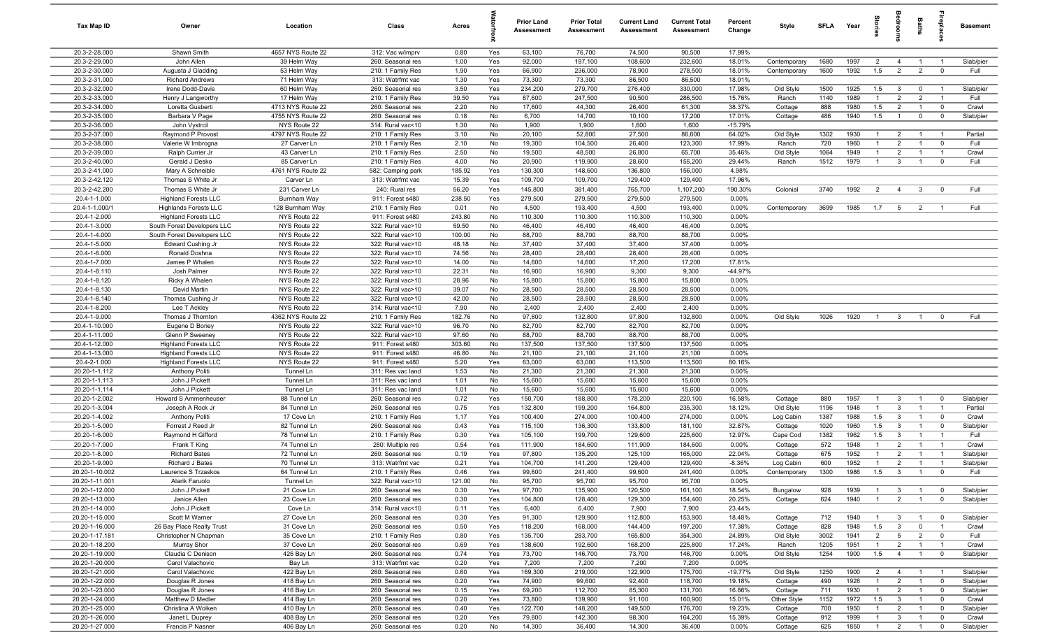| Tax Map ID                       | Owner                                   | Location                          | Class                                  | Acres           |            | <b>Prior Land</b><br><b>Assessment</b> | <b>Prior Total</b><br>Assessment | <b>Current Land</b><br><b>Assessment</b> | <b>Current Total</b><br><b>Assessment</b> | Percent<br>Change | Style                  | <b>SFLA</b> | Year         | g                                |                                  | Baths                            | ę                                         | <b>Basement</b>    |
|----------------------------------|-----------------------------------------|-----------------------------------|----------------------------------------|-----------------|------------|----------------------------------------|----------------------------------|------------------------------------------|-------------------------------------------|-------------------|------------------------|-------------|--------------|----------------------------------|----------------------------------|----------------------------------|-------------------------------------------|--------------------|
| 20.3-2-28.000                    | Shawn Smith                             | 4657 NYS Route 22                 | 312: Vac w/imprv                       | 0.80            | Yes        | 63,100                                 | 76,700                           | 74,500                                   | 90,500                                    | 17.99%            |                        |             |              |                                  |                                  |                                  |                                           |                    |
| 20.3-2-29.000                    | John Allen                              | 39 Helm Way                       | 260: Seasonal res                      | 1.00            | Yes        | 92,000                                 | 197,100                          | 108,600                                  | 232,600                                   | 18.01%            | Contemporary           | 1680        | 1997         | $\overline{2}$                   | $\overline{4}$                   | $\overline{1}$                   | $\overline{1}$                            | Slab/pier          |
| 20.3-2-30.000                    | Augusta J Gladding                      | 53 Helm Way                       | 210: 1 Family Res                      | 1.90            | Yes        | 66,900                                 | 236,000                          | 78,900                                   | 278,500                                   | 18.01%            | Contemporary           | 1600        | 1992         | 1.5                              | $\overline{2}$                   | 2                                | $\overline{0}$                            | Full               |
| 20.3-2-31.000                    | <b>Richard Andrews</b>                  | 71 Helm Way                       | 313: Watrfrnt vac                      | 1.30            | Yes        | 73,300                                 | 73,300                           | 86,500                                   | 86,500                                    | 18.01%            |                        |             |              |                                  |                                  |                                  |                                           |                    |
| 20.3-2-32.000                    | Irene Dodd-Davis                        | 60 Helm Way                       | 260: Seasonal res                      | 3.50            | Yes        | 234,200                                | 279,700                          | 276,400                                  | 330,000                                   | 17.98%            | Old Style              | 1500        | 1925         | 1.5                              | $\mathbf{3}$                     | $\mathbf 0$                      | $\overline{1}$                            | Slab/pier          |
| 20.3-2-33.000                    | Henry J Langworthy                      | 17 Helm Way                       | 210: 1 Family Res                      | 39.50           | Yes        | 87,600                                 | 247,500                          | 90,500                                   | 286,500                                   | 15.76%            | Ranch                  | 1140        | 1989         | $\overline{1}$                   | $\overline{2}$                   | $\overline{2}$                   | $\overline{1}$                            | Full               |
| 20.3-2-34.000                    | Loretta Gusberti                        | 4713 NYS Route 22                 | 260: Seasonal res                      | 2.20            | No         | 17,600                                 | 44,300                           | 26,400                                   | 61,300                                    | 38.37%            | Cottage                | 888         | 1980         | 1.5                              | $\overline{2}$                   | $\overline{1}$                   | $\overline{0}$                            | Crawl              |
| 20.3-2-35.000                    | Barbara V Page                          | 4755 NYS Route 22                 | 260: Seasonal res                      | 0.18            | No         | 6,700                                  | 14,700                           | 10,100                                   | 17,200                                    | 17.01%            | Cottage                | 486         | 1940         | 1.5                              | $\overline{1}$                   | $\mathbf 0$                      | $\overline{0}$                            | Slab/pier          |
| 20.3-2-36.000                    | John Vystrcil                           | NYS Route 22                      | 314: Rural vac<10                      | 1.30            | No         | 1,900                                  | 1,900                            | 1,600                                    | 1,600                                     | $-15.79%$         |                        |             |              |                                  |                                  |                                  |                                           |                    |
| 20.3-2-37.000<br>20.3-2-38.000   | Raymond P Provost<br>Valerie W Imbrogna | 4797 NYS Route 22                 | 210: 1 Family Res                      | 3.10            | No         | 20,100                                 | 52,800                           | 27,500                                   | 86,600                                    | 64.02%            | Old Style              | 1302        | 1930         | $\overline{1}$<br>$\overline{1}$ | $\overline{2}$<br>$\overline{2}$ | $\overline{1}$<br>$\overline{1}$ | $\overline{1}$<br>$\overline{0}$          | Partial<br>Full    |
| 20.3-2-39.000                    | Ralph Currier Jr                        | 27 Carver Ln<br>43 Carver Ln      | 210: 1 Family Res                      | 2.10<br>2.50    | No<br>No   | 19,300<br>19,500                       | 104,500<br>48,500                | 26,400<br>26,800                         | 123,300<br>65,700                         | 17.99%<br>35.46%  | Ranch<br>Old Style     | 720<br>1064 | 1960<br>1949 | $\overline{1}$                   | $\overline{2}$                   | $\overline{1}$                   | $\overline{1}$                            | Crawl              |
| 20.3-2-40.000                    | Gerald J Desko                          | 85 Carver Ln                      | 210: 1 Family Res<br>210: 1 Family Res | 4.00            | No         | 20,900                                 | 119,900                          | 28,600                                   | 155,200                                   | 29.44%            | Ranch                  | 1512        | 1979         | $\overline{1}$                   | $\mathbf{3}$                     | $\overline{1}$                   | $\mathbf 0$                               | Full               |
| 20.3-2-41.000                    | Mary A Schneible                        | 4761 NYS Route 22                 | 582: Camping park                      | 185.92          | Yes        | 130,300                                | 148,600                          | 136,800                                  | 156,000                                   | 4.98%             |                        |             |              |                                  |                                  |                                  |                                           |                    |
| 20.3-2-42.120                    | Thomas S White Jr                       | Carver Ln                         | 313: Watrfrnt vac                      | 15.39           | Yes        | 109,700                                | 109,700                          | 129,400                                  | 129,400                                   | 17.96%            |                        |             |              |                                  |                                  |                                  |                                           |                    |
| 20.3-2-42.200                    | Thomas S White Jr                       | 231 Carver Ln                     | 240: Rural res                         | 56.20           | Yes        | 145,800                                | 381,400                          | 765,700                                  | 1,107,200                                 | 190.30%           | Colonial               | 3740        | 1992         | 2                                | $\overline{4}$                   | $\mathbf{3}$                     | $\overline{0}$                            | Full               |
| 20.4-1-1.000                     | <b>Highland Forests LLC</b>             | Burnham Way                       | 911: Forest s480                       | 238.50          | Yes        | 279,500                                | 279,500                          | 279,500                                  | 279,500                                   | $0.00\%$          |                        |             |              |                                  |                                  |                                  |                                           |                    |
| 20.4-1-1.000/                    | <b>Highlands Forests LLC</b>            | 128 Burnham Way                   | 210: 1 Family Res                      | 0.01            | No         | 4,500                                  | 193,400                          | 4,500                                    | 193,400                                   | 0.00%             | Contemporary           | 3699        | 1985         | 1.7                              | $5\overline{)}$                  | $\overline{2}$                   | - 1                                       | Full               |
| 20.4-1-2.000                     | <b>Highland Forests LLC</b>             | NYS Route 22                      | 911: Forest s480                       | 243.80          | No         | 110,300                                | 110,300                          | 110,300                                  | 110,300                                   | 0.00%             |                        |             |              |                                  |                                  |                                  |                                           |                    |
| 20.4-1-3.000                     | South Forest Developers LLC             | NYS Route 22                      | 322: Rural vac>10                      | 59.50           | No         | 46,400                                 | 46,400                           | 46,400                                   | 46,400                                    | 0.00%             |                        |             |              |                                  |                                  |                                  |                                           |                    |
| 20.4-1-4.000                     | South Forest Developers LLC             | NYS Route 22                      | 322: Rural vac>10                      | 100.00          | No         | 88,700                                 | 88,700                           | 88,700                                   | 88,700                                    | 0.00%             |                        |             |              |                                  |                                  |                                  |                                           |                    |
| 20.4-1-5.000                     | Edward Cushing Jr                       | NYS Route 22                      | 322: Rural vac>10                      | 48.18           | No         | 37,400                                 | 37,400                           | 37,400                                   | 37,400                                    | 0.00%             |                        |             |              |                                  |                                  |                                  |                                           |                    |
| 20.4-1-6.000                     | Ronald Doshna                           | NYS Route 22                      | 322: Rural vac>10                      | 74.56           | No         | 28,400                                 | 28,400                           | 28,400                                   | 28,400                                    | 0.00%             |                        |             |              |                                  |                                  |                                  |                                           |                    |
| 20.4-1-7.000                     | James P Whalen                          | NYS Route 22                      | 322: Rural vac>10                      | 14.00           | No         | 14,600                                 | 14,600                           | 17,200                                   | 17,200                                    | 17.81%            |                        |             |              |                                  |                                  |                                  |                                           |                    |
| 20.4-1-8.110                     | Josh Palmer                             | NYS Route 22                      | 322: Rural vac>10                      | 22.31           | No         | 16,900                                 | 16,900                           | 9,300                                    | 9,300                                     | -44.97%           |                        |             |              |                                  |                                  |                                  |                                           |                    |
| 20.4-1-8.120                     | Ricky A Whalen                          | NYS Route 22                      | 322: Rural vac>10                      | 28.96           | No         | 15,800                                 | 15,800                           | 15,800                                   | 15,800                                    | 0.00%             |                        |             |              |                                  |                                  |                                  |                                           |                    |
| 20.4-1-8.130                     | David Martin                            | NYS Route 22                      | 322: Rural vac>10                      | 39.07           | No         | 28,500                                 | 28,500                           | 28,500                                   | 28,500                                    | 0.00%             |                        |             |              |                                  |                                  |                                  |                                           |                    |
| 20.4-1-8.140                     | Thomas Cushing Jr                       | NYS Route 22                      | 322: Rural vac>10                      | 42.00           | No         | 28,500                                 | 28,500                           | 28,500                                   | 28,500                                    | 0.00%             |                        |             |              |                                  |                                  |                                  |                                           |                    |
| 20.4-1-8.200                     | Lee T Ackley                            | NYS Route 22                      | 314: Rural vac<10                      | 7.90            | No         | 2,400<br>97,800                        | 2,400                            | 2,400<br>97,800                          | 2,400                                     | 0.00%<br>0.00%    |                        | 1026        | 1920         | $\overline{1}$                   |                                  |                                  | $\overline{0}$                            | Full               |
| 20.4-1-9.000<br>20.4-1-10.000    | Thomas J Thornton<br>Eugene D Boney     | 4362 NYS Route 22<br>NYS Route 22 | 210: 1 Family Res<br>322: Rural vac>10 | 182.76<br>96.70 | No<br>No   | 82,700                                 | 132,800<br>82,700                | 82,700                                   | 132,800<br>82,700                         | 0.00%             | Old Style              |             |              |                                  | $\mathbf{3}$                     |                                  |                                           |                    |
| 20.4-1-11.000                    | Glenn P Sweeney                         | NYS Route 22                      | 322: Rural vac>10                      | 97.60           | No         | 88,700                                 | 88,700                           | 88,700                                   | 88,700                                    | 0.00%             |                        |             |              |                                  |                                  |                                  |                                           |                    |
| 20.4-1-12.000                    | <b>Highland Forests LLC</b>             | NYS Route 22                      | 911: Forest s480                       | 303.60          | No         | 137,500                                | 137,500                          | 137,500                                  | 137,500                                   | 0.00%             |                        |             |              |                                  |                                  |                                  |                                           |                    |
| 20.4-1-13.000                    | <b>Highland Forests LLC</b>             | NYS Route 22                      | 911: Forest s480                       | 46.80           | No         | 21,100                                 | 21,100                           | 21,100                                   | 21,100                                    | 0.00%             |                        |             |              |                                  |                                  |                                  |                                           |                    |
| 20.4-2-1.000                     | <b>Highland Forests LLC</b>             | NYS Route 22                      | 911: Forest s480                       | 5.20            | Yes        | 63,000                                 | 63,000                           | 113,500                                  | 113,500                                   | 80.16%            |                        |             |              |                                  |                                  |                                  |                                           |                    |
| 20.20-1-1.112                    | Anthony Politi                          | Tunnel Ln                         | 311: Res vac land                      | 1.53            | No         | 21,300                                 | 21,300                           | 21,300                                   | 21,300                                    | 0.00%             |                        |             |              |                                  |                                  |                                  |                                           |                    |
| 20.20-1-1.113                    | John J Pickett                          | Tunnel Ln                         | 311: Res vac land                      | 1.01            | No         | 15,600                                 | 15,600                           | 15,600                                   | 15,600                                    | 0.00%             |                        |             |              |                                  |                                  |                                  |                                           |                    |
| 20.20-1-1.114                    | John J Pickett                          | Tunnel Ln                         | 311: Res vac land                      | 1.01            | No         | 15,600                                 | 15,600                           | 15,600                                   | 15,600                                    | 0.00%             |                        |             |              |                                  |                                  |                                  |                                           |                    |
| 20.20-1-2.002                    | Howard S Ammenheuser                    | 88 Tunnel Ln                      | 260: Seasonal res                      | 0.72            | Yes        | 150,700                                | 188,800                          | 178,200                                  | 220,100                                   | 16.58%            | Cottage                | 880         | 1957         | $\overline{1}$                   | $\mathbf{3}$                     | -1                               | $\mathbf 0$                               | Slab/pier          |
| 20.20-1-3.004                    | Joseph A Rock Jr                        | 84 Tunnel Ln                      | 260: Seasonal res                      | 0.75            | Yes        | 132,800                                | 199,200                          | 164,800                                  | 235,300                                   | 18.12%            | Old Style              | 1196        | 1948         | $\overline{1}$                   | $\mathbf{3}$                     | $\mathbf{1}$                     | $\overline{1}$                            | Partial            |
| 20.20-1-4.002                    | Anthony Politi                          | 17 Cove Ln                        | 210: 1 Family Res                      | 1.17            | Yes        | 100,400                                | 274,000                          | 100,400                                  | 274,000                                   | 0.00%             | Log Cabin              | 1387        | 1988         | 1.5                              | $\overline{3}$                   |                                  | $\mathbf 0$                               | Crawl              |
| 20.20-1-5.000                    | Forrest J Reed Jr                       | 82 Tunnel Ln                      | 260: Seasonal res                      | 0.43            | Yes        | 115,100                                | 136,300                          | 133,800                                  | 181,100                                   | 32.87%            | Cottage                | 1020        | 1960         | 1.5                              | $\overline{\mathbf{3}}$          | $\overline{1}$                   | $\overline{0}$                            | Slab/pier          |
| 20.20-1-6.000                    | Raymond H Gifford                       | 78 Tunnel Ln                      | 210: 1 Family Res                      | 0.30            | Yes        | 105,100                                | 199,700                          | 129,600                                  | 225,600                                   | 12.97%            | Cape Cod               | 1382        | 1962         | 1.5                              | $\overline{3}$                   |                                  | $\overline{1}$                            | Full               |
| 20.20-1-7.000<br>20.20-1-8.000   | Frank T King<br><b>Richard Bates</b>    | 74 Tunnel Ln<br>72 Tunnel Ln      | 280: Multiple res                      | 0.54<br>0.19    | Yes<br>Yes | 111,900<br>97,800                      | 184,600<br>135,200               | 111,900<br>125,100                       | 184,600<br>165,000                        | 0.00%<br>22.04%   | Cottage                | 572<br>675  | 1948<br>1952 | $\overline{1}$<br>$\overline{1}$ | $\overline{2}$<br>$\overline{2}$ |                                  | $\overline{1}$<br>$\overline{1}$          | Crawl<br>Slab/pier |
| 20.20-1-9.000                    | Richard J Bates                         | 70 Tunnel Ln                      | 260: Seasonal res<br>313: Watrfrnt vac | 0.21            | Yes        | 104,700                                | 141,200                          | 129,400                                  | 129,400                                   | $-8.36%$          | Cottage<br>Log Cabin   | 600         | 1952         | $\overline{1}$                   | $\overline{2}$                   | $\overline{1}$                   | $\overline{1}$                            | Slab/pier          |
| 20.20-1-10.002                   | Laurence S Trzaskos                     | 64 Tunnel Ln                      | 210: 1 Family Res                      | 0.46            | Yes        | 99,600                                 | 241,400                          | 99,600                                   | 241,400                                   | 0.00%             | Contemporary           | 1300        | 1986         | 1.5                              | $\mathbf{3}$                     | $\overline{1}$                   | $\Omega$                                  | Full               |
| 20.20-1-11.001                   | Alarik Faruolo                          | Tunnel Ln                         | 322: Rural vac>10                      | 121.00          | No         | 95,700                                 | 95,700                           | 95,700                                   | 95,700                                    | 0.00%             |                        |             |              |                                  |                                  |                                  |                                           |                    |
| 20.20-1-12.000                   | John J Pickett                          | 21 Cove Ln                        | 260: Seasonal res                      | 0.30            | Yes        | 97,700                                 | 135,900                          | 120,500                                  | 161,100                                   | 18.54%            | Bungalow               | 928         | 1939         | $\overline{1}$                   | $\mathbf{3}$                     | $\overline{1}$                   | $\overline{0}$                            | Slab/pier          |
| 20.20-1-13.000                   | Janice Allen                            | 23 Cove Ln                        | 260: Seasonal res                      | 0.30            | Yes        | 104,800                                | 128,400                          | 129,300                                  | 154,400                                   | 20.25%            | Cottage                | 624         | 1940         | $\overline{1}$                   | 2                                | $\mathbf{1}$                     | $\overline{0}$                            | Slab/pier          |
| 20.20-1-14.000                   | John J Pickett                          | Cove Ln                           | 314: Rural vac<10                      | 0.11            | Yes        | 6,400                                  | 6,400                            | 7,900                                    | 7,900                                     | 23.44%            |                        |             |              |                                  |                                  |                                  |                                           |                    |
| 20.20-1-15.000                   | Scott M Warner                          | 27 Cove Ln                        | 260: Seasonal res                      | 0.30            | Yes        | 91,300                                 | 129,900                          | 112,800                                  | 153,900                                   | 18.48%            | Cottage                | 712         | 1940         | $\overline{1}$                   | $\mathbf{3}$                     | $\overline{1}$                   | $\overline{0}$                            | Slab/pier          |
| 20.20-1-16.000                   | 26 Bay Place Realty Trust               | 31 Cove Ln                        | 260: Seasonal res                      | 0.50            | Yes        | 118,200                                | 168,000                          | 144,400                                  | 197,200                                   | 17.38%            | Cottage                | 828         | 1948         | 1.5                              | $\mathbf{3}$                     | $\mathbf{0}$                     | $\overline{1}$                            | Crawl              |
| 20.20-1-17.181                   | Christopher N Chapman                   | 35 Cove Ln                        | 210: 1 Family Res                      | 0.80            | Yes        | 135,700                                | 283,700                          | 165,800                                  | 354,300                                   | 24.89%            | Old Style              | 3002        | 1941         | $\overline{2}$                   | $5^{\circ}$                      | $\overline{2}$                   | $\overline{0}$                            | Full               |
| 20.20-1-18.200                   | Murray Shor                             | 37 Cove Ln                        | 260: Seasonal res                      | 0.69            | Yes        | 138,600                                | 192,600                          | 168,200                                  | 225,800                                   | 17.24%            | Ranch                  | 1205        | 1951         | $\overline{1}$                   | $\overline{2}$                   | $\overline{1}$                   | $\overline{1}$                            | Crawl              |
| 20.20-1-19.000                   | Claudia C Denison                       | 426 Bay Ln                        | 260: Seasonal res                      | 0.74            | Yes        | 73,700                                 | 146,700                          | 73,700                                   | 146,700                                   | 0.00%             | Old Style              | 1254        | 1900         | 1.5                              | $\overline{4}$                   |                                  | $\overline{0}$                            | Slab/pier          |
| 20.20-1-20.000                   | Carol Valachovic                        | Bay Ln                            | 313: Watrfrnt vac                      | 0.20            | Yes        | 7,200                                  | 7,200                            | 7,200                                    | 7,200                                     | 0.00%             |                        |             |              |                                  |                                  |                                  |                                           |                    |
| 20.20-1-21.000                   | Carol Valachovic                        | 422 Bay Ln                        | 260: Seasonal res                      | 0.60            | Yes        | 169,300                                | 219,000                          | 122,900                                  | 175,700                                   | $-19.77%$         | Old Style              | 1250        | 1900         | $\overline{2}$                   | $\overline{4}$                   | $\overline{1}$                   | $\overline{1}$                            | Slab/pier          |
| 20.20-1-22.000                   | Douglas R Jones                         | 418 Bay Ln                        | 260: Seasonal res                      | 0.20            | Yes        | 74,900                                 | 99,600                           | 92,400                                   | 118,700                                   | 19.18%            | Cottage                | 490<br>711  | 1928         | $\overline{1}$<br>$\overline{1}$ | $\overline{2}$<br>$\overline{2}$ | $\overline{1}$<br>$\overline{1}$ | $\overline{\mathbf{0}}$<br>$\overline{0}$ | Slab/pier          |
| 20.20-1-23.000<br>20.20-1-24.000 | Douglas R Jones<br>Matthew D Medler     | 416 Bay Ln<br>414 Bay Ln          | 260: Seasonal res<br>260: Seasonal res | 0.15<br>0.20    | Yes<br>Yes | 69,200<br>73,800                       | 112,700<br>139,900               | 85,300<br>91,100                         | 131,700<br>160,900                        | 16.86%<br>15.01%  | Cottage<br>Other Style | 1152        | 1930<br>1972 | 1.5                              | $\mathbf{3}$                     | $\overline{1}$                   | $\overline{0}$                            | Slab/pier<br>Crawl |
| 20.20-1-25.000                   | Christina A Wolken                      | 410 Bay Ln                        | 260: Seasonal res                      | 0.40            | Yes        | 122,700                                | 148,200                          | 149,500                                  | 176,700                                   | 19.23%            | Cottage                | 700         | 1950         | $\overline{1}$                   | $\overline{2}$                   | $\overline{1}$                   | $\overline{0}$                            | Slab/pier          |
| 20.20-1-26.000                   | Janet L Duprey                          | 408 Bay Ln                        | 260: Seasonal res                      | 0.20            | Yes        | 79,800                                 | 142,300                          | 98,300                                   | 164,200                                   | 15.39%            | Cottage                | 912         | 1999         | $\overline{1}$                   | $\mathbf{3}$                     | $\overline{1}$                   | $\mathbf 0$                               | Crawl              |
| 20.20-1-27.000                   | Francis P Nasner                        | 406 Bay Ln                        | 260: Seasonal res                      | 0.20            | No         | 14,300                                 | 36,400                           | 14,300                                   | 36,400                                    | 0.00%             | Cottage                | 625         | 1850         | $\overline{1}$                   | $\overline{2}$                   | $\overline{1}$                   | $\overline{0}$                            | Slab/pier          |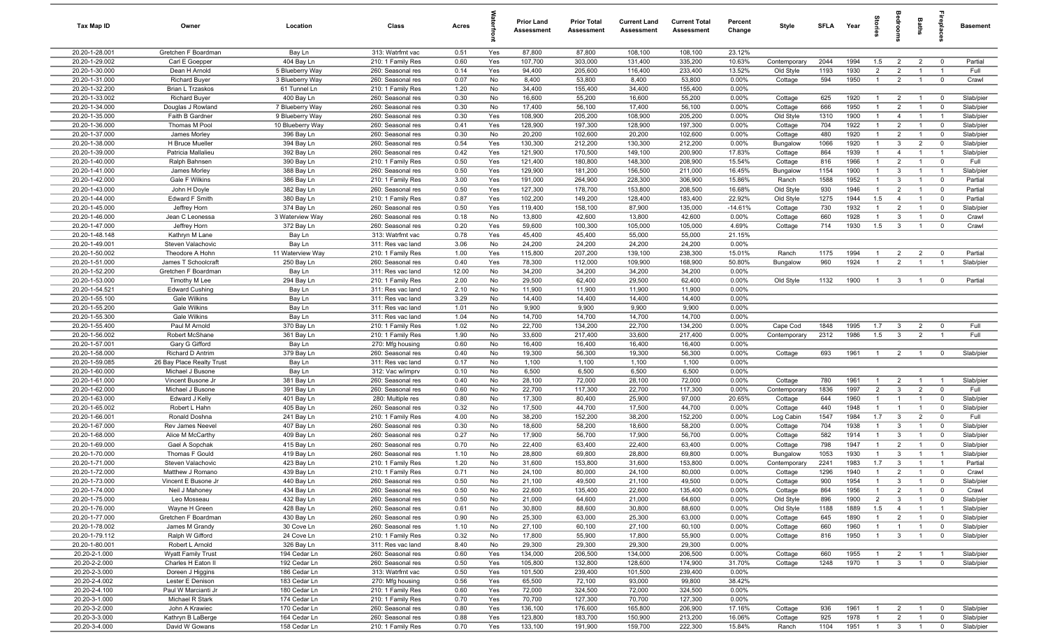| Tax Map ID                       | Owner                                   | Location                     | Class                                  | Acres        |            | Prior Land<br><b>Assessment</b> | <b>Prior Total</b><br>Assessment | <b>Current Land</b><br><b>Assessment</b> | <b>Current Total</b><br><b>Assessment</b> | Percent<br>Change | Style                   | <b>SFLA</b> | Year         | Stories                          | droom                            | Baths                            | repla                            | <b>Basement</b>   |
|----------------------------------|-----------------------------------------|------------------------------|----------------------------------------|--------------|------------|---------------------------------|----------------------------------|------------------------------------------|-------------------------------------------|-------------------|-------------------------|-------------|--------------|----------------------------------|----------------------------------|----------------------------------|----------------------------------|-------------------|
| 20.20-1-28.001                   | Gretchen F Boardman                     | Bay Ln                       | 313: Watrfrnt vac                      | 0.51         | Yes        | 87,800                          | 87,800                           | 108,100                                  | 108,100                                   | 23.12%            |                         |             |              |                                  |                                  |                                  |                                  |                   |
| 20.20-1-29.002                   | Carl E Goepper                          | 404 Bay Ln                   | 210: 1 Family Res                      | 0.60         | Yes        | 107,700                         | 303,000                          | 131,400                                  | 335,200                                   | 10.63%            | Contemporary            | 2044        | 1994         | 1.5                              | $\overline{2}$                   | $\overline{2}$                   | $\overline{0}$                   | Partial           |
| 20.20-1-30.000                   | Dean H Arnold                           | 5 Blueberry Way              | 260: Seasonal res                      | 0.14         | Yes        | 94,400                          | 205,600                          | 116,400                                  | 233,400                                   | 13.52%            | Old Style               | 1193        | 1930         | $\overline{2}$                   | $\overline{2}$                   | $\overline{1}$                   | $\overline{1}$                   | Full              |
| 20.20-1-31.000                   | <b>Richard Buyer</b>                    | 3 Blueberry Way              | 260: Seasonal res                      | 0.07         | No         | 8,400                           | 53,800                           | 8,400                                    | 53,800                                    | 0.00%             | Cottage                 | 594         | 1950         | $\overline{1}$                   | $\overline{2}$                   | $\overline{1}$                   | $\overline{0}$                   | Crawl             |
| 20.20-1-32.200                   | Brian L Trzaskos                        | 61 Tunnel Ln                 | 210: 1 Family Res                      | 1.20         | No         | 34,400                          | 155,400                          | 34,400                                   | 155,400                                   | 0.00%             |                         |             |              |                                  |                                  |                                  |                                  |                   |
| 20.20-1-33.002                   | <b>Richard Buyer</b>                    | 400 Bay Ln                   | 260: Seasonal res                      | 0.30         | No         | 16,600                          | 55,200                           | 16,600                                   | 55,200                                    | 0.00%             | Cottage                 | 625         | 1920         | $\overline{1}$                   | $\overline{2}$                   | $\overline{1}$                   | $\overline{0}$                   | Slab/pier         |
| 20.20-1-34.000                   | Douglas J Rowland                       | 7 Blueberry Way              | 260: Seasonal res                      | 0.30         | No         | 17,400                          | 56,100                           | 17,400                                   | 56,100                                    | 0.00%             | Cottage                 | 666         | 1950         | $\overline{1}$                   | 2                                |                                  | $\overline{0}$                   | Slab/pier         |
| 20.20-1-35.000                   | Faith B Gardner                         | 9 Blueberry Way              | 260: Seasonal res                      | 0.30         | Yes        | 108,900                         | 205,200                          | 108,900                                  | 205,200                                   | 0.00%             | Old Style               | 1310        | 1900         | $\mathbf{1}$                     | $\overline{4}$                   |                                  | -1                               | Slab/pier         |
| 20.20-1-36.000                   | Thomas M Pool                           | 10 Blueberry Way             | 260: Seasonal res                      | 0.41         | Yes        | 128,900                         | 197,300                          | 128,900                                  | 197,300                                   | 0.00%             | Cottage                 | 704         | 1922         | $\overline{1}$                   | $\overline{2}$                   | $\overline{1}$                   | $\overline{0}$                   | Slab/pier         |
| 20.20-1-37.000                   | James Morley                            | 396 Bay Ln                   | 260: Seasonal res                      | 0.30         | No         | 20,200                          | 102,600                          | 20,200                                   | 102,600                                   | 0.00%             | Cottage                 | 480         | 1920         | $\overline{1}$                   | $\overline{2}$                   | $\overline{1}$                   | $\mathbf 0$                      | Slab/pier         |
| 20.20-1-38.000                   | H Bruce Mueller                         | 394 Bay Ln                   | 260: Seasonal res                      | 0.54         | Yes        | 130,300                         | 212,200                          | 130,300                                  | 212,200                                   | 0.00%             | Bungalow                | 1066        | 1920         | $\overline{1}$<br>$\overline{1}$ | $\mathbf{3}$                     | $\overline{2}$                   | $\overline{0}$                   | Slab/pier         |
| 20.20-1-39.000<br>20.20-1-40.000 | Patricia Mallalieu                      | 392 Bay Ln                   | 260: Seasonal res                      | 0.42<br>0.50 | Yes        | 121,900<br>121,400              | 170,500                          | 149,100                                  | 200,900                                   | 17.83%<br>15.54%  | Cottage                 | 864<br>816  | 1939<br>1966 | $\overline{1}$                   | $\overline{4}$<br>$\overline{2}$ | $\overline{1}$<br>$\overline{1}$ | $\overline{1}$<br>$\overline{0}$ | Slab/pier         |
| 20.20-1-41.000                   | Ralph Bahnsen<br>James Morley           | 390 Bay Ln<br>388 Bay Ln     | 210: 1 Family Res<br>260: Seasonal res | 0.50         | Yes<br>Yes | 129,900                         | 180,800<br>181,200               | 148,300<br>156,500                       | 208,900<br>211,000                        | 16.45%            | Cottage<br>Bungalow     | 1154        | 1900         | $\overline{1}$                   | $\mathbf{3}$                     | $\overline{1}$                   | $\overline{1}$                   | Full<br>Slab/pier |
| 20.20-1-42.000                   | Gale F Wilkins                          | 386 Bay Ln                   | 210: 1 Family Res                      | 3.00         | Yes        | 191,000                         | 264,900                          | 228,300                                  | 306,900                                   | 15.86%            | Ranch                   | 1588        | 1952         | $\overline{1}$                   | $\mathbf{3}$                     | $\overline{1}$                   | $\overline{0}$                   | Partial           |
| 20.20-1-43.000                   | John H Doyle                            | 382 Bay Ln                   | 260: Seasonal res                      | 0.50         | Yes        | 127,300                         | 178,700                          | 153,800                                  | 208,500                                   | 16.68%            | Old Style               | 930         | 1946         | $\overline{1}$                   | 2                                | $\overline{1}$                   | $\mathbf 0$                      | Partial           |
| 20.20-1-44.000                   | Edward F Smith                          | 380 Bay Ln                   | 210: 1 Family Res                      | 0.87         | Yes        | 102,200                         | 149,200                          | 128,400                                  | 183,400                                   | 22.92%            | Old Style               | 1275        | 1944         | 1.5                              | $\overline{4}$                   |                                  | $\mathbf 0$                      | Partial           |
| 20.20-1-45.000                   | Jeffrey Horn                            | 374 Bay Ln                   | 260: Seasonal res                      | 0.50         | Yes        | 119,400                         | 158,100                          | 87,900                                   | 135,000                                   | $-14.61%$         | Cottage                 | 730         | 1932         | $\overline{1}$                   | $\overline{2}$                   | $\overline{1}$                   | $\mathbf 0$                      | Slab/pier         |
| 20.20-1-46.000                   | Jean C Leonessa                         | 3 Waterview Way              | 260: Seasonal res                      | 0.18         | No         | 13,800                          | 42,600                           | 13,800                                   | 42,600                                    | 0.00%             | Cottage                 | 660         | 1928         | $\overline{1}$                   | $\overline{3}$                   |                                  | $\mathbf 0$                      | Crawl             |
| 20.20-1-47.000                   | Jeffrey Horn                            | 372 Bay Ln                   | 260: Seasonal res                      | 0.20         | Yes        | 59,600                          | 100,300                          | 105,000                                  | 105,000                                   | 4.69%             | Cottage                 | 714         | 1930         | 1.5                              | $\overline{3}$                   |                                  | $\mathbf 0$                      | Crawl             |
| 20.20-1-48.148                   | Kathryn M Lane                          | Bay Ln                       | 313: Watrfrnt vac                      | 0.78         | Yes        | 45,400                          | 45,400                           | 55,000                                   | 55,000                                    | 21.15%            |                         |             |              |                                  |                                  |                                  |                                  |                   |
| 20.20-1-49.001                   | Steven Valachovic                       | Bay Ln                       | 311: Res vac land                      | 3.06         | No         | 24,200                          | 24,200                           | 24,200                                   | 24,200                                    | 0.00%             |                         |             |              |                                  |                                  |                                  |                                  |                   |
| 20.20-1-50.002                   | Theodore A Hohn                         | 11 Waterview Way             | 210: 1 Family Res                      | 1.00         | Yes        | 115,800                         | 207,200                          | 139,100                                  | 238,300                                   | 15.01%            | Ranch                   | 1175        | 1994         | $\mathbf{1}$                     | $\overline{2}$                   | $\overline{2}$                   | $\overline{0}$                   | Partial           |
| 20.20-1-51.000                   | James T Schoolcraft                     | 250 Bay Ln                   | 260: Seasonal res                      | 0.40         | Yes        | 78,300                          | 112,000                          | 109,900                                  | 168,900                                   | 50.80%            | Bungalow                | 960         | 1924         | $\overline{1}$                   | $\overline{2}$                   | $\overline{1}$                   | $\overline{1}$                   | Slab/pier         |
| 20.20-1-52.200                   | Gretchen F Boardman                     | Bay Ln                       | 311: Res vac land                      | 12.00        | No         | 34,200                          | 34,200                           | 34,200                                   | 34,200                                    | 0.00%             |                         |             |              |                                  |                                  |                                  |                                  |                   |
| 20.20-1-53.000                   | Timothy M Lee                           | 294 Bay Ln                   | 210: 1 Family Res                      | 2.00         | No         | 29,500                          | 62,400                           | 29,500                                   | 62,400                                    | 0.00%             | Old Style               | 1132        | 1900         | $\overline{1}$                   | $\mathbf{3}$                     | $\overline{1}$                   | $\overline{0}$                   | Partial           |
| 20.20-1-54.521                   | <b>Edward Cushing</b>                   | Bay Ln                       | 311: Res vac land                      | 2.10         | No         | 11,900                          | 11,900                           | 11,900                                   | 11,900                                    | 0.00%             |                         |             |              |                                  |                                  |                                  |                                  |                   |
| 20.20-1-55.100                   | <b>Gale Wilkins</b>                     | Bay Ln                       | 311: Res vac land                      | 3.29         | No         | 14,400                          | 14,400                           | 14,400                                   | 14,400                                    | 0.00%             |                         |             |              |                                  |                                  |                                  |                                  |                   |
| 20.20-1-55.200                   | Gale Wilkins                            | Bay Ln                       | 311: Res vac land                      | 1.01         | No         | 9,900                           | 9,900                            | 9,900                                    | 9,900                                     | 0.00%             |                         |             |              |                                  |                                  |                                  |                                  |                   |
| 20.20-1-55.300                   | Gale Wilkins                            | Bay Ln                       | 311: Res vac land                      | 1.04         | No         | 14,700                          | 14,700                           | 14,700                                   | 14,700                                    | 0.00%             |                         |             |              |                                  |                                  |                                  |                                  |                   |
| 20.20-1-55.400                   | Paul M Arnold                           | 370 Bay Ln                   | 210: 1 Family Res                      | 1.02         | No         | 22,700                          | 134,200                          | 22,700                                   | 134,200                                   | 0.00%             | Cape Cod                | 1848        | 1995         | 1.7                              | $\mathbf{3}$                     | $\overline{2}$                   | $\overline{0}$                   | Full              |
| 20.20-1-56.002                   | Robert McShane                          | 361 Bay Ln                   | 210: 1 Family Res                      | 1.90         | No         | 33,600                          | 217,400                          | 33,600                                   | 217,400                                   | 0.00%             | Contemporary            | 2312        | 1986         | 1.5                              | $\overline{\mathbf{3}}$          | $\overline{2}$                   | $\overline{1}$                   | Full              |
| 20.20-1-57.001                   | Gary G Gifford                          | Bay Ln                       | 270: Mfg housing                       | 0.60         | No         | 16,400                          | 16,400                           | 16,400                                   | 16,400                                    | 0.00%             |                         |             |              |                                  |                                  |                                  |                                  |                   |
| 20.20-1-58.000                   | Richard D Antrim                        | 379 Bay Ln                   | 260: Seasonal res                      | 0.40         | No         | 19,300                          | 56,300                           | 19,300                                   | 56,300                                    | 0.00%             | Cottage                 | 693         | 1961         | $\overline{1}$                   | $\overline{2}$                   |                                  | $\overline{0}$                   | Slab/pier         |
| 20.20-1-59.085                   | 26 Bay Place Realty Trust               | Bay Ln                       | 311: Res vac land                      | 0.17         | No         | 1,100                           | 1,100                            | 1,100                                    | 1,100                                     | 0.00%             |                         |             |              |                                  |                                  |                                  |                                  |                   |
| 20.20-1-60.000                   | Michael J Busone                        | Bay Ln                       | 312: Vac w/imprv                       | 0.10         | No         | 6,500                           | 6,500                            | 6,500                                    | 6,500                                     | 0.00%             |                         |             |              |                                  |                                  |                                  |                                  |                   |
| 20.20-1-61.000<br>20.20-1-62.000 | Vincent Busone Jr<br>Michael J Busone   | 381 Bay Ln<br>391 Bay Ln     | 260: Seasonal res<br>260: Seasonal res | 0.40<br>0.60 | No<br>No   | 28,100<br>22,700                | 72,000<br>117,300                | 28,100<br>22,700                         | 72,000<br>117,300                         | 0.00%<br>0.00%    | Cottage                 | 780<br>1836 | 1961<br>1997 | $\overline{1}$<br>$\overline{2}$ | $\overline{2}$<br>$\overline{3}$ | $\overline{1}$<br>$\overline{2}$ | $\overline{1}$<br>$\mathbf 0$    | Slab/pier<br>Full |
| 20.20-1-63.000                   | Edward J Kelly                          | 401 Bay Ln                   | 280: Multiple res                      | 0.80         | No         | 17,300                          | 80,400                           | 25,900                                   | 97,000                                    | 20.65%            | Contemporary<br>Cottage | 644         | 1960         | $\overline{1}$                   | $\overline{1}$                   | $\overline{1}$                   | $\mathbf 0$                      | Slab/pier         |
| 20.20-1-65.002                   | Robert L Hahn                           | 405 Bay Ln                   | 260: Seasonal res                      | 0.32         | No         | 17,500                          | 44,700                           | 17,500                                   | 44,700                                    | 0.00%             | Cottage                 | 440         | 1948         | $\overline{1}$                   | $\overline{1}$                   | $\overline{1}$                   | $\overline{0}$                   | Slab/pier         |
| 20.20-1-66.001                   | Ronald Doshna                           | 241 Bay Ln                   | 210: 1 Family Res                      | 4.00         | No         | 38,200                          | 152,200                          | 38,200                                   | 152,200                                   | 0.00%             | Log Cabin               | 1547        | 1984         | 1.7                              | $\mathbf{3}$                     | $\overline{2}$                   | $\overline{0}$                   | Full              |
| 20.20-1-67.000                   | Rev James Neevel                        | 407 Bay Ln                   | 260: Seasonal res                      | 0.30         | No         | 18,600                          | 58,200                           | 18,600                                   | 58,200                                    | 0.00%             | Cottage                 | 704         | 1938         | $\overline{1}$                   | $\overline{3}$                   | $\overline{1}$                   | $\mathbf 0$                      | Slab/pier         |
| 20.20-1-68.000                   | Alice M McCarthy                        | 409 Bay Ln                   | 260: Seasonal res                      | 0.27         | No         | 17,900                          | 56,700                           | 17,900                                   | 56,700                                    | 0.00%             | Cottage                 | 582         | 1914         | $\overline{1}$                   | $\overline{3}$                   | $\overline{1}$                   | $\mathbf 0$                      | Slab/pier         |
| 20.20-1-69.000                   | Gael A Sopchak                          | 415 Bay Ln                   | 260: Seasonal res                      | 0.70         | No         | 22,400                          | 63,400                           | 22,400                                   | 63,400                                    | 0.00%             | Cottage                 | 798         | 1947         | $\overline{1}$                   | $\overline{2}$                   |                                  | $\mathbf{0}$                     | Slab/pier         |
| 20.20-1-70.000                   | Thomas F Gould                          | 419 Bay Ln                   | 260: Seasonal res                      | 1.10         | No         | 28,800                          | 69,800                           | 28,800                                   | 69,800                                    | 0.00%             | Bungalow                | 1053        | 1930         |                                  | 3                                |                                  |                                  | Slab/pier         |
| 20.20-1-71.000                   | Steven Valachovic                       | 423 Bay Ln                   | 210: 1 Family Res                      | 1.20         | No         | 31,600                          | 153,800                          | 31,600                                   | 153,800                                   | 0.00%             | Contemporary            | 2241        | 1983         | 1.7                              | $\mathbf{3}$                     |                                  | $\overline{1}$                   | Partial           |
| 20.20-1-72.000                   | Matthew J Romano                        | 439 Bay Ln                   | 210: 1 Family Res                      | 0.71         | No         | 24,100                          | 80,000                           | 24,100                                   | 80,000                                    | $0.00\%$          | Cottage                 | 1296        | 1940         |                                  | $\mathcal{P}$                    |                                  |                                  | Crawl             |
| 20.20-1-73.000                   | Vincent E Busone Jr                     | 440 Bay Ln                   | 260: Seasonal res                      | 0.50         | No         | 21,100                          | 49,500                           | 21,100                                   | 49,500                                    | 0.00%             | Cottage                 | 900         | 1954         | $\overline{1}$                   | $\mathbf{3}$                     | $\overline{1}$                   | $\overline{0}$                   | Slab/pier         |
| 20.20-1-74.000                   | Neil J Mahoney                          | 434 Bay Ln                   | 260: Seasonal res                      | 0.50         | No         | 22,600                          | 135,400                          | 22,600                                   | 135,400                                   | 0.00%             | Cottage                 | 864         | 1956         | $\overline{1}$                   | $\overline{2}$                   | $\overline{1}$                   | $\mathbf 0$                      | Crawl             |
| 20.20-1-75.000                   | Leo Mosseau                             | 432 Bay Ln                   | 260: Seasonal res                      | 0.50         | No         | 21,000                          | 64,600                           | 21,000                                   | 64,600                                    | 0.00%             | Old Style               | 896         | 1900         | $\overline{2}$                   | $\mathbf{3}$                     | $\overline{1}$                   | $\overline{0}$                   | Slab/pier         |
| 20.20-1-76.000                   | Wayne H Green                           | 428 Bay Ln                   | 260: Seasonal res                      | 0.61         | No         | 30,800                          | 88,600                           | 30,800                                   | 88,600                                    | 0.00%             | Old Style               | 1188        | 1889         | 1.5                              | $\overline{4}$                   | $\overline{1}$                   | $\overline{1}$                   | Slab/pier         |
| 20.20-1-77.000                   | Gretchen F Boardman                     | 430 Bay Ln                   | 260: Seasonal res                      | 0.90         | No         | 25,300                          | 63,000                           | 25,300                                   | 63,000                                    | 0.00%             | Cottage                 | 645         | 1890         | $\overline{1}$                   | $\overline{2}$                   | $\overline{1}$                   | $\overline{0}$                   | Slab/pier         |
| 20.20-1-78.002                   | James M Grandy                          | 30 Cove Ln                   | 260: Seasonal res                      | 1.10         | No         | 27,100                          | 60,100                           | 27,100                                   | 60,100                                    | 0.00%             | Cottage                 | 660         | 1960         | $\overline{1}$                   | $\overline{1}$                   | $\overline{1}$                   | $\overline{0}$                   | Slab/pier         |
| 20.20-1-79.112                   | Ralph W Gifford                         | 24 Cove Ln                   | 210: 1 Family Res                      | 0.32         | No         | 17,800                          | 55,900                           | 17,800                                   | 55,900                                    | 0.00%             | Cottage                 | 816         | 1950         | $\overline{1}$                   | $\mathbf{3}$                     | $\mathbf{1}$                     | $\overline{0}$                   | Slab/pier         |
| 20.20-1-80.001                   | Robert L Arnold                         | 326 Bay Ln                   | 311: Res vac land                      | 8.40         | No         | 29,300                          | 29,300                           | 29,300                                   | 29,300                                    | 0.00%             |                         |             |              |                                  |                                  |                                  |                                  |                   |
| 20.20-2-1.000                    | Wyatt Family Trust                      | 194 Cedar Ln                 | 260: Seasonal res                      | 0.60         | Yes        | 134,000                         | 206,500                          | 134,000                                  | 206,500                                   | 0.00%             | Cottage                 | 660         | 1955         |                                  | $\overline{2}$                   |                                  |                                  | Slab/pier         |
| 20.20-2-2.000                    | Charles H Eaton II                      | 192 Cedar Ln                 | 260: Seasonal res                      | 0.50         | Yes        | 105,800                         | 132,800                          | 128,600                                  | 174,900                                   | 31.70%            | Cottage                 | 1248        | 1970         | $\overline{1}$                   | $\overline{\mathbf{3}}$          | $\overline{1}$                   | $\overline{0}$                   | Slab/pier         |
| 20.20-2-3.000                    | Doreen J Higgins                        | 186 Cedar Ln                 | 313: Watrfrnt vac                      | 0.50         | Yes        | 101,500                         | 239,400                          | 101,500                                  | 239,400                                   | 0.00%             |                         |             |              |                                  |                                  |                                  |                                  |                   |
| 20.20-2-4.002<br>20.20-2-4.100   | Lester E Denison<br>Paul W Marcianti Jr | 183 Cedar Ln<br>180 Cedar Ln | 270: Mfg housing<br>210: 1 Family Res  | 0.56<br>0.60 | Yes<br>Yes | 65,500<br>72,000                | 72,100<br>324,500                | 93,000<br>72,000                         | 99,800<br>324,500                         | 38.42%<br>0.00%   |                         |             |              |                                  |                                  |                                  |                                  |                   |
| 20.20-3-1.000                    | Michael R Stark                         | 174 Cedar Ln                 | 210: 1 Family Res                      | 0.70         | Yes        | 70,700                          | 127,300                          | 70,700                                   | 127,300                                   | 0.00%             |                         |             |              |                                  |                                  |                                  |                                  |                   |
| 20.20-3-2.000                    | John A Krawiec                          | 170 Cedar Ln                 | 260: Seasonal res                      | 0.80         | Yes        | 136,100                         | 176,600                          | 165,800                                  | 206,900                                   | 17.16%            | Cottage                 | 936         | 1961         | $\overline{1}$                   | $\overline{2}$                   | $\overline{1}$                   | $\overline{0}$                   | Slab/pier         |
| 20.20-3-3.000                    | Kathryn B LaBerge                       | 164 Cedar Ln                 | 260: Seasonal res                      | 0.88         | Yes        | 123,800                         | 183,700                          | 150,900                                  | 213,200                                   | 16.06%            | Cottage                 | 925         | 1978         | $\overline{1}$                   | $\overline{2}$                   | $\overline{1}$                   | $\mathbf 0$                      | Slab/pier         |
| 20.20-3-4.000                    | David W Gowans                          | 158 Cedar Ln                 | 210: 1 Family Res                      | 0.70         | Yes        | 133,100                         | 191,900                          | 159,700                                  | 222,300                                   | 15.84%            | Ranch                   | 1104        | 1951         | $\overline{1}$                   | $\overline{\mathbf{3}}$          | $\overline{1}$                   | $\mathbf{0}$                     | Slab/pier         |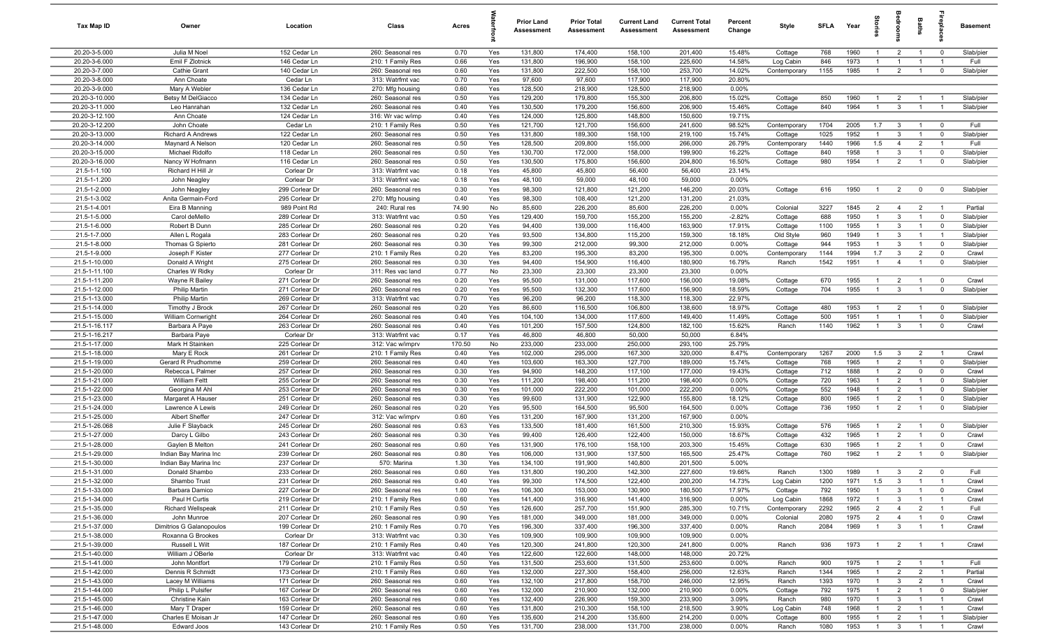| Tax Map ID                       | Owner                                          | Location                         | Class                                  | Acres        |            | Prior Land<br><b>Assessment</b> | <b>Prior Total</b><br>Assessment | <b>Current Land</b><br>Assessment | <b>Current Total</b><br><b>Assessment</b> | Percent<br>Change | Style                   | <b>SFLA</b>  | Year         |                                  |                                  | Baths                            | -8                               | Basement           |
|----------------------------------|------------------------------------------------|----------------------------------|----------------------------------------|--------------|------------|---------------------------------|----------------------------------|-----------------------------------|-------------------------------------------|-------------------|-------------------------|--------------|--------------|----------------------------------|----------------------------------|----------------------------------|----------------------------------|--------------------|
| 20.20-3-5.000                    | Julia M Noel                                   | 152 Cedar Ln                     | 260: Seasonal res                      | 0.70         | Yes        | 131,800                         | 174,400                          | 158,100                           | 201,400                                   | 15.48%            | Cottage                 | 768          | 1960         | $\mathbf{1}$                     | $\overline{2}$                   | $\overline{1}$                   | $\overline{0}$                   | Slab/pier          |
| 20.20-3-6.000                    | Emil F Zlotnick                                | 146 Cedar Ln                     | 210: 1 Family Res                      | 0.66         | Yes        | 131,800                         | 196,900                          | 158,100                           | 225,600                                   | 14.58%            | Log Cabin               | 846          | 1973         | $\overline{1}$                   | $\overline{1}$                   | $\overline{1}$                   | $\overline{1}$                   | Full               |
| 20.20-3-7.000                    | Cathie Grant                                   | 140 Cedar Ln                     | 260: Seasonal res                      | 0.60         | Yes        | 131,800                         | 222,500                          | 158,100                           | 253,700                                   | 14.02%            | Contemporary            | 1155         | 1985         | $\mathbf{1}$                     | $\overline{2}$                   | $\overline{1}$                   | $\mathbf 0$                      | Slab/pier          |
| 20.20-3-8.000                    | Ann Choate                                     | Cedar Ln                         | 313: Watrfrnt vac                      | 0.70         | Yes        | 97,600                          | 97,600                           | 117,900                           | 117,900                                   | 20.80%            |                         |              |              |                                  |                                  |                                  |                                  |                    |
| 20.20-3-9.000                    | Mary A Webler                                  | 136 Cedar Ln                     | 270: Mfg housing                       | 0.60         | Yes        | 128,500                         | 218,900                          | 128,500                           | 218,900                                   | 0.00%             |                         |              |              |                                  |                                  |                                  |                                  |                    |
| 20.20-3-10.000                   | Betsy M DelGiacco                              | 134 Cedar Ln                     | 260: Seasonal res                      | 0.50         | Yes        | 129,200                         | 179,800                          | 155,300                           | 206,800                                   | 15.02%            | Cottage                 | 850          | 1960         |                                  | $\overline{2}$                   |                                  | - 1                              | Slab/pier          |
| 20.20-3-11.000                   | Leo Hanrahan                                   | 132 Cedar Ln                     | 260: Seasonal res                      | 0.40         | Yes        | 130,500                         | 179,200                          | 156,600                           | 206,900                                   | 15.46%            | Cottage                 | 840          | 1964         | $\overline{1}$                   | $\mathbf{3}$                     |                                  | $\overline{1}$                   | Slab/pier          |
| 20.20-3-12.100                   | Ann Choate                                     | 124 Cedar Ln                     | 316: Wr vac w/imp                      | 0.40         | Yes        | 124,000                         | 125,800                          | 148,800                           | 150,600                                   | 19.71%            |                         |              |              |                                  |                                  |                                  |                                  |                    |
| 20.20-3-12.200                   | John Choate                                    | Cedar Ln                         | 210: 1 Family Res                      | 0.50         | Yes        | 121,700                         | 121,700                          | 156,600                           | 241,600                                   | 98.52%            | Contemporary            | 1704         | 2005         | 1.7                              | $\overline{\mathbf{3}}$          | $\overline{1}$                   | $\overline{0}$                   | Full               |
| 20.20-3-13.000                   | Richard A Andrews                              | 122 Cedar Ln                     | 260: Seasonal res                      | 0.50         | Yes        | 131,800                         | 189,300                          | 158,100                           | 219,100                                   | 15.74%            | Cottage                 | 1025<br>1440 | 1952<br>1966 | $\overline{1}$<br>1.5            | $\overline{3}$                   | $\overline{1}$<br>$\overline{2}$ | $\mathbf 0$<br>$\overline{1}$    | Slab/pier          |
| 20.20-3-14.000<br>20.20-3-15.000 | Maynard A Nelson<br>Michael Ridolfo            | 120 Cedar Ln<br>118 Cedar Ln     | 260: Seasonal res<br>260: Seasonal res | 0.50<br>0.50 | Yes<br>Yes | 128,500<br>130,700              | 209,800<br>172,000               | 155,000<br>158,000                | 266,000<br>199,900                        | 26.79%<br>16.22%  | Contemporary<br>Cottage | 840          | 1958         | $\overline{1}$                   | $\overline{4}$<br>$\mathbf{3}$   | $\overline{1}$                   | $\overline{0}$                   | Full<br>Slab/pier  |
| 20.20-3-16.000                   | Nancy W Hofmann                                | 116 Cedar Ln                     | 260: Seasonal res                      | 0.50         | Yes        | 130,500                         | 175,800                          | 156,600                           | 204,800                                   | 16.50%            | Cottage                 | 980          | 1954         | $\overline{1}$                   | $\overline{2}$                   | $\overline{1}$                   | $\overline{0}$                   | Slab/pier          |
| 21.5-1-1.100                     | Richard H Hill Jr                              | Corlear Dr                       | 313: Watrfrnt vac                      | 0.18         | Yes        | 45,800                          | 45,800                           | 56,400                            | 56,400                                    | 23.14%            |                         |              |              |                                  |                                  |                                  |                                  |                    |
| 21.5-1-1.200                     | John Neagley                                   | Corlear Dr                       | 313: Watrfrnt vac                      | 0.18         | Yes        | 48,100                          | 59,000                           | 48,100                            | 59,000                                    | 0.00%             |                         |              |              |                                  |                                  |                                  |                                  |                    |
| 21.5-1-2.000                     | John Neagley                                   | 299 Corlear Dr                   | 260: Seasonal res                      | 0.30         | Yes        | 98,300                          | 121,800                          | 121,200                           | 146,200                                   | 20.03%            | Cottage                 | 616          | 1950         | $\overline{1}$                   | $\overline{2}$                   | $\mathbf 0$                      | $\mathbf 0$                      | Slab/pier          |
| 21.5-1-3.002                     | Anita Germain-Ford                             | 295 Corlear Dr                   | 270: Mfg housing                       | 0.40         | Yes        | 98,300                          | 108,400                          | 121,200                           | 131,200                                   | 21.03%            |                         |              |              |                                  |                                  |                                  |                                  |                    |
| 21.5-1-4.001                     | Eira B Manning                                 | 989 Point Rd                     | 240: Rural res                         | 74.90        | No         | 85,600                          | 226,200                          | 85,600                            | 226,200                                   | 0.00%             | Colonial                | 3227         | 1845         | $\overline{2}$                   | $\overline{4}$                   | $\overline{2}$                   | $\overline{1}$                   | Partial            |
| 21.5-1-5.000                     | Carol deMello                                  | 289 Corlear Dr                   | 313: Watrfrnt vac                      | 0.50         | Yes        | 129,400                         | 159,700                          | 155,200                           | 155,200                                   | $-2.82%$          | Cottage                 | 688          | 1950         | $\overline{1}$                   | $\overline{3}$                   | $\overline{1}$                   | $\mathbf 0$                      | Slab/pier          |
| 21.5-1-6.000                     | Robert B Dunn                                  | 285 Corlear Dr                   | 260: Seasonal res                      | 0.20         | Yes        | 94,400                          | 139,000                          | 116,400                           | 163,900                                   | 17.91%            | Cottage                 | 1100         | 1955         | $\overline{1}$                   | $\overline{3}$                   | $\overline{1}$                   | $\overline{0}$                   | Slab/pier          |
| 21.5-1-7.000                     | Allen L Rogala                                 | 283 Corlear Dr                   | 260: Seasonal res                      | 0.20         | Yes        | 93,500                          | 134,800                          | 115,200                           | 159,300                                   | 18.18%            | Old Style               | 960          | 1949         | $\mathbf{1}$                     | $\overline{3}$                   | $\overline{1}$                   | $\overline{1}$                   | Slab/pier          |
| 21.5-1-8.000                     | Thomas G Spierto                               | 281 Corlear Dr                   | 260: Seasonal res                      | 0.30         | Yes        | 99,300                          | 212,000                          | 99,300                            | 212,000                                   | 0.00%             | Cottage                 | 944          | 1953         | $\overline{1}$                   | $\overline{3}$                   | $\overline{1}$                   | $\overline{0}$                   | Slab/pier          |
| 21.5-1-9.000                     | Joseph F Kister                                | 277 Corlear Dr                   | 210: 1 Family Res                      | 0.20         | Yes        | 83,200                          | 195,300                          | 83,200                            | 195,300                                   | 0.00%             | Contemporary            | 1144         | 1994         | 1.7                              | $\mathbf{3}$                     | $\overline{2}$                   | $\overline{0}$                   | Crawl              |
| 21.5-1-10.000                    | Donald A Wright                                | 275 Corlear Dr                   | 260: Seasonal res                      | 0.30         | Yes        | 94,400                          | 154,900                          | 116,400                           | 180,900                                   | 16.79%            | Ranch                   | 1542         | 1951         | $\overline{1}$                   | $\overline{4}$                   | $\overline{1}$                   | $\overline{0}$                   | Slab/pier          |
| 21.5-1-11.100                    | Charles W Ridky                                | Corlear Dr                       | 311: Res vac land                      | 0.77         | No         | 23,300                          | 23,300                           | 23,300                            | 23,300                                    | 0.00%             |                         |              |              |                                  |                                  |                                  |                                  |                    |
| 21.5-1-11.200                    | Wayne R Bailey                                 | 271 Corlear Dr                   | 260: Seasonal res                      | 0.20         | Yes        | 95,500                          | 131,000                          | 117,600                           | 156,000                                   | 19.08%            | Cottage                 | 670          | 1955         | $\overline{1}$                   | $\overline{2}$                   | $\overline{1}$                   | $\overline{0}$                   | Crawl              |
| 21.5-1-12.000                    | Philip Martin                                  | 271 Corlear Dr                   | 260: Seasonal res                      | 0.20         | Yes        | 95,500                          | 132,300                          | 117,600                           | 156,900                                   | 18.59%            | Cottage                 | 704          | 1955         | $\overline{1}$                   | $\mathbf{3}$                     | $\mathbf{1}$                     | $\overline{0}$                   | Slab/pier          |
| 21.5-1-13.000                    | Philip Martin                                  | 269 Corlear Dr                   | 313: Watrfrnt vac                      | 0.70         | Yes        | 96,200                          | 96,200                           | 118,300                           | 118,300                                   | 22.97%            |                         |              |              |                                  |                                  |                                  |                                  |                    |
| 21.5-1-14.000                    | Timothy J Brock                                | 267 Corlear Dr<br>264 Corlear Dr | 260: Seasonal res                      | 0.20         | Yes        | 86,600                          | 116,500                          | 106,800                           | 138,600                                   | 18.97%            | Cottage                 | 480          | 1953<br>1951 | -1                               | $\overline{2}$                   |                                  | $\overline{0}$                   | Slab/pier          |
| 21.5-1-15.000<br>21.5-1-16.117   | William Cornwright<br>Barbara A Paye           | 263 Corlear Dr                   | 260: Seasonal res<br>260: Seasonal res | 0.40<br>0.40 | Yes<br>Yes | 104,100<br>101,200              | 134,000<br>157,500               | 117,600<br>124,800                | 149,400<br>182,100                        | 11.49%<br>15.62%  | Cottage<br>Ranch        | 500<br>1140  | 1962         | -1                               | $\mathbf{3}$                     |                                  | $\mathbf 0$<br>$\overline{0}$    | Slab/pier<br>Crawl |
| 21.5-1-16.217                    | Barbara Paye                                   | Corlear Dr                       | 313: Watrfrnt vac                      | 0.17         | Yes        | 46,800                          | 46,800                           | 50,000                            | 50,000                                    | 6.84%             |                         |              |              |                                  |                                  |                                  |                                  |                    |
| 21.5-1-17.000                    | Mark H Stainken                                | 225 Corlear Dr                   | 312: Vac w/imprv                       | 170.50       | No         | 233,000                         | 233,000                          | 250,000                           | 293,100                                   | 25.79%            |                         |              |              |                                  |                                  |                                  |                                  |                    |
| 21.5-1-18.000                    | Mary E Rock                                    | 261 Corlear Dr                   | 210: 1 Family Res                      | 0.40         | Yes        | 102,000                         | 295,000                          | 167,300                           | 320,000                                   | 8.47%             | Contemporary            | 1267         | 2000         | 1.5                              | $\overline{\mathbf{3}}$          | $\overline{2}$                   | $\overline{1}$                   | Crawl              |
| 21.5-1-19.000                    | Gerard R Prudhomme                             | 259 Corlear Dr                   | 260: Seasonal res                      | 0.40         | Yes        | 103,600                         | 163,300                          | 127,700                           | 189,000                                   | 15.74%            | Cottage                 | 768          | 1965         | $\overline{1}$                   | $\overline{2}$                   | $\overline{1}$                   | $\mathbf 0$                      | Slab/pier          |
| 21.5-1-20.000                    | Rebecca L Palmer                               | 257 Corlear Dr                   | 260: Seasonal res                      | 0.30         | Yes        | 94,900                          | 148,200                          | 117,100                           | 177,000                                   | 19.43%            | Cottage                 | 712          | 1888         | $\overline{1}$                   | $\overline{2}$                   | $\Omega$                         | $\overline{0}$                   | Crawl              |
| 21.5-1-21.000                    | <b>William Feltt</b>                           | 255 Corlear Dr                   | 260: Seasonal res                      | 0.30         | Yes        | 111,200                         | 198,400                          | 111,200                           | 198,400                                   | 0.00%             | Cottage                 | 720          | 1963         | $\overline{1}$                   | $\overline{2}$                   | $\overline{1}$                   | $\overline{0}$                   | Slab/pier          |
| 21.5-1-22.000                    | Georgina M Ahl                                 | 253 Corlear Dr                   | 260: Seasonal res                      | 0.30         | Yes        | 101,000                         | 222,200                          | 101,000                           | 222,200                                   | 0.00%             | Cottage                 | 552          | 1948         | $\overline{1}$                   | $\overline{2}$                   | $\overline{1}$                   | $\mathbf 0$                      | Slab/pier          |
| 21.5-1-23.000                    | Margaret A Hauser                              | 251 Corlear Dr                   | 260: Seasonal res                      | 0.30         | Yes        | 99,600                          | 131,900                          | 122,900                           | 155,800                                   | 18.12%            | Cottage                 | 800          | 1965         | $\overline{1}$                   | $\overline{2}$                   | -1                               | $\mathbf 0$                      | Slab/pier          |
| 21.5-1-24.000                    | Lawrence A Lewis                               | 249 Corlear Dr                   | 260: Seasonal res                      | 0.20         | Yes        | 95,500                          | 164,500                          | 95,500                            | 164,500                                   | 0.00%             | Cottage                 | 736          | 1950         | $\overline{1}$                   | $\overline{2}$                   | $\overline{1}$                   | $\mathbf 0$                      | Slab/pier          |
| 21.5-1-25.000                    | Albert Sheffer                                 | 247 Corlear Dr                   | 312: Vac w/imprv                       | 0.60         | Yes        | 131,200                         | 167,900                          | 131,200                           | 167,900                                   | 0.00%             |                         |              |              |                                  |                                  |                                  |                                  |                    |
| 21.5-1-26.068                    | Julie F Slayback                               | 245 Corlear Dr                   | 260: Seasonal res                      | 0.63         | Yes        | 133,500                         | 181,400                          | 161,500                           | 210,300                                   | 15.93%            | Cottage                 | 576          | 1965         | $\mathbf{1}$                     | $\overline{2}$                   | $\overline{1}$                   | $\overline{0}$                   | Slab/pier          |
| 21.5-1-27.000                    | Darcy L Gilbo                                  | 243 Corlear Dr                   | 260: Seasonal res                      | 0.30         | Yes        | 99,400                          | 126,400                          | 122,400                           | 150,000                                   | 18.67%            | Cottage                 | 432          | 1965         |                                  | $\overline{2}$                   |                                  | $\mathbf{0}$                     | Crawl              |
| 21.5-1-28.000<br>21.5-1-29.000   | Gaylen B Melton                                | 241 Corlear Dr                   | 260: Seasonal res                      | 0.60         | Yes        | 131,900                         | 176,100                          | 158,100                           | 203,300                                   | 15.45%            | Cottage                 | 630<br>760   | 1965<br>1962 | $\mathbf{1}$<br>-1               | $\overline{2}$<br>$\overline{2}$ |                                  | $\mathbf{0}$<br>$\mathbf 0$      | Crawl              |
| 21.5-1-30.000                    | Indian Bay Marina Inc<br>Indian Bay Marina Inc | 239 Corlear Dr<br>237 Corlear Dr | 260: Seasonal res<br>570: Marina       | 0.80<br>1.30 | Yes<br>Yes | 106,000<br>134,100              | 131,900<br>191,900               | 137,500<br>140,800                | 165,500<br>201,500                        | 25.47%<br>5.00%   | Cottage                 |              |              |                                  |                                  |                                  |                                  | Slab/pier          |
| 21.5-1-31.000                    | Donald Shambo                                  | 233 Corlear Dr                   | 260: Seasonal res                      | 0.60         | Yes        | 131,800                         | 190,200                          | 142,300                           | 227,600                                   | 19.66%            | Ranch                   | 1300         | 1989         | $\overline{1}$                   | $\mathcal{R}$                    | $\overline{2}$                   |                                  | Full               |
| 21.5-1-32.000                    | Shambo Trust                                   | 231 Corlear Dr                   | 260: Seasonal res                      | 0.40         | Yes        | 99,300                          | 174,500                          | 122,400                           | 200,200                                   | 14.73%            | Log Cabin               | 1200         | 1971         | 1.5                              | $\overline{3}$                   | $\overline{1}$                   | $\overline{1}$                   | Crawl              |
| 21.5-1-33.000                    | Barbara Damico                                 | 227 Corlear Dr                   | 260: Seasonal res                      | 1.00         | Yes        | 106,300                         | 153,000                          | 130,900                           | 180,500                                   | 17.97%            | Cottage                 | 792          | 1950         | $\overline{1}$                   | $\mathbf{3}$                     | $\mathbf{1}$                     | $\overline{0}$                   | Crawl              |
| 21.5-1-34.000                    | Paul H Curtis                                  | 219 Corlear Dr                   | 210: 1 Family Res                      | 0.60         | Yes        | 141,400                         | 316,900                          | 141,400                           | 316,900                                   | 0.00%             | Log Cabin               | 1868         | 1972         | $\overline{1}$                   | $\mathbf{3}$                     | $\overline{1}$                   | $\overline{1}$                   | Crawl              |
| 21.5-1-35.000                    | Richard Wellspeak                              | 211 Corlear Dr                   | 210: 1 Family Res                      | 0.50         | Yes        | 126,600                         | 257,700                          | 151,900                           | 285,300                                   | 10.71%            | Contemporary            | 2292         | 1965         | $\overline{2}$                   | $\overline{4}$                   | $\overline{2}$                   | $\overline{1}$                   | Full               |
| 21.5-1-36.000                    | John Munroe                                    | 207 Corlear Dr                   | 260: Seasonal res                      | 0.90         | Yes        | 181,000                         | 349,000                          | 181,000                           | 349,000                                   | 0.00%             | Colonial                | 2080         | 1975         | $\overline{2}$                   | $\overline{4}$                   | $\mathbf{1}$                     | $\overline{0}$                   | Crawl              |
| 21.5-1-37.000                    | Dimitrios G Galanopoulos                       | 199 Corlear Dr                   | 210: 1 Family Res                      | 0.70         | Yes        | 196,300                         | 337,400                          | 196,300                           | 337,400                                   | 0.00%             | Ranch                   | 2084         | 1969         | $\overline{1}$                   | $\mathbf{3}$                     | $\overline{1}$                   | $\overline{1}$                   | Crawl              |
| 21.5-1-38.000                    | Roxanna G Brookes                              | Corlear Dr                       | 313: Watrfrnt vac                      | 0.30         | Yes        | 109,900                         | 109,900                          | 109,900                           | 109,900                                   | 0.00%             |                         |              |              |                                  |                                  |                                  |                                  |                    |
| 21.5-1-39.000                    | Russell L Wilt                                 | 187 Corlear Dr                   | 210: 1 Family Res                      | 0.40         | Yes        | 120,300                         | 241,800                          | 120,300                           | 241,800                                   | 0.00%             | Ranch                   | 936          | 1973         | $\overline{1}$                   | $\overline{2}$                   | $\overline{1}$                   | $\overline{1}$                   | Crawl              |
| 21.5-1-40.000                    | William J OBerle                               | Corlear Dr                       | 313: Watrfrnt vac                      | 0.40         | Yes        | 122,600                         | 122,600                          | 148,000                           | 148,000                                   | 20.72%            |                         |              |              |                                  |                                  |                                  |                                  |                    |
| 21.5-1-41.000                    | John Montfort                                  | 179 Corlear Dr                   | 210: 1 Family Res                      | 0.50         | Yes        | 131,500                         | 253,600                          | 131,500                           | 253,600                                   | 0.00%             | Ranch                   | 900          | 1975         | $\overline{1}$                   | $\overline{2}$                   | $\overline{1}$                   | $\overline{1}$                   | Full               |
| 21.5-1-42.000                    | Dennis R Schmidt                               | 173 Corlear Dr                   | 210: 1 Family Res                      | 0.60         | Yes        | 132,000                         | 227,300                          | 158,400                           | 256,000                                   | 12.63%            | Ranch                   | 1344         | 1965         | $\overline{1}$                   | $\overline{2}$                   | $\overline{2}$                   | $\overline{1}$                   | Partial            |
| 21.5-1-43.000                    | Lacey M Williams                               | 171 Corlear Dr                   | 260: Seasonal res                      | 0.60         | Yes        | 132,100                         | 217,800                          | 158,700                           | 246,000                                   | 12.95%            | Ranch                   | 1393         | 1970         | $\overline{1}$                   | $3\overline{3}$                  | $\overline{2}$                   | $\overline{1}$                   | Crawl              |
| 21.5-1-44.000                    | Philip L Pulsifer                              | 167 Corlear Dr                   | 260: Seasonal res                      | 0.60         | Yes        | 132,000                         | 210,900                          | 132,000                           | 210,900                                   | 0.00%             | Cottage                 | 792          | 1975         | $\overline{1}$                   | $\overline{2}$                   | $\overline{1}$                   | $\overline{\mathbf{0}}$          | Slab/pier          |
| 21.5-1-45.000                    | Christine Kain                                 | 163 Corlear Dr                   | 260: Seasonal res                      | 0.60         | Yes        | 132,400                         | 226,900                          | 159,300                           | 233,900                                   | 3.09%             | Ranch                   | 980          | 1970         | $\overline{1}$                   | $\mathbf{3}$                     | $\overline{1}$                   | $\overline{1}$                   | Crawl              |
| 21.5-1-46.000<br>21.5-1-47.000   | Mary T Draper<br>Charles E Moisan Jr           | 159 Corlear Dr<br>147 Corlear Dr | 260: Seasonal res<br>260: Seasonal res | 0.60<br>0.60 | Yes<br>Yes | 131,800<br>135,600              | 210,300<br>214,200               | 158,100<br>135,600                | 218,500<br>214,200                        | 3.90%<br>0.00%    | Log Cabin<br>Cottage    | 748<br>800   | 1968<br>1955 | $\overline{1}$<br>$\overline{1}$ | $\overline{2}$<br>$\overline{2}$ | $\overline{1}$<br>$\overline{1}$ | $\overline{1}$<br>$\overline{1}$ | Crawl<br>Slab/pier |
| 21.5-1-48.000                    | Edward Joos                                    | 143 Corlear Dr                   | 210: 1 Family Res                      | 0.50         | Yes        | 131,700                         | 238,000                          | 131,700                           | 238,000                                   | 0.00%             | Ranch                   | 1080         | 1953         | $\overline{1}$                   | $\mathbf{3}$                     | $\overline{1}$                   | $\overline{1}$                   | Crawl              |
|                                  |                                                |                                  |                                        |              |            |                                 |                                  |                                   |                                           |                   |                         |              |              |                                  |                                  |                                  |                                  |                    |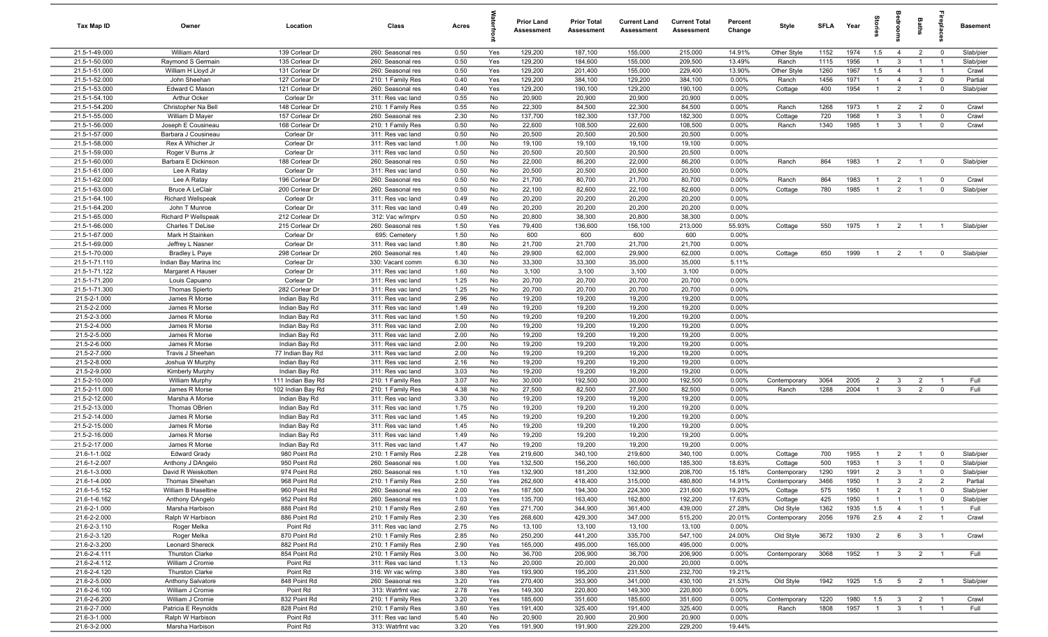| Tax Map ID                     | Owner                                      | Location                           | Class                                  | Acres        |            | Prior Land<br><b>Assessment</b> | <b>Prior Total</b><br>Assessment | <b>Current Land</b><br>Assessment | <b>Current Total</b><br><b>Assessment</b> | Percent<br>Change | Style                   | SFLA         | Year         | 을<br>등                           |                                  | Baths                            | replac                           | <b>Basement</b>        |
|--------------------------------|--------------------------------------------|------------------------------------|----------------------------------------|--------------|------------|---------------------------------|----------------------------------|-----------------------------------|-------------------------------------------|-------------------|-------------------------|--------------|--------------|----------------------------------|----------------------------------|----------------------------------|----------------------------------|------------------------|
| 21.5-1-49.000                  | William Allard                             | 139 Corlear Dr                     | 260: Seasonal res                      | 0.50         | Yes        | 129,200                         | 187,100                          | 155,000                           | 215,000                                   | 14.91%            | Other Style             | 1152         | 1974         | 1.5                              | $\overline{4}$                   | $\overline{2}$                   | $\overline{0}$                   | Slab/pier              |
| 21.5-1-50.000                  | Raymond S Germain                          | 135 Corlear Dr                     | 260: Seasonal res                      | 0.50         | Yes        | 129,200                         | 184,600                          | 155,000                           | 209,500                                   | 13.49%            | Ranch                   | 1115         | 1956         |                                  | -3                               |                                  |                                  | Slab/pier              |
| 21.5-1-51.000<br>21.5-1-52.000 | William H Lloyd Jr<br>John Sheehan         | 131 Corlear Dr<br>127 Corlear Dr   | 260: Seasonal res<br>210: 1 Family Res | 0.50         | Yes<br>Yes | 129,200<br>129,200              | 201,400<br>384,100               | 155,000<br>129,200                | 229,400<br>384,100                        | 13.90%<br>0.00%   | Other Style<br>Ranch    | 1260<br>1456 | 1967<br>1971 | 1.5<br>$\overline{1}$            | $\overline{4}$                   | $\overline{1}$                   | $\overline{1}$<br>$\overline{0}$ | Crawl<br>Partial       |
| 21.5-1-53.000                  | Edward C Mason                             | 121 Corlear Dr                     | 260: Seasonal res                      | 0.40<br>0.40 | Yes        | 129,200                         | 190,100                          | 129,200                           | 190,100                                   | 0.00%             | Cottage                 | 400          | 1954         | $\overline{1}$                   | $\overline{4}$<br>$\overline{2}$ | $\overline{2}$<br>$\overline{1}$ | $\overline{\mathbf{0}}$          | Slab/pier              |
| 21.5-1-54.100                  | Arthur Ocker                               | Corlear Dr                         | 311: Res vac land                      | 0.55         | No         | 20,900                          | 20,900                           | 20,900                            | 20,900                                    | 0.00%             |                         |              |              |                                  |                                  |                                  |                                  |                        |
| 21.5-1-54.200                  | Christopher Na Bell                        | 148 Corlear Dr                     | 210: 1 Family Res                      | 0.55         | No         | 22,300                          | 84,500                           | 22,300                            | 84,500                                    | 0.00%             | Ranch                   | 1268         | 1973         | $\overline{1}$                   | $\overline{2}$                   | $\overline{2}$                   | $\overline{\mathbf{0}}$          | Crawl                  |
| 21.5-1-55.000                  | William D Mayer                            | 157 Corlear Dr                     | 260: Seasonal res                      | 2.30         | No         | 137,700                         | 182,300                          | 137,700                           | 182,300                                   | 0.00%             | Cottage                 | 720          | 1968         | $\overline{1}$                   | $\mathbf{3}$                     | $\overline{1}$                   | $\overline{0}$                   | Crawl                  |
| 21.5-1-56.000                  | Joseph E Cousineau                         | 168 Corlear Dr                     | 210: 1 Family Res                      | 0.50         | No         | 22,600                          | 108,500                          | 22,600                            | 108,500                                   | 0.00%             | Ranch                   | 1340         | 1985         | $\overline{1}$                   | $\mathbf{3}$                     | $\mathbf{1}$                     | $\overline{0}$                   | Crawl                  |
| 21.5-1-57.000                  | Barbara J Cousineau                        | Corlear Dr                         | 311: Res vac land                      | 0.50         | No         | 20,500                          | 20,500                           | 20,500                            | 20,500                                    | 0.00%             |                         |              |              |                                  |                                  |                                  |                                  |                        |
| 21.5-1-58.000                  | Rex A Whicher Jr                           | Corlear Dr                         | 311: Res vac land                      | 1.00         | No         | 19,100                          | 19,100                           | 19,100                            | 19,100                                    | 0.00%             |                         |              |              |                                  |                                  |                                  |                                  |                        |
| 21.5-1-59.000                  | Roger V Burns Jr                           | Corlear Dr                         | 311: Res vac land                      | 0.50         | No         | 20,500                          | 20,500                           | 20,500                            | 20,500                                    | 0.00%             |                         |              |              |                                  |                                  |                                  |                                  |                        |
| 21.5-1-60.000                  | Barbara E Dickinson                        | 188 Corlear Dr                     | 260: Seasonal res                      | 0.50         | No         | 22,000                          | 86,200                           | 22,000                            | 86,200                                    | 0.00%             | Ranch                   | 864          | 1983         |                                  | $\overline{2}$                   | $\overline{1}$                   | $\overline{0}$                   | Slab/pier              |
| 21.5-1-61.000<br>21.5-1-62.000 | Lee A Ratay                                | Corlear Dr<br>196 Corlear Dr       | 311: Res vac land                      | 0.50         | No         | 20,500                          | 20,500                           | 20,500                            | 20,500                                    | 0.00%<br>0.00%    |                         | 864          | 1983         |                                  |                                  | $\overline{1}$                   |                                  | Crawl                  |
| 21.5-1-63.000                  | Lee A Ratay<br><b>Bruce A LeClair</b>      | 200 Corlear Dr                     | 260: Seasonal res<br>260: Seasonal res | 0.50<br>0.50 | No<br>No   | 21,700<br>22,100                | 80,700<br>82,600                 | 21,700<br>22,100                  | 80,700<br>82,600                          | 0.00%             | Ranch<br>Cottage        | 780          | 1985         |                                  | $\overline{2}$<br>$\overline{2}$ | $\overline{1}$                   | $\overline{0}$<br>$\overline{0}$ | Slab/pier              |
| 21.5-1-64.100                  | <b>Richard Wellspeak</b>                   | Corlear Dr                         | 311: Res vac land                      | 0.49         | No         | 20,200                          | 20,200                           | 20,200                            | 20,200                                    | 0.00%             |                         |              |              |                                  |                                  |                                  |                                  |                        |
| 21.5-1-64.200                  | John T Munroe                              | Corlear Dr                         | 311: Res vac land                      | 0.49         | No         | 20,200                          | 20,200                           | 20,200                            | 20,200                                    | 0.00%             |                         |              |              |                                  |                                  |                                  |                                  |                        |
| 21.5-1-65.000                  | Richard P Wellspeak                        | 212 Corlear Dr                     | 312: Vac w/imprv                       | 0.50         | No         | 20,800                          | 38,300                           | 20,800                            | 38,300                                    | 0.00%             |                         |              |              |                                  |                                  |                                  |                                  |                        |
| 21.5-1-66.000                  | Charles T DeLise                           | 215 Corlear Dr                     | 260: Seasonal res                      | 1.50         | Yes        | 79,400                          | 136,600                          | 156,100                           | 213,000                                   | 55.93%            | Cottage                 | 550          | 1975         | $\overline{1}$                   | $\overline{2}$                   | $\overline{1}$                   |                                  | Slab/pier              |
| 21.5-1-67.000                  | Mark H Stainken                            | Corlear Dr                         | 695: Cemetery                          | 1.50         | No         | 600                             | 600                              | 600                               | 600                                       | 0.00%             |                         |              |              |                                  |                                  |                                  |                                  |                        |
| 21.5-1-69.000                  | Jeffrey L Nasner                           | Corlear Dr                         | 311: Res vac land                      | 1.80         | No         | 21,700                          | 21,700                           | 21,700                            | 21,700                                    | 0.00%             |                         |              |              |                                  |                                  |                                  |                                  |                        |
| 21.5-1-70.000                  | Bradley L Paye                             | 298 Corlear Dr                     | 260: Seasonal res                      | 1.40         | No         | 29,900                          | 62,000                           | 29,900                            | 62,000                                    | 0.00%             | Cottage                 | 650          | 1999         | $\overline{1}$                   | $\overline{2}$                   | $\overline{1}$                   | $\overline{0}$                   | Slab/pier              |
| 21.5-1-71.110                  | Indian Bay Marina Inc                      | Corlear Dr                         | 330: Vacant comm                       | 6.30         | No         | 33,300                          | 33,300                           | 35,000                            | 35,000                                    | 5.11%             |                         |              |              |                                  |                                  |                                  |                                  |                        |
| 21.5-1-71.122<br>21.5-1-71.200 | Margaret A Hauser                          | Corlear Dr                         | 311: Res vac land                      | 1.60<br>1.25 | No         | 3,100<br>20,700                 | 3,100                            | 3,100                             | 3,100                                     | 0.00%             |                         |              |              |                                  |                                  |                                  |                                  |                        |
| 21.5-1-71.300                  | Louis Capuano<br>Thomas Spierto            | Corlear Dr<br>282 Corlear Dr       | 311: Res vac land<br>311: Res vac land | 1.25         | No<br>No   | 20,700                          | 20,700<br>20,700                 | 20,700<br>20,700                  | 20,700<br>20,700                          | 0.00%<br>0.00%    |                         |              |              |                                  |                                  |                                  |                                  |                        |
| 21.5-2-1.000                   | James R Morse                              | Indian Bay Rd                      | 311: Res vac land                      | 2.96         | No         | 19,200                          | 19,200                           | 19,200                            | 19,200                                    | 0.00%             |                         |              |              |                                  |                                  |                                  |                                  |                        |
| 21.5-2-2.000                   | James R Morse                              | Indian Bay Rd                      | 311: Res vac land                      | 1.49         | No         | 19,200                          | 19,200                           | 19,200                            | 19,200                                    | 0.00%             |                         |              |              |                                  |                                  |                                  |                                  |                        |
| 21.5-2-3.000                   | James R Morse                              | Indian Bay Rd                      | 311: Res vac land                      | 1.50         | No         | 19,200                          | 19,200                           | 19,200                            | 19,200                                    | 0.00%             |                         |              |              |                                  |                                  |                                  |                                  |                        |
| 21.5-2-4.000                   | James R Morse                              | Indian Bay Rd                      | 311: Res vac land                      | 2.00         | No         | 19,200                          | 19,200                           | 19,200                            | 19,200                                    | 0.00%             |                         |              |              |                                  |                                  |                                  |                                  |                        |
| 21.5-2-5.000                   | James R Morse                              | Indian Bay Rd                      | 311: Res vac land                      | 2.00         | No         | 19,200                          | 19,200                           | 19,200                            | 19,200                                    | 0.00%             |                         |              |              |                                  |                                  |                                  |                                  |                        |
| 21.5-2-6.000                   | James R Morse                              | Indian Bay Rd                      | 311: Res vac land                      | 2.00         | No         | 19,200                          | 19,200                           | 19,200                            | 19,200                                    | 0.00%             |                         |              |              |                                  |                                  |                                  |                                  |                        |
| 21.5-2-7.000                   | Travis J Sheehan                           | 77 Indian Bay Rd                   | 311: Res vac land                      | 2.00         | No         | 19,200                          | 19,200                           | 19,200                            | 19,200                                    | 0.00%             |                         |              |              |                                  |                                  |                                  |                                  |                        |
| 21.5-2-8.000                   | Joshua W Murphy                            | Indian Bay Rd                      | 311: Res vac land                      | 2.16         | No         | 19,200                          | 19,200                           | 19,200                            | 19,200                                    | 0.00%             |                         |              |              |                                  |                                  |                                  |                                  |                        |
| 21.5-2-9.000<br>21.5-2-10.000  | Kimberly Murphy<br>William Murphy          | Indian Bay Rd<br>111 Indian Bay Rd | 311: Res vac land<br>210: 1 Family Res | 3.03<br>3.07 | No<br>No   | 19,200<br>30,000                | 19,200<br>192,500                | 19,200<br>30,000                  | 19,200<br>192,500                         | 0.00%<br>0.00%    | Contemporary            | 3064         | 2005         | $\overline{2}$                   | $\mathbf{3}$                     | $\overline{2}$                   | $\overline{1}$                   | Full                   |
| 21.5-2-11.000                  | James R Morse                              | 102 Indian Bay Rd                  | 210: 1 Family Res                      | 4.38         | No         | 27,500                          | 82,500                           | 27,500                            | 82,500                                    | 0.00%             | Ranch                   | 1288         | 2004         | $\overline{1}$                   | $\mathbf{3}$                     | $\overline{2}$                   | $\mathbf 0$                      | Full                   |
| 21.5-2-12.000                  | Marsha A Morse                             | Indian Bay Rd                      | 311: Res vac land                      | 3.30         | No         | 19,200                          | 19,200                           | 19,200                            | 19,200                                    | 0.00%             |                         |              |              |                                  |                                  |                                  |                                  |                        |
| 21.5-2-13.000                  | Thomas OBrien                              | Indian Bay Rd                      | 311: Res vac land                      | 1.75         | No         | 19,200                          | 19,200                           | 19,200                            | 19,200                                    | 0.00%             |                         |              |              |                                  |                                  |                                  |                                  |                        |
| 21.5-2-14.000                  | James R Morse                              | Indian Bay Rd                      | 311: Res vac land                      | 1.45         | No         | 19,200                          | 19,200                           | 19,200                            | 19,200                                    | 0.00%             |                         |              |              |                                  |                                  |                                  |                                  |                        |
| 21.5-2-15.000                  | James R Morse                              | Indian Bay Rd                      | 311: Res vac land                      | 1.45         | No         | 19,200                          | 19,200                           | 19,200                            | 19,200                                    | 0.00%             |                         |              |              |                                  |                                  |                                  |                                  |                        |
| 21.5-2-16.000                  | James R Morse                              | Indian Bay Rd                      | 311: Res vac land                      | 1.49         | No         | 19,200                          | 19,200                           | 19,200                            | 19,200                                    | 0.00%             |                         |              |              |                                  |                                  |                                  |                                  |                        |
| 21.5-2-17.000                  | James R Morse                              | Indian Bay Rd                      | 311: Res vac land                      | 1.47         | No         | 19,200                          | 19,200                           | 19,200                            | 19,200                                    | 0.00%             |                         |              |              |                                  |                                  |                                  |                                  |                        |
| 21.6-1-1.002                   | <b>Edward Grady</b>                        | 980 Point Rd                       | 210: 1 Family Res                      | 2.28         | Yes        | 219,600                         | 340,100                          | 219,600                           | 340,100                                   | 0.00%             | Cottage                 | 700          | 1955         | $\overline{1}$<br>$\overline{1}$ | $\overline{2}$                   | $\overline{1}$<br>$\overline{1}$ | $\overline{0}$<br>$\overline{0}$ | Slab/pier              |
| 21.6-1-2.007<br>21.6-1-3.000   | Anthony J DAngelo<br>David R Weiskotten    | 950 Point Rd<br>974 Point Rd       | 260: Seasonal res<br>260: Seasonal res | 1.00<br>1.10 | Yes<br>Yes | 132,500<br>132.900              | 156,200<br>181.200               | 160,000<br>132.900                | 185,300<br>208.700                        | 18.63%<br>15.18%  | Cottage<br>Contemporary | 500<br>1290  | 1953<br>1991 | $\overline{2}$                   | $\mathbf{3}$<br>$\mathbf{3}$     |                                  |                                  | Slab/pier<br>Slab/pier |
| 21.6-1-4.000                   | Thomas Sheehan                             | 968 Point Rd                       | 210: 1 Family Res                      | 2.50         | Yes        | 262,600                         | 418,400                          | 315,000                           | 480,800                                   | 14.91%            | Contemporary            | 3466         | 1950         | $\overline{1}$                   | $\mathbf{3}$                     | $\overline{2}$                   | $\overline{2}$                   | Partial                |
| 21.6-1-5.152                   | William B Haseltine                        | 960 Point Rd                       | 260: Seasonal res                      | 2.00         | Yes        | 187,500                         | 194,300                          | 224,300                           | 231,600                                   | 19.20%            | Cottage                 | 575          | 1950         |                                  | $\overline{2}$                   | $\overline{1}$                   | $\overline{0}$                   | Slab/pier              |
| 21.6-1-6.162                   | Anthony DAngelo                            | 952 Point Rd                       | 260: Seasonal res                      | 1.03         | Yes        | 135,700                         | 163,400                          | 162,800                           | 192,200                                   | 17.63%            | Cottage                 | 425          | 1950         |                                  |                                  |                                  | $\mathbf 0$                      | Slab/pier              |
| 21.6-2-1.000                   | Marsha Harbison                            | 888 Point Rd                       | 210: 1 Family Res                      | 2.60         | Yes        | 271,700                         | 344,900                          | 361,400                           | 439,000                                   | 27.28%            | Old Style               | 1362         | 1935         | 1.5                              | $\overline{4}$                   | $\overline{1}$                   | $\overline{1}$                   | Full                   |
| 21.6-2-2.000                   | Ralph W Harbison                           | 886 Point Rd                       | 210: 1 Family Res                      | 2.30         | Yes        | 268,600                         | 429,300                          | 347,000                           | 515,200                                   | 20.01%            | Contemporary            | 2056         | 1976         | 2.5                              | $\overline{4}$                   | $\overline{2}$                   |                                  | Crawl                  |
| 21.6-2-3.110                   | Roger Melka                                | Point Rd                           | 311: Res vac land                      | 2.75         | No         | 13,100                          | 13,100                           | 13,100                            | 13,100                                    | 0.00%             |                         |              |              |                                  |                                  |                                  |                                  |                        |
| 21.6-2-3.120                   | Roger Melka                                | 870 Point Rd                       | 210: 1 Family Res                      | 2.85         | No         | 250,200                         | 441,200                          | 335,700                           | 547,100                                   | 24.00%            | Old Style               | 3672         | 1930         | $\overline{2}$                   | 6                                | $\mathbf{3}$                     |                                  | Crawl                  |
| 21.6-2-3.200                   | Leonard Shereck                            | 882 Point Rd                       | 210: 1 Family Res                      | 2.90         | Yes        | 165,000                         | 495,000                          | 165,000                           | 495,000                                   | 0.00%             |                         |              |              |                                  |                                  |                                  |                                  |                        |
| 21.6-2-4.111<br>21.6-2-4.112   | <b>Thurston Clarke</b><br>William J Cromie | 854 Point Rd<br>Point Rd           | 210: 1 Family Res<br>311: Res vac land | 3.00<br>1.13 | No<br>No   | 36,700<br>20,000                | 206,900<br>20,000                | 36,700<br>20,000                  | 206,900<br>20,000                         | 0.00%<br>0.00%    | Contemporary            | 3068         | 1952         | $\overline{1}$                   | $\overline{\mathbf{3}}$          | $\overline{2}$                   | $\overline{1}$                   | Full                   |
| 21.6-2-4.120                   | <b>Thurston Clarke</b>                     | Point Rd                           | 316: Wr vac w/imp                      | 3.80         | Yes        | 193,900                         | 195,200                          | 231,500                           | 232,700                                   | 19.21%            |                         |              |              |                                  |                                  |                                  |                                  |                        |
| 21.6-2-5.000                   | Anthony Salvatore                          | 848 Point Rd                       | 260: Seasonal res                      | 3.20         | Yes        | 270,400                         | 353,900                          | 341,000                           | 430,100                                   | 21.53%            | Old Style               | 1942         | 1925         | 1.5                              | $5\overline{5}$                  | $\overline{2}$                   | $\overline{1}$                   | Slab/pier              |
| 21.6-2-6.100                   | William J Cromie                           | Point Rd                           | 313: Watrfrnt vac                      | 2.78         | Yes        | 149,300                         | 220,800                          | 149,300                           | 220,800                                   | 0.00%             |                         |              |              |                                  |                                  |                                  |                                  |                        |
| 21.6-2-6.200                   | William J Cromie                           | 832 Point Rd                       | 210: 1 Family Res                      | 3.20         | Yes        | 185,600                         | 351,600                          | 185,600                           | 351,600                                   | 0.00%             | Contemporary            | 1220         | 1980         | 1.5                              | $\overline{\mathbf{3}}$          | $\overline{2}$                   | $\overline{1}$                   | Crawl                  |
| 21.6-2-7.000                   | Patricia E Reynolds                        | 828 Point Rd                       | 210: 1 Family Res                      | 3.60         | Yes        | 191,400                         | 325,400                          | 191,400                           | 325,400                                   | 0.00%             | Ranch                   | 1808         | 1957         | $\overline{1}$                   | $\mathbf{3}$                     | $\overline{1}$                   | $\overline{1}$                   | Full                   |
| 21.6-3-1.000                   | Ralph W Harbison                           | Point Rd                           | 311: Res vac land                      | 5.40         | No         | 20,900                          | 20,900                           | 20,900                            | 20,900                                    | 0.00%             |                         |              |              |                                  |                                  |                                  |                                  |                        |
| 21.6-3-2.000                   | Marsha Harbison                            | Point Rd                           | 313: Watrfrnt vac                      | 3.20         | Yes        | 191,900                         | 191,900                          | 229,200                           | 229,200                                   | 19.44%            |                         |              |              |                                  |                                  |                                  |                                  |                        |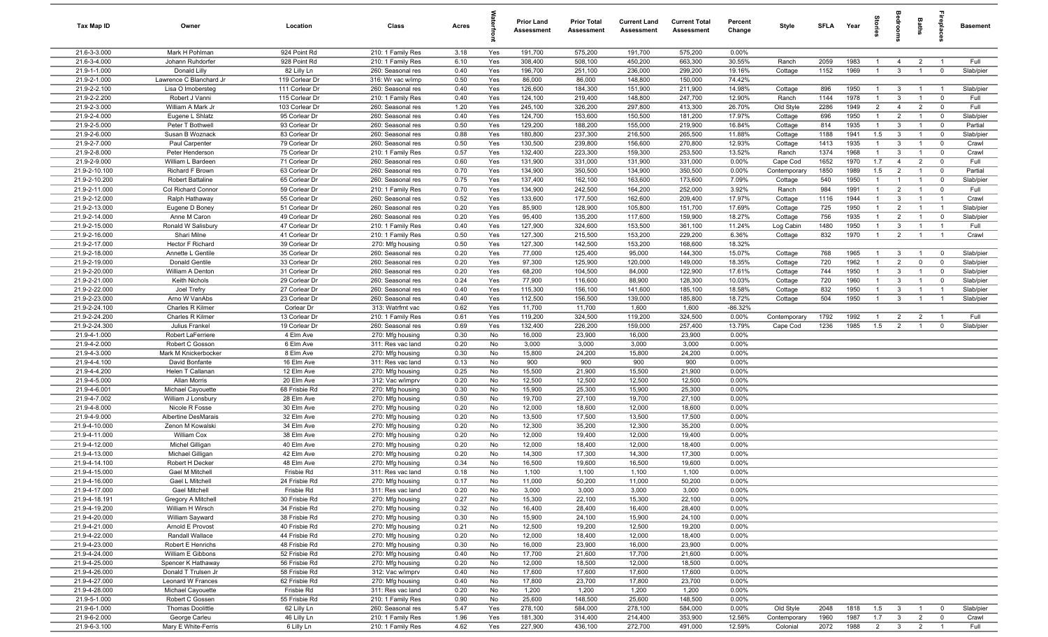| <b>Tax Map ID</b>              | Owner                               | Location                       | Class                                  | Acres        |               | <b>Prior Land</b><br>Assessment | <b>Prior Total</b><br>Assessment | <b>Current Land</b><br><b>Assessment</b> | <b>Current Total</b><br><b>Assessment</b> | Percent<br>Change | Style                     | SFLA         | Year         | g                     | å                                | Baths                            | <b>G</b> bia                              | <b>Basement</b>    |
|--------------------------------|-------------------------------------|--------------------------------|----------------------------------------|--------------|---------------|---------------------------------|----------------------------------|------------------------------------------|-------------------------------------------|-------------------|---------------------------|--------------|--------------|-----------------------|----------------------------------|----------------------------------|-------------------------------------------|--------------------|
| 21.6-3-3.000                   | Mark H Pohlman                      | 924 Point Rd                   | 210: 1 Family Res                      | 3.18         | Yes           | 191,700                         | 575,200                          | 191,700                                  | 575,200                                   | 0.00%             |                           |              |              |                       |                                  |                                  |                                           |                    |
| 21.6-3-4.000                   | Johann Ruhdorfer                    | 928 Point Rd                   | 210: 1 Family Res                      | 6.10         | Yes           | 308,400                         | 508,100                          | 450,200                                  | 663,300                                   | 30.55%            | Ranch                     | 2059         | 1983         | $\overline{1}$        | $\overline{4}$                   | $\overline{2}$                   | $\overline{1}$                            | Full               |
| 21.9-1-1.000                   | Donald Lilly                        | 82 Lilly Ln                    | 260: Seasonal res                      | 0.40         | Yes           | 196,700                         | 251,100                          | 236,000                                  | 299,200                                   | 19.16%            | Cottage                   | 1152         | 1969         | $\overline{1}$        | $\mathbf{3}$                     | $\overline{1}$                   | $\mathbf 0$                               | Slab/pier          |
| 21.9-2-1.000                   | Lawrence C Blanchard Jr             | 119 Corlear Dr                 | 316: Wr vac w/imp                      | 0.50         | Yes           | 86,000                          | 86,000                           | 148,800                                  | 150,000                                   | 74.42%            |                           |              |              |                       |                                  |                                  |                                           |                    |
| 21.9-2-2.100                   | Lisa O Imobersteg                   | 111 Corlear Dr                 | 260: Seasonal res                      | 0.40         | Yes           | 126,600                         | 184,300                          | 151,900                                  | 211,900                                   | 14.98%            | Cottage                   | 896          | 1950         | $\overline{1}$        | $\overline{3}$                   | $\overline{1}$                   | $\overline{1}$                            | Slab/pier          |
| 21.9-2-2.200                   | Robert J Vanni                      | 115 Corlear Dr                 | 210: 1 Family Res                      | 0.40         | Yes           | 124,100                         | 219,400                          | 148,800                                  | 247,700                                   | 12.90%            | Ranch                     | 1144         | 1978         | $\overline{1}$        | $\mathbf{3}$                     | $\overline{1}$                   | $\mathbf 0$                               | Full               |
| 21.9-2-3.000                   | William A Mark Jr                   | 103 Corlear Dr                 | 260: Seasonal res                      | 1.20         | Yes           | 245,100                         | 326,200                          | 297,800                                  | 413,300                                   | 26.70%            | Old Style                 | 2286         | 1949         | $\overline{2}$        | $\overline{4}$                   | $\overline{2}$                   | $\mathbf 0$                               | Full               |
| 21.9-2-4.000                   | Eugene L Shlatz                     | 95 Corlear Dr                  | 260: Seasonal res                      | 0.40         | Yes           | 124,700                         | 153,600                          | 150,500                                  | 181,200                                   | 17.97%            | Cottage                   | 696          | 1950         | $\overline{1}$        | $\overline{2}$                   | $\mathbf{1}$                     | $\Omega$                                  | Slab/pier          |
| 21.9-2-5.000                   | Peter T Bothwell                    | 93 Corlear Dr                  | 260: Seasonal res                      | 0.50         | Yes           | 129,200                         | 188,200                          | 155,000                                  | 219,900                                   | 16.84%            | Cottage                   | 814          | 1935         | $\overline{1}$        | 3                                | $\overline{1}$                   | $\Omega$                                  | Partial            |
| 21.9-2-6.000<br>21.9-2-7.000   | Susan B Woznack<br>Paul Carpenter   | 83 Corlear Dr                  | 260: Seasonal res                      | 0.88         | Yes           | 180,800                         | 237,300                          | 216,500                                  | 265,500                                   | 11.88%            | Cottage                   | 1188         | 1941<br>1935 | 1.5<br>$\overline{1}$ | $\mathbf{3}$                     | $\overline{1}$<br>$\overline{1}$ | $\mathbf 0$                               | Slab/pier          |
| 21.9-2-8.000                   | Peter Henderson                     | 79 Corlear Dr<br>75 Corlear Dr | 260: Seasonal res<br>210: 1 Family Res | 0.50<br>0.57 | Yes<br>Yes    | 130,500<br>132,400              | 239,800<br>223,300               | 156,600<br>159,300                       | 270,800<br>253,500                        | 12.93%<br>13.52%  | Cottage<br>Ranch          | 1413<br>1374 | 1968         | $\overline{1}$        | $\mathbf{3}$<br>3                | $\overline{1}$                   | $\overline{\mathbf{0}}$<br>$\overline{0}$ | Crawl<br>Crawl     |
| 21.9-2-9.000                   | William L Bardeen                   | 71 Corlear Dr                  | 260: Seasonal res                      | 0.60         | Yes           | 131,900                         | 331,000                          | 131,900                                  | 331,000                                   | 0.00%             | Cape Cod                  | 1652         | 1970         | 1.7                   | $\overline{4}$                   | $\overline{2}$                   | $\overline{0}$                            | Full               |
| 21.9-2-10.100                  | Richard F Brown                     | 63 Corlear Dr                  | 260: Seasonal res                      | 0.70         | Yes           | 134,900                         | 350,500                          | 134,900                                  | 350,500                                   | 0.00%             | Contemporary              | 1850         | 1989         | 1.5                   | $\overline{2}$                   | $\overline{1}$                   | $\mathbf 0$                               | Partial            |
| 21.9-2-10.200                  | <b>Robert Battaline</b>             | 65 Corlear Dr                  | 260: Seasonal res                      | 0.75         | Yes           | 137,400                         | 162,100                          | 163,600                                  | 173,600                                   | 7.09%             | Cottage                   | 540          | 1950         | $\overline{1}$        | $\mathbf{1}$                     | $\overline{1}$                   | $^{\circ}$                                | Slab/pier          |
| 21.9-2-11.000                  | Col Richard Connor                  | 59 Corlear Dr                  | 210: 1 Family Res                      | 0.70         | Yes           | 134,900                         | 242,500                          | 164,200                                  | 252,000                                   | 3.92%             | Ranch                     | 984          | 1991         | $\overline{1}$        | 2                                | $\overline{1}$                   | $\mathbf 0$                               | Full               |
| 21.9-2-12.000                  | Ralph Hathaway                      | 55 Corlear Dr                  | 260: Seasonal res                      | 0.52         | Yes           | 133,600                         | 177,500                          | 162,600                                  | 209,400                                   | 17.97%            | Cottage                   | 1116         | 1944         | $\overline{1}$        | $\mathbf{3}$                     | $\overline{1}$                   | $\overline{1}$                            | Crawl              |
| 21.9-2-13.000                  | Eugene D Boney                      | 51 Corlear Dr                  | 260: Seasonal res                      | 0.20         | Yes           | 85,900                          | 128,900                          | 105,800                                  | 151,700                                   | 17.69%            | Cottage                   | 725          | 1950         | $\overline{1}$        | $\overline{2}$                   | $\overline{1}$                   | $\overline{1}$                            | Slab/pier          |
| 21.9-2-14.000                  | Anne M Caron                        | 49 Corlear Dr                  | 260: Seasonal res                      | 0.20         | Yes           | 95,400                          | 135,200                          | 117,600                                  | 159,900                                   | 18.27%            | Cottage                   | 756          | 1935         | $\overline{1}$        | $\overline{2}$                   | $\mathbf{1}$                     | $\mathbf{0}$                              | Slab/pier          |
| 21.9-2-15.000                  | Ronald W Salisbury                  | 47 Corlear Dr                  | 210: 1 Family Res                      | 0.40         | Yes           | 127,900                         | 324,600                          | 153,500                                  | 361,100                                   | 11.24%            | Log Cabin                 | 1480         | 1950         | -1                    | $\mathbf{3}$                     | $\overline{1}$                   | $\overline{1}$                            | Full               |
| 21.9-2-16.000                  | Shari Milne                         | 41 Corlear Dr                  | 210: 1 Family Res                      | 0.50         | Yes           | 127,300                         | 215,500                          | 153,200                                  | 229,200                                   | 6.36%             | Cottage                   | 832          | 1970         | $\overline{1}$        | $\overline{2}$                   | $\overline{1}$                   | $\overline{1}$                            | Crawl              |
| 21.9-2-17.000                  | Hector F Richard                    | 39 Corlear Dr                  | 270: Mfg housing                       | 0.50         | Yes           | 127,300                         | 142,500                          | 153,200                                  | 168,600                                   | 18.32%            |                           |              |              |                       |                                  |                                  |                                           |                    |
| 21.9-2-18.000                  | Annette L Gentile                   | 35 Corlear Dr                  | 260: Seasonal res                      | 0.20         | Yes           | 77,000                          | 125,400                          | 95,000                                   | 144,300                                   | 15.07%            | Cottage                   | 768          | 1965         | -1                    | $\mathbf{3}$                     | $\overline{1}$                   | $\mathbf 0$                               | Slab/pier          |
| 21.9-2-19.000                  | Donald Gentile                      | 33 Corlear Dr                  | 260: Seasonal res                      | 0.20         | Yes           | 97,300                          | 125,900                          | 120,000                                  | 149,000                                   | 18.35%            | Cottage                   | 720          | 1962         | $\mathbf{1}$          | $\overline{2}$                   | $\mathbf 0$                      | $\mathbf 0$                               | Slab/pier          |
| 21.9-2-20.000                  | William A Denton                    | 31 Corlear Dr                  | 260: Seasonal res                      | 0.20         | Yes           | 68,200                          | 104,500                          | 84,000                                   | 122,900                                   | 17.61%            | Cottage                   | 744          | 1950         | $\overline{1}$        | 3                                | $\overline{1}$                   | $\mathbf{0}$                              | Slab/pier          |
| 21.9-2-21.000                  | Keith Nichols                       | 29 Corlear Dr                  | 260: Seasonal res                      | 0.24         | Yes           | 77,900                          | 116,600                          | 88,900                                   | 128,300                                   | 10.03%            | Cottage                   | 720          | 1960         | $\overline{1}$        | $\mathbf{3}$                     | $\overline{1}$                   | $\mathbf 0$                               | Slab/pier          |
| 21.9-2-22.000                  | Joel Trefry                         | 27 Corlear Dr                  | 260: Seasonal res                      | 0.40         | Yes           | 115,300                         | 156,100                          | 141,600                                  | 185,100                                   | 18.58%            | Cottage                   | 832          | 1950         | $\overline{1}$        | $\mathbf{3}$                     | $\overline{1}$                   | $\overline{1}$                            | Slab/pier          |
| 21.9-2-23.000                  | Arno W VanAbs                       | 23 Corlear Dr                  | 260: Seasonal res                      | 0.40         | Yes           | 112,500                         | 156,500                          | 139,000                                  | 185,800                                   | 18.72%            | Cottage                   | 504          | 1950         | $\overline{1}$        | $\mathbf{3}$                     | $\overline{1}$                   | $\overline{1}$                            | Slab/pier          |
| 21.9-2-24.100<br>21.9-2-24.200 | Charles R Kilmer                    | Corlear Dr                     | 313: Watrfrnt vac                      | 0.62         | Yes           | 11,700                          | 11,700                           | 1,600                                    | 1,600                                     | $-86.32%$         |                           |              |              | $\overline{1}$        |                                  |                                  | $\overline{1}$                            | Full               |
| 21.9-2-24.300                  | Charles R Kilmer<br>Julius Frankel  | 13 Corlear Dr<br>19 Corlear Dr | 210: 1 Family Res<br>260: Seasonal res | 0.61<br>0.69 | Yes<br>Yes    | 119,200<br>132,400              | 324,500<br>226,200               | 119,200<br>159,000                       | 324,500<br>257,400                        | 0.00%<br>13.79%   | Contemporary<br>Cape Cod  | 1792<br>1236 | 1992<br>1985 | 1.5                   | $\overline{2}$<br>$\overline{2}$ | $\overline{2}$<br>$\overline{1}$ | $\mathbf 0$                               | Slab/pier          |
| 21.9-4-1.000                   | Robert LaFerriere                   | 4 Elm Ave                      | 270: Mfg housing                       | 0.30         | No            | 16,000                          | 23,900                           | 16,000                                   | 23,900                                    | 0.00%             |                           |              |              |                       |                                  |                                  |                                           |                    |
| 21.9-4-2.000                   | Robert C Gosson                     | 6 Elm Ave                      | 311: Res vac land                      | 0.20         | No            | 3,000                           | 3,000                            | 3,000                                    | 3,000                                     | 0.00%             |                           |              |              |                       |                                  |                                  |                                           |                    |
| 21.9-4-3.000                   | Mark M Knickerbocker                | 8 Elm Ave                      | 270: Mfg housing                       | 0.30         | No            | 15,800                          | 24,200                           | 15,800                                   | 24,200                                    | 0.00%             |                           |              |              |                       |                                  |                                  |                                           |                    |
| 21.9-4-4.100                   | David Bonfante                      | 16 Elm Ave                     | 311: Res vac land                      | 0.13         | No            | 900                             | 900                              | 900                                      | 900                                       | 0.00%             |                           |              |              |                       |                                  |                                  |                                           |                    |
| 21.9-4-4.200                   | Helen T Callanan                    | 12 Elm Ave                     | 270: Mfg housing                       | 0.25         | No            | 15,500                          | 21,900                           | 15,500                                   | 21,900                                    | 0.00%             |                           |              |              |                       |                                  |                                  |                                           |                    |
| 21.9-4-5.000                   | Allan Morris                        | 20 Elm Ave                     | 312: Vac w/imprv                       | 0.20         | No            | 12,500                          | 12,500                           | 12,500                                   | 12,500                                    | 0.00%             |                           |              |              |                       |                                  |                                  |                                           |                    |
| 21.9-4-6.001                   | Michael Cayouette                   | 68 Frisbie Rd                  | 270: Mfg housing                       | 0.30         | No            | 15,900                          | 25,300                           | 15,900                                   | 25,300                                    | 0.00%             |                           |              |              |                       |                                  |                                  |                                           |                    |
| 21.9-4-7.002                   | William J Lonsbury                  | 28 Elm Ave                     | 270: Mfg housing                       | 0.50         | No            | 19,700                          | 27,100                           | 19,700                                   | 27,100                                    | 0.00%             |                           |              |              |                       |                                  |                                  |                                           |                    |
| 21.9-4-8.000                   | Nicole R Fosse                      | 30 Elm Ave                     | 270: Mfg housing                       | 0.20         | No            | 12,000                          | 18,600                           | 12,000                                   | 18,600                                    | 0.00%             |                           |              |              |                       |                                  |                                  |                                           |                    |
| 21.9-4-9.000                   | Albertine DesMarais                 | 32 Elm Ave                     | 270: Mfg housing                       | 0.20         | No            | 13,500                          | 17,500                           | 13,500                                   | 17,500                                    | 0.00%             |                           |              |              |                       |                                  |                                  |                                           |                    |
| 21.9-4-10.000                  | Zenon M Kowalski                    | 34 Elm Ave                     | 270: Mfg housing                       | 0.20         | No            | 12,300                          | 35,200                           | 12,300                                   | 35,200                                    | 0.00%             |                           |              |              |                       |                                  |                                  |                                           |                    |
| 21.9-4-11.000                  | William Cox                         | 38 Elm Ave                     | 270: Mfg housing                       | 0.20         | No            | 12,000                          | 19,400                           | 12,000                                   | 19,400                                    | 0.00%             |                           |              |              |                       |                                  |                                  |                                           |                    |
| 21.9-4-12.000                  | Michel Gilligan                     | 40 Elm Ave<br>42 Elm Ave       | 270: Mfg housing                       | 0.20         | No<br>No      | 12,000                          | 18,400                           | 12,000<br>14,300                         | 18,400                                    | 0.00%             |                           |              |              |                       |                                  |                                  |                                           |                    |
| 21.9-4-13.000<br>21.9-4-14.100 | Michael Gilligan<br>Robert H Decker | 48 Elm Ave                     | 270: Mfg housing                       | 0.20<br>0.34 | No            | 14,300<br>16,500                | 17,300<br>19,600                 | 16,500                                   | 17,300<br>19,600                          | 0.00%<br>0.00%    |                           |              |              |                       |                                  |                                  |                                           |                    |
| 21.9-4-15.000                  | Gael M Mitchell                     | Frisbie Rd                     | 270: Mfg housing<br>311: Res vac land  | 0.18         | $\mathsf{No}$ | 1,100                           | 1,100                            | 1,100                                    | 1,100                                     | 0.00%             |                           |              |              |                       |                                  |                                  |                                           |                    |
| 21.9-4-16.000                  | Gael L Mitchell                     | 24 Frisbie Rd                  | 270: Mfg housing                       | 0.17         | No            | 11,000                          | 50,200                           | 11,000                                   | 50,200                                    | 0.00%             |                           |              |              |                       |                                  |                                  |                                           |                    |
| 21.9-4-17.000                  | <b>Gael Mitchell</b>                | Frisbie Rd                     | 311: Res vac land                      | 0.20         | No            | 3,000                           | 3,000                            | 3,000                                    | 3,000                                     | 0.00%             |                           |              |              |                       |                                  |                                  |                                           |                    |
| 21.9-4-18.191                  | Gregory A Mitchell                  | 30 Frisbie Rd                  | 270: Mfg housing                       | 0.27         | No            | 15,300                          | 22,100                           | 15,300                                   | 22,100                                    | 0.00%             |                           |              |              |                       |                                  |                                  |                                           |                    |
| 21.9-4-19.200                  | William H Wirsch                    | 34 Frisbie Rd                  | 270: Mfg housing                       | 0.32         | No            | 16,400                          | 28,400                           | 16,400                                   | 28,400                                    | 0.00%             |                           |              |              |                       |                                  |                                  |                                           |                    |
| 21.9-4-20.000                  | William Sayward                     | 38 Frisbie Rd                  | 270: Mfg housing                       | 0.30         | No            | 15,900                          | 24,100                           | 15,900                                   | 24,100                                    | 0.00%             |                           |              |              |                       |                                  |                                  |                                           |                    |
| 21.9-4-21.000                  | Arnold E Provost                    | 40 Frisbie Rd                  | 270: Mfg housing                       | 0.21         | No            | 12,500                          | 19,200                           | 12,500                                   | 19,200                                    | 0.00%             |                           |              |              |                       |                                  |                                  |                                           |                    |
| 21.9-4-22.000                  | Randall Wallace                     | 44 Frisbie Rd                  | 270: Mfg housing                       | 0.20         | No            | 12,000                          | 18,400                           | 12,000                                   | 18,400                                    | 0.00%             |                           |              |              |                       |                                  |                                  |                                           |                    |
| 21.9-4-23.000                  | Robert E Henrichs                   | 48 Frisbie Rd                  | 270: Mfg housing                       | 0.30         | No            | 16,000                          | 23,900                           | 16,000                                   | 23,900                                    | 0.00%             |                           |              |              |                       |                                  |                                  |                                           |                    |
| 21.9-4-24.000                  | William E Gibbons                   | 52 Frisbie Rd                  | 270: Mfg housing                       | 0.40         | No            | 17,700                          | 21,600                           | 17,700                                   | 21,600                                    | 0.00%             |                           |              |              |                       |                                  |                                  |                                           |                    |
| 21.9-4-25.000                  | Spencer K Hathaway                  | 56 Frisbie Rd                  | 270: Mfg housing                       | 0.20         | No            | 12,000                          | 18,500                           | 12,000                                   | 18,500                                    | 0.00%             |                           |              |              |                       |                                  |                                  |                                           |                    |
| 21.9-4-26.000                  | Donald T Trulsen Jr                 | 58 Frisbie Rd                  | 312: Vac w/imprv                       | 0.40         | No            | 17,600                          | 17,600                           | 17,600                                   | 17,600                                    | 0.00%             |                           |              |              |                       |                                  |                                  |                                           |                    |
| 21.9-4-27.000                  | Leonard W Frances                   | 62 Frisbie Rd                  | 270: Mfg housing                       | 0.40         | No            | 17,800                          | 23,700                           | 17,800                                   | 23,700                                    | 0.00%             |                           |              |              |                       |                                  |                                  |                                           |                    |
| 21.9-4-28.000                  | Michael Cayouette                   | Frisbie Rd                     | 311: Res vac land                      | 0.20         | No            | 1,200                           | 1,200                            | 1,200                                    | 1,200                                     | 0.00%             |                           |              |              |                       |                                  |                                  |                                           |                    |
| 21.9-5-1.000<br>21.9-6-1.000   | Robert C Gossen                     | 55 Frisbie Rd<br>62 Lilly Ln   | 210: 1 Family Res                      | 0.90         | No<br>Yes     | 25,600                          | 148,500                          | 25,600                                   | 148,500<br>584,000                        | 0.00%             |                           |              |              |                       |                                  |                                  | $\mathbf 0$                               |                    |
| 21.9-6-2.000                   | Thomas Doolittle<br>George Carleu   | 46 Lilly Ln                    | 260: Seasonal res<br>210: 1 Family Res | 5.47<br>1.96 | Yes           | 278,100<br>181,300              | 584,000<br>314,400               | 278,100<br>214,400                       | 353,900                                   | 0.00%<br>12.56%   | Old Style<br>Contemporary | 2048<br>1960 | 1818<br>1987 | 1.5<br>1.7            | $\mathbf{3}$<br>$\mathbf{3}$     | $\overline{1}$<br>$\overline{2}$ | $\mathbf 0$                               | Slab/pier<br>Crawl |
| 21.9-6-3.100                   | Mary E White-Ferris                 | 6 Lilly Ln                     | 210: 1 Family Res                      | 4.62         | Yes           | 227,900                         | 436,100                          | 272,700                                  | 491,000                                   | 12.59%            | Colonial                  | 2072         | 1988         | $\overline{2}$        | $\overline{\mathbf{3}}$          | $\overline{2}$                   | $\overline{1}$                            | Full               |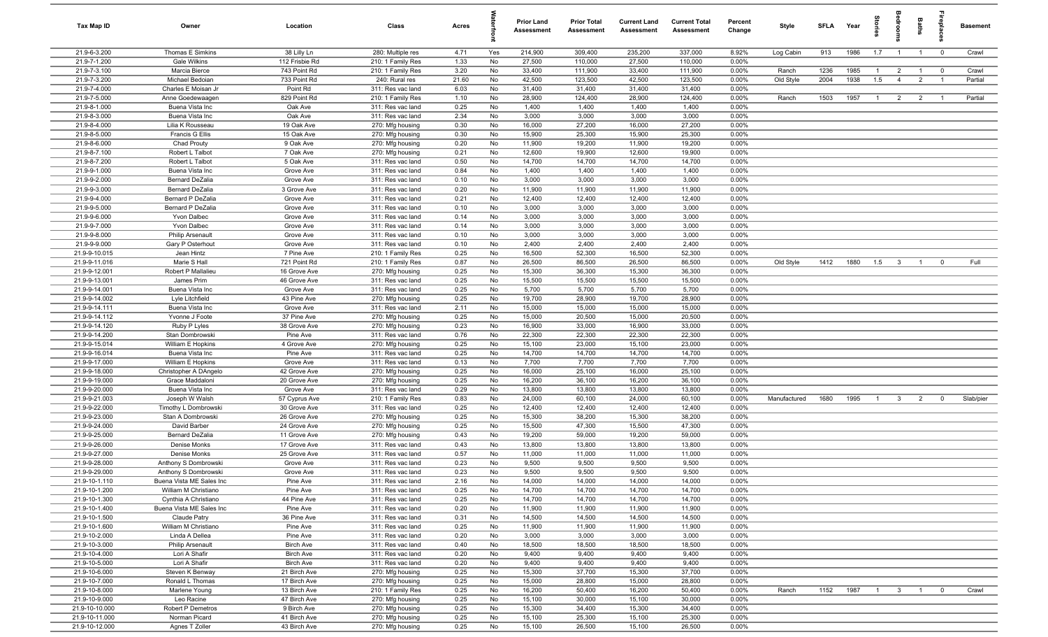| Tax Map ID                     | Owner                                  | Location                             | Class                                  | Acres        |          | Prior Land<br><b>Assessment</b> | <b>Prior Total</b><br>Assessment | <b>Current Land</b><br>Assessment | <b>Current Total</b><br><b>Assessment</b> | Percent<br>Change | Style        | SFLA | Year | $\overline{a}$ | å                       | Baths          | epla           | <b>Basement</b> |
|--------------------------------|----------------------------------------|--------------------------------------|----------------------------------------|--------------|----------|---------------------------------|----------------------------------|-----------------------------------|-------------------------------------------|-------------------|--------------|------|------|----------------|-------------------------|----------------|----------------|-----------------|
| 21.9-6-3.200                   | Thomas E Simkins                       | 38 Lilly Ln                          | 280: Multiple res                      | 4.71         | Yes      | 214,900                         | 309,400                          | 235,200                           | 337,000                                   | 8.92%             | Log Cabin    | 913  | 1986 | 1.7            | $\overline{1}$          | $\overline{1}$ | $\overline{0}$ | Crawl           |
| 21.9-7-1.200                   | Gale Wilkins                           | 112 Frisbie Rd                       | 210: 1 Family Res                      | 1.33         | No       | 27,500                          | 110,000                          | 27,500                            | 110,000                                   | 0.00%             |              |      |      |                |                         |                |                |                 |
| 21.9-7-3.100                   | Marcia Bierce                          | 743 Point Rd                         | 210: 1 Family Res                      | 3.20         | No       | 33,400                          | 111,900                          | 33,400                            | 111,900                                   | 0.00%             | Ranch        | 1236 | 1985 | $\overline{1}$ | $\overline{2}$          | $\overline{1}$ | $\overline{0}$ | Crawl           |
| 21.9-7-3.200<br>21.9-7-4.000   | Michael Bedoian<br>Charles E Moisan Jr | 733 Point Rd                         | 240: Rural res                         | 21.60        | No       | 42,500<br>31,400                | 123,500                          | 42,500                            | 123,500                                   | 0.00%<br>0.00%    | Old Style    | 2004 | 1938 | 1.5            | $\overline{4}$          | $\overline{2}$ | $\overline{1}$ | Partial         |
| 21.9-7-5.000                   | Anne Goedewaagen                       | Point Rd<br>829 Point Rd             | 311: Res vac land<br>210: 1 Family Res | 6.03<br>1.10 | No<br>No | 28,900                          | 31,400<br>124,400                | 31,400<br>28,900                  | 31,400<br>124,400                         | 0.00%             | Ranch        | 1503 | 1957 | $\overline{1}$ | $\overline{2}$          | $\overline{2}$ | $\overline{1}$ | Partial         |
| 21.9-8-1.000                   | Buena Vista Inc                        | Oak Ave                              | 311: Res vac land                      | 0.25         | No       | 1,400                           | 1,400                            | 1,400                             | 1,400                                     | 0.00%             |              |      |      |                |                         |                |                |                 |
| 21.9-8-3.000                   | Buena Vista Inc                        | Oak Ave                              | 311: Res vac land                      | 2.34         | No       | 3,000                           | 3,000                            | 3,000                             | 3,000                                     | 0.00%             |              |      |      |                |                         |                |                |                 |
| 21.9-8-4.000                   | Lilia K Rousseau                       | 19 Oak Ave                           | 270: Mfg housing                       | 0.30         | No       | 16,000                          | 27,200                           | 16,000                            | 27,200                                    | 0.00%             |              |      |      |                |                         |                |                |                 |
| 21.9-8-5.000                   | Francis G Ellis                        | 15 Oak Ave                           | 270: Mfg housing                       | 0.30         | No       | 15,900                          | 25,300                           | 15,900                            | 25,300                                    | 0.00%             |              |      |      |                |                         |                |                |                 |
| 21.9-8-6.000                   | Chad Prouty                            | 9 Oak Ave                            | 270: Mfg housing                       | 0.20         | No       | 11,900                          | 19,200                           | 11,900                            | 19,200                                    | 0.00%             |              |      |      |                |                         |                |                |                 |
| 21.9-8-7.100                   | Robert L Talbot                        | 7 Oak Ave                            | 270: Mfg housing                       | 0.21         | No       | 12,600                          | 19,900                           | 12,600                            | 19,900                                    | 0.00%             |              |      |      |                |                         |                |                |                 |
| 21.9-8-7.200                   | Robert L Talbot                        | 5 Oak Ave                            | 311: Res vac land                      | 0.50         | No       | 14,700                          | 14,700                           | 14,700                            | 14,700                                    | 0.00%             |              |      |      |                |                         |                |                |                 |
| 21.9-9-1.000                   | Buena Vista Inc                        | Grove Ave                            | 311: Res vac land                      | 0.84         | No       | 1,400                           | 1,400                            | 1,400                             | 1,400                                     | 0.00%             |              |      |      |                |                         |                |                |                 |
| 21.9-9-2.000                   | <b>Bernard DeZalia</b>                 | Grove Ave                            | 311: Res vac land                      | 0.10         | No       | 3,000                           | 3,000                            | 3,000                             | 3,000                                     | 0.00%             |              |      |      |                |                         |                |                |                 |
| 21.9-9-3.000                   | <b>Bernard DeZalia</b>                 | 3 Grove Ave                          | 311: Res vac land                      | 0.20         | No       | 11,900                          | 11,900                           | 11,900                            | 11,900                                    | 0.00%             |              |      |      |                |                         |                |                |                 |
| 21.9-9-4.000<br>21.9-9-5.000   | Bernard P DeZalia                      | Grove Ave                            | 311: Res vac land<br>311: Res vac land | 0.21         | No       | 12,400                          | 12,400                           | 12,400<br>3,000                   | 12,400                                    | 0.00%<br>0.00%    |              |      |      |                |                         |                |                |                 |
| 21.9-9-6.000                   | Bernard P DeZalia<br>Yvon Dalbec       | Grove Ave<br>Grove Ave               | 311: Res vac land                      | 0.10<br>0.14 | No<br>No | 3,000<br>3,000                  | 3,000<br>3,000                   | 3,000                             | 3,000<br>3,000                            | 0.00%             |              |      |      |                |                         |                |                |                 |
| 21.9-9-7.000                   | Yvon Dalbec                            | Grove Ave                            | 311: Res vac land                      | 0.14         | No       | 3,000                           | 3,000                            | 3,000                             | 3,000                                     | 0.00%             |              |      |      |                |                         |                |                |                 |
| 21.9-9-8.000                   | <b>Philip Arsenault</b>                | Grove Ave                            | 311: Res vac land                      | 0.10         | No       | 3,000                           | 3,000                            | 3,000                             | 3,000                                     | 0.00%             |              |      |      |                |                         |                |                |                 |
| 21.9-9-9.000                   | Gary P Osterhout                       | Grove Ave                            | 311: Res vac land                      | 0.10         | No       | 2,400                           | 2,400                            | 2,400                             | 2,400                                     | 0.00%             |              |      |      |                |                         |                |                |                 |
| 21.9-9-10.015                  | Jean Hintz                             | 7 Pine Ave                           | 210: 1 Family Res                      | 0.25         | No       | 16,500                          | 52,300                           | 16,500                            | 52,300                                    | 0.00%             |              |      |      |                |                         |                |                |                 |
| 21.9-9-11.016                  | Marie S Hall                           | 721 Point Rd                         | 210: 1 Family Res                      | 0.87         | No       | 26,500                          | 86,500                           | 26,500                            | 86,500                                    | 0.00%             | Old Style    | 1412 | 1880 | 1.5            | $\overline{\mathbf{3}}$ | $\overline{1}$ | $\mathbf 0$    | Full            |
| 21.9-9-12.001                  | Robert P Mallalieu                     | 16 Grove Ave                         | 270: Mfg housing                       | 0.25         | No       | 15,300                          | 36,300                           | 15,300                            | 36,300                                    | 0.00%             |              |      |      |                |                         |                |                |                 |
| 21.9-9-13.001                  | James Prim                             | 46 Grove Ave                         | 311: Res vac land                      | 0.25         | No       | 15,500                          | 15,500                           | 15,500                            | 15,500                                    | 0.00%             |              |      |      |                |                         |                |                |                 |
| 21.9-9-14.001                  | Buena Vista Inc                        | Grove Ave                            | 311: Res vac land                      | 0.25         | No       | 5,700                           | 5,700                            | 5,700                             | 5,700                                     | 0.00%             |              |      |      |                |                         |                |                |                 |
| 21.9-9-14.002                  | Lyle Litchfield                        | 43 Pine Ave                          | 270: Mfg housing                       | 0.25         | No       | 19,700                          | 28,900                           | 19,700                            | 28,900                                    | 0.00%             |              |      |      |                |                         |                |                |                 |
| 21.9-9-14.111                  | Buena Vista Inc                        | Grove Ave                            | 311: Res vac land                      | 2.11         | No       | 15,000                          | 15,000                           | 15,000                            | 15,000                                    | 0.00%             |              |      |      |                |                         |                |                |                 |
| 21.9-9-14.112                  | Yvonne J Foote                         | 37 Pine Ave                          | 270: Mfg housing                       | 0.25         | No       | 15,000                          | 20,500                           | 15,000                            | 20,500                                    | 0.00%<br>0.00%    |              |      |      |                |                         |                |                |                 |
| 21.9-9-14.120<br>21.9-9-14.200 | Ruby P Lyles<br>Stan Dombrowski        | 38 Grove Ave<br>Pine Ave             | 270: Mfg housing<br>311: Res vac land  | 0.23<br>0.76 | No<br>No | 16,900<br>22,300                | 33,000<br>22,300                 | 16,900<br>22,300                  | 33,000<br>22,300                          | 0.00%             |              |      |      |                |                         |                |                |                 |
| 21.9-9-15.014                  | William E Hopkins                      | 4 Grove Ave                          | 270: Mfg housing                       | 0.25         | No       | 15,100                          | 23,000                           | 15,100                            | 23,000                                    | 0.00%             |              |      |      |                |                         |                |                |                 |
| 21.9-9-16.014                  | Buena Vista Inc                        | Pine Ave                             | 311: Res vac land                      | 0.25         | No       | 14,700                          | 14,700                           | 14,700                            | 14,700                                    | 0.00%             |              |      |      |                |                         |                |                |                 |
| 21.9-9-17.000                  | William E Hopkins                      | Grove Ave                            | 311: Res vac land                      | 0.13         | No       | 7,700                           | 7,700                            | 7,700                             | 7,700                                     | 0.00%             |              |      |      |                |                         |                |                |                 |
| 21.9-9-18.000                  | Christopher A DAngelo                  | 42 Grove Ave                         | 270: Mfg housing                       | 0.25         | No       | 16,000                          | 25,100                           | 16,000                            | 25,100                                    | 0.00%             |              |      |      |                |                         |                |                |                 |
| 21.9-9-19.000                  | Grace Maddaloni                        | 20 Grove Ave                         | 270: Mfg housing                       | 0.25         | No       | 16,200                          | 36,100                           | 16,200                            | 36,100                                    | 0.00%             |              |      |      |                |                         |                |                |                 |
| 21.9-9-20.000                  | Buena Vista Inc                        | Grove Ave                            | 311: Res vac land                      | 0.29         | No       | 13,800                          | 13,800                           | 13,800                            | 13,800                                    | 0.00%             |              |      |      |                |                         |                |                |                 |
| 21.9-9-21.003                  | Joseph W Walsh                         | 57 Cyprus Ave                        | 210: 1 Family Res                      | 0.83         | No       | 24,000                          | 60,100                           | 24,000                            | 60,100                                    | 0.00%             | Manufactured | 1680 | 1995 | $\overline{1}$ | $\mathbf{3}$            | $\overline{2}$ | $\mathbf 0$    | Slab/pier       |
| 21.9-9-22.000                  | Timothy L Dombrowski                   | 30 Grove Ave                         | 311: Res vac land                      | 0.25         | No       | 12,400                          | 12,400                           | 12,400                            | 12,400                                    | 0.00%             |              |      |      |                |                         |                |                |                 |
| 21.9-9-23.000                  | Stan A Dombrowski                      | 26 Grove Ave                         | 270: Mfg housing                       | 0.25         | No       | 15,300                          | 38,200                           | 15,300                            | 38,200                                    | 0.00%             |              |      |      |                |                         |                |                |                 |
| 21.9-9-24.000                  | David Barber                           | 24 Grove Ave                         | 270: Mfg housing                       | 0.25         | No       | 15,500                          | 47,300                           | 15,500                            | 47,300                                    | 0.00%             |              |      |      |                |                         |                |                |                 |
| 21.9-9-25.000<br>21.9-9-26.000 | <b>Bernard DeZalia</b><br>Denise Monks | 11 Grove Ave<br>17 Grove Ave         | 270: Mfg housing<br>311: Res vac land  | 0.43         | No<br>No | 19,200<br>13,800                | 59,000<br>13,800                 | 19,200<br>13,800                  | 59,000<br>13,800                          | 0.00%<br>0.00%    |              |      |      |                |                         |                |                |                 |
| 21.9-9-27.000                  | Denise Monks                           | 25 Grove Ave                         | 311: Res vac land                      | 0.43<br>0.57 | No       | 11,000                          | 11,000                           | 11,000                            | 11,000                                    | 0.00%             |              |      |      |                |                         |                |                |                 |
| 21.9-9-28.000                  | Anthony S Dombrowski                   | Grove Ave                            | 311: Res vac land                      | 0.23         | No       | 9,500                           | 9,500                            | 9,500                             | 9,500                                     | 0.00%             |              |      |      |                |                         |                |                |                 |
| 21.9-9-29.000                  | Anthony S Dombrowski                   | Grove Ave                            | 311: Res vac land                      | 0.23         | No       | 9,500                           | 9,500                            | 9,500                             | 9,500                                     | 0.00%             |              |      |      |                |                         |                |                |                 |
| 21.9-10-1.110                  | Buena Vista ME Sales Inc               | Pine Ave                             | 311: Res vac land                      | 2.16         | No       | 14,000                          | 14,000                           | 14,000                            | 14,000                                    | 0.00%             |              |      |      |                |                         |                |                |                 |
| 21.9-10-1.200                  | William M Christiano                   | Pine Ave                             | 311: Res vac land                      | 0.25         | No       | 14,700                          | 14,700                           | 14,700                            | 14,700                                    | 0.00%             |              |      |      |                |                         |                |                |                 |
| 21.9-10-1.300                  | Cynthia A Christiano                   | 44 Pine Ave                          | 311: Res vac land                      | 0.25         | No       | 14,700                          | 14,700                           | 14,700                            | 14,700                                    | 0.00%             |              |      |      |                |                         |                |                |                 |
| 21.9-10-1.400                  | Buena Vista ME Sales Inc               | Pine Ave                             | 311: Res vac land                      | 0.20         | No       | 11,900                          | 11,900                           | 11,900                            | 11,900                                    | $0.00\%$          |              |      |      |                |                         |                |                |                 |
| 21.9-10-1.500                  | Claude Patry                           | 36 Pine Ave                          | 311: Res vac land                      | 0.31         | No       | 14,500                          | 14,500                           | 14,500                            | 14,500                                    | 0.00%             |              |      |      |                |                         |                |                |                 |
| 21.9-10-1.600                  | William M Christiano                   | Pine Ave                             | 311: Res vac land                      | 0.25         | No       | 11,900                          | 11,900                           | 11,900                            | 11,900                                    | 0.00%             |              |      |      |                |                         |                |                |                 |
| 21.9-10-2.000                  | Linda A Dellea                         | Pine Ave                             | 311: Res vac land                      | 0.20         | No       | 3,000                           | 3,000                            | 3,000                             | 3,000                                     | $0.00\%$          |              |      |      |                |                         |                |                |                 |
| 21.9-10-3.000                  | <b>Philip Arsenault</b>                | <b>Birch Ave</b>                     | 311: Res vac land                      | 0.40         | No       | 18,500                          | 18,500                           | 18,500                            | 18,500                                    | 0.00%             |              |      |      |                |                         |                |                |                 |
| 21.9-10-4.000<br>21.9-10-5.000 | Lori A Shafir                          | <b>Birch Ave</b><br><b>Birch Ave</b> | 311: Res vac land<br>311: Res vac land | 0.20<br>0.20 | No       | 9,400<br>9,400                  | 9,400<br>9,400                   | 9,400<br>9,400                    | 9,400<br>9,400                            | 0.00%<br>0.00%    |              |      |      |                |                         |                |                |                 |
| 21.9-10-6.000                  | Lori A Shafir<br>Steven K Benway       | 21 Birch Ave                         | 270: Mfg housing                       | 0.25         | No<br>No | 15,300                          | 37,700                           | 15,300                            | 37,700                                    | 0.00%             |              |      |      |                |                         |                |                |                 |
| 21.9-10-7.000                  | Ronald L Thomas                        | 17 Birch Ave                         | 270: Mfg housing                       | 0.25         | No       | 15,000                          | 28,800                           | 15,000                            | 28,800                                    | 0.00%             |              |      |      |                |                         |                |                |                 |
| 21.9-10-8.000                  | Marlene Young                          | 13 Birch Ave                         | 210: 1 Family Res                      | 0.25         | No       | 16,200                          | 50,400                           | 16,200                            | 50,400                                    | 0.00%             | Ranch        | 1152 | 1987 | $\overline{1}$ | $\overline{\mathbf{3}}$ | $\overline{1}$ | $\overline{0}$ | Crawl           |
| 21.9-10-9.000                  | Leo Racine                             | 47 Birch Ave                         | 270: Mfg housing                       | 0.25         | No       | 15,100                          | 30,000                           | 15,100                            | 30,000                                    | 0.00%             |              |      |      |                |                         |                |                |                 |
| 21.9-10-10.000                 | Robert P Demetros                      | 9 Birch Ave                          | 270: Mfg housing                       | 0.25         | No       | 15,300                          | 34,400                           | 15,300                            | 34,400                                    | 0.00%             |              |      |      |                |                         |                |                |                 |
| 21.9-10-11.000                 | Norman Picard                          | 41 Birch Ave                         | 270: Mfg housing                       | 0.25         | No       | 15,100                          | 25,300                           | 15,100                            | 25,300                                    | 0.00%             |              |      |      |                |                         |                |                |                 |
| 21.9-10-12.000                 | Agnes T Zoller                         | 43 Birch Ave                         | 270: Mfg housing                       | 0.25         | No       | 15,100                          | 26,500                           | 15,100                            | 26,500                                    | $0.00\%$          |              |      |      |                |                         |                |                |                 |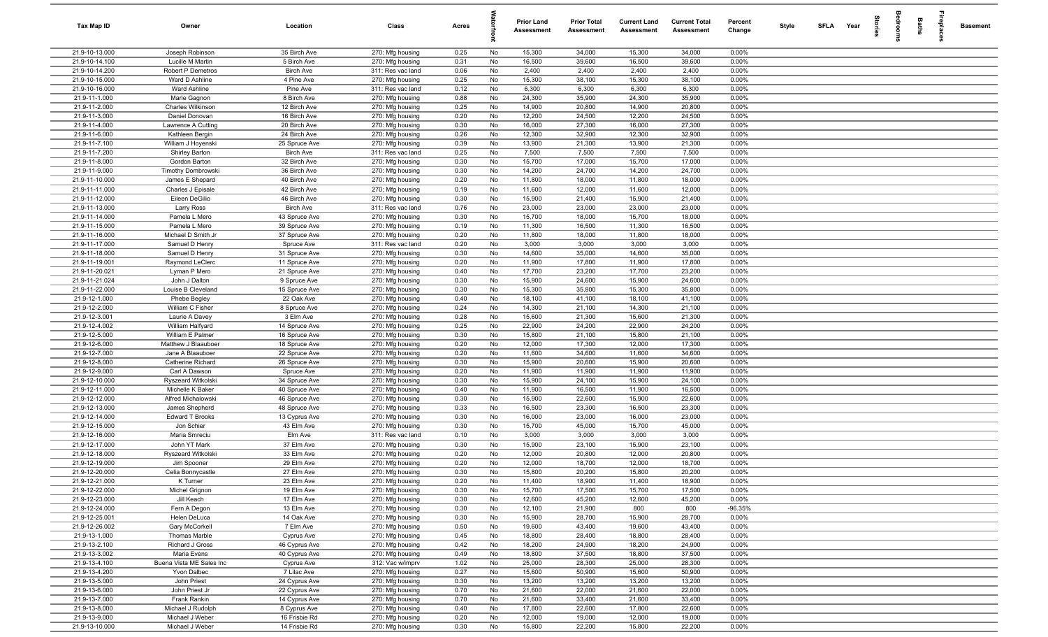| <b>Tax Map ID</b>                | Owner                                   | Location                       | Class                                 | Acres        |          | <b>Prior Land</b><br><b>Assessment</b> | <b>Prior Total</b><br><b>Assessment</b> | <b>Current Land</b><br><b>Assessment</b> | <b>Current Total</b><br><b>Assessment</b> | Percent<br>Change | Style | <b>SFLA</b> | Year | ā | groo | Baths | 흉 | <b>Basement</b> |
|----------------------------------|-----------------------------------------|--------------------------------|---------------------------------------|--------------|----------|----------------------------------------|-----------------------------------------|------------------------------------------|-------------------------------------------|-------------------|-------|-------------|------|---|------|-------|---|-----------------|
| 21.9-10-13.000                   | Joseph Robinson                         | 35 Birch Ave                   | 270: Mfg housing                      | 0.25         | No       | 15,300                                 | 34,000                                  | 15,300                                   | 34,000                                    | 0.00%             |       |             |      |   |      |       |   |                 |
| 21.9-10-14.100                   | Lucille M Martin                        | 5 Birch Ave                    | 270: Mfg housing                      | 0.31         | No       | 16,500                                 | 39,600                                  | 16,500                                   | 39,600                                    | 0.00%             |       |             |      |   |      |       |   |                 |
| 21.9-10-14.200                   | Robert P Demetros                       | <b>Birch Ave</b>               | 311: Res vac land                     | 0.06         | No       | 2,400                                  | 2,400                                   | 2,400                                    | 2,400                                     | 0.00%             |       |             |      |   |      |       |   |                 |
| 21.9-10-15.000                   | Ward D Ashline                          | 4 Pine Ave                     | 270: Mfg housing                      | 0.25         | No       | 15,300                                 | 38,100                                  | 15,300                                   | 38,100                                    | 0.00%             |       |             |      |   |      |       |   |                 |
| 21.9-10-16.000<br>21.9-11-1.000  | Ward Ashline<br>Marie Gagnon            | Pine Ave<br>8 Birch Ave        | 311: Res vac land<br>270: Mfg housing | 0.12<br>0.88 | No<br>No | 6,300<br>24,300                        | 6,300<br>35,900                         | 6,300<br>24,300                          | 6,300<br>35,900                           | 0.00%<br>0.00%    |       |             |      |   |      |       |   |                 |
| 21.9-11-2.000                    | Charles Wilkinson                       | 12 Birch Ave                   | 270: Mfg housing                      | 0.25         | No       | 14,900                                 | 20,800                                  | 14,900                                   | 20,800                                    | 0.00%             |       |             |      |   |      |       |   |                 |
| 21.9-11-3.000                    | Daniel Donovan                          | 16 Birch Ave                   | 270: Mfg housing                      | 0.20         | No       | 12,200                                 | 24,500                                  | 12,200                                   | 24,500                                    | 0.00%             |       |             |      |   |      |       |   |                 |
| 21.9-11-4.000                    | Lawrence A Cutting                      | 20 Birch Ave                   | 270: Mfg housing                      | 0.30         | No       | 16,000                                 | 27,300                                  | 16,000                                   | 27,300                                    | 0.00%             |       |             |      |   |      |       |   |                 |
| 21.9-11-6.000                    | Kathleen Bergin                         | 24 Birch Ave                   | 270: Mfg housing                      | 0.26         | No       | 12,300                                 | 32,900                                  | 12,300                                   | 32,900                                    | 0.00%             |       |             |      |   |      |       |   |                 |
| 21.9-11-7.100                    | William J Hoyenski                      | 25 Spruce Ave                  | 270: Mfg housing                      | 0.39         | No       | 13,900                                 | 21,300                                  | 13,900                                   | 21,300                                    | 0.00%             |       |             |      |   |      |       |   |                 |
| 21.9-11-7.200                    | <b>Shirley Barton</b>                   | <b>Birch Ave</b>               | 311: Res vac land                     | 0.25         | No       | 7,500                                  | 7,500                                   | 7,500                                    | 7,500                                     | 0.00%             |       |             |      |   |      |       |   |                 |
| 21.9-11-8.000                    | Gordon Barton                           | 32 Birch Ave                   | 270: Mfg housing                      | 0.30         | No       | 15,700                                 | 17,000                                  | 15,700                                   | 17,000                                    | 0.00%             |       |             |      |   |      |       |   |                 |
| 21.9-11-9.000                    | Timothy Dombrowski                      | 36 Birch Ave                   | 270: Mfg housing                      | 0.30         | No       | 14,200                                 | 24,700                                  | 14,200                                   | 24,700                                    | 0.00%             |       |             |      |   |      |       |   |                 |
| 21.9-11-10.000                   | James E Shepard                         | 40 Birch Ave                   | 270: Mfg housing                      | 0.20         | No       | 11,800                                 | 18,000                                  | 11,800                                   | 18,000                                    | 0.00%             |       |             |      |   |      |       |   |                 |
| 21.9-11-11.000<br>21.9-11-12.000 | Charles J Episale<br>Eileen DeGilio     | 42 Birch Ave<br>46 Birch Ave   | 270: Mfg housing<br>270: Mfg housing  | 0.19<br>0.30 | No<br>No | 11,600<br>15,900                       | 12,000<br>21,400                        | 11,600<br>15,900                         | 12,000<br>21,400                          | 0.00%<br>0.00%    |       |             |      |   |      |       |   |                 |
| 21.9-11-13.000                   | Larry Ross                              | <b>Birch Ave</b>               | 311: Res vac land                     | 0.76         | No       | 23,000                                 | 23,000                                  | 23,000                                   | 23,000                                    | 0.00%             |       |             |      |   |      |       |   |                 |
| 21.9-11-14.000                   | Pamela L Mero                           | 43 Spruce Ave                  | 270: Mfg housing                      | 0.30         | No       | 15,700                                 | 18,000                                  | 15,700                                   | 18,000                                    | 0.00%             |       |             |      |   |      |       |   |                 |
| 21.9-11-15.000                   | Pamela L Mero                           | 39 Spruce Ave                  | 270: Mfg housing                      | 0.19         | No       | 11,300                                 | 16,500                                  | 11,300                                   | 16,500                                    | 0.00%             |       |             |      |   |      |       |   |                 |
| 21.9-11-16.000                   | Michael D Smith Jr                      | 37 Spruce Ave                  | 270: Mfg housing                      | 0.20         | No       | 11,800                                 | 18,000                                  | 11,800                                   | 18,000                                    | 0.00%             |       |             |      |   |      |       |   |                 |
| 21.9-11-17.000                   | Samuel D Henry                          | Spruce Ave                     | 311: Res vac land                     | 0.20         | No       | 3,000                                  | 3,000                                   | 3,000                                    | 3,000                                     | 0.00%             |       |             |      |   |      |       |   |                 |
| 21.9-11-18.000                   | Samuel D Henry                          | 31 Spruce Ave                  | 270: Mfg housing                      | 0.30         | No       | 14,600                                 | 35,000                                  | 14,600                                   | 35,000                                    | 0.00%             |       |             |      |   |      |       |   |                 |
| 21.9-11-19.001                   | Raymond LeClerc                         | 11 Spruce Ave                  | 270: Mfg housing                      | 0.20         | No       | 11,900                                 | 17,800                                  | 11,900                                   | 17,800                                    | 0.00%             |       |             |      |   |      |       |   |                 |
| 21.9-11-20.021                   | Lyman P Mero                            | 21 Spruce Ave                  | 270: Mfg housing                      | 0.40         | No       | 17,700                                 | 23,200                                  | 17,700                                   | 23,200                                    | 0.00%             |       |             |      |   |      |       |   |                 |
| 21.9-11-21.024<br>21.9-11-22.000 | John J Dalton<br>Louise B Cleveland     | 9 Spruce Ave                   | 270: Mfg housing                      | 0.30         | No       | 15,900                                 | 24,600                                  | 15,900                                   | 24,600                                    | 0.00%             |       |             |      |   |      |       |   |                 |
| 21.9-12-1.000                    | Phebe Begley                            | 15 Spruce Ave<br>22 Oak Ave    | 270: Mfg housing<br>270: Mfg housing  | 0.30<br>0.40 | No<br>No | 15,300<br>18,100                       | 35,800<br>41,100                        | 15,300<br>18,100                         | 35,800<br>41,100                          | 0.00%<br>0.00%    |       |             |      |   |      |       |   |                 |
| 21.9-12-2.000                    | William C Fisher                        | 8 Spruce Ave                   | 270: Mfg housing                      | 0.24         | No       | 14,300                                 | 21,100                                  | 14,300                                   | 21,100                                    | 0.00%             |       |             |      |   |      |       |   |                 |
| 21.9-12-3.001                    | Laurie A Davey                          | 3 Elm Ave                      | 270: Mfg housing                      | 0.28         | No       | 15,600                                 | 21,300                                  | 15,600                                   | 21,300                                    | 0.00%             |       |             |      |   |      |       |   |                 |
| 21.9-12-4.002                    | William Halfyard                        | 14 Spruce Ave                  | 270: Mfg housing                      | 0.25         | No       | 22,900                                 | 24,200                                  | 22,900                                   | 24,200                                    | 0.00%             |       |             |      |   |      |       |   |                 |
| 21.9-12-5.000                    | William E Palmer                        | 16 Spruce Ave                  | 270: Mfg housing                      | 0.30         | No       | 15,800                                 | 21,100                                  | 15,800                                   | 21,100                                    | 0.00%             |       |             |      |   |      |       |   |                 |
| 21.9-12-6.000                    | Matthew J Blaauboer                     | 18 Spruce Ave                  | 270: Mfg housing                      | 0.20         | No       | 12,000                                 | 17,300                                  | 12,000                                   | 17,300                                    | 0.00%             |       |             |      |   |      |       |   |                 |
| 21.9-12-7.000                    | Jane A Blaauboer                        | 22 Spruce Ave                  | 270: Mfg housing                      | 0.20         | No       | 11,600                                 | 34,600                                  | 11,600                                   | 34,600                                    | 0.00%             |       |             |      |   |      |       |   |                 |
| 21.9-12-8.000                    | Catherine Richard                       | 26 Spruce Ave                  | 270: Mfg housing                      | 0.30         | No       | 15,900                                 | 20,600                                  | 15,900                                   | 20,600                                    | 0.00%             |       |             |      |   |      |       |   |                 |
| 21.9-12-9.000                    | Carl A Dawson                           | Spruce Ave                     | 270: Mfg housing                      | 0.20         | No       | 11,900                                 | 11,900                                  | 11,900                                   | 11,900                                    | 0.00%             |       |             |      |   |      |       |   |                 |
| 21.9-12-10.000<br>21.9-12-11.000 | Ryszeard Witkolski<br>Michelle K Baker  | 34 Spruce Ave<br>40 Spruce Ave | 270: Mfg housing<br>270: Mfg housing  | 0.30<br>0.40 | No<br>No | 15,900<br>11,900                       | 24,100<br>16,500                        | 15,900<br>11,900                         | 24,100<br>16,500                          | 0.00%<br>0.00%    |       |             |      |   |      |       |   |                 |
| 21.9-12-12.000                   | Alfred Michalowski                      | 46 Spruce Ave                  | 270: Mfg housing                      | 0.30         | No       | 15,900                                 | 22,600                                  | 15,900                                   | 22,600                                    | 0.00%             |       |             |      |   |      |       |   |                 |
| 21.9-12-13.000                   | James Shepherd                          | 48 Spruce Ave                  | 270: Mfg housing                      | 0.33         | No       | 16,500                                 | 23,300                                  | 16,500                                   | 23,300                                    | 0.00%             |       |             |      |   |      |       |   |                 |
| 21.9-12-14.000                   | <b>Edward T Brooks</b>                  | 13 Cyprus Ave                  | 270: Mfg housing                      | 0.30         | No       | 16,000                                 | 23,000                                  | 16,000                                   | 23,000                                    | 0.00%             |       |             |      |   |      |       |   |                 |
| 21.9-12-15.000                   | Jon Schier                              | 43 Elm Ave                     | 270: Mfg housing                      | 0.30         | No       | 15,700                                 | 45,000                                  | 15,700                                   | 45,000                                    | 0.00%             |       |             |      |   |      |       |   |                 |
| 21.9-12-16.000                   | Maria Smreciu                           | Elm Ave                        | 311: Res vac land                     | 0.10         | No       | 3,000                                  | 3,000                                   | 3,000                                    | 3,000                                     | 0.00%             |       |             |      |   |      |       |   |                 |
| 21.9-12-17.000                   | John YT Mark                            | 37 Elm Ave                     | 270: Mfg housing                      | 0.30         | No       | 15,900                                 | 23,100                                  | 15,900                                   | 23,100                                    | 0.00%             |       |             |      |   |      |       |   |                 |
| 21.9-12-18.000                   | Ryszeard Witkolski                      | 33 Elm Ave                     | 270: Mfg housing                      | 0.20         | No       | 12,000                                 | 20,800                                  | 12,000                                   | 20,800                                    | 0.00%             |       |             |      |   |      |       |   |                 |
| 21.9-12-19.000                   | Jim Spooner                             | 29 Elm Ave                     | 270: Mfg housing                      | 0.20         | No       | 12,000                                 | 18,700                                  | 12,000                                   | 18,700                                    | 0.00%             |       |             |      |   |      |       |   |                 |
| 21.9-12-20.000<br>21.9-12-21.000 | Celia Bonnycastle<br>K Turner           | 27 Elm Ave<br>23 Elm Ave       | 270: Mfg housing<br>270: Mfg housing  | 0.30<br>0.20 | No<br>No | 15,800<br>11,400                       | 20,200<br>18,900                        | 15,800<br>11,400                         | 20,200<br>18,900                          | 0.00%<br>0.00%    |       |             |      |   |      |       |   |                 |
| 21.9-12-22.000                   | Michel Grignon                          | 19 Elm Ave                     | 270: Mfg housing                      | 0.30         | No       | 15,700                                 | 17,500                                  | 15,700                                   | 17,500                                    | 0.00%             |       |             |      |   |      |       |   |                 |
| 21.9-12-23.000                   | Jill Keach                              | 17 Elm Ave                     | 270: Mfg housing                      | 0.30         | No       | 12,600                                 | 45,200                                  | 12,600                                   | 45,200                                    | 0.00%             |       |             |      |   |      |       |   |                 |
| 21.9-12-24.000                   | Fern A Degon                            | 13 Elm Ave                     | 270: Mfg housing                      | 0.30         | No       | 12,100                                 | 21,900                                  | 800                                      | 800                                       | $-96.35%$         |       |             |      |   |      |       |   |                 |
| 21.9-12-25.001                   | Helen DeLuca                            | 14 Oak Ave                     | 270: Mfg housing                      | 0.30         | No       | 15,900                                 | 28,700                                  | 15,900                                   | 28,700                                    | 0.00%             |       |             |      |   |      |       |   |                 |
| 21.9-12-26.002                   | Gary McCorkell                          | 7 Elm Ave                      | 270: Mfg housing                      | 0.50         | No       | 19,600                                 | 43,400                                  | 19,600                                   | 43,400                                    | 0.00%             |       |             |      |   |      |       |   |                 |
| 21.9-13-1.000                    | Thomas Marble                           | Cyprus Ave                     | 270: Mfg housing                      | 0.45         | No       | 18,800                                 | 28,400                                  | 18,800                                   | 28,400                                    | 0.00%             |       |             |      |   |      |       |   |                 |
| 21.9-13-2.100                    | Richard J Gross                         | 46 Cyprus Ave                  | 270: Mfg housing                      | 0.42         | No       | 18,200                                 | 24,900                                  | 18,200                                   | 24,900                                    | 0.00%             |       |             |      |   |      |       |   |                 |
| 21.9-13-3.002                    | Maria Evens                             | 40 Cyprus Ave                  | 270: Mfg housing                      | 0.49         | No       | 18,800                                 | 37,500                                  | 18,800                                   | 37,500                                    | 0.00%             |       |             |      |   |      |       |   |                 |
| 21.9-13-4.100<br>21.9-13-4.200   | Buena Vista ME Sales Inc<br>Yvon Dalbec | Cyprus Ave<br>7 Lilac Ave      | 312: Vac w/imprv<br>270: Mfg housing  | 1.02<br>0.27 | No<br>No | 25,000<br>15,600                       | 28,300<br>50,900                        | 25,000<br>15,600                         | 28,300<br>50,900                          | 0.00%<br>0.00%    |       |             |      |   |      |       |   |                 |
| 21.9-13-5.000                    | John Priest                             | 24 Cyprus Ave                  | 270: Mfg housing                      | 0.30         | No       | 13,200                                 | 13,200                                  | 13,200                                   | 13,200                                    | 0.00%             |       |             |      |   |      |       |   |                 |
| 21.9-13-6.000                    | John Priest Jr                          | 22 Cyprus Ave                  | 270: Mfg housing                      | 0.70         | No       | 21,600                                 | 22,000                                  | 21,600                                   | 22,000                                    | 0.00%             |       |             |      |   |      |       |   |                 |
| 21.9-13-7.000                    | Frank Rankin                            | 14 Cyprus Ave                  | 270: Mfg housing                      | 0.70         | No       | 21,600                                 | 33,400                                  | 21,600                                   | 33,400                                    | 0.00%             |       |             |      |   |      |       |   |                 |
| 21.9-13-8.000                    | Michael J Rudolph                       | 8 Cyprus Ave                   | 270: Mfg housing                      | 0.40         | No       | 17,800                                 | 22,600                                  | 17,800                                   | 22,600                                    | 0.00%             |       |             |      |   |      |       |   |                 |
| 21.9-13-9.000                    | Michael J Weber                         | 16 Frisbie Rd                  | 270: Mfg housing                      | 0.20         | No       | 12,000                                 | 19,000                                  | 12,000                                   | 19,000                                    | 0.00%             |       |             |      |   |      |       |   |                 |
| 21.9-13-10.000                   | Michael J Weber                         | 14 Frisbie Rd                  | 270: Mfg housing                      | 0.30         | No       | 15,800                                 | 22,200                                  | 15,800                                   | 22,200                                    | 0.00%             |       |             |      |   |      |       |   |                 |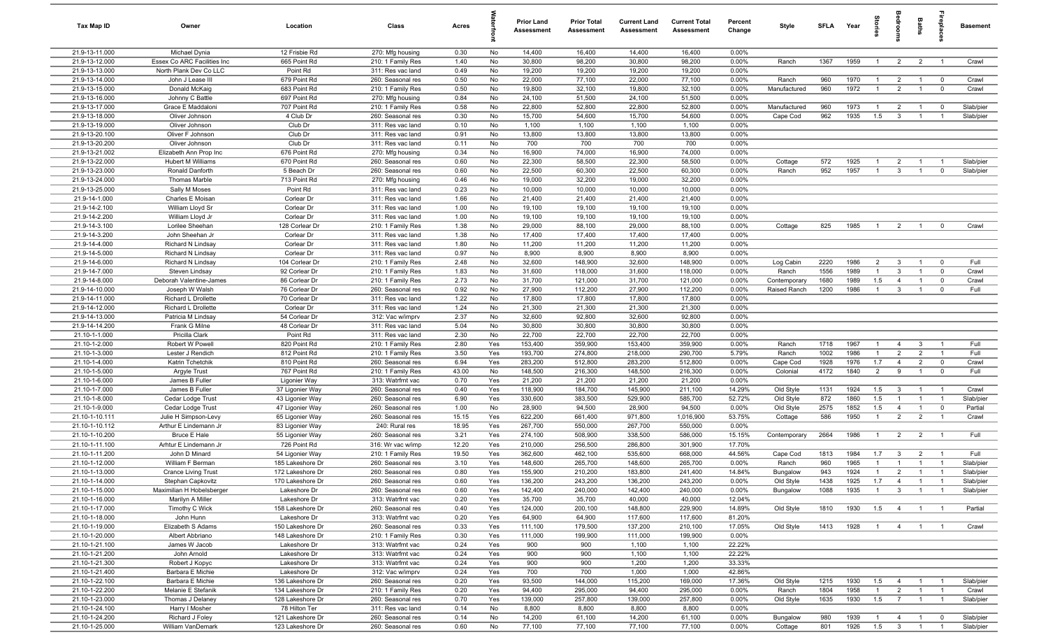| Tax Map ID                       | Owner                                     | Location                            | Class                                  | Acres         |            | <b>Prior Land</b><br><b>Assessment</b> | <b>Prior Total</b><br>Assessment | <b>Current Land</b><br><b>Assessment</b> | <b>Current Total</b><br><b>Assessment</b> | Percent<br>Change | Style                        | SFLA         | Year         |                                  |                                  | Baths                            |                                            | <b>Basement</b>        |
|----------------------------------|-------------------------------------------|-------------------------------------|----------------------------------------|---------------|------------|----------------------------------------|----------------------------------|------------------------------------------|-------------------------------------------|-------------------|------------------------------|--------------|--------------|----------------------------------|----------------------------------|----------------------------------|--------------------------------------------|------------------------|
| 21.9-13-11.000                   | Michael Dynia                             | 12 Frisbie Rd                       | 270: Mfg housing                       | 0.30          | No         | 14,400                                 | 16,400                           | 14,400                                   | 16,400                                    | 0.00%             |                              |              |              |                                  |                                  |                                  |                                            |                        |
| 21.9-13-12.000                   | Essex Co ARC Facilities Inc               | 665 Point Rd                        | 210: 1 Family Res                      | 1.40          | No         | 30,800                                 | 98,200                           | 30,800                                   | 98,200                                    | 0.00%             | Ranch                        | 1367         | 1959         | $\overline{1}$                   | $\overline{2}$                   | $\overline{2}$                   | $\overline{1}$                             | Crawl                  |
| 21.9-13-13.000<br>21.9-13-14.000 | North Plank Dev Co LLC                    | Point Rd                            | 311: Res vac land                      | 0.49          | No         | 19,200                                 | 19,200                           | 19,200                                   | 19,200                                    | 0.00%             | Ranch                        | 960          | 1970         | $\mathbf{1}$                     |                                  |                                  |                                            |                        |
| 21.9-13-15.000                   | John J Lease III<br>Donald McKaig         | 679 Point Rd<br>683 Point Rd        | 260: Seasonal res<br>210: 1 Family Res | 0.50<br>0.50  | No<br>No   | 22,000<br>19,800                       | 77,100<br>32,100                 | 22,000<br>19,800                         | 77,100<br>32,100                          | 0.00%<br>0.00%    | Manufactured                 | 960          | 1972         |                                  | $\overline{2}$<br>$\overline{2}$ |                                  | $\overline{0}$<br>$\overline{0}$           | Crawl<br>Crawl         |
| 21.9-13-16.000                   | Johnny C Battle                           | 697 Point Rd                        | 270: Mfg housing                       | 0.84          | No         | 24,100                                 | 51,500                           | 24,100                                   | 51,500                                    | 0.00%             |                              |              |              |                                  |                                  |                                  |                                            |                        |
| 21.9-13-17.000                   | Grace E Maddaloni                         | 707 Point Rd                        | 210: 1 Family Res                      | 0.58          | No         | 22,800                                 | 52,800                           | 22,800                                   | 52,800                                    | 0.00%             | Manufactured                 | 960          | 1973         | $\overline{1}$                   | $\overline{2}$                   |                                  | $\mathbf 0$                                | Slab/pier              |
| 21.9-13-18.000                   | Oliver Johnson                            | 4 Club Dr                           | 260: Seasonal res                      | 0.30          | No         | 15,700                                 | 54,600                           | 15,700                                   | 54,600                                    | 0.00%             | Cape Cod                     | 962          | 1935         | 1.5                              | $\overline{3}$                   | $\overline{1}$                   | $\overline{1}$                             | Slab/pier              |
| 21.9-13-19.000                   | Oliver Johnson                            | Club Dr                             | 311: Res vac land                      | 0.10          | No         | 1,100                                  | 1,100                            | 1,100                                    | 1,100                                     | 0.00%             |                              |              |              |                                  |                                  |                                  |                                            |                        |
| 21.9-13-20.100                   | Oliver F Johnson                          | Club Dr                             | 311: Res vac land                      | 0.91          | No         | 13,800                                 | 13,800                           | 13,800                                   | 13,800                                    | 0.00%             |                              |              |              |                                  |                                  |                                  |                                            |                        |
| 21.9-13-20.200                   | Oliver Johnson                            | Club Dr                             | 311: Res vac land                      | 0.11          | No         | 700                                    | 700                              | 700                                      | 700                                       | 0.00%             |                              |              |              |                                  |                                  |                                  |                                            |                        |
| 21.9-13-21.002                   | Elizabeth Ann Prop Inc                    | 676 Point Rd                        | 270: Mfg housing                       | 0.34          | No         | 16,900                                 | 74,000                           | 16,900                                   | 74,000                                    | 0.00%             |                              |              |              |                                  |                                  |                                  |                                            |                        |
| 21.9-13-22.000                   | <b>Hubert M Williams</b>                  | 670 Point Rd                        | 260: Seasonal res                      | 0.60          | No         | 22,300                                 | 58,500                           | 22,300                                   | 58,500                                    | 0.00%             | Cottage                      | 572          | 1925         | $\overline{1}$<br>$\overline{1}$ | $\overline{2}$                   | $\overline{1}$                   | - 1                                        | Slab/pier              |
| 21.9-13-23.000<br>21.9-13-24.000 | Ronald Danforth<br><b>Thomas Marble</b>   | 5 Beach Dr<br>713 Point Rd          | 260: Seasonal res                      | 0.60<br>0.46  | No<br>No   | 22,500<br>19,000                       | 60,300<br>32,200                 | 22,500<br>19,000                         | 60,300<br>32,200                          | 0.00%<br>0.00%    | Ranch                        | 952          | 1957         |                                  | $\mathbf{3}$                     | $\overline{1}$                   | $\mathbf 0$                                | Slab/pier              |
| 21.9-13-25.000                   | Sally M Moses                             | Point Rd                            | 270: Mfg housing<br>311: Res vac land  | 0.23          | No         | 10,000                                 | 10,000                           | 10,000                                   | 10,000                                    | 0.00%             |                              |              |              |                                  |                                  |                                  |                                            |                        |
| 21.9-14-1.000                    | Charles E Moisan                          | Corlear Dr                          | 311: Res vac land                      | 1.66          | No         | 21,400                                 | 21,400                           | 21,400                                   | 21,400                                    | 0.00%             |                              |              |              |                                  |                                  |                                  |                                            |                        |
| 21.9-14-2.100                    | William Lloyd Sr                          | Corlear Dr                          | 311: Res vac land                      | 1.00          | No         | 19,100                                 | 19,100                           | 19,100                                   | 19,100                                    | 0.00%             |                              |              |              |                                  |                                  |                                  |                                            |                        |
| 21.9-14-2.200                    | William Lloyd Jr                          | Corlear Dr                          | 311: Res vac land                      | 1.00          | No         | 19,100                                 | 19,100                           | 19,100                                   | 19,100                                    | 0.00%             |                              |              |              |                                  |                                  |                                  |                                            |                        |
| 21.9-14-3.100                    | Lorilee Sheehan                           | 128 Corlear Dr                      | 210: 1 Family Res                      | 1.38          | No         | 29,000                                 | 88,100                           | 29,000                                   | 88,100                                    | 0.00%             | Cottage                      | 825          | 1985         | $\overline{1}$                   | $\overline{2}$                   | $\overline{1}$                   | $\mathbf 0$                                | Crawl                  |
| 21.9-14-3.200                    | John Sheehan Jr                           | Corlear Dr                          | 311: Res vac land                      | 1.38          | No         | 17,400                                 | 17,400                           | 17,400                                   | 17,400                                    | 0.00%             |                              |              |              |                                  |                                  |                                  |                                            |                        |
| 21.9-14-4.000                    | <b>Richard N Lindsay</b>                  | Corlear Dr                          | 311: Res vac land                      | 1.80          | No         | 11,200                                 | 11,200                           | 11,200                                   | 11,200                                    | 0.00%             |                              |              |              |                                  |                                  |                                  |                                            |                        |
| 21.9-14-5.000                    | Richard N Lindsay                         | Corlear Dr                          | 311: Res vac land                      | 0.97          | No         | 8,900                                  | 8,900                            | 8,900                                    | 8,900                                     | 0.00%             |                              |              |              |                                  |                                  |                                  |                                            |                        |
| 21.9-14-6.000                    | <b>Richard N Lindsay</b>                  | 104 Corlear Dr                      | 210: 1 Family Res                      | 2.48          | No         | 32,600                                 | 148,900                          | 32,600                                   | 148,900                                   | 0.00%             | Log Cabin                    | 2220         | 1986         | 2                                | $\mathbf{3}$                     | $\overline{1}$                   | $\overline{0}$                             | Full                   |
| 21.9-14-7.000<br>21.9-14-8.000   | Steven Lindsay<br>Deborah Valentine-James | 92 Corlear Dr<br>86 Corlear Dr      | 210: 1 Family Res                      | 1.83<br>2.73  | No<br>No   | 31,600<br>31,700                       | 118,000<br>121,000               | 31,600<br>31,700                         | 118,000<br>121,000                        | 0.00%<br>0.00%    | Ranch                        | 1556<br>1680 | 1989<br>1989 | $\overline{1}$<br>1.5            | $\mathbf{3}$<br>$\overline{4}$   | $\overline{1}$<br>$\overline{1}$ | $\mathbf 0$<br>$\overline{0}$              | Crawl<br>Crawl         |
| 21.9-14-10.000                   | Joseph W Walsh                            | 76 Corlear Dr                       | 210: 1 Family Res<br>260: Seasonal res | 0.92          | No         | 27,900                                 | 112,200                          | 27,900                                   | 112,200                                   | 0.00%             | Contemporary<br>Raised Ranch | 1200         | 1986         | $\overline{1}$                   | $\mathbf{3}$                     | $\overline{1}$                   | $\mathbf 0$                                | Full                   |
| 21.9-14-11.000                   | Richard L Drollette                       | 70 Corlear Dr                       | 311: Res vac land                      | 1.22          | No         | 17,800                                 | 17,800                           | 17,800                                   | 17,800                                    | 0.00%             |                              |              |              |                                  |                                  |                                  |                                            |                        |
| 21.9-14-12.000                   | Richard L Drollette                       | Corlear Dr                          | 311: Res vac land                      | 1.24          | No         | 21,300                                 | 21,300                           | 21,300                                   | 21,300                                    | 0.00%             |                              |              |              |                                  |                                  |                                  |                                            |                        |
| 21.9-14-13.000                   | Patricia M Lindsay                        | 54 Corlear Dr                       | 312: Vac w/imprv                       | 2.37          | No         | 32,600                                 | 92,800                           | 32,600                                   | 92,800                                    | 0.00%             |                              |              |              |                                  |                                  |                                  |                                            |                        |
| 21.9-14-14.200                   | Frank G Milne                             | 48 Corlear Dr                       | 311: Res vac land                      | 5.04          | No         | 30,800                                 | 30,800                           | 30,800                                   | 30,800                                    | 0.00%             |                              |              |              |                                  |                                  |                                  |                                            |                        |
| 21.10-1-1.000                    | Pricilla Clark                            | Point Rd                            | 311: Res vac land                      | 2.30          | No         | 22,700                                 | 22,700                           | 22,700                                   | 22,700                                    | 0.00%             |                              |              |              |                                  |                                  |                                  |                                            |                        |
| 21.10-1-2.000                    | Robert W Powell                           | 820 Point Rd                        | 210: 1 Family Res                      | 2.80          | Yes        | 153,400                                | 359,900                          | 153,400                                  | 359,900                                   | 0.00%             | Ranch                        | 1718         | 1967         | $\overline{1}$                   | $\overline{4}$                   | $\mathbf{3}$                     | $\overline{1}$                             | Full                   |
| 21.10-1-3.000                    | Lester J Rendich                          | 812 Point Rd                        | 210: 1 Family Res                      | 3.50          | Yes        | 193,700                                | 274,800                          | 218,000                                  | 290,700                                   | 5.79%             | Ranch                        | 1002         | 1986         | $\overline{1}$                   | 2                                | $\overline{2}$                   | $\overline{1}$                             | Full                   |
| 21.10-1-4.000                    | Katrin Tchetchik                          | 810 Point Rd                        | 260: Seasonal res                      | 6.94          | Yes        | 283,200                                | 512,800                          | 283,200                                  | 512,800                                   | 0.00%             | Cape Cod                     | 1928         | 1976         | 1.7                              | $\overline{4}$                   | $\overline{2}$                   | $\mathbf 0$                                | Crawl                  |
| 21.10-1-5.000<br>21.10-1-6.000   | Argyle Trust<br>James B Fuller            | 767 Point Rd<br>Ligonier Way        | 210: 1 Family Res<br>313: Watrfrnt vac | 43.00<br>0.70 | No<br>Yes  | 148,500<br>21,200                      | 216,300<br>21,200                | 148,500<br>21,200                        | 216,300<br>21,200                         | 0.00%<br>0.00%    | Colonial                     | 4172         | 1840         | $\overline{2}$                   | 9                                | $\mathbf{1}$                     | $\overline{0}$                             | Full                   |
| 21.10-1-7.000                    | James B Fuller                            | 37 Ligonier Way                     | 260: Seasonal res                      | 0.40          | Yes        | 118,900                                | 184,700                          | 145,900                                  | 211,100                                   | 14.29%            | Old Style                    | 1131         | 1924         | 1.5                              | $\mathbf{3}$                     | $\overline{1}$                   | $\overline{1}$                             | Crawl                  |
| 21.10-1-8.000                    | Cedar Lodge Trust                         | 43 Ligonier Way                     | 260: Seasonal res                      | 6.90          | Yes        | 330,600                                | 383,500                          | 529,900                                  | 585,700                                   | 52.72%            | Old Style                    | 872          | 1860         | 1.5                              |                                  |                                  | $\overline{1}$                             | Slab/pier              |
| 21.10-1-9.000                    | Cedar Lodge Trust                         | 47 Ligonier Way                     | 260: Seasonal res                      | 1.00          | No         | 28,900                                 | 94,500                           | 28,900                                   | 94,500                                    | 0.00%             | Old Style                    | 2575         | 1852         | 1.5                              | $\overline{4}$                   | $\mathbf{1}$                     | $\mathbf 0$                                | Partial                |
| 21.10-1-10.111                   | Julie H Simpson-Levy                      | 65 Ligonier Way                     | 260: Seasonal res                      | 15.15         | Yes        | 622,200                                | 661,400                          | 971,800                                  | 1,016,900                                 | 53.75%            | Cottage                      | 586          | 1950         | $\mathbf{1}$                     | $\overline{2}$                   | $\overline{2}$                   | $\overline{1}$                             | Crawl                  |
| 21.10-1-10.112                   | Arthur E Lindemann Jr                     | 83 Ligonier Way                     | 240: Rural res                         | 18.95         | Yes        | 267,700                                | 550,000                          | 267,700                                  | 550,000                                   | 0.00%             |                              |              |              |                                  |                                  |                                  |                                            |                        |
| 21.10-1-10.200                   | <b>Bruce E Hale</b>                       | 55 Ligonier Way                     | 260: Seasonal res                      | 3.21          | Yes        | 274,100                                | 508,900                          | 338,500                                  | 586,000                                   | 15.15%            | Contemporary                 | 2664         | 1986         | $\overline{1}$                   | $\overline{2}$                   | $\overline{2}$                   | - 1                                        | Full                   |
| 21.10-1-11.100                   | Arhtur E Lindemann Jr                     | 726 Point Rd                        | 316: Wr vac w/imp                      | 12.20         | Yes        | 210,000                                | 256,500                          | 286,800                                  | 301,900                                   | 17.70%            |                              |              |              |                                  |                                  |                                  |                                            |                        |
| 21.10-1-11.200                   | John D Minard<br>William F Berman         | 54 Ligonier Way<br>185 Lakeshore Dr | 210: 1 Family Res<br>260: Seasonal res | 19.50         | Yes<br>Yes | 362,600                                | 462,100<br>265,700               | 535,600                                  | 668,000<br>265,700                        | 44.56%<br>0.00%   | Cape Cod                     | 1813<br>960  | 1984<br>1965 | 1.7<br>$\overline{1}$            | $\mathbf{3}$<br>$\overline{1}$   | $\overline{2}$<br>$\overline{1}$ | $\overline{\phantom{0}}$<br>$\overline{1}$ | Full                   |
| 21.10-1-12.000<br>21.10-1-13.000 | Crance Living Trust                       | 172 Lakeshore Dr                    | 260: Seasonal res                      | 3.10<br>0.80  | Yes        | 148,600<br>155,900                     | 210,200                          | 148,600<br>183,800                       | 241,400                                   | 14.84%            | Ranch<br>Bungalow            | 943          | 1924         | $\overline{1}$                   | 2                                |                                  |                                            | Slab/pier<br>Slab/pier |
| 21.10-1-14.000                   | Stephan Capkovitz                         | 170 Lakeshore Dr                    | 260: Seasonal res                      | 0.60          | Yes        | 136,200                                | 243,200                          | 136,200                                  | 243,200                                   | 0.00%             | Old Style                    | 1438         | 1925         | 1.7                              | $\overline{4}$                   | $\overline{1}$                   | $\overline{1}$                             | Slab/pier              |
| 21.10-1-15.000                   | Maximilian H Hobelsberger                 | Lakeshore Dr                        | 260: Seasonal res                      | 0.60          | Yes        | 142,400                                | 240,000                          | 142,400                                  | 240,000                                   | 0.00%             | Bungalow                     | 1088         | 1935         | $\overline{1}$                   | $\mathbf{3}$                     | $\overline{1}$                   | $\overline{1}$                             | Slab/pier              |
| 21.10-1-16.000                   | Marilyn A Miller                          | Lakeshore Dr                        | 313: Watrfrnt vac                      | 0.20          | Yes        | 35,700                                 | 35,700                           | 40,000                                   | 40,000                                    | 12.04%            |                              |              |              |                                  |                                  |                                  |                                            |                        |
| 21.10-1-17.000                   | Timothy C Wick                            | 158 Lakeshore Dr                    | 260: Seasonal res                      | 0.40          | Yes        | 124,000                                | 200,100                          | 148,800                                  | 229,900                                   | 14.89%            | Old Style                    | 1810         | 1930         | 1.5                              | $\overline{4}$                   | $\overline{1}$                   | $\overline{1}$                             | Partial                |
| 21.10-1-18.000                   | John Hunn                                 | Lakeshore Dr                        | 313: Watrfrnt vac                      | 0.20          | Yes        | 64,900                                 | 64,900                           | 117,600                                  | 117,600                                   | 81.20%            |                              |              |              |                                  |                                  |                                  |                                            |                        |
| 21.10-1-19.000                   | Elizabeth S Adams                         | 150 Lakeshore Dr                    | 260: Seasonal res                      | 0.33          | Yes        | 111,100                                | 179,500                          | 137,200                                  | 210,100                                   | 17.05%            | Old Style                    | 1413         | 1928         | $\overline{1}$                   | $\overline{4}$                   | $\overline{1}$                   | $\overline{1}$                             | Crawl                  |
| 21.10-1-20.000                   | Albert Abbriano                           | 148 Lakeshore Dr                    | 210: 1 Family Res                      | 0.30          | Yes        | 111,000                                | 199,900                          | 111,000                                  | 199,900                                   | 0.00%             |                              |              |              |                                  |                                  |                                  |                                            |                        |
| 21.10-1-21.100                   | James W Jacob                             | Lakeshore Dr                        | 313: Watrfrnt vac                      | 0.24          | Yes        | 900                                    | 900                              | 1,100                                    | 1,100                                     | 22.22%            |                              |              |              |                                  |                                  |                                  |                                            |                        |
| 21.10-1-21.200<br>21.10-1-21.300 | John Arnold<br>Robert J Kopyc             | Lakeshore Dr<br>Lakeshore Dr        | 313: Watrfrnt vac<br>313: Watrfrnt vac | 0.24<br>0.24  | Yes<br>Yes | 900<br>900                             | 900<br>900                       | 1,100<br>1,200                           | 1,100<br>1,200                            | 22.22%<br>33.33%  |                              |              |              |                                  |                                  |                                  |                                            |                        |
| 21.10-1-21.400                   | Barbara E Michie                          | Lakeshore Dr                        | 312: Vac w/imprv                       | 0.24          | Yes        | 700                                    | 700                              | 1,000                                    | 1,000                                     | 42.86%            |                              |              |              |                                  |                                  |                                  |                                            |                        |
| 21.10-1-22.100                   | Barbara E Michie                          | 136 Lakeshore Dr                    | 260: Seasonal res                      | 0.20          | Yes        | 93,500                                 | 144,000                          | 115,200                                  | 169,000                                   | 17.36%            | Old Style                    | 1215         | 1930         | 1.5                              | $\overline{4}$                   | $\overline{1}$                   | $\overline{1}$                             | Slab/pier              |
| 21.10-1-22.200                   | Melanie E Stefanik                        | 134 Lakeshore Dr                    | 210: 1 Family Res                      | 0.20          | Yes        | 94,400                                 | 295,000                          | 94,400                                   | 295,000                                   | 0.00%             | Ranch                        | 1804         | 1958         | $\overline{1}$                   | $\overline{2}$                   | $\overline{1}$                   | $\overline{1}$                             | Crawl                  |
| 21.10-1-23.000                   | Thomas J Delaney                          | 128 Lakeshore Dr                    | 260: Seasonal res                      | 0.70          | Yes        | 139,000                                | 257,800                          | 139,000                                  | 257,800                                   | 0.00%             | Old Style                    | 1635         | 1930         | 1.5                              | $7\overline{ }$                  | $\overline{1}$                   | $\overline{1}$                             | Slab/pier              |
| 21.10-1-24.100                   | Harry I Mosher                            | 78 Hilton Ter                       | 311: Res vac land                      | 0.14          | No         | 8,800                                  | 8,800                            | 8,800                                    | 8,800                                     | 0.00%             |                              |              |              |                                  |                                  |                                  |                                            |                        |
| 21.10-1-24.200                   | Richard J Foley                           | 121 Lakeshore Dr                    | 260: Seasonal res                      | 0.14          | No         | 14,200                                 | 61,100                           | 14,200                                   | 61,100                                    | 0.00%             | Bungalow                     | 980          | 1939         | $\overline{1}$                   | $\overline{4}$                   | $\overline{1}$                   | $\overline{0}$                             | Slab/pier              |
| 21.10-1-25.000                   | William VanDemark                         | 123 Lakeshore Dr                    | 260: Seasonal res                      | 0.60          | No         | 77,100                                 | 77,100                           | 77,100                                   | 77,100                                    | 0.00%             | Cottage                      | 801          | 1926         | 1.5                              | $\overline{\mathbf{3}}$          | $\overline{1}$                   | $\overline{1}$                             | Slab/pier              |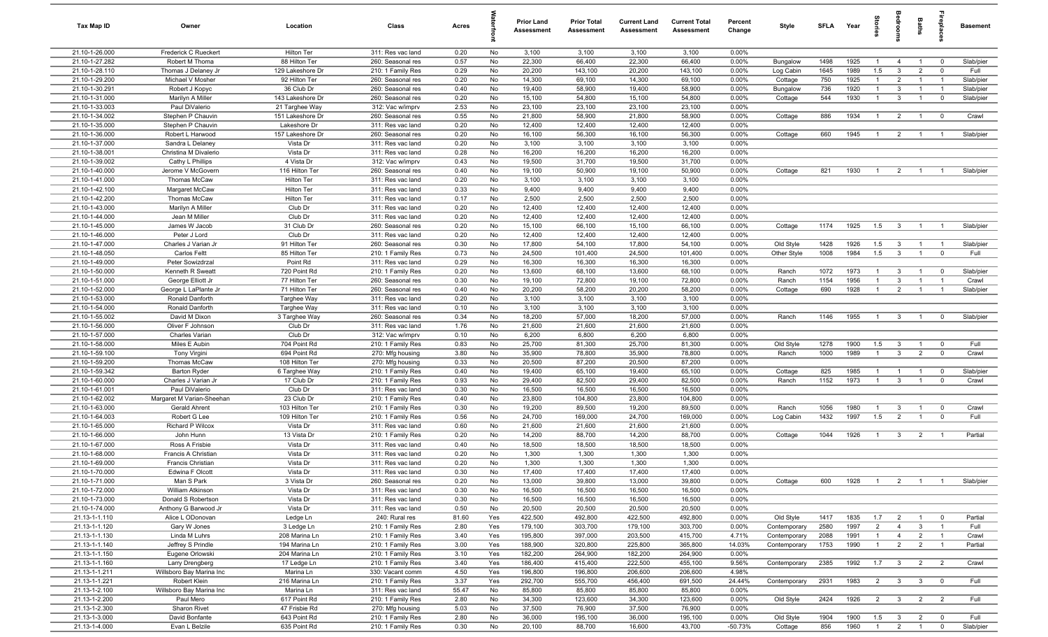| Tax Map ID                       | Owner                                      | Location                       | Class                                  | Acres         |           | Prior Land<br>Assessment | <b>Prior Total</b><br><b>Assessment</b> | <b>Current Land</b><br>Assessment | <b>Current Total</b><br><b>Assessment</b> | Percent<br>Change | Style                    | <b>SFLA</b> | Year         | lorie                            | droom                          | Baths                          | 률                                | <b>Basement</b>        |
|----------------------------------|--------------------------------------------|--------------------------------|----------------------------------------|---------------|-----------|--------------------------|-----------------------------------------|-----------------------------------|-------------------------------------------|-------------------|--------------------------|-------------|--------------|----------------------------------|--------------------------------|--------------------------------|----------------------------------|------------------------|
| 21.10-1-26.000                   | Frederick C Rueckert                       | Hilton Ter                     | 311: Res vac land                      | 0.20          | No        | 3,100                    | 3,100                                   | 3,100                             | 3,100                                     | 0.00%             |                          |             |              |                                  |                                |                                |                                  |                        |
| 21.10-1-27.282                   | Robert M Thoma                             | 88 Hilton Ter                  | 260: Seasonal res                      | 0.57          | No        | 22,300                   | 66,400                                  | 22,300                            | 66,400                                    | 0.00%             | Bungalow                 | 1498        | 1925         | $\overline{1}$                   | $\overline{4}$                 | $\overline{1}$                 | $\overline{0}$                   | Slab/pier              |
| 21.10-1-28.110                   | Thomas J Delaney Jr                        | 129 Lakeshore Dr               | 210: 1 Family Res                      | 0.29          | No        | 20,200                   | 143,100                                 | 20,200                            | 143,100                                   | 0.00%             | Log Cabin                | 1645        | 1989         | 1.5                              | $\mathbf{3}$                   | $\overline{2}$                 | $\overline{0}$                   | Full                   |
| 21.10-1-29.200                   | Michael V Mosher                           | 92 Hilton Ter                  | 260: Seasonal res                      | 0.20          | No        | 14,300                   | 69,100                                  | 14,300                            | 69,100                                    | 0.00%             | Cottage                  | 750         | 1925         | $\mathbf{1}$                     | $\overline{2}$                 | $\overline{1}$                 | $\overline{1}$                   | Slab/pier              |
| 21.10-1-30.291<br>21.10-1-31.000 | Robert J Kopyc<br>Marilyn A Miller         | 36 Club Dr<br>143 Lakeshore Dr | 260: Seasonal res                      | 0.40<br>0.20  | No<br>No  | 19,400<br>15,100         | 58,900<br>54,800                        | 19,400<br>15,100                  | 58,900<br>54,800                          | 0.00%<br>0.00%    | Bungalow                 | 736<br>544  | 1920<br>1930 | $\overline{1}$<br>$\overline{1}$ | $\mathbf{3}$<br>$\mathbf{3}$   | $\mathbf{1}$<br>$\overline{1}$ | $\overline{1}$<br>$\overline{0}$ | Slab/pier<br>Slab/pier |
| 21.10-1-33.003                   | Paul DiValerio                             | 21 Targhee Way                 | 260: Seasonal res<br>312: Vac w/imprv  | 2.53          | No        | 23,100                   | 23,100                                  | 23,100                            | 23,100                                    | 0.00%             | Cottage                  |             |              |                                  |                                |                                |                                  |                        |
| 21.10-1-34.002                   | Stephen P Chauvin                          | 151 Lakeshore Dr               | 260: Seasonal res                      | 0.55          | No        | 21,800                   | 58,900                                  | 21,800                            | 58,900                                    | 0.00%             | Cottage                  | 886         | 1934         | $\overline{1}$                   | $\overline{2}$                 | $\overline{1}$                 | $\overline{0}$                   | Crawl                  |
| 21.10-1-35.000                   | Stephen P Chauvin                          | Lakeshore Dr                   | 311: Res vac land                      | 0.20          | No        | 12,400                   | 12,400                                  | 12,400                            | 12,400                                    | 0.00%             |                          |             |              |                                  |                                |                                |                                  |                        |
| 21.10-1-36.000                   | Robert L Harwood                           | 157 Lakeshore Dr               | 260: Seasonal res                      | 0.20          | No        | 16,100                   | 56,300                                  | 16,100                            | 56,300                                    | 0.00%             | Cottage                  | 660         | 1945         | $\overline{1}$                   | $\overline{2}$                 | $\overline{1}$                 | $\overline{1}$                   | Slab/pier              |
| 21.10-1-37.000                   | Sandra L Delaney                           | Vista Dr                       | 311: Res vac land                      | 0.20          | No        | 3,100                    | 3,100                                   | 3,100                             | 3,100                                     | 0.00%             |                          |             |              |                                  |                                |                                |                                  |                        |
| 21.10-1-38.001                   | Christina M Divalerio                      | Vista Dr                       | 311: Res vac land                      | 0.28          | No        | 16,200                   | 16,200                                  | 16,200                            | 16,200                                    | 0.00%             |                          |             |              |                                  |                                |                                |                                  |                        |
| 21.10-1-39.002                   | Cathy L Phillips                           | 4 Vista Dr                     | 312: Vac w/imprv                       | 0.43          | No        | 19,500                   | 31,700                                  | 19,500                            | 31,700                                    | 0.00%             |                          |             |              |                                  |                                |                                |                                  |                        |
| 21.10-1-40.000                   | Jerome V McGovern                          | 116 Hilton Ter                 | 260: Seasonal res                      | 0.40          | No        | 19,100                   | 50,900                                  | 19,100                            | 50,900                                    | 0.00%             | Cottage                  | 821         | 1930         | $\overline{1}$                   | $\overline{2}$                 | $\overline{1}$                 | $\overline{1}$                   | Slab/pier              |
| 21.10-1-41.000                   | Thomas McCaw                               | Hilton Ter                     | 311: Res vac land                      | 0.20          | No        | 3,100                    | 3,100                                   | 3,100                             | 3,100                                     | 0.00%             |                          |             |              |                                  |                                |                                |                                  |                        |
| 21.10-1-42.100                   | Margaret McCaw                             | Hilton Ter                     | 311: Res vac land                      | 0.33          | No        | 9,400                    | 9,400                                   | 9,400                             | 9,400                                     | 0.00%             |                          |             |              |                                  |                                |                                |                                  |                        |
| 21.10-1-42.200                   | Thomas McCaw                               | Hilton Ter                     | 311: Res vac land                      | 0.17          | No        | 2,500                    | 2,500                                   | 2,500                             | 2,500                                     | 0.00%             |                          |             |              |                                  |                                |                                |                                  |                        |
| 21.10-1-43.000                   | Marilyn A Miller                           | Club Dr                        | 311: Res vac land                      | 0.20          | No        | 12,400                   | 12,400                                  | 12,400                            | 12,400                                    | 0.00%             |                          |             |              |                                  |                                |                                |                                  |                        |
| 21.10-1-44.000                   | Jean M Miller                              | Club Dr                        | 311: Res vac land                      | 0.20          | No        | 12,400                   | 12,400                                  | 12,400                            | 12,400                                    | 0.00%             |                          |             |              |                                  |                                |                                |                                  |                        |
| 21.10-1-45.000                   | James W Jacob                              | 31 Club Dr                     | 260: Seasonal res                      | 0.20          | No        | 15,100                   | 66,100                                  | 15,100                            | 66,100                                    | 0.00%             | Cottage                  | 1174        | 1925         | 1.5                              | $\mathbf{3}$                   | $\overline{1}$                 | $\overline{1}$                   | Slab/pier              |
| 21.10-1-46.000<br>21.10-1-47.000 | Peter J Lord<br>Charles J Varian Jr        | Club Dr<br>91 Hilton Ter       | 311: Res vac land<br>260: Seasonal res | 0.20<br>0.30  | No<br>No  | 12,400<br>17,800         | 12,400<br>54,100                        | 12,400<br>17,800                  | 12,400<br>54,100                          | 0.00%<br>0.00%    |                          | 1428        | 1926         | 1.5                              | $\mathbf{3}$                   | $\overline{1}$                 | $\overline{1}$                   | Slab/pier              |
| 21.10-1-48.050                   | Carlos Feltt                               | 85 Hilton Ter                  | 210: 1 Family Res                      | 0.73          | No        | 24,500                   | 101,400                                 | 24,500                            | 101,400                                   | 0.00%             | Old Style<br>Other Style | 1008        | 1984         | 1.5                              | $\mathbf{3}$                   | $\overline{1}$                 | $\overline{0}$                   | Full                   |
| 21.10-1-49.000                   | Peter Sowizdrzal                           | Point Rd                       | 311: Res vac land                      | 0.29          | No        | 16,300                   | 16,300                                  | 16,300                            | 16,300                                    | 0.00%             |                          |             |              |                                  |                                |                                |                                  |                        |
| 21.10-1-50.000                   | Kenneth R Sweatt                           | 720 Point Rd                   | 210: 1 Family Res                      | 0.20          | No        | 13,600                   | 68,100                                  | 13,600                            | 68,100                                    | 0.00%             | Ranch                    | 1072        | 1973         | $\overline{1}$                   | $\mathbf{3}$                   | $\overline{1}$                 | $\overline{0}$                   | Slab/pier              |
| 21.10-1-51.000                   | George Elliott Jr                          | 77 Hilton Ter                  | 260: Seasonal res                      | 0.30          | No        | 19,100                   | 72,800                                  | 19,100                            | 72,800                                    | 0.00%             | Ranch                    | 1154        | 1956         | $\overline{1}$                   | $\mathbf{3}$                   | $\mathbf{1}$                   | $\overline{1}$                   | Crawl                  |
| 21.10-1-52.000                   | George L LaPlante Jr                       | 71 Hilton Ter                  | 260: Seasonal res                      | 0.40          | No        | 20,200                   | 58,200                                  | 20,200                            | 58,200                                    | $0.00\%$          | Cottage                  | 690         | 1928         | $\overline{1}$                   | $\overline{2}$                 | $\overline{1}$                 | $\overline{1}$                   | Slab/pier              |
| 21.10-1-53.000                   | Ronald Danforth                            | Targhee Way                    | 311: Res vac land                      | 0.20          | No        | 3,100                    | 3,100                                   | 3,100                             | 3,100                                     | $0.00\%$          |                          |             |              |                                  |                                |                                |                                  |                        |
| 21.10-1-54.000                   | Ronald Danforth                            | Targhee Way                    | 311: Res vac land                      | 0.10          | No        | 3,100                    | 3,100                                   | 3,100                             | 3,100                                     | 0.00%             |                          |             |              |                                  |                                |                                |                                  |                        |
| 21.10-1-55.002                   | David M Dixon                              | 3 Targhee Way                  | 260: Seasonal res                      | 0.34          | No        | 18,200                   | 57,000                                  | 18,200                            | 57,000                                    | 0.00%             | Ranch                    | 1146        | 1955         | $\overline{1}$                   | $\overline{3}$                 | $\overline{1}$                 | $\overline{0}$                   | Slab/pier              |
| 21.10-1-56.000                   | Oliver F Johnson                           | Club Dr                        | 311: Res vac land                      | 1.76          | No        | 21,600                   | 21,600                                  | 21,600                            | 21,600                                    | 0.00%             |                          |             |              |                                  |                                |                                |                                  |                        |
| 21.10-1-57.000                   | Charles Varian                             | Club Dr                        | 312: Vac w/imprv                       | 0.10          | No        | 6,200                    | 6,800                                   | 6,200                             | 6,800                                     | 0.00%             |                          |             |              |                                  |                                |                                |                                  |                        |
| 21.10-1-58.000                   | Miles E Aubin                              | 704 Point Rd                   | 210: 1 Family Res                      | 0.83          | No        | 25,700                   | 81,300                                  | 25,700                            | 81,300                                    | 0.00%             | Old Style                | 1278        | 1900         | 1.5                              | $\mathbf{3}$                   | $\overline{1}$                 | $\overline{\mathbf{0}}$          | Full                   |
| 21.10-1-59.100                   | Tony Virgini                               | 694 Point Rd                   | 270: Mfg housing                       | 3.80          | No        | 35,900                   | 78,800                                  | 35,900                            | 78,800                                    | 0.00%             | Ranch                    | 1000        | 1989         | $\overline{1}$                   | $\mathbf{3}$                   | $\overline{2}$                 | $\overline{0}$                   | Crawl                  |
| 21.10-1-59.200                   | Thomas McCaw                               | 108 Hilton Ter                 | 270: Mfg housing                       | 0.33          | No        | 20,500                   | 87,200                                  | 20,500                            | 87,200                                    | 0.00%<br>0.00%    |                          | 825         |              |                                  |                                |                                |                                  |                        |
| 21.10-1-59.342<br>21.10-1-60.000 | <b>Barton Ryder</b><br>Charles J Varian Jr | 6 Targhee Way<br>17 Club Dr    | 210: 1 Family Res<br>210: 1 Family Res | 0.40<br>0.93  | No<br>No  | 19,400<br>29,400         | 65,100<br>82,500                        | 19,400<br>29,400                  | 65,100<br>82,500                          | 0.00%             | Cottage<br>Ranch         | 1152        | 1985<br>1973 | $\overline{1}$<br>$\overline{1}$ | $\overline{1}$<br>$\mathbf{3}$ | $\overline{1}$<br>$\mathbf{1}$ | $\overline{0}$<br>$\overline{0}$ | Slab/pier<br>Crawl     |
| 21.10-1-61.001                   | Paul DiValerio                             | Club Dr                        | 311: Res vac land                      | 0.30          | No        | 16,500                   | 16,500                                  | 16,500                            | 16,500                                    | 0.00%             |                          |             |              |                                  |                                |                                |                                  |                        |
| 21.10-1-62.002                   | Margaret M Varian-Sheehan                  | 23 Club Dr                     | 210: 1 Family Res                      | 0.40          | No        | 23,800                   | 104,800                                 | 23,800                            | 104,800                                   | 0.00%             |                          |             |              |                                  |                                |                                |                                  |                        |
| 21.10-1-63.000                   | Gerald Ahrent                              | 103 Hilton Ter                 | 210: 1 Family Res                      | 0.30          | No        | 19,200                   | 89,500                                  | 19,200                            | 89,500                                    | 0.00%             | Ranch                    | 1056        | 1980         | $\overline{1}$                   | $\mathbf{3}$                   | $\overline{1}$                 | $\overline{0}$                   | Crawl                  |
| 21.10-1-64.003                   | Robert G Lee                               | 109 Hilton Ter                 | 210: 1 Family Res                      | 0.56          | No        | 24,700                   | 169,000                                 | 24,700                            | 169,000                                   | 0.00%             | Log Cabin                | 1432        | 1997         | 1.5                              | $\overline{2}$                 |                                | $\mathbf 0$                      | Full                   |
| 21.10-1-65.000                   | Richard P Wilcox                           | Vista Dr                       | 311: Res vac land                      | 0.60          | No        | 21,600                   | 21,600                                  | 21,600                            | 21,600                                    | 0.00%             |                          |             |              |                                  |                                |                                |                                  |                        |
| 21.10-1-66.000                   | John Hunn                                  | 13 Vista Dr                    | 210: 1 Family Res                      | 0.20          | No        | 14,200                   | 88,700                                  | 14,200                            | 88,700                                    | 0.00%             | Cottage                  | 1044        | 1926         | $\overline{1}$                   | $\mathbf{3}$                   | $\overline{2}$                 | $\overline{1}$                   | Partial                |
| 21.10-1-67.000                   | Ross A Frisbie                             | Vista Dr                       | 311: Res vac land                      | 0.40          | No        | 18,500                   | 18,500                                  | 18,500                            | 18,500                                    | 0.00%             |                          |             |              |                                  |                                |                                |                                  |                        |
| 21.10-1-68.000                   | Francis A Christian                        | Vista Dr                       | 311: Res vac land                      | 0.20          | No        | 1,300                    | 1,300                                   | 1,300                             | 1,300                                     | 0.00%             |                          |             |              |                                  |                                |                                |                                  |                        |
| 21.10-1-69.000                   | Francis Christian                          | Vista Dr                       | 311: Res vac land                      | 0.20          | No        | 1,300                    | 1,300                                   | 1,300                             | 1,300                                     | 0.00%             |                          |             |              |                                  |                                |                                |                                  |                        |
| 21.10-1-70.000                   | Edwina F Olcott                            | Vista Dr                       | 311: Res vac land                      | 0.30          | No        | 17,400                   | 17,400                                  | 17,400                            | 17,400                                    | 0.00%             |                          |             |              |                                  |                                |                                |                                  |                        |
| 21.10-1-71.000                   | Man S Park                                 | 3 Vista Dr                     | 260: Seasonal res                      | 0.20          | No        | 13,000                   | 39,800                                  | 13,000                            | 39,800                                    | 0.00%             | Cottage                  | 600         | 1928         | $\overline{1}$                   | $\overline{2}$                 | $\overline{1}$                 | $\overline{1}$                   | Slab/pier              |
| 21.10-1-72.000                   | <b>William Atkinson</b>                    | Vista Dr                       | 311: Res vac land                      | 0.30          | No        | 16,500                   | 16,500                                  | 16,500                            | 16,500                                    | 0.00%             |                          |             |              |                                  |                                |                                |                                  |                        |
| 21.10-1-73.000<br>21.10-1-74.000 | Donald S Robertson                         | Vista Dr<br>Vista Dr           | 311: Res vac land                      | 0.30          | No        | 16,500                   | 16,500                                  | 16,500                            | 16,500                                    | 0.00%<br>0.00%    |                          |             |              |                                  |                                |                                |                                  |                        |
| 21.13-1-1.110                    | Anthony G Barwood Jr<br>Alice L ODonovan   |                                | 311: Res vac land<br>240: Rural res    | 0.50<br>81.60 | No<br>Yes | 20,500<br>422,500        | 20,500<br>492,800                       | 20,500<br>422,500                 | 20,500<br>492,800                         | 0.00%             | Old Style                | 1417        | 1835         | 1.7                              | $\overline{2}$                 | $\overline{1}$                 | $\overline{0}$                   | Partial                |
| 21.13-1-1.120                    | Gary W Jones                               | Ledge Ln<br>3 Ledge Ln         | 210: 1 Family Res                      | 2.80          | Yes       | 179,100                  | 303,700                                 | 179,100                           | 303,700                                   | 0.00%             | Contemporary             | 2580        | 1997         | $\overline{2}$                   | $\overline{4}$                 | $\mathbf{3}$                   | $\overline{1}$                   | Full                   |
| 21.13-1-1.130                    | Linda M Luhrs                              | 208 Marina Ln                  | 210: 1 Family Res                      | 3.40          | Yes       | 195,800                  | 397,000                                 | 203,500                           | 415,700                                   | 4.71%             | Contemporary             | 2088        | 1991         | $\overline{1}$                   | $\overline{4}$                 | $\overline{2}$                 | $\overline{1}$                   | Crawl                  |
| 21.13-1-1.140                    | Jeffrey S Prindle                          | 194 Marina Ln                  | 210: 1 Family Res                      | 3.00          | Yes       | 188,900                  | 320,800                                 | 225,800                           | 365,800                                   | 14.03%            | Contemporary             | 1753        | 1990         | $\overline{1}$                   | $\overline{2}$                 | $\overline{2}$                 | $\overline{1}$                   | Partial                |
| 21.13-1-1.150                    | Eugene Orlowski                            | 204 Marina Ln                  | 210: 1 Family Res                      | 3.10          | Yes       | 182,200                  | 264,900                                 | 182,200                           | 264,900                                   | 0.00%             |                          |             |              |                                  |                                |                                |                                  |                        |
| 21.13-1-1.160                    | Larry Drengberg                            | 17 Ledge Ln                    | 210: 1 Family Res                      | 3.40          | Yes       | 186,400                  | 415,400                                 | 222,500                           | 455,100                                   | 9.56%             | Contemporary             | 2385        | 1992         | 1.7                              | $\overline{\mathbf{3}}$        | $\overline{2}$                 | $\overline{2}$                   | Crawl                  |
| 21.13-1-1.211                    | Willsboro Bay Marina Inc                   | Marina Ln                      | 330: Vacant comm                       | 4.50          | Yes       | 196,800                  | 196,800                                 | 206,600                           | 206,600                                   | 4.98%             |                          |             |              |                                  |                                |                                |                                  |                        |
| 21.13-1-1.221                    | Robert Klein                               | 216 Marina Ln                  | 210: 1 Family Res                      | 3.37          | Yes       | 292,700                  | 555,700                                 | 456,400                           | 691,500                                   | 24.44%            | Contemporary             | 2931        | 1983         | 2                                | $\overline{\mathbf{3}}$        | $\mathbf{3}$                   | $\overline{0}$                   | Full                   |
| 21.13-1-2.100                    | Willsboro Bay Marina Inc                   | Marina Ln                      | 311: Res vac land                      | 55.47         | No        | 85,800                   | 85,800                                  | 85,800                            | 85,800                                    | 0.00%             |                          |             |              |                                  |                                |                                |                                  |                        |
| 21.13-1-2.200                    | Paul Mero                                  | 617 Point Rd                   | 210: 1 Family Res                      | 2.80          | No        | 34,300                   | 123,600                                 | 34,300                            | 123,600                                   | 0.00%             | Old Style                | 2424        | 1926         | 2                                | $\overline{\mathbf{3}}$        | $\overline{2}$                 | $\overline{2}$                   | Full                   |
| 21.13-1-2.300                    | Sharon Rivet                               | 47 Frisbie Rd                  | 270: Mfg housing                       | 5.03          | No        | 37,500                   | 76,900                                  | 37,500                            | 76,900                                    | 0.00%             |                          |             |              |                                  |                                |                                |                                  |                        |
| 21.13-1-3.000                    | David Bonfante                             | 643 Point Rd                   | 210: 1 Family Res                      | 2.80          | No        | 36,000                   | 195,100                                 | 36,000                            | 195,100                                   | 0.00%             | Old Style                | 1904        | 1900         | 1.5                              | $\overline{\mathbf{3}}$        | $\overline{2}$                 | $\overline{0}$                   | Full                   |
| 21.13-1-4.000                    | Evan L Belzile                             | 635 Point Rd                   | 210: 1 Family Res                      | 0.30          | No        | 20,100                   | 88,700                                  | 16,600                            | 43,700                                    | $-50.73%$         | Cottage                  | 856         | 1960         | $\overline{1}$                   | $\overline{2}$                 | $\overline{1}$                 | $\overline{0}$                   | Slab/pier              |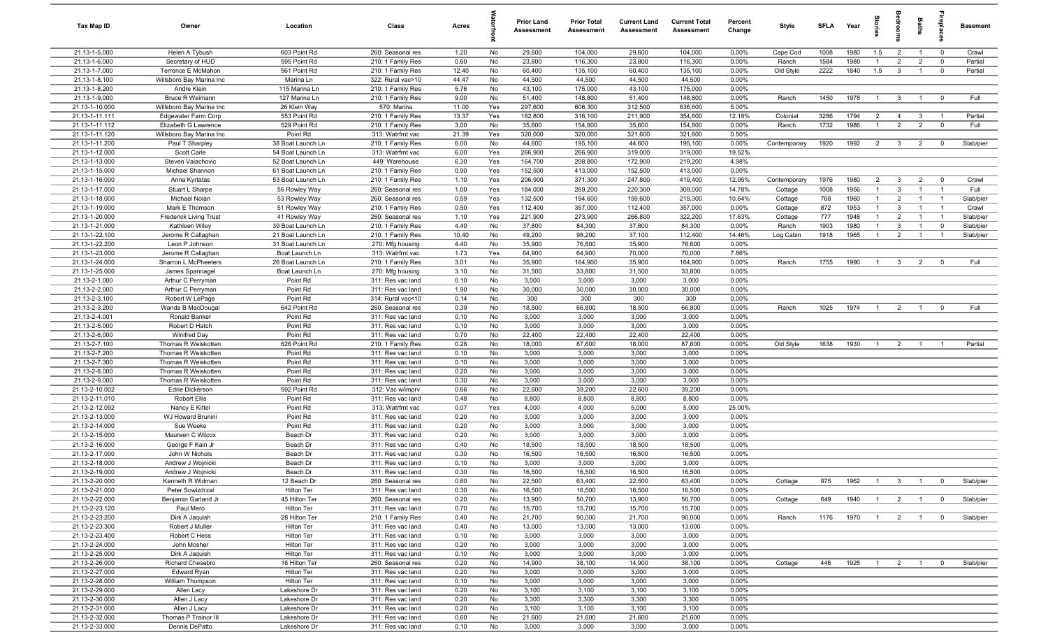| Tax Map ID                       | Owner                                       | Location                      | Class                                  | Acres         |           | Prior Land<br><b>Assessment</b> | <b>Prior Total</b><br><b>Assessment</b> | <b>Current Land</b><br><b>Assessment</b> | <b>Current Total</b><br><b>Assessment</b> | Percent<br>Change | Style        | <b>SFLA</b> | Year | ğ              | ă              | <b>Baths</b>   | ę                       | <b>Basement</b> |
|----------------------------------|---------------------------------------------|-------------------------------|----------------------------------------|---------------|-----------|---------------------------------|-----------------------------------------|------------------------------------------|-------------------------------------------|-------------------|--------------|-------------|------|----------------|----------------|----------------|-------------------------|-----------------|
| 21.13-1-5.000                    | Helen A Tybush                              | 603 Point Rd                  | 260: Seasonal res                      | 1.20          | No        | 29,600                          | 104,000                                 | 29,600                                   | 104,000                                   | 0.00%             | Cape Cod     | 1008        | 1980 | 1.5            | $\overline{2}$ | $\overline{1}$ | $\overline{\mathbf{0}}$ | Crawl           |
| 21.13-1-6.000                    | Secretary of HUD                            | 595 Point Rd                  | 210: 1 Family Res                      | 0.60          | No        | 23,800                          | 116,300                                 | 23,800                                   | 116,300                                   | 0.00%             | Ranch        | 1584        | 1980 | $\overline{1}$ | $\overline{2}$ | $\overline{2}$ | $\mathbf 0$             | Partial         |
| 21.13-1-7.000                    | Terrence E McMahon                          | 561 Point Rd                  | 210: 1 Family Res                      | 12.40         | No        | 60,400                          | 135,100                                 | 60,400                                   | 135,100                                   | 0.00%             | Old Style    | 2222        | 1840 | 1.5            | $\overline{3}$ | $\mathbf{1}$   | $\mathbf 0$             | Partial         |
| 21.13-1-8.100                    | Willsboro Bay Marina Inc                    | Marina Ln                     | 322: Rural vac>10                      | 44.47         | No        | 44,500                          | 44,500                                  | 44,500                                   | 44,500                                    | 0.00%             |              |             |      |                |                |                |                         |                 |
| 21.13-1-8.200                    | Andre Klein                                 | 115 Marina Ln                 | 210: 1 Family Res                      | 5.76          | No        | 43,100                          | 175,000                                 | 43,100                                   | 175,000                                   | 0.00%             |              |             |      |                |                |                |                         |                 |
| 21.13-1-9.000                    | <b>Bruce R Weimann</b>                      | 127 Marina Ln                 | 210: 1 Family Res                      | 9.00          | No        | 51,400                          | 148,800                                 | 51,400                                   | 148,800                                   | 0.00%             | Ranch        | 1450        | 1978 | $\overline{1}$ | $\overline{3}$ | $\overline{1}$ | $\mathbf 0$             | Full            |
| 21.13-1-10.000                   | Willsboro Bay Marina Inc                    | 26 Klein Way                  | 570: Marina                            | 11.00         | Yes       | 297,600                         | 606,300                                 | 312,500                                  | 636,600                                   | 5.00%             |              |             |      |                |                |                |                         |                 |
| 21.13-1-11.111                   | <b>Edgewater Farm Corp</b>                  | 553 Point Rd                  | 210: 1 Family Res                      | 13.37         | Yes       | 182,800                         | 316,100                                 | 211,900                                  | 354,600                                   | 12.18%            | Colonial     | 3286        | 1794 | $\overline{2}$ | $\overline{4}$ | $\mathbf{3}$   | $\overline{1}$          | Partial         |
| 21.13-1-11.112                   | Elizabeth G Lawrence                        | 529 Point Rd                  | 210: 1 Family Res<br>313: Watrfrnt vac | 3.00          | No        | 35,600                          | 154,800                                 | 35,600                                   | 154,800                                   | 0.00%             | Ranch        | 1732        | 1986 | $\overline{1}$ | $\overline{2}$ | $\overline{2}$ | $\mathbf 0$             | Full            |
| 21.13-1-11.120<br>21.13-1-11.200 | Willsboro Bay Marina Inc<br>Paul T Sharpley | Point Rd<br>38 Boat Launch Ln | 210: 1 Family Res                      | 21.39<br>6.00 | Yes<br>No | 320,000<br>44,600               | 320,000<br>195,100                      | 321,600<br>44,600                        | 321,600<br>195,100                        | 0.50%<br>0.00%    | Contemporary | 1920        | 1992 | $\overline{2}$ | $\mathbf{3}$   | $\overline{2}$ | $\mathbf 0$             | Slab/pier       |
| 21.13-1-12.000                   | Scott Carle                                 | 54 Boat Launch Ln             | 313: Watrfrnt vac                      | 6.00          | Yes       | 266,900                         | 266,900                                 | 319,000                                  | 319,000                                   | 19.52%            |              |             |      |                |                |                |                         |                 |
| 21.13-1-13.000                   | Steven Valachovic                           | 52 Boat Launch Ln             | 449: Warehouse                         | 6.30          | Yes       | 164,700                         | 208,800                                 | 172,900                                  | 219,200                                   | 4.98%             |              |             |      |                |                |                |                         |                 |
| 21.13-1-15.000                   | Michael Shannon                             | 61 Boat Launch Ln             | 210: 1 Family Res                      | 0.90          | Yes       | 152,500                         | 413,000                                 | 152,500                                  | 413,000                                   | $0.00\%$          |              |             |      |                |                |                |                         |                 |
| 21.13-1-16.000                   | Anna Kyrtatas                               | 53 Boat Launch Ln             | 210: 1 Family Res                      | 1.10          | Yes       | 206,900                         | 371,300                                 | 247,800                                  | 419,400                                   | 12.95%            | Contemporary | 1976        | 1980 | $\overline{2}$ | 3              | $\overline{2}$ | $\mathbf 0$             | Crawl           |
| 21.13-1-17.000                   | Stuart L Sharpe                             | 56 Rowley Way                 | 260: Seasonal res                      | 1.00          | Yes       | 184,000                         | 269,200                                 | 220,300                                  | 309,000                                   | 14.78%            | Cottage      | 1008        | 1956 |                | $\mathbf{3}$   |                | $\overline{1}$          | Full            |
| 21.13-1-18.000                   | Michael Nolan                               | 53 Rowley Way                 | 260: Seasonal res                      | 0.59          | Yes       | 132,500                         | 194,600                                 | 159,600                                  | 215,300                                   | 10.64%            | Cottage      | 768         | 1960 | $\mathbf{1}$   | $\overline{2}$ |                | - 1                     | Slab/pier       |
| 21.13-1-19.000                   | Mark E Thomson                              | 51 Rowley Way                 | 210: 1 Family Res                      | 0.50          | Yes       | 112,400                         | 357,000                                 | 112,400                                  | 357,000                                   | 0.00%             | Cottage      | 872         | 1953 | $\mathbf{1}$   | $\mathbf{3}$   | $\overline{1}$ | $\overline{1}$          | Crawl           |
| 21.13-1-20.000                   | <b>Frederick Living Trust</b>               | 41 Rowley Way                 | 260: Seasonal res                      | 1.10          | Yes       | 221,900                         | 273,900                                 | 266,800                                  | 322,200                                   | 17.63%            | Cottage      | 777         | 1948 | $\overline{1}$ | $\overline{2}$ |                | $\overline{1}$          | Slab/pier       |
| 21.13-1-21.000                   | Kathleen Wiley                              | 39 Boat Launch Ln             | 210: 1 Family Res                      | 4.40          | No        | 37,800                          | 84,300                                  | 37,800                                   | 84,300                                    | 0.00%             | Ranch        | 1903        | 1980 | $\overline{1}$ | $\mathbf{3}$   | $\overline{1}$ | $\overline{0}$          | Slab/pier       |
| 21.13-1-22.100                   | Jerome R Callaghan                          | 21 Boat Launch Ln             | 210: 1 Family Res                      | 10.40         | No        | 49,200                          | 98,200                                  | 37,100                                   | 112,400                                   | 14.46%            | Log Cabin    | 1918        | 1965 | $\overline{1}$ | $\overline{2}$ | $\overline{1}$ | $\overline{1}$          | Slab/pier       |
| 21.13-1-22.200                   | Leon P Johnson                              | 31 Boat Launch Ln             | 270: Mfg housing                       | 4.40          | No        | 35,900                          | 76,600                                  | 35,900                                   | 76,600                                    | 0.00%             |              |             |      |                |                |                |                         |                 |
| 21.13-1-23.000                   | Jerome R Callaghan                          | Boat Launch Ln                | 313: Watrfrnt vac                      | 1.73          | Yes       | 64,900                          | 64,900                                  | 70,000                                   | 70,000                                    | 7.86%             |              |             |      |                |                |                |                         |                 |
| 21.13-1-24.000                   | Sharron L McPheeters                        | 26 Boat Launch Ln             | 210: 1 Family Res                      | 3.01          | No        | 35,900                          | 164,900                                 | 35,900                                   | 164,900                                   | 0.00%             | Ranch        | 1755        | 1990 | $\overline{1}$ | $\mathbf{3}$   | $\overline{2}$ | $\mathbf{0}$            | Full            |
| 21.13-1-25.000                   | James Spannagel                             | Boat Launch Ln                | 270: Mfg housing                       | 3.10          | No        | 31,500                          | 33,800                                  | 31,500                                   | 33,800                                    | 0.00%             |              |             |      |                |                |                |                         |                 |
| 21.13-2-1.000                    | Arthur C Perryman                           | Point Rd                      | 311: Res vac land                      | 0.10          | No        | 3,000                           | 3,000                                   | 3,000                                    | 3,000                                     | 0.00%             |              |             |      |                |                |                |                         |                 |
| 21.13-2-2.000                    | Arthur C Perryman                           | Point Rd                      | 311: Res vac land                      | 1.90          | No        | 30,000                          | 30,000                                  | 30,000                                   | 30,000                                    | 0.00%             |              |             |      |                |                |                |                         |                 |
| 21.13-2-3.100                    | Robert W LePage                             | Point Rd                      | 314: Rural vac<10                      | 0.14          | No        | 300                             | 300                                     | 300                                      | 300                                       | 0.00%             |              |             |      |                |                |                |                         |                 |
| 21.13-2-3.200                    | Wanda B MacDougal                           | 642 Point Rd                  | 260: Seasonal res                      | 0.39          | No        | 18,500                          | 66,800                                  | 18,500                                   | 66,800                                    | 0.00%             | Ranch        | 1025        | 1974 | $\overline{1}$ | $\overline{2}$ | $\overline{1}$ | $\mathbf 0$             | Full            |
| 21.13-2-4.001<br>21.13-2-5.000   | Ronald Banker<br>Robert D Hatch             | Point Rd<br>Point Rd          | 311: Res vac land<br>311: Res vac land | 0.10<br>0.10  | No<br>No  | 3,000<br>3,000                  | 3,000<br>3,000                          | 3,000<br>3,000                           | 3,000<br>3,000                            | 0.00%<br>0.00%    |              |             |      |                |                |                |                         |                 |
| 21.13-2-6.000                    | Winifred Day                                | Point Rd                      | 311: Res vac land                      | 0.70          | No        | 22,400                          | 22,400                                  | 22,400                                   | 22,400                                    | 0.00%             |              |             |      |                |                |                |                         |                 |
| 21.13-2-7.100                    | Thomas R Weiskotten                         | 626 Point Rd                  | 210: 1 Family Res                      | 0.28          | No        | 18,000                          | 87,600                                  | 18,000                                   | 87,600                                    | 0.00%             | Old Style    | 1638        | 1930 | $\overline{1}$ | $\overline{2}$ | $\overline{1}$ | $\overline{1}$          | Partial         |
| 21.13-2-7.200                    | Thomas R Weiskotten                         | Point Rd                      | 311: Res vac land                      | 0.10          | No        | 3,000                           | 3,000                                   | 3,000                                    | 3,000                                     | 0.00%             |              |             |      |                |                |                |                         |                 |
| 21.13-2-7.300                    | Thomas R Weiskotten                         | Point Rd                      | 311: Res vac land                      | 0.10          | No        | 3,000                           | 3,000                                   | 3,000                                    | 3,000                                     | 0.00%             |              |             |      |                |                |                |                         |                 |
| 21.13-2-8.000                    | Thomas R Weiskotten                         | Point Rd                      | 311: Res vac land                      | 0.20          | No        | 3,000                           | 3,000                                   | 3,000                                    | 3,000                                     | 0.00%             |              |             |      |                |                |                |                         |                 |
| 21.13-2-9.000                    | Thomas R Weiskotten                         | Point Rd                      | 311: Res vac land                      | 0.30          | No        | 3,000                           | 3,000                                   | 3,000                                    | 3,000                                     | 0.00%             |              |             |      |                |                |                |                         |                 |
| 21.13-2-10.002                   | Edrie Dickerson                             | 592 Point Rd                  | 312: Vac w/imprv                       | 0.66          | No        | 22,600                          | 39,200                                  | 22,600                                   | 39,200                                    | 0.00%             |              |             |      |                |                |                |                         |                 |
| 21.13-2-11.010                   | <b>Robert Ellis</b>                         | Point Rd                      | 311: Res vac land                      | 0.48          | No        | 8,800                           | 8,800                                   | 8,800                                    | 8,800                                     | 0.00%             |              |             |      |                |                |                |                         |                 |
| 21.13-2-12.092                   | Nancy E Kittel                              | Point Rd                      | 313: Watrfrnt vac                      | 0.07          | Yes       | 4,000                           | 4,000                                   | 5,000                                    | 5,000                                     | 25.00%            |              |             |      |                |                |                |                         |                 |
| 21.13-2-13.000                   | WJ Howard Brunini                           | Point Rd                      | 311: Res vac land                      | 0.20          | No        | 3,000                           | 3,000                                   | 3,000                                    | 3,000                                     | 0.00%             |              |             |      |                |                |                |                         |                 |
| 21.13-2-14.000                   | Sue Weeks                                   | Point Rd                      | 311: Res vac land                      | 0.20          | No        | 3,000                           | 3,000                                   | 3,000                                    | 3,000                                     | 0.00%             |              |             |      |                |                |                |                         |                 |
| 21.13-2-15.000                   | Maureen C Wilcox                            | Beach Dr                      | 311: Res vac land                      | 0.20          | No        | 3,000                           | 3,000                                   | 3,000                                    | 3,000                                     | 0.00%             |              |             |      |                |                |                |                         |                 |
| 21.13-2-16.000                   | George F Kain Jr                            | Beach Dr                      | 311: Res vac land                      | 0.40          | No        | 18,500                          | 18,500                                  | 18,500                                   | 18,500                                    | 0.00%             |              |             |      |                |                |                |                         |                 |
| 21.13-2-17.000                   | John W Nichols                              | Beach Dr                      | 311: Res vac land                      | 0.30          | No        | 16,500                          | 16,500                                  | 16,500                                   | 16,500                                    | 0.00%             |              |             |      |                |                |                |                         |                 |
| 21.13-2-18.000                   | Andrew J Wojnicki<br>Andrew J Wojnicki      | Beach Dr                      | 311: Res vac land                      | 0.10          | No        | 3,000<br>16,500                 | 3,000                                   | 3,000                                    | 3,000                                     | 0.00%             |              |             |      |                |                |                |                         |                 |
| 21.13-2-19.000<br>21.13-2-20.000 | Kenneth R Widman                            | Beach Dr<br>12 Beach Dr       | 311: Res vac land<br>260: Seasonal res | 0.30<br>0.60  | No<br>No  | 22,500                          | 16,500<br>63,400                        | 16,500<br>22,500                         | 16,500<br>63,400                          | 0.00%<br>0.00%    | Cottage      | 975         | 1962 | $\overline{1}$ | $\overline{3}$ | $\overline{1}$ | $\overline{\mathbf{0}}$ | Slab/pier       |
| 21.13-2-21.000                   | Peter Sowizdrzal                            | Hilton Ter                    | 311: Res vac land                      | 0.30          | No        | 16,500                          | 16,500                                  | 16,500                                   | 16,500                                    | 0.00%             |              |             |      |                |                |                |                         |                 |
| 21.13-2-22.000                   | Benjamin Garland Jr                         | 45 Hilton Ter                 | 260: Seasonal res                      | 0.20          | No        | 13,900                          | 50,700                                  | 13,900                                   | 50,700                                    | 0.00%             | Cottage      | 649         | 1940 | $\overline{1}$ | $\overline{2}$ | $\overline{1}$ | $\overline{0}$          | Slab/pier       |
| 21.13-2-23.120                   | Paul Mero                                   | Hilton Ter                    | 311: Res vac land                      | 0.70          | No        | 15,700                          | 15,700                                  | 15,700                                   | 15,700                                    | 0.00%             |              |             |      |                |                |                |                         |                 |
| 21.13-2-23.200                   | Dirk A Jaquish                              | 28 Hilton Ter                 | 210: 1 Family Res                      | 0.40          | No        | 21,700                          | 90,000                                  | 21,700                                   | 90,000                                    | 0.00%             | Ranch        | 1176        | 1970 | $\overline{1}$ | $\overline{2}$ | $\overline{1}$ | $\overline{0}$          | Slab/pier       |
| 21.13-2-23.300                   | Robert J Muller                             | Hilton Ter                    | 311: Res vac land                      | 0.40          | No        | 13,000                          | 13,000                                  | 13,000                                   | 13,000                                    | 0.00%             |              |             |      |                |                |                |                         |                 |
| 21.13-2-23.400                   | Robert C Hess                               | Hilton Ter                    | 311: Res vac land                      | 0.10          | No        | 3,000                           | 3,000                                   | 3,000                                    | 3,000                                     | $0.00\%$          |              |             |      |                |                |                |                         |                 |
| 21.13-2-24.000                   | John Mosher                                 | Hilton Ter                    | 311: Res vac land                      | 0.20          | No        | 3,000                           | 3,000                                   | 3,000                                    | 3,000                                     | 0.00%             |              |             |      |                |                |                |                         |                 |
| 21.13-2-25.000                   | Dirk A Jaquish                              | Hilton Ter                    | 311: Res vac land                      | 0.10          | No        | 3,000                           | 3,000                                   | 3,000                                    | 3,000                                     | 0.00%             |              |             |      |                |                |                |                         |                 |
| 21.13-2-26.000                   | <b>Richard Chesebro</b>                     | 16 Hilton Ter                 | 260: Seasonal res                      | 0.20          | No        | 14,900                          | 38,100                                  | 14,900                                   | 38,100                                    | 0.00%             | Cottage      | 446         | 1925 | $\overline{1}$ | $\overline{2}$ | $\overline{1}$ | $\overline{\mathbf{0}}$ | Slab/pier       |
| 21.13-2-27.000                   | Edward Ryan                                 | Hilton Ter                    | 311: Res vac land                      | 0.20          | No        | 3,000                           | 3,000                                   | 3,000                                    | 3,000                                     | 0.00%             |              |             |      |                |                |                |                         |                 |
| 21.13-2-28.000                   | William Thompson                            | Hilton Ter                    | 311: Res vac land                      | 0.10          | No        | 3,000                           | 3,000                                   | 3,000                                    | 3,000                                     | 0.00%             |              |             |      |                |                |                |                         |                 |
| 21.13-2-29.000                   | Allen Lacy                                  | Lakeshore Dr                  | 311: Res vac land                      | 0.20          | No        | 3,100                           | 3,100                                   | 3,100                                    | 3,100                                     | 0.00%             |              |             |      |                |                |                |                         |                 |
| 21.13-2-30.000                   | Allen J Lacy                                | Lakeshore Dr                  | 311: Res vac land                      | 0.20          | No        | 3,300                           | 3,300                                   | 3,300                                    | 3,300                                     | 0.00%             |              |             |      |                |                |                |                         |                 |
| 21.13-2-31.000                   | Allen J Lacy<br>Thomas P Trainor III        | Lakeshore Dr                  | 311: Res vac land                      | 0.20          | No        | 3,100                           | 3,100                                   | 3,100                                    | 3,100                                     | $0.00\%$<br>0.00% |              |             |      |                |                |                |                         |                 |
| 21.13-2-32.000<br>21.13-2-33.000 | Dennis DePatto                              | Lakeshore Dr<br>Lakeshore Dr  | 311: Res vac land<br>311: Res vac land | 0.60<br>0.10  | No<br>No  | 21,600<br>3,000                 | 21,600<br>3,000                         | 21,600<br>3,000                          | 21,600<br>3,000                           | $0.00\%$          |              |             |      |                |                |                |                         |                 |
|                                  |                                             |                               |                                        |               |           |                                 |                                         |                                          |                                           |                   |              |             |      |                |                |                |                         |                 |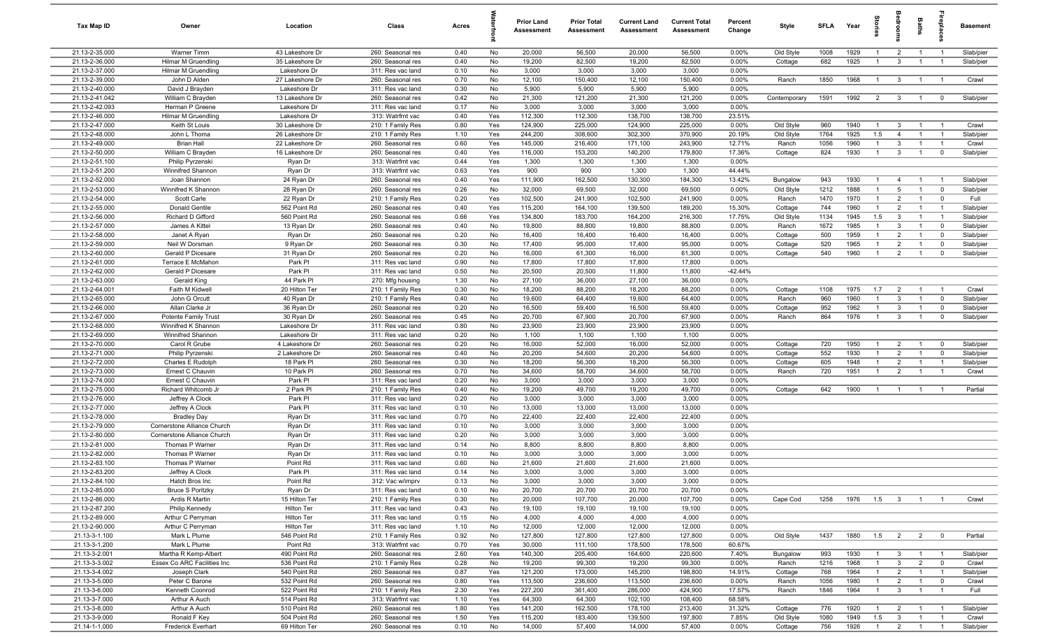| Tax Map ID                       | Owner                                     | Location                        | Class                                  | Acres        |            | Prior Land<br><b>Assessment</b> | <b>Prior Total</b><br>Assessment | <b>Current Land</b><br>Assessment | <b>Current Total</b><br><b>Assessment</b> | Percent<br>Change | Style                | <b>SFLA</b>  | Year         | $\frac{1}{2}$        |                                  | Baths                            | -e                               | <b>Basement</b>        |
|----------------------------------|-------------------------------------------|---------------------------------|----------------------------------------|--------------|------------|---------------------------------|----------------------------------|-----------------------------------|-------------------------------------------|-------------------|----------------------|--------------|--------------|----------------------|----------------------------------|----------------------------------|----------------------------------|------------------------|
| 21.13-2-35.000                   | Warner Timm                               | 43 Lakeshore Dr                 | 260: Seasonal res                      | 0.40         | No         | 20,000                          | 56,500                           | 20,000                            | 56,500                                    | 0.00%             | Old Style            | 1008         | 1929         | $\overline{1}$       | $\overline{2}$                   | $\overline{1}$                   | $\overline{1}$                   | Slab/pier              |
| 21.13-2-36.000                   | <b>Hilmar M Gruendling</b>                | 35 Lakeshore Dr                 | 260: Seasonal res                      | 0.40         | No         | 19,200                          | 82,500                           | 19,200                            | 82,500                                    | 0.00%             | Cottage              | 682          | 1925         | $\overline{1}$       | $\mathbf{3}$                     | $\mathbf{1}$                     | $\overline{1}$                   | Slab/pier              |
| 21.13-2-37.000                   | Hilmar M Gruendling                       | Lakeshore Dr                    | 311: Res vac land                      | 0.10         | No         | 3,000                           | 3,000                            | 3,000                             | 3,000                                     | 0.00%             |                      |              |              |                      |                                  |                                  |                                  |                        |
| 21.13-2-39.000                   | John D Alden                              | 27 Lakeshore Dr                 | 260: Seasonal res                      | 0.70         | No         | 12,100                          | 150,400                          | 12,100                            | 150,400                                   | 0.00%             | Ranch                | 1850         | 1968         | $\mathbf{1}$         | $\mathbf{3}$                     |                                  | $\overline{1}$                   | Crawl                  |
| 21.13-2-40.000                   | David J Brayden                           | Lakeshore Dr                    | 311: Res vac land                      | 0.30         | No         | 5,900                           | 5,900                            | 5,900                             | 5,900                                     | 0.00%             |                      |              |              |                      |                                  |                                  |                                  |                        |
| 21.13-2-41.042<br>21.13-2-42.093 | William C Brayden<br>Herman P Greene      | 13 Lakeshore Dr<br>Lakeshore Dr | 260: Seasonal res                      | 0.42<br>0.17 | No<br>No   | 21,300<br>3,000                 | 121,200<br>3,000                 | 21,300<br>3,000                   | 121,200<br>3,000                          | 0.00%<br>0.00%    | Contemporary         | 1591         | 1992         | $\overline{2}$       | $\overline{\mathbf{3}}$          |                                  | $\mathbf{0}$                     | Slab/pier              |
| 21.13-2-46.000                   | Hilmar M Gruendling                       | Lakeshore Dr                    | 311: Res vac land<br>313: Watrfrnt vac | 0.40         | Yes        | 112,300                         | 112,300                          | 138,700                           | 138,700                                   | 23.51%            |                      |              |              |                      |                                  |                                  |                                  |                        |
| 21.13-2-47.000                   | Keith St Louis                            | 30 Lakeshore Dr                 | 210: 1 Family Res                      | 0.80         | Yes        | 124,900                         | 225,000                          | 124,900                           | 225,000                                   | 0.00%             | Old Style            | 960          | 1940         | $\overline{1}$       | $\mathbf{3}$                     | $\overline{1}$                   | $\overline{1}$                   | Crawl                  |
| 21.13-2-48.000                   | John L Thoma                              | 26 Lakeshore Dr                 | 210: 1 Family Res                      | 1.10         | Yes        | 244,200                         | 308,600                          | 302,300                           | 370,900                                   | 20.19%            | Old Style            | 1764         | 1925         | 1.5                  | $\overline{4}$                   | $\overline{1}$                   | $\overline{1}$                   | Slab/pier              |
| 21.13-2-49.000                   | <b>Brian Hall</b>                         | 22 Lakeshore Dr                 | 260: Seasonal res                      | 0.60         | Yes        | 145,000                         | 216,400                          | 171,100                           | 243,900                                   | 12.71%            | Ranch                | 1056         | 1960         | $\overline{1}$       | $\mathbf{3}$                     | $\overline{1}$                   | $\overline{1}$                   | Crawl                  |
| 21.13-2-50.000                   | William C Brayden                         | 16 Lakeshore Dr                 | 260: Seasonal res                      | 0.40         | Yes        | 116,000                         | 153,200                          | 140,200                           | 179,800                                   | 17.36%            | Cottage              | 824          | 1930         | $\overline{1}$       | $\mathbf{3}$                     | $\overline{1}$                   | $\overline{0}$                   | Slab/pier              |
| 21.13-2-51.100                   | Philip Pyrzenski                          | Ryan Dr                         | 313: Watrfrnt vac                      | 0.44         | Yes        | 1,300                           | 1,300                            | 1,300                             | 1,300                                     | 0.00%             |                      |              |              |                      |                                  |                                  |                                  |                        |
| 21.13-2-51.200                   | Winnifred Shannon                         | Ryan Dr                         | 313: Watrfrnt vac                      | 0.63         | Yes        | 900                             | 900                              | 1,300                             | 1,300                                     | 44.44%            |                      |              |              |                      |                                  |                                  |                                  |                        |
| 21.13-2-52.000                   | Joan Shannon                              | 24 Ryan Dr                      | 260: Seasonal res                      | 0.40         | Yes        | 111,900                         | 162,500                          | 130,300                           | 184,300                                   | 13.42%            | Bungalow             | 943          | 1930         | $\overline{1}$       | $\overline{4}$                   | $\overline{1}$                   | $\overline{1}$                   | Slab/pier              |
| 21.13-2-53.000                   | Winnifred K Shannon                       | 28 Ryan Dr                      | 260: Seasonal res                      | 0.26         | No         | 32,000                          | 69,500                           | 32,000                            | 69,500                                    | 0.00%             | Old Style            | 1212         | 1888         |                      | 5                                |                                  | $\mathbf 0$                      | Slab/pier              |
| 21.13-2-54.000<br>21.13-2-55.000 | Scott Carle                               | 22 Ryan Dr<br>562 Point Rd      | 210: 1 Family Res<br>260: Seasonal res | 0.20<br>0.40 | Yes        | 102,500<br>115,200              | 241,900<br>164,100               | 102,500<br>139,500                | 241,900<br>189,200                        | 0.00%<br>15.30%   | Ranch                | 1470<br>744  | 1970<br>1960 | -1<br>$\overline{1}$ | $\overline{2}$<br>$\overline{2}$ |                                  | $^{\circ}$<br>$\overline{1}$     | Full                   |
| 21.13-2-56.000                   | Donald Gentile<br>Richard D Gifford       | 560 Point Rd                    | 260: Seasonal res                      | 0.66         | Yes<br>Yes | 134,800                         | 183,700                          | 164,200                           | 216,300                                   | 17.75%            | Cottage<br>Old Style | 1134         | 1945         | 1.5                  | $\overline{3}$                   |                                  | $\overline{1}$                   | Slab/pier<br>Slab/pier |
| 21.13-2-57.000                   | James A Kittel                            | 13 Ryan Dr                      | 260: Seasonal res                      | 0.40         | No         | 19,800                          | 88,800                           | 19,800                            | 88,800                                    | 0.00%             | Ranch                | 1672         | 1985         | $\overline{1}$       | $\overline{3}$                   | $\overline{1}$                   | $\overline{0}$                   | Slab/pier              |
| 21.13-2-58.000                   | Janet A Ryan                              | Ryan Dr                         | 260: Seasonal res                      | 0.20         | No         | 16,400                          | 16,400                           | 16,400                            | 16,400                                    | 0.00%             | Cottage              | 500          | 1959         | $\mathbf{1}$         | $\overline{2}$                   | $\overline{1}$                   | $\mathbf 0$                      | Slab/pier              |
| 21.13-2-59.000                   | Neil W Dorsman                            | 9 Ryan Dr                       | 260: Seasonal res                      | 0.30         | No         | 17,400                          | 95,000                           | 17,400                            | 95,000                                    | 0.00%             | Cottage              | 520          | 1965         | $\overline{1}$       | $\overline{2}$                   | $\overline{1}$                   | $\mathbf 0$                      | Slab/pier              |
| 21.13-2-60.000                   | Gerald P Dicesare                         | 31 Ryan Dr                      | 260: Seasonal res                      | 0.20         | No         | 16,000                          | 61,300                           | 16,000                            | 61,300                                    | 0.00%             | Cottage              | 540          | 1960         | $\overline{1}$       | $\overline{2}$                   | $\overline{1}$                   | $\mathbf 0$                      | Slab/pier              |
| 21.13-2-61.000                   | Terrace E McMahon                         | Park PI                         | 311: Res vac land                      | 0.90         | No         | 17,800                          | 17,800                           | 17,800                            | 17,800                                    | 0.00%             |                      |              |              |                      |                                  |                                  |                                  |                        |
| 21.13-2-62.000                   | Gerald P Dicesare                         | Park PI                         | 311: Res vac land                      | 0.50         | No         | 20,500                          | 20,500                           | 11,800                            | 11,800                                    | $-42.44%$         |                      |              |              |                      |                                  |                                  |                                  |                        |
| 21.13-2-63.000                   | Gerald King                               | 44 Park Pl                      | 270: Mfg housing                       | 1.30         | No         | 27,100                          | 36,000                           | 27,100                            | 36,000                                    | 0.00%             |                      |              |              |                      |                                  |                                  |                                  |                        |
| 21.13-2-64.001                   | Faith M Kidwell                           | 20 Hilton Ter                   | 210: 1 Family Res                      | 0.30         | No         | 18,200                          | 88,200                           | 18,200                            | 88,200                                    | 0.00%             | Cottage              | 1108         | 1975         | 1.7                  | $\overline{2}$                   | $\overline{1}$                   | $\overline{1}$                   | Crawl                  |
| 21.13-2-65.000<br>21.13-2-66.000 | John G Orcutt                             | 40 Ryan Dr                      | 210: 1 Family Res                      | 0.40         | No         | 19,600                          | 64,400                           | 19,600                            | 64,400                                    | 0.00%             | Ranch                | 960          | 1960         | $\overline{1}$<br>-1 | $\overline{3}$<br>$\overline{3}$ |                                  | $\overline{0}$<br>$^{\circ}$     | Slab/pier              |
| 21.13-2-67.000                   | Allan Clarke Jr<br>Potente Family Trust   | 36 Ryan Dr<br>30 Ryan Dr        | 260: Seasonal res<br>260: Seasonal res | 0.20<br>0.45 | No<br>No   | 16,500<br>20,700                | 59,400<br>67,900                 | 16,500<br>20,700                  | 59,400<br>67,900                          | 0.00%<br>0.00%    | Cottage<br>Ranch     | 952<br>864   | 1962<br>1976 | $\mathbf{1}$         | $\mathbf{3}$                     |                                  | $\mathbf 0$                      | Slab/pier<br>Slab/pier |
| 21.13-2-68.000                   | Winnifred K Shannon                       | Lakeshore Dr                    | 311: Res vac land                      | 0.80         | No         | 23,900                          | 23,900                           | 23,900                            | 23,900                                    | 0.00%             |                      |              |              |                      |                                  |                                  |                                  |                        |
| 21.13-2-69.000                   | Winnifred Shannon                         | Lakeshore Dr                    | 311: Res vac land                      | 0.20         | No         | 1,100                           | 1,100                            | 1,100                             | 1,100                                     | 0.00%             |                      |              |              |                      |                                  |                                  |                                  |                        |
| 21.13-2-70.000                   | Carol R Grube                             | 4 Lakeshore Dr                  | 260: Seasonal res                      | 0.20         | No         | 16,000                          | 52,000                           | 16,000                            | 52,000                                    | 0.00%             | Cottage              | 720          | 1950         | $\overline{1}$       | $\overline{2}$                   | $\overline{1}$                   | $\overline{0}$                   | Slab/pier              |
| 21.13-2-71.000                   | Philip Pyrzenski                          | 2 Lakeshore Dr                  | 260: Seasonal res                      | 0.40         | No         | 20,200                          | 54,600                           | 20,200                            | 54,600                                    | 0.00%             | Cottage              | 552          | 1930         | $\overline{1}$       | $\overline{2}$                   | $\overline{1}$                   | $\mathbf 0$                      | Slab/pier              |
| 21.13-2-72.000                   | Charles E Rudolph                         | 18 Park Pl                      | 260: Seasonal res                      | 0.30         | No         | 18,200                          | 56,300                           | 18,200                            | 56,300                                    | 0.00%             | Cottage              | 605          | 1948         | $\overline{1}$       | $\overline{2}$                   | $\overline{1}$                   | $\overline{1}$                   | Slab/pier              |
| 21.13-2-73.000                   | Ernest C Chauvin                          | 10 Park Pl                      | 260: Seasonal res                      | 0.70         | No         | 34,600                          | 58,700                           | 34,600                            | 58,700                                    | 0.00%             | Ranch                | 720          | 1951         | $\overline{1}$       | $\overline{2}$                   | $\overline{1}$                   | $\overline{1}$                   | Crawl                  |
| 21.13-2-74.000                   | Ernest C Chauvin                          | Park PI                         | 311: Res vac land                      | 0.20         | No         | 3,000                           | 3,000                            | 3,000                             | 3,000                                     | 0.00%             |                      |              |              |                      |                                  |                                  |                                  |                        |
| 21.13-2-75.000<br>21.13-2-76.000 | Richard Whitcomb Jr                       | 2 Park Pl                       | 210: 1 Family Res                      | 0.40         | No         | 19,200                          | 49,700                           | 19,200                            | 49,700                                    | 0.00%             | Cottage              | 642          | 1900         | $\overline{1}$       | $\overline{1}$                   | $\overline{1}$                   | $\overline{1}$                   | Partial                |
| 21.13-2-77.000                   | Jeffrey A Clock<br>Jeffrey A Clock        | Park PI<br>Park PI              | 311: Res vac land<br>311: Res vac land | 0.20<br>0.10 | No<br>No   | 3,000<br>13,000                 | 3,000<br>13,000                  | 3,000<br>13,000                   | 3,000<br>13,000                           | 0.00%<br>0.00%    |                      |              |              |                      |                                  |                                  |                                  |                        |
| 21.13-2-78.000                   | <b>Bradley Day</b>                        | Ryan Dr                         | 311: Res vac land                      | 0.70         | No         | 22,400                          | 22,400                           | 22,400                            | 22,400                                    | 0.00%             |                      |              |              |                      |                                  |                                  |                                  |                        |
| 21.13-2-79.000                   | Cornerstone Alliance Church               | Ryan Dr                         | 311: Res vac land                      | 0.10         | No         | 3,000                           | 3,000                            | 3,000                             | 3,000                                     | 0.00%             |                      |              |              |                      |                                  |                                  |                                  |                        |
| 21.13-2-80.000                   | Cornerstone Alliance Church               | Ryan Dr                         | 311: Res vac land                      | 0.20         | No         | 3,000                           | 3,000                            | 3,000                             | 3,000                                     | 0.00%             |                      |              |              |                      |                                  |                                  |                                  |                        |
| 21.13-2-81.000                   | Thomas P Warner                           | Ryan Dr                         | 311: Res vac land                      | 0.14         | No         | 8,800                           | 8,800                            | 8,800                             | 8,800                                     | 0.00%             |                      |              |              |                      |                                  |                                  |                                  |                        |
| 21.13-2-82.000                   | Thomas P Warner                           | Ryan Dr                         | 311: Res vac land                      | 0.10         | No         | 3,000                           | 3,000                            | 3,000                             | 3,000                                     | 0.00%             |                      |              |              |                      |                                  |                                  |                                  |                        |
| 21.13-2-83.100                   | Thomas P Warner                           | Point Rd                        | 311: Res vac land                      | 0.60         | No         | 21,600                          | 21,600                           | 21,600                            | 21,600                                    | 0.00%             |                      |              |              |                      |                                  |                                  |                                  |                        |
| 21.13-2-83.200                   | Jeffrey A Clock                           | Park PI                         | 311: Res vac land                      | 0.14         | No         | 3,000                           | 3,000                            | 3,000                             | 3,000                                     | 0.00%             |                      |              |              |                      |                                  |                                  |                                  |                        |
| 21.13-2-84.100                   | Hatch Bros Inc                            | Point Rd                        | 312: Vac w/imprv                       | 0.13         | No         | 3,000                           | 3,000                            | 3,000                             | 3,000                                     | 0.00%             |                      |              |              |                      |                                  |                                  |                                  |                        |
| 21.13-2-85.000<br>21.13-2-86.000 | <b>Bruce S Poritzky</b><br>Ardis R Martin | Ryan Dr<br>15 Hilton Ter        | 311: Res vac land<br>210: 1 Family Res | 0.10<br>0.30 | No<br>No   | 20,700<br>20,000                | 20,700<br>107,700                | 20,700<br>20,000                  | 20,700<br>107,700                         | 0.00%<br>0.00%    | Cape Cod             | 1258         | 1976         | 1.5                  | $\overline{\mathbf{3}}$          | $\overline{1}$                   | $\overline{1}$                   | Crawl                  |
| 21.13-2-87.200                   | Philip Kennedy                            | Hilton Ter                      | 311: Res vac land                      | 0.43         | No         | 19,100                          | 19,100                           | 19,100                            | 19,100                                    | 0.00%             |                      |              |              |                      |                                  |                                  |                                  |                        |
| 21.13-2-89.000                   | Arthur C Perryman                         | Hilton Ter                      | 311: Res vac land                      | 0.15         | No         | 4,000                           | 4,000                            | 4,000                             | 4,000                                     | 0.00%             |                      |              |              |                      |                                  |                                  |                                  |                        |
| 21.13-2-90.000                   | Arthur C Perryman                         | Hilton Ter                      | 311: Res vac land                      | 1.10         | No         | 12,000                          | 12,000                           | 12,000                            | 12,000                                    | 0.00%             |                      |              |              |                      |                                  |                                  |                                  |                        |
| 21.13-3-1.100                    | Mark L Plume                              | 546 Point Rd                    | 210: 1 Family Res                      | 0.92         | No         | 127,800                         | 127,800                          | 127,800                           | 127,800                                   | 0.00%             | Old Style            | 1437         | 1880         | 1.5                  | $\overline{2}$                   | 2                                | $\overline{0}$                   | Partial                |
| 21.13-3-1.200                    | Mark L Plume                              | Point Rd                        | 313: Watrfrnt vac                      | 0.70         | Yes        | 30,000                          | 111,100                          | 178,500                           | 178,500                                   | 60.67%            |                      |              |              |                      |                                  |                                  |                                  |                        |
| 21.13-3-2.001                    | Martha R Kemp-Albert                      | 490 Point Rd                    | 260: Seasonal res                      | 2.60         | Yes        | 140,300                         | 205,400                          | 164,600                           | 220,600                                   | 7.40%             | Bungalow             | 993          | 1930         |                      | $\mathbf{3}$                     |                                  | $\overline{1}$                   | Slab/pier              |
| 21.13-3-3.002                    | Essex Co ARC Facilities Inc               | 536 Point Rd                    | 210: 1 Family Res                      | 0.28         | No         | 19,200                          | 99,300                           | 19,200                            | 99,300                                    | 0.00%             | Ranch                | 1216         | 1968         |                      | $3\overline{3}$                  | $\overline{2}$                   | $\overline{\mathbf{0}}$          | Crawl                  |
| 21.13-3-4.002                    | Joseph Clark                              | 540 Point Rd                    | 260: Seasonal res                      | 0.87         | Yes        | 121,200                         | 173,000                          | 145,200                           | 198,800                                   | 14.91%            | Cottage              | 768          | 1964         | $\overline{1}$       | $\overline{2}$                   | $\overline{1}$                   | $\overline{1}$                   | Slab/pier              |
| 21.13-3-5.000                    | Peter C Barone                            | 532 Point Rd                    | 260: Seasonal res                      | 0.80         | Yes        | 113,500                         | 236,600                          | 113,500                           | 236,600                                   | 0.00%             | Ranch                | 1056<br>1846 | 1980<br>1964 | $\overline{1}$       | $\overline{2}$                   | $\overline{1}$<br>$\overline{1}$ | $\overline{0}$<br>$\overline{1}$ | Crawl                  |
| 21.13-3-6.000<br>21.13-3-7.000   | Kenneth Coonrod<br>Arthur A Auch          | 522 Point Rd<br>514 Point Rd    | 210: 1 Family Res<br>313: Watrfrnt vac | 2.30<br>1.10 | Yes<br>Yes | 227,200<br>64,300               | 361,400<br>64,300                | 286,000<br>102,100                | 424,900<br>108,400                        | 17.57%<br>68.58%  | Ranch                |              |              | $\overline{1}$       | $\overline{\mathbf{3}}$          |                                  |                                  | Full                   |
| 21.13-3-8.000                    | Arthur A Auch                             | 510 Point Rd                    | 260: Seasonal res                      | 1.80         | Yes        | 141,200                         | 162,500                          | 178,100                           | 213,400                                   | 31.32%            | Cottage              | 776          | 1920         | $\overline{1}$       | $\overline{2}$                   | $\overline{1}$                   | $\overline{1}$                   | Slab/pier              |
| 21.13-3-9.000                    | Ronald F Key                              | 504 Point Rd                    | 260: Seasonal res                      | 1.50         | Yes        | 115,200                         | 183,400                          | 139,500                           | 197,800                                   | 7.85%             | Old Style            | 1080         | 1949         | 1.5                  | $\overline{3}$                   | $\overline{1}$                   | $\overline{1}$                   | Crawl                  |
| 21.14-1-1.000                    | Frederick Everhart                        | 69 Hilton Ter                   | 260: Seasonal res                      | 0.10         | No         | 14,000                          | 57,400                           | 14,000                            | 57,400                                    | 0.00%             | Cottage              | 756          | 1926         | $\overline{1}$       | $\overline{2}$                   | $\overline{1}$                   | $\overline{1}$                   | Slab/pier              |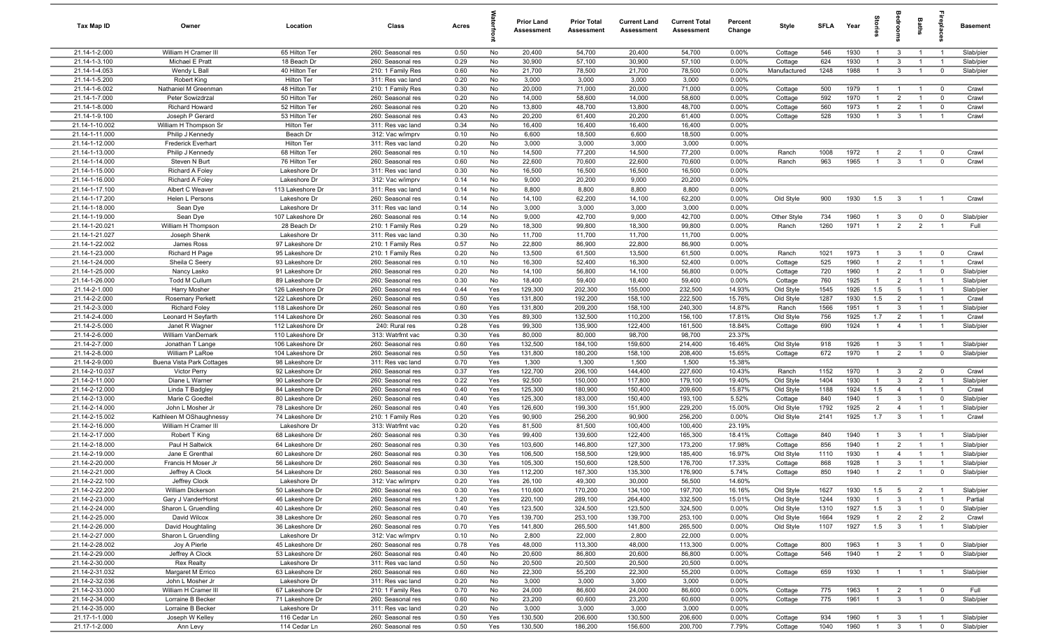| Tax Map ID                       | Owner                                  | Location                             | Class                                  | Acres        |            | Prior Land<br><b>Assessment</b> | <b>Prior Total</b><br>Assessment | <b>Current Land</b><br>Assessment | <b>Current Total</b><br><b>Assessment</b> | Percent<br>Change | Style              | SFLA       | Year         | ã                                |                                  | Baths                            | epla                             | <b>Basement</b>        |
|----------------------------------|----------------------------------------|--------------------------------------|----------------------------------------|--------------|------------|---------------------------------|----------------------------------|-----------------------------------|-------------------------------------------|-------------------|--------------------|------------|--------------|----------------------------------|----------------------------------|----------------------------------|----------------------------------|------------------------|
| 21.14-1-2.000                    | William H Cramer III                   | 65 Hilton Ter                        | 260: Seasonal res                      | 0.50         | No         | 20,400                          | 54,700                           | 20,400                            | 54,700                                    | 0.00%             | Cottage            | 546        | 1930         | $\overline{1}$                   | $\overline{3}$                   | $\overline{1}$                   | $\overline{1}$                   | Slab/pier              |
| 21.14-1-3.100                    | Michael E Pratt                        | 18 Beach Dr                          | 260: Seasonal res                      | 0.29         | No         | 30,900                          | 57,100                           | 30,900                            | 57,100                                    | 0.00%             | Cottage            | 624        | 1930         |                                  | 3                                |                                  |                                  | Slab/pier              |
| 21.14-1-4.053                    | Wendy L Ball                           | 40 Hilton Ter                        | 210: 1 Family Res                      | 0.60         | No         | 21,700                          | 78,500                           | 21,700                            | 78,500                                    | 0.00%             | Manufactured       | 1248       | 1988         |                                  | $\mathbf{3}$                     | $\overline{1}$                   | $\overline{0}$                   | Slab/pier              |
| 21.14-1-5.200<br>21.14-1-6.002   | Robert King<br>Nathaniel M Greenman    | Hilton Ter<br>48 Hilton Ter          | 311: Res vac land                      | 0.20<br>0.30 | No         | 3,000<br>20,000                 | 3,000<br>71,000                  | 3,000<br>20,000                   | 3,000<br>71,000                           | 0.00%<br>0.00%    |                    | 500        | 1979         | $\overline{1}$                   | $\overline{1}$                   | $\overline{1}$                   | $\overline{\mathbf{0}}$          | Crawl                  |
| 21.14-1-7.000                    | Peter Sowizdrzal                       | 50 Hilton Ter                        | 210: 1 Family Res<br>260: Seasonal res | 0.20         | No<br>No   | 14,000                          | 58,600                           | 14,000                            | 58,600                                    | 0.00%             | Cottage<br>Cottage | 592        | 1970         | $\overline{1}$                   | $\overline{2}$                   | $\overline{1}$                   | $\overline{\mathbf{0}}$          | Crawl                  |
| 21.14-1-8.000                    | Richard Howard                         | 52 Hilton Ter                        | 260: Seasonal res                      | 0.20         | No         | 13,800                          | 48,700                           | 13,800                            | 48,700                                    | 0.00%             | Cottage            | 560        | 1973         | $\overline{1}$                   | $\overline{2}$                   | $\overline{1}$                   | $\overline{\mathbf{0}}$          | Crawl                  |
| 21.14-1-9.100                    | Joseph P Gerard                        | 53 Hilton Ter                        | 260: Seasonal res                      | 0.43         | No         | 20,200                          | 61,400                           | 20,200                            | 61,400                                    | 0.00%             | Cottage            | 528        | 1930         | $\overline{1}$                   | $\mathbf{3}$                     | $\overline{1}$                   | $\overline{1}$                   | Crawl                  |
| 21.14-1-10.002                   | William H Thompson Sr                  | Hilton Ter                           | 311: Res vac land                      | 0.34         | No         | 16,400                          | 16,400                           | 16,400                            | 16,400                                    | 0.00%             |                    |            |              |                                  |                                  |                                  |                                  |                        |
| 21.14-1-11.000                   | Philip J Kennedy                       | Beach Dr                             | 312: Vac w/imprv                       | 0.10         | No         | 6,600                           | 18,500                           | 6,600                             | 18,500                                    | 0.00%             |                    |            |              |                                  |                                  |                                  |                                  |                        |
| 21.14-1-12.000                   | <b>Frederick Everhart</b>              | Hilton Ter                           | 311: Res vac land                      | 0.20         | No         | 3,000                           | 3,000                            | 3,000                             | 3,000                                     | 0.00%             |                    |            |              |                                  |                                  |                                  |                                  |                        |
| 21.14-1-13.000                   | Philip J Kennedy                       | 68 Hilton Ter                        | 260: Seasonal res                      | 0.10         | No         | 14,500                          | 77,200                           | 14,500                            | 77,200                                    | 0.00%             | Ranch              | 1008       | 1972         |                                  | $\overline{2}$                   | $\overline{1}$                   | $\overline{0}$                   | Crawl                  |
| 21.14-1-14.000                   | Steven N Burt                          | 76 Hilton Ter                        | 260: Seasonal res                      | 0.60         | No         | 22,600                          | 70,600                           | 22,600                            | 70,600                                    | 0.00%             | Ranch              | 963        | 1965         |                                  | 3                                | $\overline{1}$                   | $\mathbf 0$                      | Crawl                  |
| 21.14-1-15.000                   | <b>Richard A Foley</b>                 | Lakeshore Dr                         | 311: Res vac land                      | 0.30         | No         | 16,500                          | 16,500                           | 16,500                            | 16,500                                    | 0.00%             |                    |            |              |                                  |                                  |                                  |                                  |                        |
| 21.14-1-16.000                   | <b>Richard A Foley</b>                 | Lakeshore Dr                         | 312: Vac w/imprv                       | 0.14         | No         | 9,000                           | 20,200                           | 9,000                             | 20,200                                    | 0.00%             |                    |            |              |                                  |                                  |                                  |                                  |                        |
| 21.14-1-17.100                   | Albert C Weaver                        | 113 Lakeshore Dr                     | 311: Res vac land                      | 0.14         | No         | 8,800                           | 8,800                            | 8,800                             | 8,800                                     | 0.00%             |                    |            |              |                                  |                                  |                                  |                                  |                        |
| 21.14-1-17.200<br>21.14-1-18.000 | Helen L Persons                        | Lakeshore Dr<br>Lakeshore Dr         | 260: Seasonal res                      | 0.14<br>0.14 | No         | 14,100<br>3,000                 | 62,200<br>3,000                  | 14,100<br>3,000                   | 62,200<br>3,000                           | 0.00%<br>0.00%    | Old Style          | 900        | 1930         | 1.5                              | $\mathbf{3}$                     | $\overline{1}$                   | - 1                              | Crawl                  |
| 21.14-1-19.000                   | Sean Dye<br>Sean Dye                   | 107 Lakeshore Dr                     | 311: Res vac land<br>260: Seasonal res | 0.14         | No<br>No   | 9,000                           | 42,700                           | 9,000                             | 42,700                                    | 0.00%             | Other Style        | 734        | 1960         | $\overline{1}$                   | $\overline{3}$                   | $\mathbf 0$                      | $\overline{\mathbf{0}}$          | Slab/pier              |
| 21.14-1-20.021                   | William H Thompson                     | 28 Beach Dr                          | 210: 1 Family Res                      | 0.29         | No         | 18,300                          | 99,800                           | 18,300                            | 99,800                                    | 0.00%             | Ranch              | 1260       | 1971         | $\overline{1}$                   | $\overline{2}$                   | $\overline{2}$                   | $\overline{1}$                   | Full                   |
| 21.14-1-21.027                   | Joseph Shenk                           | Lakeshore Dr                         | 311: Res vac land                      | 0.30         | No         | 11,700                          | 11,700                           | 11,700                            | 11,700                                    | 0.00%             |                    |            |              |                                  |                                  |                                  |                                  |                        |
| 21.14-1-22.002                   | James Ross                             | 97 Lakeshore Dr                      | 210: 1 Family Res                      | 0.57         | No         | 22,800                          | 86,900                           | 22,800                            | 86,900                                    | 0.00%             |                    |            |              |                                  |                                  |                                  |                                  |                        |
| 21.14-1-23.000                   | Richard H Page                         | 95 Lakeshore Dr                      | 210: 1 Family Res                      | 0.20         | No         | 13,500                          | 61,500                           | 13,500                            | 61,500                                    | 0.00%             | Ranch              | 1021       | 1973         | $\mathbf{1}$                     | 3                                | $\overline{1}$                   | $\overline{0}$                   | Crawl                  |
| 21.14-1-24.000                   | Sheila C Seery                         | 93 Lakeshore Dr                      | 260: Seasonal res                      | 0.10         | No         | 16,300                          | 52,400                           | 16,300                            | 52,400                                    | 0.00%             | Cottage            | 525        | 1960         | $\overline{1}$                   | $\overline{2}$                   | -1                               | $\overline{1}$                   | Crawl                  |
| 21.14-1-25.000                   | Nancy Lasko                            | 91 Lakeshore Dr                      | 260: Seasonal res                      | 0.20         | No         | 14,100                          | 56,800                           | 14,100                            | 56,800                                    | 0.00%             | Cottage            | 720        | 1960         | $\overline{1}$                   | $\overline{2}$                   | $\overline{1}$                   | $\overline{0}$                   | Slab/pier              |
| 21.14-1-26.000                   | Todd M Cullum                          | 89 Lakeshore Dr                      | 260: Seasonal res                      | 0.30         | No         | 18,400                          | 59,400                           | 18,400                            | 59,400                                    | 0.00%             | Cottage            | 760        | 1925         | $\overline{1}$                   | $\overline{2}$                   |                                  |                                  | Slab/pier              |
| 21.14-2-1.000                    | Harry Mosher                           | 126 Lakeshore Dr                     | 260: Seasonal res                      | 0.44         | Yes        | 129,300                         | 202,300                          | 155,000                           | 232,500                                   | 14.93%            | Old Style          | 1545       | 1926         | 1.5                              | 5                                | $\overline{1}$                   |                                  | Slab/pier              |
| 21.14-2-2.000                    | <b>Rosemary Perkett</b>                | 122 Lakeshore Dr                     | 260: Seasonal res                      | 0.50         | Yes        | 131,800                         | 192,200                          | 158,100                           | 222,500                                   | 15.76%            | Old Style          | 1287       | 1930         | 1.5                              | $\overline{2}$                   |                                  |                                  | Crawl                  |
| 21.14-2-3.000                    | <b>Richard Foley</b>                   | 118 Lakeshore Dr                     | 260: Seasonal res                      | 0.60         | Yes        | 131,800                         | 209,200                          | 158,100                           | 240,300                                   | 14.87%            | Ranch              | 1566       | 1951         | $\overline{1}$                   | $\mathbf{3}$                     | $\overline{1}$                   | $\overline{1}$                   | Slab/pier              |
| 21.14-2-4.000<br>21.14-2-5.000   | Leonard H Seyfarth                     | 114 Lakeshore Dr                     | 260: Seasonal res                      | 0.30<br>0.28 | Yes        | 89,300<br>99,300                | 132,500<br>135,900               | 110,200<br>122,400                | 156,100<br>161,500                        | 17.81%<br>18.84%  | Old Style          | 756<br>690 | 1925<br>1924 | 1.7<br>$\overline{1}$            | $\overline{2}$<br>$\overline{4}$ | $\overline{1}$<br>$\overline{1}$ | $\overline{1}$<br>$\overline{1}$ | Crawl                  |
| 21.14-2-6.000                    | Janet R Wagner<br>William VanDemark    | 112 Lakeshore Dr<br>110 Lakeshore Dr | 240: Rural res<br>313: Watrfrnt vac    | 0.30         | Yes<br>Yes | 80,000                          | 80,000                           | 98,700                            | 98,700                                    | 23.37%            | Cottage            |            |              |                                  |                                  |                                  |                                  | Slab/pier              |
| 21.14-2-7.000                    | Jonathan T Lange                       | 106 Lakeshore Dr                     | 260: Seasonal res                      | 0.60         | Yes        | 132,500                         | 184,100                          | 159,600                           | 214,400                                   | 16.46%            | Old Style          | 918        | 1926         | $\overline{1}$                   | 3                                | $\overline{1}$                   | $\overline{1}$                   | Slab/pier              |
| 21.14-2-8.000                    | William P LaRoe                        | 104 Lakeshore Dr                     | 260: Seasonal res                      | 0.50         | Yes        | 131,800                         | 180,200                          | 158,100                           | 208,400                                   | 15.65%            | Cottage            | 672        | 1970         | $\overline{1}$                   | $\overline{2}$                   | $\overline{1}$                   | $\mathbf 0$                      | Slab/pier              |
| 21.14-2-9.000                    | Buena Vista Park Cottages              | 98 Lakeshore Dr                      | 311: Res vac land                      | 0.70         | Yes        | 1,300                           | 1,300                            | 1,500                             | 1,500                                     | 15.38%            |                    |            |              |                                  |                                  |                                  |                                  |                        |
| 21.14-2-10.037                   | Victor Perry                           | 92 Lakeshore Dr                      | 260: Seasonal res                      | 0.37         | Yes        | 122,700                         | 206,100                          | 144,400                           | 227,600                                   | 10.43%            | Ranch              | 1152       | 1970         | $\overline{1}$                   | $\mathbf{3}$                     | $\overline{2}$                   | $\overline{0}$                   | Crawl                  |
| 21.14-2-11.000                   | Diane L Warner                         | 90 Lakeshore Dr                      | 260: Seasonal res                      | 0.22         | Yes        | 92,500                          | 150,000                          | 117,800                           | 179,100                                   | 19.40%            | Old Style          | 1404       | 1930         | $\overline{1}$                   | $\mathbf{3}$                     | $\overline{2}$                   | $\overline{1}$                   | Slab/pier              |
| 21.14-2-12.000                   | Linda T Badgley                        | 84 Lakeshore Dr                      | 260: Seasonal res                      | 0.40         | Yes        | 125,300                         | 180,900                          | 150,400                           | 209,600                                   | 15.87%            | Old Style          | 1188       | 1924         | 1.5                              | $\overline{4}$                   | $\overline{1}$                   | $\overline{1}$                   | Crawl                  |
| 21.14-2-13.000                   | Marie C Goedtel                        | 80 Lakeshore Dr                      | 260: Seasonal res                      | 0.40         | Yes        | 125,300                         | 183,000                          | 150,400                           | 193,100                                   | 5.52%             | Cottage            | 840        | 1940         | $\overline{1}$                   | $\overline{3}$                   |                                  | $\mathbf 0$                      | Slab/pier              |
| 21.14-2-14.000                   | John L Mosher Jr                       | 78 Lakeshore Dr                      | 260: Seasonal res                      | 0.40         | Yes        | 126,600                         | 199,300                          | 151,900                           | 229,200                                   | 15.00%            | Old Style          | 1792       | 1925         | $\overline{2}$                   | $\overline{4}$                   | $\overline{1}$                   |                                  | Slab/pier              |
| 21.14-2-15.002                   | Kathleen M OShaughnessy                | 74 Lakeshore Dr                      | 210: 1 Family Res                      | 0.20         | Yes        | 90,900                          | 256,200                          | 90,900                            | 256,200                                   | 0.00%             | Old Style          | 2141       | 1925         | 1.7                              | $\overline{3}$                   | $\overline{1}$                   |                                  | Crawl                  |
| 21.14-2-16.000                   | William H Cramer III                   | Lakeshore Dr                         | 313: Watrfrnt vac                      | 0.20         | Yes        | 81,500                          | 81,500                           | 100,400                           | 100,400                                   | 23.19%            |                    |            |              |                                  |                                  |                                  |                                  |                        |
| 21.14-2-17.000<br>21.14-2-18.000 | Robert T King<br>Paul H Saltwick       | 68 Lakeshore Dr<br>64 Lakeshore Dr   | 260: Seasonal res<br>260: Seasonal res | 0.30<br>0.30 | Yes<br>Yes | 99,400<br>103,600               | 139,600<br>146,800               | 122,400<br>127,300                | 165,300<br>173,200                        | 18.41%<br>17.98%  | Cottage<br>Cottage | 840<br>856 | 1940<br>1940 | $\overline{1}$<br>$\overline{1}$ | $\overline{3}$<br>$\overline{2}$ | $\overline{1}$<br>$\overline{1}$ | $\overline{1}$                   | Slab/pier<br>Slab/pier |
| 21.14-2-19.000                   | Jane E Grenthal                        | 60 Lakeshore Dr                      | 260: Seasonal res                      | 0.30         | Yes        | 106,500                         | 158,500                          | 129,900                           | 185,400                                   | 16.97%            | Old Style          | 1110       | 1930         | $\overline{1}$                   | $\overline{4}$                   |                                  |                                  | Slab/pier              |
| 21.14-2-20.000                   | Francis H Moser Jr                     | 56 Lakeshore Dr                      | 260: Seasonal res                      | 0.30         | Yes        | 105,300                         | 150,600                          | 128,500                           | 176,700                                   | 17.33%            | Cottage            | 868        | 1928         | $\overline{1}$                   | $\mathbf{3}$                     | $\overline{1}$                   | $\overline{1}$                   | Slab/pier              |
| 21.14-2-21.000                   | Jeffrey A Clock                        | 54 Lakeshore Dr                      | 260: Seasonal res                      | 0.30         | Yes        | 112,200                         | 167.300                          | 135,300                           | 176.900                                   | 5.74%             | Cottage            | 850        | 1940         | $\overline{1}$                   | 2                                |                                  |                                  | Slab/pier              |
| 21.14-2-22.100                   | Jeffrey Clock                          | Lakeshore Dr                         | 312: Vac w/imprv                       | 0.20         | Yes        | 26,100                          | 49,300                           | 30,000                            | 56,500                                    | 14.60%            |                    |            |              |                                  |                                  |                                  |                                  |                        |
| 21.14-2-22.200                   | William Dickerson                      | 50 Lakeshore Dr                      | 260: Seasonal res                      | 0.30         | Yes        | 110,600                         | 170,200                          | 134,100                           | 197,700                                   | 16.16%            | Old Style          | 1627       | 1930         | 1.5                              | 5                                | $\overline{2}$                   | $\overline{1}$                   | Slab/pier              |
| 21.14-2-23.000                   | Gary J VanderHorst                     | 46 Lakeshore Dr                      | 260: Seasonal res                      | 1.20         | Yes        | 220,100                         | 289,100                          | 264,400                           | 332,500                                   | 15.01%            | Old Style          | 1244       | 1930         | $\overline{1}$                   | $\mathbf{3}$                     | -1                               |                                  | Partial                |
| 21.14-2-24.000                   | Sharon L Gruendling                    | 40 Lakeshore Dr                      | 260: Seasonal res                      | 0.40         | Yes        | 123,500                         | 324,500                          | 123,500                           | 324,500                                   | 0.00%             | Old Style          | 1310       | 1927         | 1.5                              | $\overline{3}$                   | $\overline{1}$                   | $\overline{0}$                   | Slab/pier              |
| 21.14-2-25.000                   | David Wilcox                           | 38 Lakeshore Dr                      | 260: Seasonal res                      | 0.70         | Yes        | 139,700                         | 253,100                          | 139,700                           | 253,100                                   | 0.00%             | Old Style          | 1664       | 1929         | $\mathbf{1}$                     | $\overline{2}$                   | $\overline{2}$                   | $\overline{2}$                   | Crawl                  |
| 21.14-2-26.000                   | David Houghtaling                      | 36 Lakeshore Dr                      | 260: Seasonal res                      | 0.70         | Yes        | 141,800                         | 265,500                          | 141,800                           | 265,500                                   | 0.00%             | Old Style          | 1107       | 1927         | 1.5                              | $\overline{\mathbf{3}}$          | $\overline{1}$                   | $\overline{1}$                   | Slab/pier              |
| 21.14-2-27.000                   | Sharon L Gruendling                    | Lakeshore Dr                         | 312: Vac w/imprv                       | 0.10         | No         | 2,800                           | 22,000                           | 2,800                             | 22,000                                    | 0.00%             |                    |            |              |                                  |                                  |                                  |                                  |                        |
| 21.14-2-28.002                   | Joy A Pierle                           | 45 Lakeshore Dr                      | 260: Seasonal res                      | 0.78         | Yes        | 48,000                          | 113,300                          | 48,000                            | 113,300                                   | 0.00%             | Cottage            | 800        | 1963         | $\mathbf{1}$                     | $\mathbf{3}$                     | $\overline{1}$                   | $\overline{\mathbf{0}}$          | Slab/pier              |
| 21.14-2-29.000<br>21.14-2-30.000 | Jeffrey A Clock                        | 53 Lakeshore Dr                      | 260: Seasonal res<br>311: Res vac land | 0.40         | No         | 20,600                          | 86,800                           | 20,600                            | 86,800                                    | 0.00%             | Cottage            | 546        | 1940         | $\overline{1}$                   | $\overline{2}$                   | $\overline{1}$                   | $\overline{0}$                   | Slab/pier              |
| 21.14-2-31.032                   | <b>Rex Realty</b><br>Margaret M Errico | Lakeshore Dr<br>63 Lakeshore Dr      | 260: Seasonal res                      | 0.50<br>0.60 | No<br>No   | 20,500<br>22,300                | 20,500<br>55,200                 | 20,500<br>22,300                  | 20,500<br>55,200                          | 0.00%<br>0.00%    | Cottage            | 659        | 1930         | $\overline{1}$                   | $\overline{1}$                   | $\overline{1}$                   | $\overline{1}$                   | Slab/pier              |
| 21.14-2-32.036                   | John L Mosher Jr                       | Lakeshore Dr                         | 311: Res vac land                      | 0.20         | No         | 3,000                           | 3,000                            | 3,000                             | 3,000                                     | 0.00%             |                    |            |              |                                  |                                  |                                  |                                  |                        |
| 21.14-2-33.000                   | William H Cramer III                   | 67 Lakeshore Dr                      | 210: 1 Family Res                      | 0.70         | No         | 24,000                          | 86,600                           | 24,000                            | 86,600                                    | 0.00%             | Cottage            | 775        | 1963         | $\overline{1}$                   | $\overline{2}$                   | $\overline{1}$                   | $\overline{0}$                   | Full                   |
| 21.14-2-34.000                   | Lorraine B Becker                      | 71 Lakeshore Dr                      | 260: Seasonal res                      | 0.60         | No         | 23,200                          | 60,600                           | 23,200                            | 60,600                                    | 0.00%             | Cottage            | 775        | 1961         | $\overline{1}$                   | $\mathbf{3}$                     | $\overline{1}$                   | $\overline{0}$                   | Slab/pier              |
| 21.14-2-35.000                   | Lorraine B Becker                      | Lakeshore Dr                         | 311: Res vac land                      | 0.20         | No         | 3,000                           | 3,000                            | 3,000                             | 3,000                                     | 0.00%             |                    |            |              |                                  |                                  |                                  |                                  |                        |
| 21.17-1-1.000                    | Joseph W Kelley                        | 116 Cedar Ln                         | 260: Seasonal res                      | 0.50         | Yes        | 130,500                         | 206,600                          | 130,500                           | 206,600                                   | 0.00%             | Cottage            | 934        | 1960         | $\mathbf{1}$                     | $\mathbf{3}$                     | $\overline{1}$                   |                                  | Slab/pier              |
| 21.17-1-2.000                    | Ann Levy                               | 114 Cedar Ln                         | 260: Seasonal res                      | 0.50         | Yes        | 130,500                         | 186,200                          | 156,600                           | 200,700                                   | 7.79%             | Cottage            | 1040       | 1960         | $\overline{1}$                   | 3 <sup>3</sup>                   | $\overline{1}$                   | $\overline{0}$                   | Slab/pier              |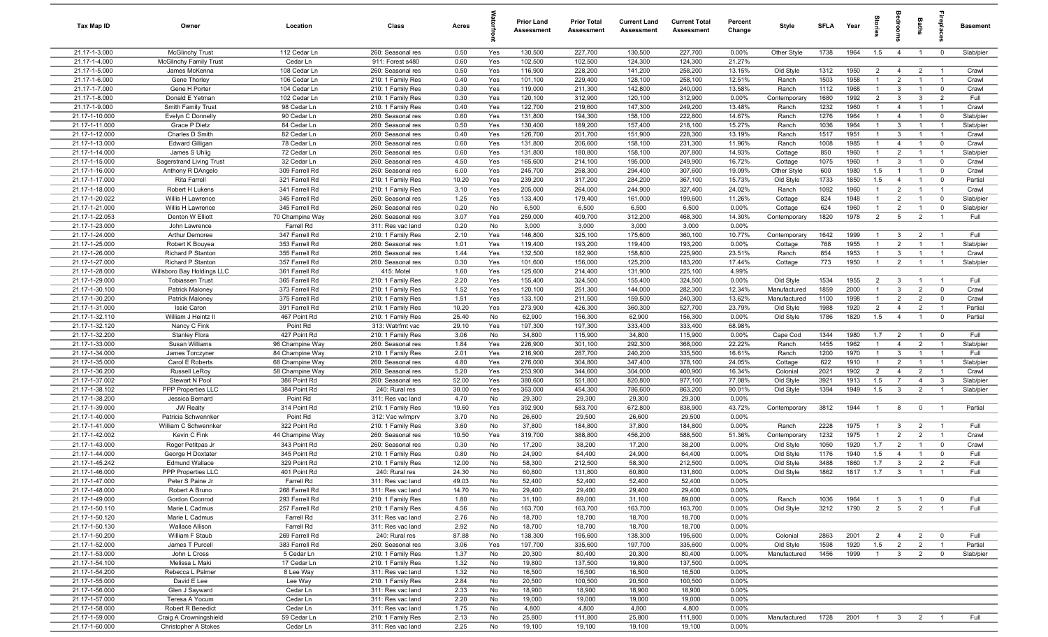| Tax Map ID                       | Owner                                   | Location                         | Class                                  | Acres         |            | <b>Prior Land</b><br>Assessment | <b>Prior Total</b><br>Assessment | <b>Current Land</b><br>Assessment | <b>Current Total</b><br><b>Assessment</b> | Percent<br>Change | Style                  | <b>SFLA</b>  | Year         | g                                | groo                             | Baths                            |                                  | <b>Basement</b>        |
|----------------------------------|-----------------------------------------|----------------------------------|----------------------------------------|---------------|------------|---------------------------------|----------------------------------|-----------------------------------|-------------------------------------------|-------------------|------------------------|--------------|--------------|----------------------------------|----------------------------------|----------------------------------|----------------------------------|------------------------|
| 21.17-1-3.000                    | <b>McGlinchy Trust</b>                  | 112 Cedar Ln                     | 260: Seasonal res                      | 0.50          | Yes        | 130,500                         | 227,700                          | 130,500                           | 227,700                                   | 0.00%             | Other Style            | 1738         | 1964         | 1.5                              | $\overline{4}$                   | $\overline{1}$                   | $\overline{0}$                   | Slab/pier              |
| 21.17-1-4.000                    | <b>McGlinchy Family Trust</b>           | Cedar Ln                         | 911: Forest s480                       | 0.60          | Yes        | 102,500                         | 102,500                          | 124,300                           | 124,300                                   | 21.27%            |                        |              |              |                                  |                                  |                                  |                                  |                        |
| 21.17-1-5.000                    | James McKenna                           | 108 Cedar Ln                     | 260: Seasonal res                      | 0.50          | Yes        | 116,900                         | 228,200                          | 141,200                           | 258,200                                   | 13.15%            | Old Style              | 1312         | 1950         | $2^{\circ}$                      | $\overline{4}$                   | $\overline{2}$                   | - 1                              | Crawl                  |
| 21.17-1-6.000                    | Gene Thorley                            | 106 Cedar Ln                     | 210: 1 Family Res                      | 0.40          | Yes        | 101,100                         | 229,400                          | 128,100                           | 258,100                                   | 12.51%            | Ranch                  | 1503         | 1958         | $\overline{1}$                   | $\overline{2}$                   |                                  | $\overline{1}$                   | Crawl                  |
| 21.17-1-7.000                    | Gene H Porter                           | 104 Cedar Ln                     | 210: 1 Family Res                      | 0.30          | Yes        | 119,000                         | 211,300                          | 142,800                           | 240,000                                   | 13.58%            | Ranch                  | 1112         | 1968         | $\mathbf{1}$                     | $\mathbf{3}$                     | $\overline{1}$<br>3              | $\mathbf 0$                      | Crawl                  |
| 21.17-1-8.000<br>21.17-1-9.000   | Donald E Yetman                         | 102 Cedar Ln<br>98 Cedar Ln      | 210: 1 Family Res                      | 0.30<br>0.40  | Yes        | 120,100<br>122,700              | 312,900<br>219,600               | 120,100<br>147,300                | 312,900<br>249,200                        | 0.00%<br>13.48%   | Contemporary           | 1680<br>1232 | 1992<br>1960 | $\overline{2}$<br>$\overline{1}$ | $\mathbf{3}$<br>$\overline{4}$   | $\overline{1}$                   | $\overline{2}$<br>$\overline{1}$ | Full                   |
| 21.17-1-10.000                   | Smith Family Trust<br>Evelyn C Donnelly | 90 Cedar Ln                      | 210: 1 Family Res<br>260: Seasonal res | 0.60          | Yes<br>Yes | 131,800                         | 194,300                          | 158,100                           | 222,800                                   | 14.67%            | Ranch<br>Ranch         | 1276         | 1964         | $\overline{1}$                   | $\overline{4}$                   | $\overline{1}$                   | $\mathbf 0$                      | Crawl<br>Slab/pier     |
| 21.17-1-11.000                   | Grace P Dietz                           | 84 Cedar Ln                      | 260: Seasonal res                      | 0.50          | Yes        | 130,400                         | 189,200                          | 157,400                           | 218,100                                   | 15.27%            | Ranch                  | 1036         | 1964         | $\overline{1}$                   | $\mathbf{3}$                     | $\overline{1}$                   | $\overline{1}$                   | Slab/pier              |
| 21.17-1-12.000                   | Charles D Smith                         | 82 Cedar Ln                      | 260: Seasonal res                      | 0.40          | Yes        | 126,700                         | 201,700                          | 151,900                           | 228,300                                   | 13.19%            | Ranch                  | 1517         | 1951         | $\overline{1}$                   | $\mathbf{3}$                     | $\overline{1}$                   | $\overline{1}$                   | Crawl                  |
| 21.17-1-13.000                   | <b>Edward Gilligan</b>                  | 78 Cedar Ln                      | 260: Seasonal res                      | 0.60          | Yes        | 131,800                         | 206,600                          | 158,100                           | 231,300                                   | 11.96%            | Ranch                  | 1008         | 1985         | $\overline{1}$                   | $\overline{4}$                   | $\overline{1}$                   | $\mathbf 0$                      | Crawl                  |
| 21.17-1-14.000                   | James S Uhlig                           | 72 Cedar Ln                      | 260: Seasonal res                      | 0.60          | Yes        | 131,800                         | 180,800                          | 158,100                           | 207,800                                   | 14.93%            | Cottage                | 850          | 1960         | $\overline{1}$                   | 2                                | $\overline{1}$                   | $\overline{1}$                   | Slab/pier              |
| 21.17-1-15.000                   | Sagerstrand Living Trust                | 32 Cedar Ln                      | 260: Seasonal res                      | 4.50          | Yes        | 165,600                         | 214,100                          | 195,000                           | 249,900                                   | 16.72%            | Cottage                | 1075         | 1960         | $\overline{1}$                   | $\mathbf{3}$                     | -1                               | $\mathbf 0$                      | Crawl                  |
| 21.17-1-16.000                   | Anthony R DAngelo                       | 309 Farrell Rd                   | 260: Seasonal res                      | 6.00          | Yes        | 245,700                         | 258,300                          | 294,400                           | 307,600                                   | 19.09%            | Other Style            | 600          | 1980         | 1.5                              | -1                               | $\mathbf{1}$                     | $\mathbf 0$                      | Crawl                  |
| 21.17-1-17.000                   | Rita Farrell                            | 321 Farrell Rd                   | 210: 1 Family Res                      | 10.20         | Yes        | 239,200                         | 317,200                          | 284,200                           | 367,100                                   | 15.73%            | Old Style              | 1733         | 1850         | 1.5                              | $\overline{4}$                   |                                  | $\mathbf 0$                      | Partial                |
| 21.17-1-18.000                   | Robert H Lukens                         | 341 Farrell Rd                   | 210: 1 Family Res                      | 3.10          | Yes        | 205,000                         | 264,000                          | 244,900                           | 327,400                                   | 24.02%            | Ranch                  | 1092         | 1960         | $\mathbf{1}$                     | $\overline{2}$                   | $\mathbf{1}$                     | $\overline{1}$                   | Crawl                  |
| 21.17-1-20.022                   | Willis H Lawrence                       | 345 Farrell Rd                   | 260: Seasonal res                      | 1.25          | Yes        | 133,400                         | 179,400                          | 161,000                           | 199,600                                   | 11.26%            | Cottage                | 824          | 1948         | $\mathbf{1}$                     | $\overline{2}$                   |                                  | $\mathbf 0$                      | Slab/pier              |
| 21.17-1-21.000                   | Willis H Lawrence                       | 345 Farrell Rd                   | 260: Seasonal res                      | 0.20          | No         | 6,500                           | 6,500                            | 6,500                             | 6,500                                     | 0.00%             | Cottage                | 624          | 1960         | $\mathbf{1}$                     | $\overline{2}$                   | $\overline{1}$                   | $\mathbf 0$                      | Slab/pier              |
| 21.17-1-22.053                   | Denton W Elliott                        | 70 Champine Way                  | 260: Seasonal res                      | 3.07          | Yes        | 259,000                         | 409,700                          | 312,200                           | 468,300                                   | 14.30%            | Contemporary           | 1820         | 1978         | $\overline{2}$                   | 5                                | $\overline{2}$                   | $\overline{1}$                   | Full                   |
| 21.17-1-23.000                   | John Lawrence                           | Farrell Rd                       | 311: Res vac land                      | 0.20          | No         | 3,000                           | 3,000                            | 3,000                             | 3,000                                     | 0.00%             |                        |              |              |                                  |                                  |                                  |                                  |                        |
| 21.17-1-24.000<br>21.17-1-25.000 | Arthur Demoree                          | 347 Farrell Rd<br>353 Farrell Rd | 210: 1 Family Res                      | 2.10<br>1.01  | Yes        | 146,800<br>119,400              | 325,100                          | 175,600                           | 360,100                                   | 10.77%<br>0.00%   | Contemporary           | 1642<br>768  | 1999<br>1955 | $\overline{1}$<br>$\overline{1}$ | $\mathbf{3}$<br>$\overline{2}$   | $\overline{2}$<br>$\mathbf{1}$   | $\overline{1}$<br>$\overline{1}$ | Full<br>Slab/pier      |
| 21.17-1-26.000                   | Robert K Bouyea<br>Richard P Stanton    | 355 Farrell Rd                   | 260: Seasonal res<br>260: Seasonal res | 1.44          | Yes<br>Yes | 132,500                         | 193,200<br>182,900               | 119,400<br>158,800                | 193,200<br>225,900                        | 23.51%            | Cottage<br>Ranch       | 854          | 1953         | $\overline{1}$                   | $\mathbf{3}$                     | $\overline{1}$                   | $\overline{1}$                   | Crawl                  |
| 21.17-1-27.000                   | Richard P Stanton                       | 357 Farrell Rd                   | 260: Seasonal res                      | 0.30          | Yes        | 101,600                         | 156,000                          | 125,200                           | 183,200                                   | 17.44%            | Cottage                | 773          | 1950         | $\overline{1}$                   | $\overline{2}$                   | $\overline{1}$                   | $\overline{1}$                   | Slab/pier              |
| 21.17-1-28.000                   | Willsboro Bay Holdings LLC              | 361 Farrell Rd                   | 415: Motel                             | 1.60          | Yes        | 125,600                         | 214,400                          | 131,900                           | 225,100                                   | 4.99%             |                        |              |              |                                  |                                  |                                  |                                  |                        |
| 21.17-1-29.000                   | <b>Tobiassen Trust</b>                  | 365 Farrell Rd                   | 210: 1 Family Res                      | 2.20          | Yes        | 155,400                         | 324,500                          | 155,400                           | 324,500                                   | 0.00%             | Old Style              | 1534         | 1955         | $\overline{2}$                   | $\mathbf{3}$                     | $\overline{1}$                   | $\overline{1}$                   | Full                   |
| 21.17-1-30.100                   | Patrick Maloney                         | 373 Farrell Rd                   | 210: 1 Family Res                      | 1.52          | Yes        | 120,100                         | 251,300                          | 144,000                           | 282,300                                   | 12.34%            | Manufactured           | 1859         | 2000         | $\mathbf{1}$                     | $\mathbf{3}$                     | $\overline{2}$                   | $\mathbf 0$                      | Crawl                  |
| 21.17-1-30.200                   | Patrick Maloney                         | 375 Farrell Rd                   | 210: 1 Family Res                      | 1.51          | Yes        | 133,100                         | 211,500                          | 159,500                           | 240,300                                   | 13.62%            | Manufactured           | 1100         | 1998         | $\mathbf{1}$                     | $\overline{2}$                   | $\overline{2}$                   | $\mathbf 0$                      | Crawl                  |
| 21.17-1-31.000                   | <b>Issie Caron</b>                      | 391 Farrell Rd                   | 210: 1 Family Res                      | 10.20         | Yes        | 273,900                         | 426,300                          | 360,300                           | 527,700                                   | 23.79%            | Old Style              | 1988         | 1920         | $\overline{2}$                   | $\overline{4}$                   | $\overline{2}$                   | $\overline{1}$                   | Partial                |
| 21.17-1-32.110                   | William J Heintz II                     | 467 Point Rd                     | 210: 1 Family Res                      | 25.40         | No         | 62,900                          | 156,300                          | 62,900                            | 156,300                                   | 0.00%             | Old Style              | 1786         | 1820         | 1.5                              | $\overline{4}$                   | $\overline{1}$                   | $\mathbf 0$                      | Partial                |
| 21.17-1-32.120                   | Nancy C Fink                            | Point Rd                         | 313: Watrfrnt vac                      | 29.10         | Yes        | 197,300                         | 197,300                          | 333,400                           | 333,400                                   | 68.98%            |                        |              |              |                                  |                                  |                                  |                                  |                        |
| 21.17-1-32.200                   | <b>Stanley Flora</b>                    | 427 Point Rd                     | 210: 1 Family Res                      | 3.06          | No         | 34,800                          | 115,900                          | 34,800                            | 115,900                                   | 0.00%             | Cape Cod               | 1344         | 1980         | 1.7                              | $\overline{2}$                   | $\overline{1}$                   | $\mathbf 0$                      | Full                   |
| 21.17-1-33.000                   | Susan Williams                          | 96 Champine Way                  | 260: Seasonal res                      | 1.84          | Yes        | 226,900                         | 301,100                          | 292,300                           | 368,000                                   | 22.22%            | Ranch                  | 1455         | 1962         | $\overline{1}$                   | $\overline{4}$                   | $\overline{2}$                   | $\overline{1}$                   | Slab/pier              |
| 21.17-1-34.000                   | James Torczyner                         | 84 Champine Way                  | 210: 1 Family Res                      | 2.01          | Yes        | 216,900                         | 287,700                          | 240,200                           | 335,500                                   | 16.61%            | Ranch                  | 1200         | 1970         | $\overline{1}$                   | $\mathbf{3}$                     | $\overline{1}$                   | $\overline{1}$                   | Full                   |
| 21.17-1-35.000                   | Carol E Roberts                         | 68 Champine Way                  | 260: Seasonal res                      | 4.80          | Yes        | 276,000                         | 304,800                          | 347,400                           | 378,100                                   | 24.05%            | Cottage                | 622          | 1910         | $\overline{1}$                   | $\overline{2}$                   | $\overline{1}$                   | $\overline{1}$                   | Slab/pier              |
| 21.17-1-36.200<br>21.17-1-37.002 | Russell LeRoy                           | 58 Champine Way                  | 260: Seasonal res                      | 5.20<br>52.00 | Yes        | 253,900<br>380,600              | 344,600                          | 304,000                           | 400,900                                   | 16.34%            | Colonial               | 2021         | 1902<br>1913 | $\overline{2}$<br>1.5            | $\overline{4}$<br>$\overline{7}$ | $\overline{2}$                   | $\overline{1}$<br>$\overline{3}$ | Crawl                  |
| 21.17-1-38.102                   | Stewart N Pool<br>PPP Properties LLC    | 386 Point Rd<br>384 Point Rd     | 260: Seasonal res<br>240: Rural res    | 30.00         | Yes<br>Yes | 363,000                         | 551,800<br>454,300               | 820,800<br>786,600                | 977,100<br>863,200                        | 77.08%<br>90.01%  | Old Style<br>Old Style | 3921<br>1394 | 1949         | 1.5                              | $\overline{3}$                   | $\overline{4}$<br>$\overline{2}$ | $\overline{1}$                   | Slab/pier<br>Slab/pier |
| 21.17-1-38.200                   | Jessica Bernard                         | Point Rd                         | 311: Res vac land                      | 4.70          | No         | 29,300                          | 29,300                           | 29,300                            | 29,300                                    | 0.00%             |                        |              |              |                                  |                                  |                                  |                                  |                        |
| 21.17-1-39.000                   | <b>JW Realty</b>                        | 314 Point Rd                     | 210: 1 Family Res                      | 19.60         | Yes        | 392,900                         | 583,700                          | 672,800                           | 838,900                                   | 43.72%            | Contemporary           | 3812         | 1944         | $\overline{1}$                   | 8                                | $\mathbf 0$                      | $\overline{1}$                   | Partial                |
| 21.17-1-40.000                   | Patricia Schwennker                     | Point Rd                         | 312: Vac w/imprv                       | 3.70          | No         | 26,600                          | 29,500                           | 26,600                            | 29,500                                    | 0.00%             |                        |              |              |                                  |                                  |                                  |                                  |                        |
| 21.17-1-41.000                   | William C Schwennker                    | 322 Point Rd                     | 210: 1 Family Res                      | 3.60          | No         | 37,800                          | 184,800                          | 37,800                            | 184,800                                   | 0.00%             | Ranch                  | 2228         | 1975         | $\mathbf{1}$                     | $\mathbf{3}$                     | $\overline{2}$                   | - 1                              | Full                   |
| 21.17-1-42.002                   | Kevin C Fink                            | 44 Champine Way                  | 260: Seasonal res                      | 10.50         | Yes        | 319,700                         | 388,800                          | 456,200                           | 588,500                                   | 51.36%            | Contemporary           | 1232         | 1975         | $\overline{1}$                   | $\overline{2}$                   | $\overline{2}$                   | $\overline{1}$                   | Crawl                  |
| 21.17-1-43.000                   | Roger Petitpas Jr                       | 343 Point Rd                     | 260: Seasonal res                      | 0.30          | No         | 17,200                          | 38,200                           | 17,200                            | 38,200                                    | 0.00%             | Old Style              | 1050         | 1920         | 1.7                              | $\overline{2}$                   | $\overline{1}$                   | $\overline{0}$                   | Crawl                  |
| 21.17-1-44.000                   | George H Doxtater                       | 345 Point Rd                     | 210: 1 Family Res                      | 0.80          | No         | 24,900                          | 64,400                           | 24,900                            | 64,400                                    | 0.00%             | Old Style              | 1176         | 1940         | 1.5                              | $\overline{4}$                   | -1                               | $\mathbf 0$                      | Full                   |
| 21.17-1-45.242                   | <b>Edmund Wallace</b>                   | 329 Point Rd                     | 210: 1 Family Res                      | 12.00         | No         | 58,300                          | 212,500                          | 58,300                            | 212,500                                   | 0.00%             | Old Style              | 3488         | 1860         | 1.7                              | $\overline{3}$                   | $\overline{2}$                   | $\overline{2}$                   | Full                   |
| 21.17-1-46.000                   | PPP Properties LLC                      | 401 Point Rd                     | 240: Rural res                         | 24.30         | <b>No</b>  | 60,800                          | 131,800                          | 60,800                            | 131,800                                   | 0.00%             | Old Style              | 1862         | 1817         | 1.7                              | $\mathbf{3}$                     | $\overline{1}$                   |                                  | <b>Full</b>            |
| 21.17-1-47.000                   | Peter S Paine Jr                        | Farrell Rd                       | 311: Res vac land                      | 49.03         | No         | 52,400                          | 52,400                           | 52,400                            | 52,400                                    | $0.00\%$          |                        |              |              |                                  |                                  |                                  |                                  |                        |
| 21.17-1-48.000                   | Robert A Bruno                          | 268 Farrell Rd                   | 311: Res vac land                      | 14.70         | No         | 29,400                          | 29,400                           | 29,400                            | 29,400                                    | 0.00%             |                        |              |              |                                  |                                  |                                  |                                  |                        |
| 21.17-1-49.000                   | Gordon Coonrod                          | 293 Farrell Rd                   | 210: 1 Family Res                      | 1.80          | No         | 31,100                          | 89,000                           | 31,100                            | 89,000                                    | 0.00%             | Ranch                  | 1036         | 1964         | $\overline{1}$                   | $\mathbf{3}$                     | $\overline{1}$                   | $\overline{0}$                   | Full                   |
| 21.17-1-50.110                   | Marie L Cadmus<br>Marie L Cadmus        | 257 Farrell Rd                   | 210: 1 Family Res                      | 4.56          | No         | 163,700                         | 163,700                          | 163,700                           | 163,700                                   | 0.00%             | Old Style              | 3212         | 1790         | 2                                | 5 <sup>5</sup>                   | $\overline{2}$                   | $\overline{1}$                   | Full                   |
| 21.17-1-50.120<br>21.17-1-50.130 | <b>Wallace Allison</b>                  | Farrell Rd<br>Farrell Rd         | 311: Res vac land<br>311: Res vac land | 2.76<br>2.92  | No<br>No   | 18,700<br>18,700                | 18,700<br>18,700                 | 18,700<br>18,700                  | 18,700<br>18,700                          | 0.00%<br>0.00%    |                        |              |              |                                  |                                  |                                  |                                  |                        |
| 21.17-1-50.200                   | William F Staub                         | 269 Farrell Rd                   | 240: Rural res                         | 87.88         | No         | 138,300                         | 195,600                          | 138,300                           | 195,600                                   | 0.00%             | Colonial               | 2863         | 2001         | $\overline{2}$                   | $\overline{4}$                   | $\overline{2}$                   | $\overline{0}$                   | Full                   |
| 21.17-1-52.000                   | James T Purcell                         | 383 Farrell Rd                   | 260: Seasonal res                      | 3.06          | Yes        | 197,700                         | 335,600                          | 197,700                           | 335,600                                   | 0.00%             | Old Style              | 1598         | 1920         | 1.5                              | $\overline{2}$                   | $\overline{2}$                   | $\overline{1}$                   | Partial                |
| 21.17-1-53.000                   | John L Cross                            | 5 Cedar Ln                       | 210: 1 Family Res                      | 1.37          | No         | 20,300                          | 80,400                           | 20,300                            | 80,400                                    | 0.00%             | Manufactured           | 1456         | 1999         | $\overline{1}$                   | $\mathbf{3}$                     | $\overline{2}$                   | $\mathbf 0$                      | Slab/pier              |
| 21.17-1-54.100                   | Melissa L Maki                          | 17 Cedar Ln                      | 210: 1 Family Res                      | 1.32          | No         | 19,800                          | 137,500                          | 19,800                            | 137,500                                   | 0.00%             |                        |              |              |                                  |                                  |                                  |                                  |                        |
| 21.17-1-54.200                   | Rebecca L Palmer                        | 8 Lee Way                        | 311: Res vac land                      | 1.32          | No         | 16,500                          | 16,500                           | 16,500                            | 16,500                                    | 0.00%             |                        |              |              |                                  |                                  |                                  |                                  |                        |
| 21.17-1-55.000                   | David E Lee                             | Lee Way                          | 210: 1 Family Res                      | 2.84          | No         | 20,500                          | 100,500                          | 20,500                            | 100,500                                   | 0.00%             |                        |              |              |                                  |                                  |                                  |                                  |                        |
| 21.17-1-56.000                   | Glen J Sayward                          | Cedar Ln                         | 311: Res vac land                      | 2.33          | No         | 18,900                          | 18,900                           | 18,900                            | 18,900                                    | 0.00%             |                        |              |              |                                  |                                  |                                  |                                  |                        |
| 21.17-1-57.000                   | Teresa A Yocum                          | Cedar Ln                         | 311: Res vac land                      | 2.20          | No         | 19,000                          | 19,000                           | 19,000                            | 19,000                                    | 0.00%             |                        |              |              |                                  |                                  |                                  |                                  |                        |
| 21.17-1-58.000                   | <b>Robert R Benedict</b>                | Cedar Ln                         | 311: Res vac land                      | 1.75          | No         | 4,800                           | 4,800                            | 4,800                             | 4,800                                     | 0.00%             |                        |              |              |                                  |                                  |                                  |                                  |                        |
| 21.17-1-59.000                   | Craig A Crowningshield                  | 59 Cedar Ln                      | 210: 1 Family Res                      | 2.13          | No         | 25,800                          | 111,800                          | 25,800                            | 111,800                                   | 0.00%             | Manufactured           | 1728         | 2001         | $\overline{1}$                   | $\overline{3}$                   | $\overline{2}$                   | $\overline{1}$                   | Full                   |
| 21.17-1-60.000                   | Christopher A Stokes                    | Cedar Ln                         | 311: Res vac land                      | 2.25          | No         | 19,100                          | 19,100                           | 19,100                            | 19,100                                    | 0.00%             |                        |              |              |                                  |                                  |                                  |                                  |                        |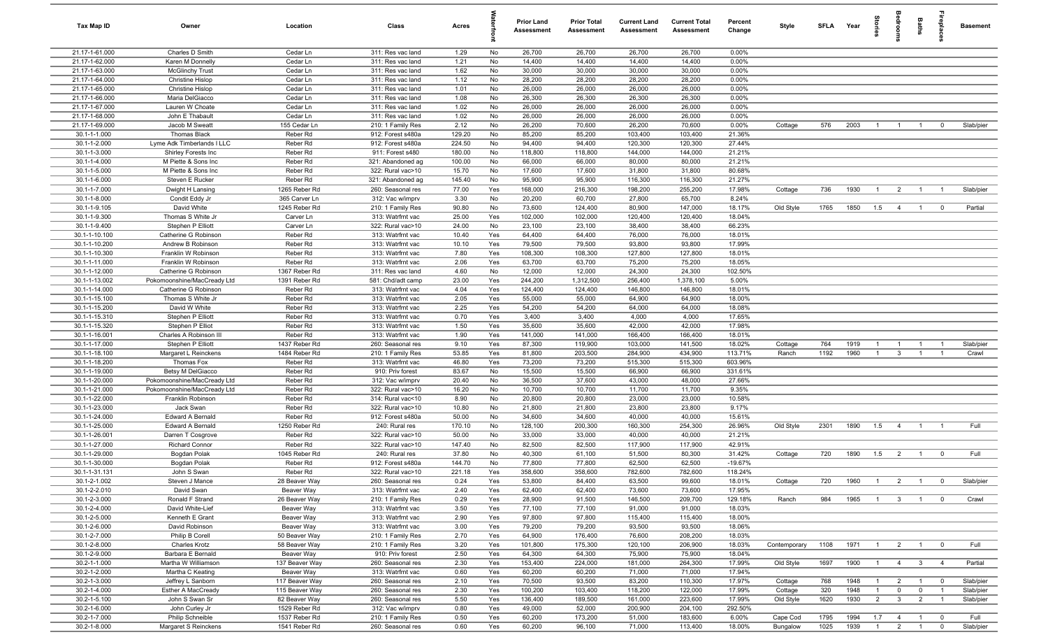| Tax Map ID                       | Owner                                            | Location                 | Class                                  | Acres          |            | Prior Land<br><b>Assessment</b> | <b>Prior Total</b><br>Assessment | <b>Current Land</b><br>Assessment | <b>Current Total</b><br><b>Assessment</b> | Percent<br>Change | Style        |      | SFLA Year | ă              |                | Baths          | replac                  | <b>Basement</b> |
|----------------------------------|--------------------------------------------------|--------------------------|----------------------------------------|----------------|------------|---------------------------------|----------------------------------|-----------------------------------|-------------------------------------------|-------------------|--------------|------|-----------|----------------|----------------|----------------|-------------------------|-----------------|
| 21.17-1-61.000                   | Charles D Smith                                  | Cedar Ln                 | 311: Res vac land                      | 1.29           | No         | 26,700                          | 26,700                           | 26,700                            | 26,700                                    | 0.00%             |              |      |           |                |                |                |                         |                 |
| 21.17-1-62.000                   | Karen M Donnelly                                 | Cedar Ln                 | 311: Res vac land                      | 1.21           | No         | 14,400                          | 14,400                           | 14,400                            | 14,400                                    | 0.00%             |              |      |           |                |                |                |                         |                 |
| 21.17-1-63.000                   | <b>McGlinchy Trust</b>                           | Cedar Ln                 | 311: Res vac land                      | 1.62           | No         | 30,000                          | 30,000                           | 30,000                            | 30,000                                    | 0.00%             |              |      |           |                |                |                |                         |                 |
| 21.17-1-64.000                   | <b>Christine Hislop</b>                          | Cedar Ln                 | 311: Res vac land                      | 1.12           | No         | 28,200                          | 28,200                           | 28,200                            | 28,200                                    | 0.00%             |              |      |           |                |                |                |                         |                 |
| 21.17-1-65.000<br>21.17-1-66.000 | <b>Christine Hislop</b><br>Maria DelGiacco       | Cedar Ln<br>Cedar Ln     | 311: Res vac land                      | 1.01<br>1.08   | No<br>No   | 26,000<br>26,300                | 26,000<br>26,300                 | 26,000<br>26,300                  | 26,000<br>26,300                          | 0.00%<br>0.00%    |              |      |           |                |                |                |                         |                 |
| 21.17-1-67.000                   | Lauren W Choate                                  | Cedar Ln                 | 311: Res vac land<br>311: Res vac land | 1.02           | No         | 26,000                          | 26,000                           | 26,000                            | 26,000                                    | 0.00%             |              |      |           |                |                |                |                         |                 |
| 21.17-1-68.000                   | John E Thabault                                  | Cedar Ln                 | 311: Res vac land                      | 1.02           | No         | 26,000                          | 26,000                           | 26,000                            | 26,000                                    | 0.00%             |              |      |           |                |                |                |                         |                 |
| 21.17-1-69.000                   | Jacob M Sweatt                                   | 155 Cedar Ln             | 210: 1 Family Res                      | 2.12           | No         | 26,200                          | 70,600                           | 26,200                            | 70,600                                    | 0.00%             | Cottage      | 576  | 2003      | $\overline{1}$ | $\overline{1}$ | $\overline{1}$ | $\overline{0}$          | Slab/pier       |
| 30.1-1-1.000                     | Thomas Black                                     | Reber Rd                 | 912: Forest s480a                      | 129.20         | No         | 85,200                          | 85,200                           | 103,400                           | 103,400                                   | 21.36%            |              |      |           |                |                |                |                         |                 |
| 30.1-1-2.000                     | Lyme Adk Timberlands I LLC                       | Reber Rd                 | 912: Forest s480a                      | 224.50         | No         | 94,400                          | 94,400                           | 120,300                           | 120,300                                   | 27.44%            |              |      |           |                |                |                |                         |                 |
| 30.1-1-3.000                     | Shirley Forests Inc                              | Reber Rd                 | 911: Forest s480                       | 180.00         | No         | 118,800                         | 118,800                          | 144,000                           | 144,000                                   | 21.21%            |              |      |           |                |                |                |                         |                 |
| 30.1-1-4.000                     | M Piette & Sons Inc                              | Reber Rd                 | 321: Abandoned ag                      | 100.00         | No         | 66,000                          | 66,000                           | 80,000                            | 80,000                                    | 21.21%            |              |      |           |                |                |                |                         |                 |
| 30.1-1-5.000                     | M Piette & Sons Inc                              | Reber Rd                 | 322: Rural vac>10                      | 15.70          | No         | 17,600                          | 17,600                           | 31,800                            | 31,800                                    | 80.68%            |              |      |           |                |                |                |                         |                 |
| 30.1-1-6.000                     | Steven E Rucker                                  | Reber Rd                 | 321: Abandoned ag                      | 145.40         | No         | 95,900                          | 95,900                           | 116,300                           | 116,300                                   | 21.27%            |              |      |           |                |                |                |                         |                 |
| 30.1-1-7.000                     | Dwight H Lansing                                 | 1265 Reber Rd            | 260: Seasonal res                      | 77.00          | Yes        | 168,000                         | 216,300                          | 198,200                           | 255,200                                   | 17.98%            | Cottage      | 736  | 1930      | $\overline{1}$ | $\overline{2}$ | $\overline{1}$ | $\overline{1}$          | Slab/pier       |
| 30.1-1-8.000                     | Condit Eddy Jr                                   | 365 Carver Ln            | 312: Vac w/imprv                       | 3.30           | No         | 20,200                          | 60,700                           | 27,800                            | 65,700                                    | 8.24%             |              |      |           |                |                |                |                         |                 |
| 30.1-1-9.105                     | David White                                      | 1245 Reber Rd            | 210: 1 Family Res                      | 90.80          | No         | 73,600                          | 124,400                          | 80,900                            | 147,000                                   | 18.17%            | Old Style    | 1765 | 1850      | 1.5            | $\overline{4}$ | $\overline{1}$ | $\overline{\mathbf{0}}$ | Partial         |
| 30.1-1-9.300                     | Thomas S White Jr                                | Carver Ln                | 313: Watrfrnt vac                      | 25.00          | Yes        | 102,000                         | 102,000                          | 120,400                           | 120,400                                   | 18.04%            |              |      |           |                |                |                |                         |                 |
| 30.1-1-9.400                     | Stephen P Elliott                                | Carver Ln                | 322: Rural vac>10                      | 24.00          | No         | 23,100                          | 23,100                           | 38,400                            | 38,400                                    | 66.23%            |              |      |           |                |                |                |                         |                 |
| 30.1-1-10.100<br>30.1-1-10.200   | Catherine G Robinson<br>Andrew B Robinson        | Reber Rd<br>Reber Rd     | 313: Watrfrnt vac<br>313: Watrfrnt vac | 10.40<br>10.10 | Yes<br>Yes | 64,400<br>79,500                | 64,400<br>79,500                 | 76,000<br>93,800                  | 76,000<br>93,800                          | 18.01%<br>17.99%  |              |      |           |                |                |                |                         |                 |
| 30.1-1-10.300                    | Franklin W Robinson                              | Reber Rd                 | 313: Watrfrnt vac                      | 7.80           | Yes        | 108,300                         | 108,300                          | 127,800                           | 127,800                                   | 18.01%            |              |      |           |                |                |                |                         |                 |
| 30.1-1-11.000                    | Franklin W Robinson                              | Reber Rd                 | 313: Watrfrnt vac                      | 2.06           | Yes        | 63,700                          | 63,700                           | 75,200                            | 75,200                                    | 18.05%            |              |      |           |                |                |                |                         |                 |
| 30.1-1-12.000                    | Catherine G Robinson                             | 1367 Reber Rd            | 311: Res vac land                      | 4.60           | No         | 12,000                          | 12,000                           | 24,300                            | 24,300                                    | 102.50%           |              |      |           |                |                |                |                         |                 |
| 30.1-1-13.002                    | Pokomoonshine/MacCready Ltd                      | 1391 Reber Rd            | 581: Chd/adt camp                      | 23.00          | Yes        | 244,200                         | 1,312,500                        | 256,400                           | 1,378,100                                 | 5.00%             |              |      |           |                |                |                |                         |                 |
| 30.1-1-14.000                    | Catherine G Robinson                             | Reber Rd                 | 313: Watrfrnt vac                      | 4.04           | Yes        | 124,400                         | 124,400                          | 146,800                           | 146,800                                   | 18.01%            |              |      |           |                |                |                |                         |                 |
| 30.1-1-15.100                    | Thomas S White Jr                                | Reber Rd                 | 313: Watrfrnt vac                      | 2.05           | Yes        | 55,000                          | 55,000                           | 64,900                            | 64,900                                    | 18.00%            |              |      |           |                |                |                |                         |                 |
| 30.1-1-15.200                    | David W White                                    | Reber Rd                 | 313: Watrfrnt vac                      | 2.25           | Yes        | 54,200                          | 54,200                           | 64,000                            | 64,000                                    | 18.08%            |              |      |           |                |                |                |                         |                 |
| 30.1-1-15.310                    | Stephen P Elliott                                | Reber Rd                 | 313: Watrfrnt vac                      | 0.70           | Yes        | 3,400                           | 3,400                            | 4,000                             | 4,000                                     | 17.65%            |              |      |           |                |                |                |                         |                 |
| 30.1-1-15.320                    | Stephen P Elliot                                 | Reber Rd                 | 313: Watrfrnt vac                      | 1.50           | Yes        | 35,600                          | 35,600                           | 42,000                            | 42,000                                    | 17.98%            |              |      |           |                |                |                |                         |                 |
| 30.1-1-16.001                    | Charles A Robinson III                           | Reber Rd                 | 313: Watrfrnt vac                      | 1.90           | Yes        | 141,000                         | 141,000                          | 166,400                           | 166,400                                   | 18.01%            |              |      |           |                |                |                |                         |                 |
| 30.1-1-17.000                    | Stephen P Elliott                                | 1437 Reber Rd            | 260: Seasonal res                      | 9.10           | Yes        | 87,300                          | 119,900                          | 103,000                           | 141,500                                   | 18.02%            | Cottage      | 764  | 1919      | $\overline{1}$ | -1             | $\overline{1}$ | $\overline{1}$          | Slab/pier       |
| 30.1-1-18.100                    | Margaret L Reinckens                             | 1484 Reber Rd            | 210: 1 Family Res                      | 53.85          | Yes        | 81,800                          | 203,500                          | 284,900                           | 434,900                                   | 113.71%           | Ranch        | 1192 | 1960      | $\overline{1}$ | $\mathbf{3}$   | $\mathbf{1}$   | $\overline{1}$          | Crawl           |
| 30.1-1-18.200                    | Thomas Fox                                       | Reber Rd                 | 313: Watrfrnt vac                      | 46.80          | Yes        | 73,200                          | 73,200                           | 515,300                           | 515,300                                   | 603.96%           |              |      |           |                |                |                |                         |                 |
| 30.1-1-19.000<br>30.1-1-20.000   | Betsy M DelGiacco<br>Pokomoonshine/MacCready Ltd | Reber Rd<br>Reber Rd     | 910: Priv forest<br>312: Vac w/imprv   | 83.67<br>20.40 | No<br>No   | 15,500<br>36,500                | 15,500<br>37,600                 | 66,900<br>43,000                  | 66,900<br>48,000                          | 331.61%<br>27.66% |              |      |           |                |                |                |                         |                 |
| 30.1-1-21.000                    | Pokomoonshine/MacCready Ltd                      | Reber Rd                 | 322: Rural vac>10                      | 16.20          | No         | 10,700                          | 10,700                           | 11,700                            | 11,700                                    | 9.35%             |              |      |           |                |                |                |                         |                 |
| 30.1-1-22.000                    | Franklin Robinson                                | Reber Rd                 | 314: Rural vac<10                      | 8.90           | No         | 20,800                          | 20,800                           | 23,000                            | 23,000                                    | 10.58%            |              |      |           |                |                |                |                         |                 |
| 30.1-1-23.000                    | Jack Swan                                        | Reber Rd                 | 322: Rural vac>10                      | 10.80          | No         | 21,800                          | 21,800                           | 23,800                            | 23,800                                    | 9.17%             |              |      |           |                |                |                |                         |                 |
| 30.1-1-24.000                    | <b>Edward A Bernald</b>                          | Reber Rd                 | 912: Forest s480a                      | 50.00          | No         | 34,600                          | 34,600                           | 40,000                            | 40,000                                    | 15.61%            |              |      |           |                |                |                |                         |                 |
| 30.1-1-25.000                    | <b>Edward A Bernald</b>                          | 1250 Reber Rd            | 240: Rural res                         | 170.10         | No         | 128,100                         | 200,300                          | 160,300                           | 254,300                                   | 26.96%            | Old Style    | 2301 | 1890      | 1.5            | $\overline{4}$ | $\overline{1}$ | - 1                     | Full            |
| 30.1-1-26.001                    | Darren T Cosgrove                                | Reber Rd                 | 322: Rural vac>10                      | 50.00          | No         | 33,000                          | 33,000                           | 40,000                            | 40,000                                    | 21.21%            |              |      |           |                |                |                |                         |                 |
| 30.1-1-27.000                    | <b>Richard Connor</b>                            | Reber Rd                 | 322: Rural vac>10                      | 147.40         | No         | 82,500                          | 82,500                           | 117,900                           | 117,900                                   | 42.91%            |              |      |           |                |                |                |                         |                 |
| 30.1-1-29.000                    | Bogdan Polak                                     | 1045 Reber Rd            | 240: Rural res                         | 37.80          | No         | 40,300                          | 61,100                           | 51,500                            | 80,300                                    | 31.42%            | Cottage      | 720  | 1890      | 1.5            | $\overline{2}$ | $\overline{1}$ | $\overline{0}$          | Full            |
| 30.1-1-30.000                    | Bogdan Polak                                     | Reber Rd                 | 912: Forest s480a                      | 144.70         | No         | 77,800                          | 77,800                           | 62,500                            | 62,500                                    | $-19.67%$         |              |      |           |                |                |                |                         |                 |
| 30.1-1-31.131                    | John S Swan                                      | Reber <sub>Rd</sub>      | 322: Rural vac>10                      | 221.18         | Yes        | 358,600                         | 358,600                          | 782.600                           | 782.600                                   | 118.24%           |              |      |           |                |                |                |                         |                 |
| 30.1-2-1.002                     | Steven J Mance                                   | 28 Beaver Way            | 260: Seasonal res                      | 0.24           | Yes        | 53,800                          | 84,400                           | 63,500                            | 99,600                                    | 18.01%            | Cottage      | 720  | 1960      | $\overline{1}$ | $\overline{2}$ | $\overline{1}$ | $\overline{0}$          | Slab/pier       |
| 30.1-2-2.010                     | David Swan                                       | Beaver Way               | 313: Watrfrnt vac                      | 2.40           | Yes        | 62,400                          | 62,400                           | 73,600                            | 73,600                                    | 17.95%            |              |      |           |                |                |                |                         |                 |
| 30.1-2-3.000                     | Ronald F Strand                                  | 26 Beaver Way            | 210: 1 Family Res                      | 0.29           | Yes        | 28,900                          | 91,500                           | 146,500                           | 209,700                                   | 129.18%           | Ranch        | 984  | 1965      | $\overline{1}$ | $\mathbf{3}$   | $\overline{1}$ | $\overline{0}$          | Crawl           |
| 30.1-2-4.000                     | David White-Lief<br>Kenneth E Grant              | Beaver Way               | 313: Watrfrnt vac                      | 3.50           | Yes        | 77,100                          | 77,100                           | 91,000<br>115,400                 | 91,000<br>115,400                         | 18.03%<br>18.00%  |              |      |           |                |                |                |                         |                 |
| 30.1-2-5.000<br>30.1-2-6.000     | David Robinson                                   | Beaver Way<br>Beaver Way | 313: Watrfrnt vac<br>313: Watrfrnt vac | 2.90<br>3.00   | Yes<br>Yes | 97,800<br>79,200                | 97,800<br>79,200                 | 93,500                            | 93,500                                    | 18.06%            |              |      |           |                |                |                |                         |                 |
| 30.1-2-7.000                     | Philip B Corell                                  | 50 Beaver Way            | 210: 1 Family Res                      | 2.70           | Yes        | 64,900                          | 176,400                          | 76,600                            | 208,200                                   | 18.03%            |              |      |           |                |                |                |                         |                 |
| 30.1-2-8.000                     | <b>Charles Krotz</b>                             | 58 Beaver Way            | 210: 1 Family Res                      | 3.20           | Yes        | 101,800                         | 175,300                          | 120,100                           | 206,900                                   | 18.03%            | Contemporary | 1108 | 1971      | $\overline{1}$ | $\overline{2}$ | $\overline{1}$ | $\overline{\mathbf{0}}$ | Full            |
| 30.1-2-9.000                     | Barbara E Bernald                                | Beaver Way               | 910: Priv forest                       | 2.50           | Yes        | 64,300                          | 64,300                           | 75,900                            | 75,900                                    | 18.04%            |              |      |           |                |                |                |                         |                 |
| 30.2-1-1.000                     | Martha W Williamson                              | 137 Beaver Way           | 260: Seasonal res                      | 2.30           | Yes        | 153,400                         | 224,000                          | 181,000                           | 264,300                                   | 17.99%            | Old Style    | 1697 | 1900      | $\overline{1}$ | $\overline{4}$ | $\mathbf{3}$   | $\overline{4}$          | Partial         |
| 30.2-1-2.000                     | Martha C Keating                                 | Beaver Way               | 313: Watrfrnt vac                      | 0.60           | Yes        | 60,200                          | 60,200                           | 71,000                            | 71,000                                    | 17.94%            |              |      |           |                |                |                |                         |                 |
| 30.2-1-3.000                     | Jeffrey L Sanborn                                | 117 Beaver Way           | 260: Seasonal res                      | 2.10           | Yes        | 70,500                          | 93,500                           | 83,200                            | 110,300                                   | 17.97%            | Cottage      | 768  | 1948      | $\overline{1}$ | $\overline{2}$ | $\overline{1}$ | $\overline{0}$          | Slab/pier       |
| 30.2-1-4.000                     | Esther A MacCready                               | 115 Beaver Way           | 260: Seasonal res                      | 2.30           | Yes        | 100,200                         | 103,400                          | 118,200                           | 122,000                                   | 17.99%            | Cottage      | 320  | 1948      | $\overline{1}$ | $\mathbf 0$    | $\overline{0}$ | $\overline{1}$          | Slab/pier       |
| 30.2-1-5.100                     | John S Swan Sr                                   | 82 Beaver Way            | 260: Seasonal res                      | 5.50           | Yes        | 136,400                         | 189,500                          | 161,000                           | 223,600                                   | 17.99%            | Old Style    | 1620 | 1930      | $\overline{2}$ | $\mathbf{3}$   | $\overline{2}$ | $\overline{1}$          | Slab/pier       |
| 30.2-1-6.000                     | John Curley Jr                                   | 1529 Reber Rd            | 312: Vac w/imprv                       | 0.80           | Yes        | 49,000                          | 52,000                           | 200,900                           | 204,100                                   | 292.50%           |              |      |           |                |                |                |                         |                 |
| 30.2-1-7.000                     | Philip Schneible                                 | 1537 Reber Rd            | 210: 1 Family Res                      | 0.50           | Yes        | 60,200                          | 173,200                          | 51,000                            | 183,600                                   | 6.00%             | Cape Cod     | 1795 | 1994      | 1.7            | $\overline{4}$ | $\overline{1}$ | $\overline{0}$          | Full            |
| 30.2-1-8.000                     | Margaret S Reinckens                             | 1541 Reber Rd            | 260: Seasonal res                      | 0.60           | Yes        | 60,200                          | 96,100                           | 71,000                            | 113,400                                   | 18.00%            | Bungalow     | 1025 | 1939      | $\sim$ 1       | $2 \qquad 1$   |                | $\overline{0}$          | Slab/pier       |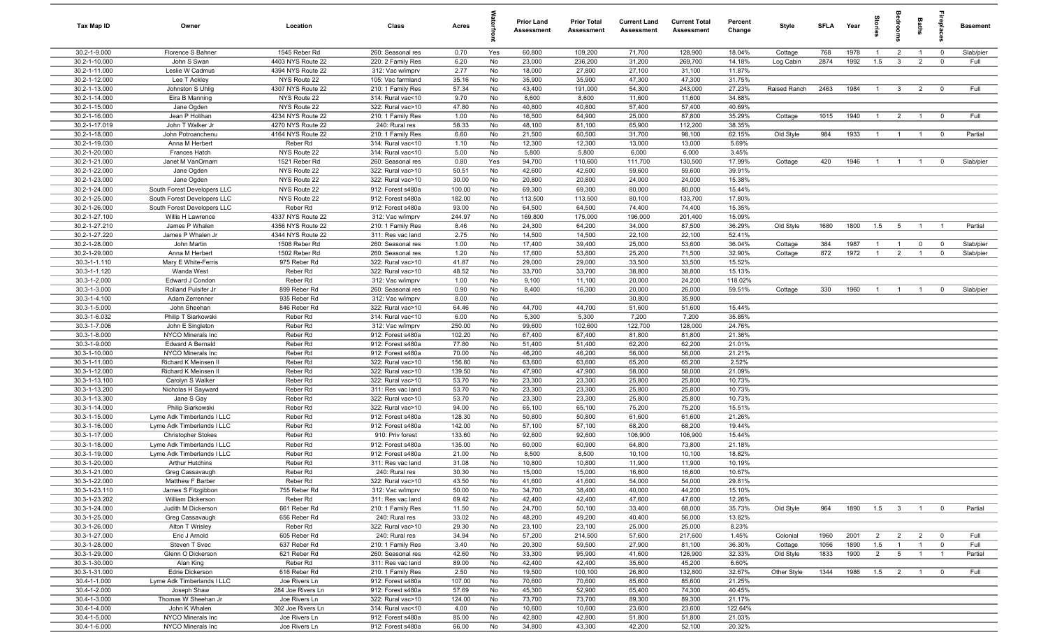| Tax Map ID                     | Owner                                           | Location                               | Class                                  | Acres           |          | Prior Land<br><b>Assessment</b> | <b>Prior Total</b><br>Assessment | <b>Current Land</b><br>Assessment | <b>Current Total</b><br><b>Assessment</b> | Percent<br>Change | Style                | <b>SFLA</b>  | Year         | lorie                 | droom                             | Baths                            | epla                                      | <b>Basement</b> |
|--------------------------------|-------------------------------------------------|----------------------------------------|----------------------------------------|-----------------|----------|---------------------------------|----------------------------------|-----------------------------------|-------------------------------------------|-------------------|----------------------|--------------|--------------|-----------------------|-----------------------------------|----------------------------------|-------------------------------------------|-----------------|
| 30.2-1-9.000                   | Florence S Bahner                               | 1545 Reber Rd                          | 260: Seasonal res                      | 0.70            | Yes      | 60,800                          | 109,200                          | 71,700                            | 128,900                                   | 18.04%            | Cottage              | 768          | 1978         | $\overline{1}$        | $\overline{2}$                    | $\overline{1}$                   | $\overline{0}$                            | Slab/pier       |
| 30.2-1-10.000                  | John S Swan                                     | 4403 NYS Route 22                      | 220: 2 Family Res                      | 6.20            | No       | 23,000                          | 236,200                          | 31,200                            | 269,700                                   | 14.18%            | Log Cabin            | 2874         | 1992         | 1.5                   | $\mathbf{3}$                      | $\overline{2}$                   | $\overline{0}$                            | Full            |
| 30.2-1-11.000                  | Leslie W Cadmus                                 | 4394 NYS Route 22                      | 312: Vac w/imprv                       | 2.77            | No       | 18,000                          | 27,800                           | 27,100                            | 31,100                                    | 11.87%            |                      |              |              |                       |                                   |                                  |                                           |                 |
| 30.2-1-12.000                  | Lee T Ackley                                    | NYS Route 22                           | 105: Vac farmland                      | 35.16           | No       | 35,900                          | 35,900                           | 47,300                            | 47,300                                    | 31.75%            |                      |              |              |                       |                                   |                                  |                                           |                 |
| 30.2-1-13.000                  | Johnston S Uhlig                                | 4307 NYS Route 22                      | 210: 1 Family Res                      | 57.34           | No       | 43,400                          | 191,000                          | 54,300                            | 243,000                                   | 27.23%            | Raised Ranch         | 2463         | 1984         | $\overline{1}$        | $\mathbf{3}$                      | $\overline{2}$                   | $\overline{0}$                            | Full            |
| 30.2-1-14.000                  | Eira B Manning                                  | NYS Route 22                           | 314: Rural vac<10                      | 9.70            | No       | 8,600                           | 8,600                            | 11,600                            | 11,600                                    | 34.88%            |                      |              |              |                       |                                   |                                  |                                           |                 |
| 30.2-1-15.000                  | Jane Ogden                                      | NYS Route 22                           | 322: Rural vac>10                      | 47.80           | No       | 40,800                          | 40,800                           | 57,400                            | 57,400                                    | 40.69%            |                      |              |              |                       |                                   |                                  |                                           | Full            |
| 30.2-1-16.000<br>30.2-1-17.019 | Jean P Holihan<br>John T Walker Jr              | 4234 NYS Route 22<br>4270 NYS Route 22 | 210: 1 Family Res<br>240: Rural res    | 1.00<br>58.33   | No<br>No | 16,500<br>48,100                | 64,900<br>81,100                 | 25,000<br>65,900                  | 87,800<br>112,200                         | 35.29%<br>38.35%  | Cottage              | 1015         | 1940         | $\overline{1}$        | $\overline{2}$                    | $\overline{1}$                   | $\overline{0}$                            |                 |
| 30.2-1-18.000                  | John Potroanchenu                               | 4164 NYS Route 22                      | 210: 1 Family Res                      | 6.60            | No       | 21,500                          | 60,500                           | 31,700                            | 98,100                                    | 62.15%            | Old Style            | 984          | 1933         | $\overline{1}$        | $\overline{1}$                    | $\overline{1}$                   | $\overline{0}$                            | Partial         |
| 30.2-1-19.030                  | Anna M Herbert                                  | Reber Rd                               | 314: Rural vac<10                      | 1.10            | No       | 12,300                          | 12,300                           | 13,000                            | 13,000                                    | 5.69%             |                      |              |              |                       |                                   |                                  |                                           |                 |
| 30.2-1-20.000                  | Frances Hatch                                   | NYS Route 22                           | 314: Rural vac<10                      | 5.00            | No       | 5,800                           | 5,800                            | 6,000                             | 6,000                                     | 3.45%             |                      |              |              |                       |                                   |                                  |                                           |                 |
| 30.2-1-21.000                  | Janet M VanOrnam                                | 1521 Reber Rd                          | 260: Seasonal res                      | 0.80            | Yes      | 94,700                          | 110,600                          | 111,700                           | 130,500                                   | 17.99%            | Cottage              | 420          | 1946         | $\overline{1}$        | $\overline{1}$                    | $\overline{1}$                   | $\overline{0}$                            | Slab/pier       |
| 30.2-1-22.000                  | Jane Ogden                                      | NYS Route 22                           | 322: Rural vac>10                      | 50.51           | No       | 42,600                          | 42,600                           | 59,600                            | 59,600                                    | 39.91%            |                      |              |              |                       |                                   |                                  |                                           |                 |
| 30.2-1-23.000                  | Jane Ogden                                      | NYS Route 22                           | 322: Rural vac>10                      | 30.00           | No       | 20,800                          | 20,800                           | 24,000                            | 24,000                                    | 15.38%            |                      |              |              |                       |                                   |                                  |                                           |                 |
| 30.2-1-24.000                  | South Forest Developers LLC                     | NYS Route 22                           | 912: Forest s480a                      | 100.00          | No       | 69,300                          | 69,300                           | 80,000                            | 80,000                                    | 15.44%            |                      |              |              |                       |                                   |                                  |                                           |                 |
| 30.2-1-25.000                  | South Forest Developers LLC                     | NYS Route 22                           | 912: Forest s480a                      | 182.00          | No       | 113,500                         | 113,500                          | 80,100                            | 133,700                                   | 17.80%            |                      |              |              |                       |                                   |                                  |                                           |                 |
| 30.2-1-26.000                  | South Forest Developers LLC                     | Reber Rd                               | 912: Forest s480a                      | 93.00           | No       | 64,500                          | 64,500                           | 74,400                            | 74,400                                    | 15.35%            |                      |              |              |                       |                                   |                                  |                                           |                 |
| 30.2-1-27.100                  | Willis H Lawrence                               | 4337 NYS Route 22                      | 312: Vac w/imprv                       | 244.97          | No       | 169,800                         | 175,000                          | 196,000                           | 201,400                                   | 15.09%            |                      |              |              |                       |                                   |                                  |                                           |                 |
| 30.2-1-27.210                  | James P Whalen                                  | 4356 NYS Route 22                      | 210: 1 Family Res                      | 8.46            | No       | 24,300                          | 64,200                           | 34,000                            | 87,500                                    | 36.29%            | Old Style            | 1680         | 1800         | 1.5                   | 5                                 | $\overline{1}$                   | $\overline{1}$                            | Partial         |
| 30.2-1-27.220                  | James P Whalen Jr                               | 4344 NYS Route 22                      | 311: Res vac land                      | 2.75            | No       | 14,500                          | 14,500                           | 22,100                            | 22,100                                    | 52.41%            |                      |              |              |                       |                                   |                                  |                                           |                 |
| 30.2-1-28.000                  | John Martin                                     | 1508 Reber Rd                          | 260: Seasonal res                      | 1.00            | No       | 17,400                          | 39,400                           | 25,000                            | 53,600                                    | 36.04%            | Cottage              | 384          | 1987         | $\overline{1}$        | $\overline{1}$                    | $\mathbf 0$                      | $\overline{0}$                            | Slab/pier       |
| 30.2-1-29.000                  | Anna M Herbert                                  | 1502 Reber Rd                          | 260: Seasonal res                      | 1.20            | No       | 17,600                          | 53,800                           | 25,200                            | 71,500                                    | 32.90%            | Cottage              | 872          | 1972         | $\overline{1}$        | $\overline{2}$                    | $\overline{1}$                   | $\overline{0}$                            | Slab/pier       |
| 30.3-1-1.110                   | Mary E White-Ferris                             | 975 Reber Rd                           | 322: Rural vac>10                      | 41.87           | No       | 29,000                          | 29,000                           | 33,500                            | 33,500                                    | 15.52%            |                      |              |              |                       |                                   |                                  |                                           |                 |
| 30.3-1-1.120<br>30.3-1-2.000   | Wanda West                                      | Reber Rd<br>Reber Rd                   | 322: Rural vac>10                      | 48.52<br>1.00   | No       | 33,700<br>9,100                 | 33,700<br>11,100                 | 38,800<br>20,000                  | 38,800<br>24,200                          | 15.13%<br>118.02% |                      |              |              |                       |                                   |                                  |                                           |                 |
| 30.3-1-3.000                   | Edward J Condon<br>Rolland Pulsifer Jr          | 899 Reber Rd                           | 312: Vac w/imprv<br>260: Seasonal res  | 0.90            | No<br>No | 8,400                           | 16,300                           | 20,000                            | 26,000                                    | 59.51%            | Cottage              | 330          | 1960         | $\overline{1}$        | $\overline{1}$                    | $\overline{1}$                   | $\overline{0}$                            | Slab/pier       |
| 30.3-1-4.100                   | Adam Zerrenner                                  | 935 Reber Rd                           | 312: Vac w/imprv                       | 8.00            | No       |                                 |                                  | 30,800                            | 35,900                                    |                   |                      |              |              |                       |                                   |                                  |                                           |                 |
| 30.3-1-5.000                   | John Sheehan                                    | 846 Reber Rd                           | 322: Rural vac>10                      | 64.46           | No       | 44,700                          | 44,700                           | 51,600                            | 51,600                                    | 15.44%            |                      |              |              |                       |                                   |                                  |                                           |                 |
| 30.3-1-6.032                   | Philip T Siarkowski                             | Reber Rd                               | 314: Rural vac<10                      | 6.00            | No       | 5,300                           | 5,300                            | 7,200                             | 7,200                                     | 35.85%            |                      |              |              |                       |                                   |                                  |                                           |                 |
| 30.3-1-7.006                   | John E Singleton                                | Reber Rd                               | 312: Vac w/imprv                       | 250.00          | No       | 99,600                          | 102,600                          | 122,700                           | 128,000                                   | 24.76%            |                      |              |              |                       |                                   |                                  |                                           |                 |
| 30.3-1-8.000                   | NYCO Minerals Inc                               | Reber Rd                               | 912: Forest s480a                      | 102.20          | No       | 67,400                          | 67,400                           | 81,800                            | 81,800                                    | 21.36%            |                      |              |              |                       |                                   |                                  |                                           |                 |
| 30.3-1-9.000                   | <b>Edward A Bernald</b>                         | Reber Rd                               | 912: Forest s480a                      | 77.80           | No       | 51,400                          | 51,400                           | 62,200                            | 62,200                                    | 21.01%            |                      |              |              |                       |                                   |                                  |                                           |                 |
| 30.3-1-10.000                  | NYCO Minerals Inc                               | Reber Rd                               | 912: Forest s480a                      | 70.00           | No       | 46,200                          | 46,200                           | 56,000                            | 56,000                                    | 21.21%            |                      |              |              |                       |                                   |                                  |                                           |                 |
| 30.3-1-11.000                  | Richard K Meinsen II                            | Reber Rd                               | 322: Rural vac>10                      | 156.80          | No       | 63,600                          | 63,600                           | 65,200                            | 65,200                                    | 2.52%             |                      |              |              |                       |                                   |                                  |                                           |                 |
| 30.3-1-12.000                  | Richard K Meinsen II                            | Reber Rd                               | 322: Rural vac>10                      | 139.50          | No       | 47,900                          | 47,900                           | 58,000                            | 58,000                                    | 21.09%            |                      |              |              |                       |                                   |                                  |                                           |                 |
| 30.3-1-13.100                  | Carolyn S Walker                                | Reber Rd                               | 322: Rural vac>10                      | 53.70           | No       | 23,300                          | 23,300                           | 25,800                            | 25,800                                    | 10.73%            |                      |              |              |                       |                                   |                                  |                                           |                 |
| 30.3-1-13.200                  | Nicholas H Sayward                              | Reber Rd                               | 311: Res vac land                      | 53.70           | No       | 23,300                          | 23,300                           | 25,800                            | 25,800                                    | 10.73%            |                      |              |              |                       |                                   |                                  |                                           |                 |
| 30.3-1-13.300                  | Jane S Gay                                      | Reber Rd                               | 322: Rural vac>10                      | 53.70           | No       | 23,300                          | 23,300                           | 25,800                            | 25,800                                    | 10.73%            |                      |              |              |                       |                                   |                                  |                                           |                 |
| 30.3-1-14.000<br>30.3-1-15.000 | Philip Siarkowski<br>Lyme Adk Timberlands I LLC | Reber Rd<br>Reber Rd                   | 322: Rural vac>10<br>912: Forest s480a | 94.00<br>128.30 | No<br>No | 65,100<br>50,800                | 65,100<br>50,800                 | 75,200<br>61,600                  | 75,200<br>61,600                          | 15.51%<br>21.26%  |                      |              |              |                       |                                   |                                  |                                           |                 |
| 30.3-1-16.000                  | Lyme Adk Timberlands I LLC                      | Reber Rd                               | 912: Forest s480a                      | 142.00          | No       | 57,100                          | 57,100                           | 68,200                            | 68,200                                    | 19.44%            |                      |              |              |                       |                                   |                                  |                                           |                 |
| 30.3-1-17.000                  | <b>Christopher Stokes</b>                       | Reber Rd                               | 910: Priv forest                       | 133.60          | No       | 92,600                          | 92,600                           | 106,900                           | 106,900                                   | 15.44%            |                      |              |              |                       |                                   |                                  |                                           |                 |
| 30.3-1-18.000                  | Lyme Adk Timberlands I LLC                      | Reber Rd                               | 912: Forest s480a                      | 135.00          | No       | 60,000                          | 60,900                           | 64,800                            | 73,800                                    | 21.18%            |                      |              |              |                       |                                   |                                  |                                           |                 |
| 30.3-1-19.000                  | Lyme Adk Timberlands I LLC                      | Reber Rd                               | 912: Forest s480a                      | 21.00           | No       | 8,500                           | 8,500                            | 10,100                            | 10,100                                    | 18.82%            |                      |              |              |                       |                                   |                                  |                                           |                 |
| 30.3-1-20.000                  | <b>Arthur Hutchins</b>                          | Reber Rd                               | 311: Res vac land                      | 31.08           | No       | 10,800                          | 10,800                           | 11,900                            | 11,900                                    | 10.19%            |                      |              |              |                       |                                   |                                  |                                           |                 |
| 30.3-1-21.000                  | Greg Cassavaugh                                 | Reber Rd                               | 240: Rural res                         | 30.30           | No.      | 15,000                          | 15,000                           | 16,600                            | 16,600                                    | 10.67%            |                      |              |              |                       |                                   |                                  |                                           |                 |
| 30.3-1-22.000                  | Matthew F Barber                                | Reber Rd                               | 322: Rural vac>10                      | 43.50           | No       | 41,600                          | 41,600                           | 54,000                            | 54,000                                    | 29.81%            |                      |              |              |                       |                                   |                                  |                                           |                 |
| 30.3-1-23.110                  | James S Fitzgibbon                              | 755 Reber Rd                           | 312: Vac w/imprv                       | 50.00           | No       | 34,700                          | 38,400                           | 40,000                            | 44,200                                    | 15.10%            |                      |              |              |                       |                                   |                                  |                                           |                 |
| 30.3-1-23.202                  | William Dickerson                               | Reber Rd                               | 311: Res vac land                      | 69.42           | No       | 42,400                          | 42,400                           | 47,600                            | 47,600                                    | 12.26%            |                      |              |              |                       |                                   |                                  |                                           |                 |
| 30.3-1-24.000                  | Judith M Dickerson                              | 661 Reber Rd                           | 210: 1 Family Res                      | 11.50           | No       | 24,700                          | 50,100                           | 33,400                            | 68,000                                    | 35.73%            | Old Style            | 964          | 1890         | 1.5                   | $\overline{\mathbf{3}}$           | $\overline{1}$                   | $\overline{0}$                            | Partial         |
| 30.3-1-25.000                  | Greg Cassavaugh                                 | 656 Reber Rd                           | 240: Rural res                         | 33.02           | No       | 48,200                          | 49,200                           | 40,400                            | 56,000                                    | 13.82%            |                      |              |              |                       |                                   |                                  |                                           |                 |
| 30.3-1-26.000                  | Alton T Wrisley                                 | Reber Rd                               | 322: Rural vac>10                      | 29.30           | No       | 23,100                          | 23,100                           | 25,000                            | 25,000                                    | 8.23%             |                      |              |              |                       |                                   |                                  |                                           |                 |
| 30.3-1-27.000                  | Eric J Arnold                                   | 605 Reber Rd                           | 240: Rural res                         | 34.94           | No       | 57,200                          | 214,500                          | 57,600                            | 217,600                                   | 1.45%             | Colonial             | 1960         | 2001         | $\overline{2}$        | $\overline{2}$                    | $\overline{2}$                   | $\mathbf{0}$                              | Full            |
| 30.3-1-28.000<br>30.3-1-29.000 | Steven T Svec<br>Glenn O Dickerson              | 637 Reber Rd<br>621 Reber Rd           | 210: 1 Family Res<br>260: Seasonal res | 3.40<br>42.60   | No<br>No | 20,300<br>33,300                | 59,500<br>95,900                 | 27,900<br>41,600                  | 81,100<br>126,900                         | 36.30%<br>32.33%  | Cottage<br>Old Style | 1056<br>1833 | 1890<br>1900 | 1.5<br>$\overline{2}$ | $\overline{1}$<br>$5\overline{6}$ | $\overline{1}$<br>$\overline{1}$ | $\overline{\mathbf{0}}$<br>$\overline{1}$ | Full<br>Partial |
| 30.3-1-30.000                  | Alan King                                       | Reber Rd                               | 311: Res vac land                      | 89.00           | No       | 42,400                          | 42,400                           | 35,600                            | 45,200                                    | 6.60%             |                      |              |              |                       |                                   |                                  |                                           |                 |
| 30.3-1-31.000                  | Edrie Dickerson                                 | 616 Reber Rd                           | 210: 1 Family Res                      | 2.50            | No       | 19,500                          | 100,100                          | 26,800                            | 132,800                                   | 32.67%            | Other Style          | 1344         | 1986         | 1.5                   | $\overline{2}$                    | $\overline{1}$                   | $\overline{0}$                            | Full            |
| 30.4-1-1.000                   | Lyme Adk Timberlands I LLC                      | Joe Rivers Ln                          | 912: Forest s480a                      | 107.00          | No       | 70,600                          | 70,600                           | 85,600                            | 85,600                                    | 21.25%            |                      |              |              |                       |                                   |                                  |                                           |                 |
| 30.4-1-2.000                   | Joseph Shaw                                     | 284 Joe Rivers Ln                      | 912: Forest s480a                      | 57.69           | No       | 45,300                          | 52,900                           | 65,400                            | 74,300                                    | 40.45%            |                      |              |              |                       |                                   |                                  |                                           |                 |
| 30.4-1-3.000                   | Thomas W Sheehan Jr                             | Joe Rivers Ln                          | 322: Rural vac>10                      | 124.00          | No       | 73,700                          | 73,700                           | 89,300                            | 89,300                                    | 21.17%            |                      |              |              |                       |                                   |                                  |                                           |                 |
| 30.4-1-4.000                   | John K Whalen                                   | 302 Joe Rivers Ln                      | 314: Rural vac<10                      | 4.00            | No       | 10,600                          | 10,600                           | 23,600                            | 23,600                                    | 122.64%           |                      |              |              |                       |                                   |                                  |                                           |                 |
| 30.4-1-5.000                   | NYCO Minerals Inc                               | Joe Rivers Ln                          | 912: Forest s480a                      | 85.00           | No       | 42,800                          | 42,800                           | 51,800                            | 51,800                                    | 21.03%            |                      |              |              |                       |                                   |                                  |                                           |                 |
| 30.4-1-6.000                   | NYCO Minerals Inc                               | Joe Rivers Ln                          | 912: Forest s480a                      | 66.00           | No       | 34,800                          | 43,300                           | 42,200                            | 52,100                                    | 20.32%            |                      |              |              |                       |                                   |                                  |                                           |                 |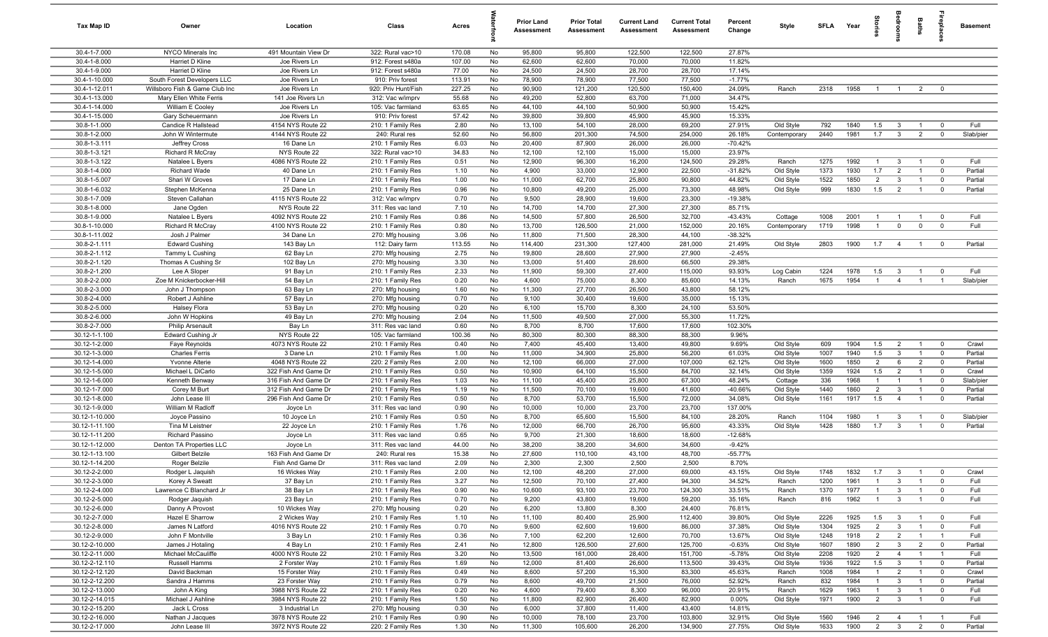| Tax Map ID                     | Owner                                       | Location                                  | Class                                  | Acres          |           | Prior Land<br><b>Assessment</b> | <b>Prior Total</b><br>Assessment | <b>Current Land</b><br>Assessment | <b>Current Total</b><br><b>Assessment</b> | Percent<br>Change   | Style                  | SFLA Year    |              | torie                            | droom                                     | Baths                            | 률                                | <b>Basement</b>    |
|--------------------------------|---------------------------------------------|-------------------------------------------|----------------------------------------|----------------|-----------|---------------------------------|----------------------------------|-----------------------------------|-------------------------------------------|---------------------|------------------------|--------------|--------------|----------------------------------|-------------------------------------------|----------------------------------|----------------------------------|--------------------|
| 30.4-1-7.000                   | NYCO Minerals Inc                           | 491 Mountain View Dr                      | 322: Rural vac>10                      | 170.08         | No        | 95,800                          | 95,800                           | 122,500                           | 122,500                                   | 27.87%              |                        |              |              |                                  |                                           |                                  |                                  |                    |
| 30.4-1-8.000                   | Harriet D Kline                             | Joe Rivers Ln                             | 912: Forest s480a                      | 107.00         | No        | 62,600                          | 62,600                           | 70,000                            | 70,000                                    | 11.82%              |                        |              |              |                                  |                                           |                                  |                                  |                    |
| 30.4-1-9.000                   | Harriet D Kline                             | Joe Rivers Ln                             | 912: Forest s480a                      | 77.00          | No        | 24,500                          | 24,500                           | 28,700                            | 28,700                                    | 17.14%              |                        |              |              |                                  |                                           |                                  |                                  |                    |
| 30.4-1-10.000                  | South Forest Developers LLC                 | Joe Rivers Ln                             | 910: Priv forest                       | 113.91         | No        | 78,900                          | 78,900                           | 77,500                            | 77,500                                    | $-1.77%$            |                        |              |              |                                  |                                           |                                  |                                  |                    |
| 30.4-1-12.011                  | Willsboro Fish & Game Club Inc              | Joe Rivers Ln                             | 920: Priv Hunt/Fish                    | 227.25         | No        | 90,900                          | 121,200                          | 120,500                           | 150,400                                   | 24.09%              | Ranch                  | 2318         | 1958         | $\overline{1}$                   | $\overline{1}$                            | $\overline{2}$                   | $\overline{0}$                   |                    |
| 30.4-1-13.000<br>30.4-1-14.000 | Mary Ellen White Ferris<br>William E Cooley | 141 Joe Rivers Ln<br>Joe Rivers Ln        | 312: Vac w/imprv<br>105: Vac farmland  | 55.68<br>63.65 | No<br>No  | 49,200<br>44,100                | 52,800<br>44,100                 | 63,700<br>50,900                  | 71,000<br>50,900                          | 34.47%<br>15.42%    |                        |              |              |                                  |                                           |                                  |                                  |                    |
| 30.4-1-15.000                  | Gary Scheuermann                            | Joe Rivers Ln                             | 910: Priv forest                       | 57.42          | No        | 39,800                          | 39,800                           | 45,900                            | 45,900                                    | 15.33%              |                        |              |              |                                  |                                           |                                  |                                  |                    |
| 30.8-1-1.000                   | Candice R Hallstead                         | 4154 NYS Route 22                         | 210: 1 Family Res                      | 2.80           | No        | 13,100                          | 54,100                           | 28,000                            | 69,200                                    | 27.91%              | Old Style              | 792          | 1840         | 1.5                              | $\mathbf{3}$                              | $\overline{1}$                   | $\mathbf{0}$                     | Full               |
| 30.8-1-2.000                   | John W Wintermute                           | 4144 NYS Route 22                         | 240: Rural res                         | 52.60          | No        | 56,800                          | 201,300                          | 74,500                            | 254,000                                   | 26.18%              | Contemporary           | 2440         | 1981         | 1.7                              | $\mathbf{3}$                              | $\overline{2}$                   | $\overline{0}$                   | Slab/pier          |
| 30.8-1-3.111                   | Jeffrey Cross                               | 16 Dane Ln                                | 210: 1 Family Res                      | 6.03           | No        | 20,400                          | 87,900                           | 26,000                            | 26,000                                    | $-70.42%$           |                        |              |              |                                  |                                           |                                  |                                  |                    |
| 30.8-1-3.121                   | Richard R McCray                            | NYS Route 22                              | 322: Rural vac>10                      | 34.83          | No        | 12,100                          | 12,100                           | 15,000                            | 15,000                                    | 23.97%              |                        |              |              |                                  |                                           |                                  |                                  |                    |
| 30.8-1-3.122                   | Natalee L Byers                             | 4086 NYS Route 22                         | 210: 1 Family Res                      | 0.51           | No        | 12,900                          | 96,300                           | 16,200                            | 124,500                                   | 29.28%              | Ranch                  | 1275         | 1992         | $\overline{1}$                   | $\mathbf{3}$                              | $\overline{1}$                   | $\overline{0}$                   | Full               |
| 30.8-1-4.000                   | Richard Wade                                | 40 Dane Ln                                | 210: 1 Family Res                      | 1.10           | No        | 4,900                           | 33,000                           | 12,900                            | 22,500                                    | $-31.82%$           | Old Style              | 1373         | 1930         | 1.7                              | $\overline{2}$                            | $\mathbf{1}$                     | $\mathbf 0$                      | Partial            |
| 30.8-1-5.007                   | Shari W Groves                              | 17 Dane Ln                                | 210: 1 Family Res                      | 1.00           | No        | 11,000                          | 62,700                           | 25,800                            | 90,800                                    | 44.82%              | Old Style              | 1522         | 1850         | $\overline{2}$                   | $\mathbf{3}$                              | $\overline{1}$                   | $\mathbf 0$                      | Partial            |
| 30.8-1-6.032                   | Stephen McKenna                             | 25 Dane Ln                                | 210: 1 Family Res                      | 0.96           | No        | 10,800                          | 49,200                           | 25,000                            | 73,300                                    | 48.98%              | Old Style              | 999          | 1830         | 1.5                              | $\overline{2}$                            | $\overline{1}$                   | $\mathbf 0$                      | Partial            |
| 30.8-1-7.009                   | Steven Callahan                             | 4115 NYS Route 22                         | 312: Vac w/imprv                       | 0.70           | No        | 9,500                           | 28,900                           | 19,600                            | 23,300                                    | $-19.38%$           |                        |              |              |                                  |                                           |                                  |                                  |                    |
| 30.8-1-8.000                   | Jane Ogden                                  | NYS Route 22                              | 311: Res vac land                      | 7.10           | No        | 14,700                          | 14,700                           | 27,300                            | 27,300                                    | 85.71%              |                        |              |              |                                  |                                           |                                  |                                  |                    |
| 30.8-1-9.000                   | Natalee L Byers                             | 4092 NYS Route 22<br>4100 NYS Route 22    | 210: 1 Family Res                      | 0.86           | No        | 14,500                          | 57,800                           | 26,500                            | 32,700                                    | $-43.43%$           | Cottage                | 1008         | 2001<br>1998 | $\overline{1}$<br>$\overline{1}$ | $\overline{1}$                            | $\overline{1}$                   | $\overline{0}$                   | Full<br>Full       |
| 30.8-1-10.000<br>30.8-1-11.002 | Richard R McCray<br>Josh J Palmer           | 34 Dane Ln                                | 210: 1 Family Res                      | 0.80           | No<br>No  | 13,700<br>11,800                | 126,500<br>71,500                | 21,000<br>28,300                  | 152,000<br>44,100                         | 20.16%<br>$-38.32%$ | Contemporary           | 1719         |              |                                  | $\mathbf 0$                               | $\mathbf 0$                      | $\overline{0}$                   |                    |
| 30.8-2-1.111                   | <b>Edward Cushing</b>                       | 143 Bay Ln                                | 270: Mfg housing<br>112: Dairy farm    | 3.06<br>113.55 | No        | 114,400                         | 231,300                          | 127,400                           | 281,000                                   | 21.49%              | Old Style              | 2803         | 1900         | 1.7                              | $\overline{4}$                            | $\mathbf{1}$                     | $\overline{\mathbf{0}}$          | Partial            |
| 30.8-2-1.112                   | Tammy L Cushing                             | 62 Bay Ln                                 | 270: Mfg housing                       | 2.75           | No        | 19,800                          | 28,600                           | 27,900                            | 27,900                                    | $-2.45%$            |                        |              |              |                                  |                                           |                                  |                                  |                    |
| 30.8-2-1.120                   | Thomas A Cushing Sr                         | 102 Bay Ln                                | 270: Mfg housing                       | 3.30           | No        | 13,000                          | 51,400                           | 28,600                            | 66,500                                    | 29.38%              |                        |              |              |                                  |                                           |                                  |                                  |                    |
| 30.8-2-1.200                   | Lee A Sloper                                | 91 Bay Ln                                 | 210: 1 Family Res                      | 2.33           | No        | 11,900                          | 59,300                           | 27,400                            | 115,000                                   | 93.93%              | Log Cabin              | 1224         | 1978         | 1.5                              | $\mathbf{3}$                              | $\overline{1}$                   | $\overline{0}$                   | Full               |
| 30.8-2-2.000                   | Zoe M Knickerbocker-Hill                    | 54 Bay Ln                                 | 210: 1 Family Res                      | 0.20           | No        | 4,600                           | 75,000                           | 8,300                             | 85,600                                    | 14.13%              | Ranch                  | 1675         | 1954         | $\overline{1}$                   | $\overline{4}$                            | $\overline{1}$                   | $\overline{1}$                   | Slab/pier          |
| 30.8-2-3.000                   | John J Thompson                             | 63 Bay Ln                                 | 270: Mfg housing                       | 1.60           | No        | 11,300                          | 27,700                           | 26,500                            | 43,800                                    | 58.12%              |                        |              |              |                                  |                                           |                                  |                                  |                    |
| 30.8-2-4.000                   | Robert J Ashline                            | 57 Bay Ln                                 | 270: Mfg housing                       | 0.70           | No        | 9,100                           | 30,400                           | 19,600                            | 35,000                                    | 15.13%              |                        |              |              |                                  |                                           |                                  |                                  |                    |
| 30.8-2-5.000                   | Halsey Flora                                | 53 Bay Ln                                 | 270: Mfg housing                       | 0.20           | No        | 6,100                           | 15,700                           | 8,300                             | 24,100                                    | 53.50%              |                        |              |              |                                  |                                           |                                  |                                  |                    |
| 30.8-2-6.000                   | John W Hopkins                              | 49 Bay Ln                                 | 270: Mfg housing                       | 2.04           | No        | 11,500                          | 49,500                           | 27,000                            | 55,300                                    | 11.72%              |                        |              |              |                                  |                                           |                                  |                                  |                    |
| 30.8-2-7.000                   | <b>Philip Arsenault</b>                     | Bay Ln                                    | 311: Res vac land                      | 0.60           | No        | 8,700                           | 8,700                            | 17,600                            | 17,600                                    | 102.30%             |                        |              |              |                                  |                                           |                                  |                                  |                    |
| 30.12-1-1.100                  | Edward Cushing Jr                           | NYS Route 22                              | 105: Vac farmland                      | 100.36         | No        | 80,300                          | 80,300                           | 88,300                            | 88,300                                    | 9.96%               |                        |              |              |                                  |                                           |                                  |                                  |                    |
| 30.12-1-2.000                  | Faye Reynolds                               | 4073 NYS Route 22                         | 210: 1 Family Res                      | 0.40           | No        | 7,400                           | 45,400                           | 13,400                            | 49,800                                    | 9.69%               | Old Style              | 609          | 1904         | 1.5                              | $\overline{2}$                            | $\overline{1}$                   | $\overline{\mathbf{0}}$          | Crawl              |
| 30.12-1-3.000                  | <b>Charles Ferris</b>                       | 3 Dane Ln                                 | 210: 1 Family Res                      | 1.00           | No        | 11,000                          | 34,900                           | 25,800                            | 56,200                                    | 61.03%              | Old Style              | 1007<br>1600 | 1940<br>1850 | 1.5<br>2                         | $\mathbf{3}$<br>6                         | $\overline{1}$<br>$\overline{2}$ | $\overline{0}$<br>$\overline{0}$ | Partial<br>Partial |
| 30.12-1-4.000<br>30.12-1-5.000 | Yvonne Alterie<br>Michael L DiCarlo         | 4048 NYS Route 22<br>322 Fish And Game Dr | 220: 2 Family Res<br>210: 1 Family Res | 2.00<br>0.50   | No<br>No  | 12,100<br>10,900                | 66,000<br>64,100                 | 27,000<br>15,500                  | 107,000<br>84,700                         | 62.12%<br>32.14%    | Old Style<br>Old Style | 1359         | 1924         | 1.5                              | $\overline{2}$                            | $\overline{1}$                   | $\overline{0}$                   | Crawl              |
| 30.12-1-6.000                  | Kenneth Benway                              | 316 Fish And Game Dr                      | 210: 1 Family Res                      | 1.03           | No        | 11,100                          | 45,400                           | 25,800                            | 67,300                                    | 48.24%              | Cottage                | 336          | 1968         | $\overline{1}$                   | $\overline{1}$                            | $\mathbf{1}$                     | $\overline{0}$                   | Slab/pier          |
| 30.12-1-7.000                  | Corey M Burt                                | 312 Fish And Game Dr                      | 210: 1 Family Res                      | 1.19           | No        | 11,500                          | 70,100                           | 19,600                            | 41,600                                    | -40.66%             | Old Style              | 1440         | 1860         | $\overline{2}$                   | $\mathbf{3}$                              | $\overline{1}$                   | $\overline{0}$                   | Partial            |
| 30.12-1-8.000                  | John Lease III                              | 296 Fish And Game Dr                      | 210: 1 Family Res                      | 0.50           | No        | 8,700                           | 53,700                           | 15,500                            | 72,000                                    | 34.08%              | Old Style              | 1161         | 1917         | 1.5                              | $\overline{4}$                            | $\mathbf{1}$                     | $\mathbf 0$                      | Partial            |
| 30.12-1-9.000                  | William M Radloff                           | Joyce Ln                                  | 311: Res vac land                      | 0.90           | No        | 10,000                          | 10,000                           | 23,700                            | 23,700                                    | 137.00%             |                        |              |              |                                  |                                           |                                  |                                  |                    |
| 30.12-1-10.000                 | Joyce Passino                               | 10 Joyce Ln                               | 210: 1 Family Res                      | 0.50           | No        | 8,700                           | 65,600                           | 15,500                            | 84,100                                    | 28.20%              | Ranch                  | 1104         | 1980         | $\mathbf{1}$                     | 3                                         | -1                               | $^{\circ}$                       | Slab/pier          |
| 30.12-1-11.100                 | Tina M Leistner                             | 22 Joyce Ln                               | 210: 1 Family Res                      | 1.76           | No        | 12,000                          | 66,700                           | 26,700                            | 95,600                                    | 43.33%              | Old Style              | 1428         | 1880         | 1.7                              | $\mathbf{3}$                              | $\mathbf{1}$                     | $\mathbf 0$                      | Partial            |
| 30.12-1-11.200                 | Richard Passino                             | Joyce Ln                                  | 311: Res vac land                      | 0.65           | No        | 9,700                           | 21,300                           | 18,600                            | 18,600                                    | $-12.68%$           |                        |              |              |                                  |                                           |                                  |                                  |                    |
| 30.12-1-12.000                 | Denton TA Properties LLC                    | Joyce Ln                                  | 311: Res vac land                      | 44.00          | No        | 38,200                          | 38,200                           | 34,600                            | 34,600                                    | $-9.42%$            |                        |              |              |                                  |                                           |                                  |                                  |                    |
| 30.12-1-13.100                 | Gilbert Belzile                             | 163 Fish And Game Dr                      | 240: Rural res                         | 15.38          | No        | 27,600                          | 110,100                          | 43,100                            | 48,700                                    | $-55.77%$           |                        |              |              |                                  |                                           |                                  |                                  |                    |
| 30.12-1-14.200                 | Roger Belzile                               | Fish And Game Dr                          | 311: Res vac land                      | 2.09           | No        | 2,300                           | 2,300                            | 2,500                             | 2,500                                     | 8.70%               |                        |              |              |                                  |                                           |                                  |                                  |                    |
| 30.12-2-2.000                  | Rodger L Jaquish                            | 16 Wickes Way                             | 210: 1 Family Res                      | 2.00           | <b>No</b> | 12,100                          | 48,200                           | 27,000                            | 69,000                                    | 43.15%              | Old Style              | 1748         | 1832         | 1.7                              | $\mathbf{3}$                              |                                  |                                  | Crawl              |
| 30.12-2-3.000<br>30.12-2-4.000 | Korey A Sweatt<br>Lawrence C Blanchard Jr   | 37 Bay Ln                                 | 210: 1 Family Res                      | 3.27           | No        | 12,500<br>10,600                | 70,100<br>93,100                 | 27,400<br>23,700                  | 94,300<br>124,300                         | 34.52%<br>33.51%    | Ranch<br>Ranch         | 1200<br>1370 | 1961<br>1977 | $\overline{1}$<br>$\overline{1}$ | $\mathbf{3}$<br>$\mathbf{3}$              | $\overline{1}$<br>$\mathbf{1}$   | $\overline{0}$<br>$\overline{0}$ | Full<br>Full       |
| 30.12-2-5.000                  | Rodger Jaquish                              | 38 Bay Ln<br>23 Bay Ln                    | 210: 1 Family Res<br>210: 1 Family Res | 0.90<br>0.70   | No<br>No  | 9,200                           | 43,800                           | 19,600                            | 59,200                                    | 35.16%              | Ranch                  | 816          | 1962         | $\overline{1}$                   | $\mathbf{3}$                              | $\mathbf{1}$                     | $\overline{0}$                   | Full               |
| 30.12-2-6.000                  | Danny A Provost                             | 10 Wickes Way                             | 270: Mfg housing                       | 0.20           | No        | 6,200                           | 13,800                           | 8,300                             | 24,400                                    | 76.81%              |                        |              |              |                                  |                                           |                                  |                                  |                    |
| 30.12-2-7.000                  | Hazel E Sharrow                             | 2 Wickes Way                              | 210: 1 Family Res                      | 1.10           | No        | 11,100                          | 80,400                           | 25,900                            | 112,400                                   | 39.80%              | Old Style              | 2226         | 1925         | 1.5                              | $\mathbf{3}$                              | $\mathbf{1}$                     | $\overline{\mathbf{0}}$          | Full               |
| 30.12-2-8.000                  | James N Latford                             | 4016 NYS Route 22                         | 210: 1 Family Res                      | 0.70           | No        | 9,600                           | 62,600                           | 19,600                            | 86,000                                    | 37.38%              | Old Style              | 1304         | 1925         | $\overline{2}$                   | $\mathbf{3}$                              | $\overline{1}$                   | $\overline{0}$                   | Full               |
| 30.12-2-9.000                  | John F Montville                            | 3 Bay Ln                                  | 210: 1 Family Res                      | 0.36           | No        | 7,100                           | 62,200                           | 12,600                            | 70,700                                    | 13.67%              | Old Style              | 1248         | 1918         | $\overline{2}$                   | $\overline{2}$                            | $\overline{1}$                   | $\overline{1}$                   | Full               |
| 30.12-2-10.000                 | James J Hotaling                            | 4 Bay Ln                                  | 210: 1 Family Res                      | 2.41           | No        | 12,800                          | 126,500                          | 27,600                            | 125,700                                   | $-0.63%$            | Old Style              | 1607         | 1890         | $\overline{2}$                   | $\mathbf{3}$                              | $\overline{2}$                   | $\overline{0}$                   | Partial            |
| 30.12-2-11.000                 | Michael McCauliffe                          | 4000 NYS Route 22                         | 210: 1 Family Res                      | 3.20           | No        | 13,500                          | 161,000                          | 28,400                            | 151,700                                   | $-5.78%$            | Old Style              | 2208         | 1920         | $\overline{2}$                   | $\overline{4}$                            | $\overline{1}$                   | $\overline{1}$                   | Full               |
| 30.12-2-12.110                 | Russell Hamms                               | 2 Forster Way                             | 210: 1 Family Res                      | 1.69           | No        | 12,000                          | 81,400                           | 26,600                            | 113,500                                   | 39.43%              | Old Style              | 1936         | 1922         | 1.5                              | $\mathbf{3}$                              | $\overline{1}$                   | $\overline{0}$                   | Partial            |
| 30.12-2-12.120                 | David Backman                               | 15 Forster Way                            | 210: 1 Family Res                      | 0.49           | No        | 8,600                           | 57,200                           | 15,300                            | 83,300                                    | 45.63%              | Ranch                  | 1008         | 1984         | $\overline{1}$                   | $\overline{2}$                            | $\overline{1}$                   | $\mathbf{0}$                     | Crawl              |
| 30.12-2-12.200                 | Sandra J Hamms                              | 23 Forster Way                            | 210: 1 Family Res                      | 0.79           | No        | 8,600                           | 49,700                           | 21,500                            | 76,000                                    | 52.92%              | Ranch                  | 832          | 1984         | $\overline{1}$                   | $\mathbf{3}$                              | $\overline{1}$                   | $\overline{0}$                   | Partial            |
| 30.12-2-13.000                 | John A King                                 | 3988 NYS Route 22                         | 210: 1 Family Res                      | 0.20           | No        | 4,600                           | 79,400                           | 8,300                             | 96,000                                    | 20.91%              | Ranch                  | 1629         | 1963         | $\overline{1}$                   | $\mathbf{3}$                              | $\overline{1}$                   | $\overline{0}$                   | Full               |
| 30.12-2-14.015                 | Michael J Ashline                           | 3984 NYS Route 22                         | 210: 1 Family Res                      | 1.50           | No        | 11,800                          | 82,900                           | 26,400                            | 82,900                                    | 0.00%               | Old Style              | 1971         | 1900         | $\overline{2}$                   | $\mathbf{3}$                              | $\overline{1}$                   | $\overline{0}$                   | Full               |
| 30.12-2-15.200                 | Jack L Cross                                | 3 Industrial Ln                           | 270: Mfg housing                       | 0.30           | No        | 6,000                           | 37,800                           | 11,400                            | 43,400                                    | 14.81%              |                        |              |              |                                  |                                           |                                  |                                  |                    |
| 30.12-2-16.000                 | Nathan J Jacques<br>John Lease III          | 3978 NYS Route 22                         | 210: 1 Family Res                      | 0.90           | No        | 10,000<br>11,300                | 78,100                           | 23,700<br>26,200                  | 103,800<br>134,900                        | 32.91%              | Old Style              | 1560<br>1633 | 1946<br>1900 | $\overline{2}$<br>$\overline{2}$ | $\overline{4}$<br>$\overline{\mathbf{3}}$ | $\overline{1}$<br>$\overline{2}$ | $\overline{1}$<br>$\overline{0}$ | Full<br>Partial    |
| 30.12-2-17.000                 |                                             | 3972 NYS Route 22                         | 220: 2 Family Res                      | 1.30           | No        |                                 | 105,600                          |                                   |                                           | 27.75%              | Old Style              |              |              |                                  |                                           |                                  |                                  |                    |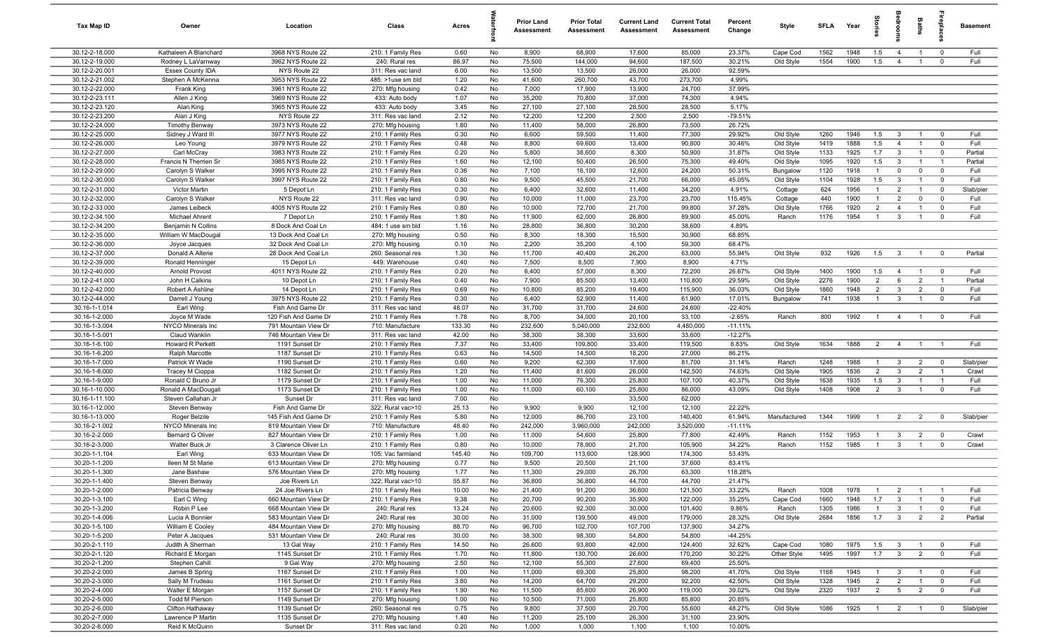| Tax Map ID                       | Owner                                      | Location                           | Class                                  | Acres          |          | Prior Land<br><b>Assessment</b> | <b>Prior Total</b><br>Assessment | <b>Current Land</b><br>Assessment | <b>Current Total</b><br><b>Assessment</b> | Percent<br>Change   | Style        | SFLA | Year | $\frac{1}{2}$  |                         | Baths          | epla           | <b>Basement</b> |
|----------------------------------|--------------------------------------------|------------------------------------|----------------------------------------|----------------|----------|---------------------------------|----------------------------------|-----------------------------------|-------------------------------------------|---------------------|--------------|------|------|----------------|-------------------------|----------------|----------------|-----------------|
| 30.12-2-18.000                   | Kathaleen A Blanchard                      | 3968 NYS Route 22                  | 210: 1 Family Res                      | 0.60           | No       | 8,900                           | 68,900                           | 17,600                            | 85,000                                    | 23.37%              | Cape Cod     | 1562 | 1948 | 1.5            | $\overline{4}$          | $\overline{1}$ | $\overline{0}$ | Full            |
| 30.12-2-19.000                   | Rodney L LaVarnway                         | 3962 NYS Route 22                  | 240: Rural res                         | 86.97          | No       | 75,500                          | 144,000                          | 94,600                            | 187,500                                   | 30.21%              | Old Style    | 1554 | 1900 | 1.5            | $\overline{4}$          |                | $^{\circ}$     | Full            |
| 30.12-2-20.001                   | <b>Essex County IDA</b>                    | NYS Route 22                       | 311: Res vac land                      | 6.00           | No       | 13,500                          | 13,500                           | 26,000                            | 26,000                                    | 92.59%              |              |      |      |                |                         |                |                |                 |
| 30.12-2-21.002                   | Stephen A McKenna                          | 3953 NYS Route 22                  | 485: >1use sm bld                      | 1.20           | No       | 41,600                          | 260,700                          | 43,700                            | 273,700                                   | 4.99%               |              |      |      |                |                         |                |                |                 |
| 30.12-2-22.000                   | Frank King                                 | 3961 NYS Route 22                  | 270: Mfg housing                       | 0.42           | No       | 7,000                           | 17,900                           | 13,900                            | 24,700                                    | 37.99%              |              |      |      |                |                         |                |                |                 |
| 30.12-2-23.111                   | Allen J King                               | 3969 NYS Route 22                  | 433: Auto body                         | 1.07           | No       | 35,200                          | 70,800                           | 37,000                            | 74,300                                    | 4.94%               |              |      |      |                |                         |                |                |                 |
| 30.12-2-23.120<br>30.12-2-23.200 | Alan King                                  | 3965 NYS Route 22                  | 433: Auto body                         | 3.45           | No       | 27,100                          | 27,100                           | 28,500                            | 28,500                                    | 5.17%               |              |      |      |                |                         |                |                |                 |
| 30.12-2-24.000                   | Alan J King                                | NYS Route 22<br>3973 NYS Route 22  | 311: Res vac land                      | 2.12<br>1.80   | No       | 12,200<br>11,400                | 12,200<br>58,000                 | 2,500<br>26,800                   | 2,500<br>73,500                           | $-79.51%$<br>26.72% |              |      |      |                |                         |                |                |                 |
| 30.12-2-25.000                   | <b>Timothy Benway</b><br>Sidney J Ward III | 3977 NYS Route 22                  | 270: Mfg housing<br>210: 1 Family Res  | 0.30           | No<br>No | 6,600                           | 59,500                           | 11,400                            | 77,300                                    | 29.92%              | Old Style    | 1260 | 1946 | 1.5            | $\mathbf{3}$            | $\overline{1}$ | $\overline{0}$ | Full            |
| 30.12-2-26.000                   | Leo Young                                  | 3979 NYS Route 22                  | 210: 1 Family Res                      | 0.48           | No       | 8,800                           | 69,600                           | 13,400                            | 90,800                                    | 30.46%              | Old Style    | 1419 | 1888 | 1.5            | $\overline{4}$          | $\mathbf{1}$   | $\overline{0}$ | Full            |
| 30.12-2-27.000                   | Carl McCray                                | 3983 NYS Route 22                  | 210: 1 Family Res                      | 0.20           | No       | 5,800                           | 38,600                           | 8,300                             | 50,900                                    | 31.87%              | Old Style    | 1133 | 1925 | 1.7            | $\overline{\mathbf{3}}$ | $\overline{1}$ | $\overline{0}$ | Partial         |
| 30.12-2-28.000                   | Francis N Therrien Sr                      | 3985 NYS Route 22                  | 210: 1 Family Res                      | 1.60           | No       | 12,100                          | 50,400                           | 26,500                            | 75,300                                    | 49.40%              | Old Style    | 1095 | 1920 | 1.5            | $\overline{3}$          |                | $\overline{1}$ | Partial         |
| 30.12-2-29.000                   | Carolyn S Walker                           | 3995 NYS Route 22                  | 210: 1 Family Res                      | 0.36           | No       | 7,100                           | 16,100                           | 12,600                            | 24,200                                    | 50.31%              | Bungalow     | 1120 | 1918 | $\overline{1}$ | $\mathbf 0$             | $\mathbf 0$    | $\overline{0}$ | Full            |
| 30.12-2-30.000                   | Carolyn S Walker                           | 3997 NYS Route 22                  | 210: 1 Family Res                      | 0.80           | No       | 9,500                           | 45,500                           | 21,700                            | 66,000                                    | 45.05%              | Old Style    | 1104 | 1928 | 1.5            | $\overline{3}$          |                | $\overline{0}$ | Full            |
| 30.12-2-31.000                   | <b>Victor Martin</b>                       | 5 Depot Ln                         | 210: 1 Family Res                      | 0.30           | No       | 6,400                           | 32,600                           | 11,400                            | 34,200                                    | 4.91%               | Cottage      | 624  | 1956 | $\overline{1}$ | $\overline{2}$          | $\overline{1}$ | $\mathbf 0$    | Slab/pier       |
| 30.12-2-32.000                   | Carolyn S Walker                           | NYS Route 22                       | 311: Res vac land                      | 0.90           | No       | 10,000                          | 11,000                           | 23,700                            | 23,700                                    | 115.45%             | Cottage      | 440  | 1900 | $\overline{1}$ | $\overline{2}$          | $\Omega$       | $\mathbf 0$    | Full            |
| 30.12-2-33.000                   | James Leibeck                              | 4005 NYS Route 22                  | 210: 1 Family Res                      | 0.80           | No       | 10,000                          | 72,700                           | 21,700                            | 99,800                                    | 37.28%              | Old Style    | 1766 | 1920 | $\overline{2}$ | $\overline{4}$          | $\overline{1}$ | $\mathbf 0$    | Full            |
| 30.12-2-34.100                   | Michael Ahrent                             | 7 Depot Ln                         | 210: 1 Family Res                      | 1.80           | No       | 11,900                          | 62,000                           | 26,800                            | 89,900                                    | 45.00%              | Ranch        | 1176 | 1954 | $\overline{1}$ | $\mathbf{3}$            | $\overline{1}$ | $\mathbf 0$    | Full            |
| 30.12-2-34.200                   | Benjamin N Collins                         | 8 Dock And Coal Ln                 | 484: 1 use sm bld                      | 1.16           | No       | 28,800                          | 36,800                           | 30,200                            | 38,600                                    | 4.89%               |              |      |      |                |                         |                |                |                 |
| 30.12-2-35.000                   | William W MacDougal                        | 13 Dock And Coal Ln                | 270: Mfg housing                       | 0.50           | No       | 8,300                           | 18,300                           | 15,500                            | 30,900                                    | 68.85%              |              |      |      |                |                         |                |                |                 |
| 30.12-2-36.000                   | Joyce Jacques                              | 32 Dock And Coal Ln                | 270: Mfg housing                       | 0.10           | No       | 2,200                           | 35,200                           | 4,100                             | 59,300                                    | 68.47%              |              |      |      |                |                         |                |                |                 |
| 30.12-2-37.000                   | Donald A Alterie                           | 28 Dock And Coal Ln                | 260: Seasonal res                      | 1.30           | No       | 11,700                          | 40,400                           | 26,200                            | 63,000                                    | 55.94%              | Old Style    | 932  | 1926 | 1.5            | $\mathbf{3}$            | $\overline{1}$ | $\overline{0}$ | Partial         |
| 30.12-2-39.000<br>30.12-2-40.000 | Ronald Henninger<br>Arnold Provost         | 15 Depot Ln<br>4011 NYS Route 22   | 449: Warehouse<br>210: 1 Family Res    | 0.40<br>0.20   | No<br>No | 7,500<br>6,400                  | 8,500<br>57,000                  | 7,900<br>8,300                    | 8,900<br>72,200                           | 4.71%<br>26.67%     | Old Style    | 1400 | 1900 | 1.5            | $\overline{4}$          | $\overline{1}$ | $\overline{0}$ | Full            |
| 30.12-2-41.000                   | John H Calkins                             | 10 Depot Ln                        | 210: 1 Family Res                      | 0.40           | No       | 7,900                           | 85,500                           | 13,400                            | 110,800                                   | 29.59%              | Old Style    | 2276 | 1900 | 2              | 6                       | $\overline{2}$ | $\overline{1}$ | Partial         |
| 30.12-2-42.000                   | Robert A Ashline                           | 14 Depot Ln                        | 210: 1 Family Res                      | 0.69           | No       | 10,800                          | 85,200                           | 19,400                            | 115,900                                   | 36.03%              | Old Style    | 1860 | 1948 | $\overline{2}$ | $\mathbf{3}$            | $\overline{2}$ | $\overline{0}$ | Full            |
| 30.12-2-44.000                   | Darrell J Young                            | 3975 NYS Route 22                  | 210: 1 Family Res                      | 0.30           | No       | 6,400                           | 52,900                           | 11,400                            | 61,900                                    | 17.01%              | Bungalow     | 741  | 1938 | -1             | $\overline{3}$          |                | $\overline{0}$ | Full            |
| 30.16-1-1.014                    | Earl Wing                                  | Fish And Game Dr                   | 311: Res vac land                      | 48.07          | No       | 31,700                          | 31,700                           | 24,600                            | 24,600                                    | $-22.40%$           |              |      |      |                |                         |                |                |                 |
| 30.16-1-2.000                    | Joyce M Wade                               | 120 Fish And Game Dr               | 210: 1 Family Res                      | 1.78           | No       | 8,700                           | 34,000                           | 20,100                            | 33,100                                    | $-2.65%$            | Ranch        | 800  | 1992 | $\overline{1}$ | $\overline{4}$          | $\overline{1}$ | $\overline{0}$ | Full            |
| 30.16-1-3.004                    | NYCO Minerals Inc                          | 791 Mountain View Dr               | 710: Manufacture                       | 133.30         | No       | 232,600                         | 5,040,000                        | 232,600                           | 4,480,000                                 | $-11.11%$           |              |      |      |                |                         |                |                |                 |
| 30.16-1-5.001                    | Claud Wanklin                              | 746 Mountain View Dr               | 311: Res vac land                      | 42.00          | No       | 38,300                          | 38,300                           | 33,600                            | 33,600                                    | $-12.27%$           |              |      |      |                |                         |                |                |                 |
| 30.16-1-6.100                    | Howard R Perkett                           | 1191 Sunset Dr                     | 210: 1 Family Res                      | 7.37           | No       | 33,400                          | 109,800                          | 33,400                            | 119,500                                   | 8.83%               | Old Style    | 1634 | 1888 | 2              | $\overline{4}$          | $\overline{1}$ | $\overline{1}$ | Full            |
| 30.16-1-6.200                    | Ralph Marcotte                             | 1187 Sunset Dr                     | 210: 1 Family Res                      | 0.63           | No       | 14,500                          | 14,500                           | 18,200                            | 27,000                                    | 86.21%              |              |      |      |                |                         |                |                |                 |
| 30.16-1-7.000                    | Patrick W Wade                             | 1190 Sunset Dr                     | 210: 1 Family Res                      | 0.60           | No       | 9,200                           | 62,300                           | 17,600                            | 81,700                                    | 31.14%              | Ranch        | 1248 | 1988 | $\overline{1}$ | $\mathbf{3}$            | $\overline{2}$ | $\mathbf 0$    | Slab/pier       |
| 30.16-1-8.000                    | Tracey M Cioppa                            | 1182 Sunset Dr                     | 210: 1 Family Res                      | 1.20           | No       | 11,400                          | 81,600                           | 26,000                            | 142,500                                   | 74.63%              | Old Style    | 1905 | 1836 | $\overline{2}$ | $\mathbf{3}$            | $\overline{2}$ | $\overline{1}$ | Crawl           |
| 30.16-1-9.000                    | Ronald C Bruno Jr                          | 1179 Sunset Dr                     | 210: 1 Family Res                      | 1.00           | No       | 11,000                          | 76,300                           | 25,800                            | 107,100                                   | 40.37%              | Old Style    | 1638 | 1935 | 1.5            | $\overline{3}$          |                | $\overline{1}$ | Full            |
| 30.16-1-10.000<br>30.16-1-11.100 | Ronald A MacDougall<br>Steven Callahan Jr  | 1173 Sunset Dr<br>Sunset Dr        | 210: 1 Family Res<br>311: Res vac land | 1.00<br>7.00   | No<br>No | 11,000                          | 60,100                           | 25,800<br>33,500                  | 86,000<br>62,000                          | 43.09%              | Old Style    | 1408 | 1908 | $\overline{2}$ | $\overline{3}$          | $\overline{1}$ | $\mathbf 0$    | Full            |
| 30.16-1-12.000                   | Steven Benway                              | Fish And Game Dr                   | 322: Rural vac>10                      | 25.13          | No       | 9,900                           | 9,900                            | 12,100                            | 12,100                                    | 22.22%              |              |      |      |                |                         |                |                |                 |
| 30.16-1-13.000                   | Roger Belzile                              | 145 Fish And Game Dr               | 210: 1 Family Res                      | 5.80           | No       | 12,000                          | 86,700                           | 23,100                            | 140,400                                   | 61.94%              | Manufactured | 1344 | 1999 | $\overline{1}$ | $\overline{2}$          | $\overline{2}$ | $\overline{0}$ | Slab/pier       |
| 30.16-2-1.002                    | NYCO Minerals Inc                          | 819 Mountain View Dr               | 710: Manufacture                       | 48.40          | No       | 242,000                         | 3,960,000                        | 242,000                           | 3,520,000                                 | $-11.11%$           |              |      |      |                |                         |                |                |                 |
| 30.16-2-2.000                    | Bernard G Oliver                           | 827 Mountain View Dr               | 210: 1 Family Res                      | 1.00           | No       | 11,000                          | 54,600                           | 25,800                            | 77,800                                    | 42.49%              | Ranch        | 1152 | 1953 | $\overline{1}$ | $\mathbf{3}$            | $\overline{2}$ | $\overline{0}$ | Crawl           |
| 30.16-2-3.000                    | Walter Buck Jr                             | 3 Clarence Oliver Ln               | 210: 1 Family Res                      | 0.80           | No       | 10,000                          | 78,900                           | 21,700                            | 105,900                                   | 34.22%              | Ranch        | 1152 | 1985 | $\overline{1}$ | $\overline{3}$          | $\overline{1}$ | $\mathbf 0$    | Crawl           |
| 30.20-1-1.104                    | Earl Wing                                  | 633 Mountain View Dr               | 105: Vac farmland                      | 145.40         | No       | 109,700                         | 113,600                          | 128,900                           | 174,300                                   | 53.43%              |              |      |      |                |                         |                |                |                 |
| 30.20-1-1.200                    | lleen M St Marie                           | 613 Mountain View Dr               | 270: Mfg housing                       | 0.77           | No       | 9,500                           | 20,500                           | 21,100                            | 37,600                                    | 83.41%              |              |      |      |                |                         |                |                |                 |
| 30.20-1-1.300                    | Jane Bashaw                                | 576 Mountain View Dr               | 270: Mfg housing                       | 1.77           | No       | 11.300                          | 29.000                           | 26,700                            | 63.300                                    | 118.28%             |              |      |      |                |                         |                |                |                 |
| 30.20-1-1.400                    | Steven Benway                              | Joe Rivers Ln                      | 322: Rural vac>10                      | 55.87          | No       | 36,800                          | 36,800                           | 44,700                            | 44,700                                    | 21.47%              |              |      |      |                |                         |                |                |                 |
| 30.20-1-2.000                    | Patricia Benway                            | 24 Joe Rivers Ln                   | 210: 1 Family Res                      | 10.00          | No       | 21,400                          | 91,200                           | 36,600                            | 121,500                                   | 33.22%              | Ranch        | 1008 | 1978 | $\overline{1}$ | $\overline{2}$          | $\overline{1}$ | $\overline{1}$ | Full            |
| 30.20-1-3.100                    | Earl C Wing                                | 660 Mountain View Dr               | 210: 1 Family Res                      | 9.38           | No       | 20,700                          | 90,200                           | 35,900                            | 122,000                                   | 35.25%              | Cape Cod     | 1660 | 1948 | 1.7            | $\overline{3}$          |                | $\mathbf 0$    | Full            |
| 30.20-1-3.200                    | Robin P Lee                                | 668 Mountain View Dr               | 240: Rural res                         | 13.24          | No       | 20,600                          | 92,300                           | 30,000                            | 101,400                                   | 9.86%               | Ranch        | 1305 | 1986 | $\mathbf{1}$   | $\mathbf{3}$            | $\overline{1}$ | $\overline{0}$ | Full            |
| 30.20-1-4.006                    | Lucia A Bonnier                            | 583 Mountain View Dr               | 240: Rural res                         | 30.00          | No       | 31,000                          | 139,500                          | 49,000                            | 179,000                                   | 28.32%              | Old Style    | 2684 | 1856 | 1.7            | $\overline{\mathbf{3}}$ | $\overline{2}$ | $\overline{2}$ | Partial         |
| 30.20-1-5.100<br>30.20-1-5.200   | William E Cooley                           | 484 Mountain View Dr               | 270: Mfg housing<br>240: Rural res     | 88.70          | No       | 96,700<br>38,300                | 102,700<br>98,300                | 107,700<br>54,800                 | 137,900<br>54,800                         | 34.27%<br>$-44.25%$ |              |      |      |                |                         |                |                |                 |
| 30.20-2-1.110                    | Peter A Jacques<br>Judith A Sherman        | 531 Mountain View Dr<br>13 Gal Way | 210: 1 Family Res                      | 30.00<br>14.50 | No<br>No | 26,600                          | 93,800                           | 42,000                            | 124,400                                   | 32.62%              | Cape Cod     | 1080 | 1975 | 1.5            | $\mathbf{3}$            | $\overline{1}$ | $\overline{0}$ | Full            |
| 30.20-2-1.120                    | Richard E Morgan                           | 1145 Sunset Dr                     | 210: 1 Family Res                      | 1.70           | No       | 11,800                          | 130,700                          | 26,600                            | 170,200                                   | 30.22%              | Other Style  | 1495 | 1997 | 1.7            | $\overline{3}$          | $\overline{2}$ | $\overline{0}$ | Full            |
| 30.20-2-1.200                    | Stephen Cahill                             | 9 Gal Way                          | 270: Mfg housing                       | 2.50           | No       | 12,100                          | 55,300                           | 27,600                            | 69,400                                    | 25.50%              |              |      |      |                |                         |                |                |                 |
| 30.20-2-2.000                    | James B Spring                             | 1167 Sunset Dr                     | 210: 1 Family Res                      | 1.00           | No       | 11,000                          | 69,300                           | 25,800                            | 98,200                                    | 41.70%              | Old Style    | 1168 | 1945 | $\overline{1}$ | $\mathbf{3}$            | $\overline{1}$ | $\overline{0}$ | Full            |
| 30.20-2-3.000                    | Sally M Trudeau                            | 1161 Sunset Dr                     | 210: 1 Family Res                      | 3.80           | No       | 14,200                          | 64,700                           | 29,200                            | 92,200                                    | 42.50%              | Old Style    | 1328 | 1945 | $\overline{2}$ | $\overline{2}$          | $\overline{1}$ | $\overline{0}$ | Full            |
| 30.20-2-4.000                    | Walter E Morgan                            | 1157 Sunset Dr                     | 210: 1 Family Res                      | 1.90           | No       | 11,500                          | 85,600                           | 26,900                            | 119,000                                   | 39.02%              | Old Style    | 2320 | 1937 | $\overline{2}$ | $5\overline{)}$         | $\overline{2}$ | $\mathbf 0$    | Full            |
| 30.20-2-5.000                    | <b>Todd M Pierson</b>                      | 1149 Sunset Dr                     | 270: Mfg housing                       | 1.00           | No       | 10,500                          | 71,000                           | 25,800                            | 85,800                                    | 20.85%              |              |      |      |                |                         |                |                |                 |
| 30.20-2-6.000                    | Clifton Hathaway                           | 1139 Sunset Dr                     | 260: Seasonal res                      | 0.75           | No       | 9,800                           | 37,500                           | 20,700                            | 55,600                                    | 48.27%              | Old Style    | 1086 | 1925 | $\overline{1}$ | $\overline{2}$          | $\overline{1}$ | $\overline{0}$ | Slab/pier       |
| 30.20-2-7.000                    | Lawrence P Martin                          | 1135 Sunset Dr                     | 270: Mfg housing                       | 1.40           | No       | 11,200                          | 25,100                           | 26,300                            | 31,100                                    | 23.90%              |              |      |      |                |                         |                |                |                 |
| 30.20-2-8.000                    | Reid K McQuinn                             | Sunset Dr                          | 311: Res vac land                      | 0.20           | No       | 1,000                           | 1,000                            | 1,100                             | 1,100                                     | 10.00%              |              |      |      |                |                         |                |                |                 |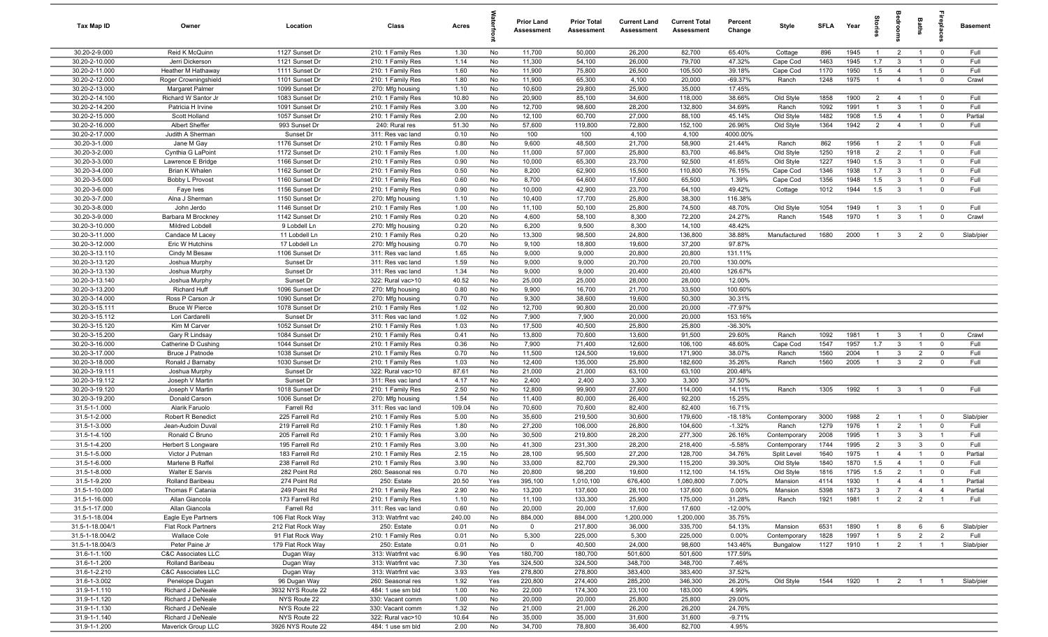| Tax Map ID                       | Owner                                  | Location                         | Class                                  | Acres         |                 | Prior Land<br><b>Assessment</b> | <b>Prior Total</b><br>Assessment | <b>Current Land</b><br>Assessment | <b>Current Total</b><br><b>Assessment</b> | Percent<br>Change  | Style                | <b>SFLA</b>  | Year         | 읈                              | å                                | Baths                            |                               | <b>Basement</b>     |
|----------------------------------|----------------------------------------|----------------------------------|----------------------------------------|---------------|-----------------|---------------------------------|----------------------------------|-----------------------------------|-------------------------------------------|--------------------|----------------------|--------------|--------------|--------------------------------|----------------------------------|----------------------------------|-------------------------------|---------------------|
| 30.20-2-9.000                    | Reid K McQuinn                         | 1127 Sunset Dr                   | 210: 1 Family Res                      | 1.30          | No              | 11,700                          | 50,000                           | 26,200                            | 82,700                                    | 65.40%             | Cottage              | 896          | 1945         | $\overline{1}$                 | $\overline{2}$                   | $\overline{1}$                   | $\overline{0}$                | Full                |
| 30.20-2-10.000                   | Jerri Dickerson                        | 1121 Sunset Dr                   | 210: 1 Family Res                      | 1.14          | No              | 11,300                          | 54,100                           | 26,000                            | 79,700                                    | 47.32%             | Cape Cod             | 1463         | 1945         | 1.7                            | $\overline{3}$                   |                                  | $\overline{0}$                | Full                |
| 30.20-2-11.000                   | Heather M Hathaway                     | 1111 Sunset Dr                   | 210: 1 Family Res                      | 1.60          | No              | 11,900                          | 75,800                           | 26,500                            | 105,500                                   | 39.18%             | Cape Cod             | 1170         | 1950         | 1.5                            | $\overline{4}$                   |                                  | $\overline{0}$                | Full                |
| 30.20-2-12.000                   | Roger Crowningshield                   | 1101 Sunset Dr                   | 210: 1 Family Res                      | 1.80          | No              | 11,900                          | 65,300                           | 4,100                             | 20,000                                    | $-69.37%$          | Ranch                | 1248         | 1975         | $\overline{1}$                 | $\overline{4}$                   |                                  | $\overline{0}$                | Crawl               |
| 30.20-2-13.000<br>30.20-2-14.100 | Margaret Palmer<br>Richard W Santor Jr | 1099 Sunset Dr<br>1083 Sunset Dr | 270: Mfg housing<br>210: 1 Family Res  | 1.10<br>10.80 | No<br>No        | 10,600<br>20,900                | 29,800<br>85,100                 | 25,900<br>34,600                  | 35,000<br>118,000                         | 17.45%<br>38.66%   | Old Style            | 1858         | 1900         | $\overline{2}$                 | $\overline{4}$                   | $\overline{1}$                   | $\overline{0}$                | Full                |
| 30.20-2-14.200                   | Patricia H Irvine                      | 1091 Sunset Dr                   | 210: 1 Family Res                      | 3.00          | No              | 12,700                          | 98,600                           | 28,200                            | 132,800                                   | 34.69%             | Ranch                | 1092         | 1991         | $\overline{1}$                 | $\mathbf{3}$                     | $\overline{1}$                   | $\mathbf 0$                   | Full                |
| 30.20-2-15.000                   | Scott Holland                          | 1057 Sunset Dr                   | 210: 1 Family Res                      | 2.00          | No              | 12,100                          | 60,700                           | 27,000                            | 88,100                                    | 45.14%             | Old Style            | 1482         | 1908         | 1.5                            | $\overline{4}$                   | $\overline{1}$                   | $\overline{0}$                | Partial             |
| 30.20-2-16.000                   | Albert Sheffer                         | 993 Sunset Dr                    | 240: Rural res                         | 51.30         | No              | 57,600                          | 119,800                          | 72,800                            | 152,100                                   | 26.96%             | Old Style            | 1364         | 1942         | $\overline{2}$                 | $\overline{4}$                   | $\overline{1}$                   | $\overline{0}$                | Full                |
| 30.20-2-17.000                   | Judith A Sherman                       | Sunset Dr                        | 311: Res vac land                      | 0.10          | No              | 100                             | 100                              | 4,100                             | 4,100                                     | 4000.00%           |                      |              |              |                                |                                  |                                  |                               |                     |
| 30.20-3-1.000                    | Jane M Gay                             | 1176 Sunset Dr                   | 210: 1 Family Res                      | 0.80          | No              | 9,600                           | 48,500                           | 21,700                            | 58,900                                    | 21.44%             | Ranch                | 862          | 1956         | $\overline{1}$                 | $\overline{2}$                   | $\overline{1}$                   | $\overline{0}$                | Full                |
| 30.20-3-2.000                    | Cynthia G LaPoint                      | 1172 Sunset Dr                   | 210: 1 Family Res                      | 1.00          | No              | 11,000                          | 57,000                           | 25,800                            | 83,700                                    | 46.84%             | Old Style            | 1250         | 1918         | 2                              | 2                                | $\overline{1}$                   | $\mathbf 0$                   | Full                |
| 30.20-3-3.000                    | Lawrence E Bridge                      | 1166 Sunset Dr                   | 210: 1 Family Res                      | 0.90          | No              | 10,000                          | 65,300                           | 23,700                            | 92,500                                    | 41.65%             | Old Style            | 1227         | 1940         | 1.5                            | $\overline{3}$                   | -1                               | $\mathbf 0$                   | Full                |
| 30.20-3-4.000                    | Brian K Whalen                         | 1162 Sunset Dr                   | 210: 1 Family Res                      | 0.50          | No              | 8,200                           | 62,900                           | 15,500                            | 110,800                                   | 76.15%             | Cape Cod             | 1346         | 1938         | 1.7                            | $\overline{3}$                   |                                  | $\mathbf 0$                   | Full                |
| 30.20-3-5.000                    | Bobby L Provost                        | 1160 Sunset Dr                   | 210: 1 Family Res                      | 0.60          | No              | 8,700                           | 64,600                           | 17,600                            | 65,500                                    | 1.39%              | Cape Cod             | 1356         | 1948         | 1.5                            | $\overline{3}$                   |                                  | $\mathbf 0$                   | Full                |
| 30.20-3-6.000                    | Faye Ives                              | 1156 Sunset Dr                   | 210: 1 Family Res                      | 0.90          | No              | 10,000                          | 42,900                           | 23,700                            | 64,100                                    | 49.42%             | Cottage              | 1012         | 1944         | 1.5                            | $\overline{\mathbf{3}}$          |                                  | $\overline{0}$                | Full                |
| 30.20-3-7.000                    | Alna J Sherman                         | 1150 Sunset Dr                   | 270: Mfg housing                       | 1.10          | No              | 10,400                          | 17,700<br>50,100                 | 25,800                            | 38,300                                    | 116.38%<br>48.70%  |                      |              |              |                                |                                  |                                  |                               | Full                |
| 30.20-3-8.000<br>30.20-3-9.000   | John Jerdo<br>Barbara M Brockney       | 1146 Sunset Dr<br>1142 Sunset Dr | 210: 1 Family Res<br>210: 1 Family Res | 1.00<br>0.20  | No<br>No        | 11,100<br>4,600                 | 58,100                           | 25,800<br>8,300                   | 74,500<br>72,200                          | 24.27%             | Old Style<br>Ranch   | 1054<br>1548 | 1949<br>1970 | $\mathbf{1}$<br>$\overline{1}$ | $\overline{3}$<br>$\mathbf{3}$   | $\overline{1}$<br>$\overline{1}$ | $\overline{0}$<br>$\mathbf 0$ | Crawl               |
| 30.20-3-10.000                   | Mildred Lobdell                        | 9 Lobdell Ln                     | 270: Mfg housing                       | 0.20          | No              | 6,200                           | 9,500                            | 8,300                             | 14,100                                    | 48.42%             |                      |              |              |                                |                                  |                                  |                               |                     |
| 30.20-3-11.000                   | Candace M Lacey                        | 11 Lobdell Ln                    | 210: 1 Family Res                      | 0.20          | No              | 13,300                          | 98,500                           | 24,800                            | 136,800                                   | 38.88%             | Manufactured         | 1680         | 2000         | $\overline{1}$                 | $\mathbf{3}$                     | $\overline{2}$                   | $\overline{0}$                | Slab/pier           |
| 30.20-3-12.000                   | Eric W Hutchins                        | 17 Lobdell Ln                    | 270: Mfg housing                       | 0.70          | No              | 9,100                           | 18,800                           | 19,600                            | 37,200                                    | 97.87%             |                      |              |              |                                |                                  |                                  |                               |                     |
| 30.20-3-13.110                   | Cindy M Besaw                          | 1106 Sunset Dr                   | 311: Res vac land                      | 1.65          | No              | 9,000                           | 9,000                            | 20,800                            | 20,800                                    | 131.11%            |                      |              |              |                                |                                  |                                  |                               |                     |
| 30.20-3-13.120                   | Joshua Murphy                          | Sunset Dr                        | 311: Res vac land                      | 1.59          | No              | 9,000                           | 9,000                            | 20,700                            | 20,700                                    | 130.00%            |                      |              |              |                                |                                  |                                  |                               |                     |
| 30.20-3-13.130                   | Joshua Murphy                          | Sunset Dr                        | 311: Res vac land                      | 1.34          | No              | 9,000                           | 9,000                            | 20,400                            | 20,400                                    | 126.67%            |                      |              |              |                                |                                  |                                  |                               |                     |
| 30.20-3-13.140                   | Joshua Murphy                          | Sunset Dr                        | 322: Rural vac>10                      | 40.52         | No              | 25,000                          | 25,000                           | 28,000                            | 28,000                                    | 12.00%             |                      |              |              |                                |                                  |                                  |                               |                     |
| 30.20-3-13.200                   | Richard Huff                           | 1096 Sunset Dr                   | 270: Mfg housing                       | 0.80          | No              | 9,900                           | 16,700                           | 21,700                            | 33,500                                    | 100.60%            |                      |              |              |                                |                                  |                                  |                               |                     |
| 30.20-3-14.000                   | Ross P Carson Jr                       | 1090 Sunset Dr                   | 270: Mfg housing                       | 0.70          | No              | 9,300                           | 38,600                           | 19,600                            | 50,300                                    | 30.31%             |                      |              |              |                                |                                  |                                  |                               |                     |
| 30.20-3-15.111                   | <b>Bruce W Pierce</b>                  | 1078 Sunset Dr                   | 210: 1 Family Res                      | 1.02          | No              | 12,700                          | 90,800                           | 20,000                            | 20,000                                    | $-77.97%$          |                      |              |              |                                |                                  |                                  |                               |                     |
| 30.20-3-15.112                   | Lori Cardarelli                        | Sunset Dr                        | 311: Res vac land                      | 1.02          | No              | 7,900                           | 7,900                            | 20,000                            | 20,000                                    | 153.16%            |                      |              |              |                                |                                  |                                  |                               |                     |
| 30.20-3-15.120                   | Kim M Carver                           | 1052 Sunset Dr                   | 210: 1 Family Res                      | 1.03          | No              | 17,500                          | 40,500                           | 25,800                            | 25,800                                    | $-36.30%$          |                      |              |              |                                |                                  |                                  |                               |                     |
| 30.20-3-15.200<br>30.20-3-16.000 | Gary R Lindsay<br>Catherine D Cushing  | 1084 Sunset Dr<br>1044 Sunset Dr | 210: 1 Family Res                      | 0.41          | No<br>No        | 13,800<br>7,900                 | 70,600<br>71,400                 | 13,600<br>12,600                  | 91,500<br>106,100                         | 29.60%<br>48.60%   | Ranch                | 1092<br>1547 | 1981<br>1957 | $\overline{1}$<br>1.7          | $\overline{3}$<br>$\overline{3}$ | $\overline{1}$<br>$\overline{1}$ | $\overline{0}$<br>$\mathbf 0$ | Crawl<br>Full       |
| 30.20-3-17.000                   | Bruce J Patnode                        | 1038 Sunset Dr                   | 210: 1 Family Res<br>210: 1 Family Res | 0.36<br>0.70  | No              | 11,500                          | 124,500                          | 19,600                            | 171,900                                   | 38.07%             | Cape Cod<br>Ranch    | 1560         | 2004         | $\overline{1}$                 | $\overline{3}$                   | $\overline{2}$                   | $\mathbf 0$                   | Full                |
| 30.20-3-18.000                   | Ronald J Barnaby                       | 1030 Sunset Dr                   | 210: 1 Family Res                      | 1.03          | No              | 12,400                          | 135,000                          | 25,800                            | 182,600                                   | 35.26%             | Ranch                | 1560         | 2005         | $\overline{1}$                 | $\mathbf{3}$                     | $\overline{2}$                   | $\overline{0}$                | Full                |
| 30.20-3-19.111                   | Joshua Murphy                          | Sunset Dr                        | 322: Rural vac>10                      | 87.61         | No              | 21,000                          | 21,000                           | 63,100                            | 63,100                                    | 200.48%            |                      |              |              |                                |                                  |                                  |                               |                     |
| 30.20-3-19.112                   | Joseph V Martin                        | Sunset Dr                        | 311: Res vac land                      | 4.17          | No              | 2,400                           | 2,400                            | 3,300                             | 3,300                                     | 37.50%             |                      |              |              |                                |                                  |                                  |                               |                     |
| 30.20-3-19.120                   | Joseph V Martin                        | 1018 Sunset Dr                   | 210: 1 Family Res                      | 2.50          | No              | 12,800                          | 99,900                           | 27,600                            | 114,000                                   | 14.11%             | Ranch                | 1305         | 1992         | $\overline{1}$                 | $\mathbf{3}$                     | $\overline{1}$                   | $\mathbf 0$                   | Full                |
| 30.20-3-19.200                   | Donald Carson                          | 1006 Sunset Dr                   | 270: Mfg housing                       | 1.54          | No              | 11,400                          | 80,000                           | 26,400                            | 92,200                                    | 15.25%             |                      |              |              |                                |                                  |                                  |                               |                     |
| 31.5-1-1.000                     | Alarik Faruolo                         | Farrell Rd                       | 311: Res vac land                      | 109.04        | No              | 70,600                          | 70,600                           | 82,400                            | 82,400                                    | 16.71%             |                      |              |              |                                |                                  |                                  |                               |                     |
| 31.5-1-2.000                     | Robert R Benedict                      | 225 Farrell Rd                   | 210: 1 Family Res                      | 5.00          | No              | 35,600                          | 219,500                          | 30,600                            | 179,600                                   | $-18.18%$          | Contemporary         | 3000         | 1988         | $\overline{2}$                 |                                  |                                  | $\overline{0}$                | Slab/pier           |
| 31.5-1-3.000                     | Jean-Audoin Duval                      | 219 Farrell Rd                   | 210: 1 Family Res                      | 1.80          | No              | 27,200                          | 106,000                          | 26,800                            | 104,600                                   | $-1.32%$           | Ranch                | 1279         | 1976         | $\overline{1}$                 | $\overline{2}$                   |                                  | $\overline{0}$                | Full                |
| 31.5-1-4.100                     | Ronald C Bruno                         | 205 Farrell Rd                   | 210: 1 Family Res                      | 3.00          | No              | 30,500                          | 219,800                          | 28,200                            | 277,300                                   | 26.16%             | Contemporary         | 2008         | 1995         | $\overline{1}$                 | $\overline{3}$                   | 3                                | $\overline{1}$                | Full                |
| 31.5-1-4.200                     | <b>Herbert S Longware</b>              | 195 Farrell Rd                   | 210: 1 Family Res                      | 3.00          | No              | 41,300                          | 231,300                          | 28,200                            | 218,400                                   | $-5.58%$           | Contemporary         | 1744         | 1995         | $\overline{2}$                 | $\mathbf{3}$                     | $\mathbf{3}$                     | $\overline{0}$                | Full                |
| 31.5-1-5.000                     | Victor J Putman                        | 183 Farrell Rd                   | 210: 1 Family Res                      | 2.15          | No              | 28,100                          | 95,500                           | 27,200                            | 128,700                                   | 34.76%             | Split Level          | 1640         | 1975         | $\overline{1}$                 | $\overline{4}$                   |                                  | $\mathbf 0$                   | Partial             |
| 31.5-1-6.000<br>31.5-1-8.000     | Marlene B Raffel<br>Walter E Sarvis    | 238 Farrell Rd<br>282 Point Rd   | 210: 1 Family Res<br>260: Seasonal res | 3.90          | No<br><b>No</b> | 33,000<br>20,800                | 82,700                           | 29,300                            | 115,200                                   | 39.30%             | Old Style            | 1840<br>1816 | 1870<br>1795 | 1.5<br>1.5                     | $\overline{4}$<br>2              | $\overline{1}$                   | $\mathbf 0$<br>$\Omega$       | Full<br><b>Full</b> |
| 31.5-1-9.200                     | Rolland Baribeau                       | 274 Point Rd                     | 250: Estate                            | 0.70<br>20.50 | Yes             | 395,100                         | 98,200<br>1,010,100              | 19,600<br>676,400                 | 112,100<br>1,080,800                      | 14.15%<br>7.00%    | Old Style<br>Mansion | 4114         | 1930         | $\overline{1}$                 | $\overline{4}$                   | $\overline{4}$                   | $\overline{1}$                | Partial             |
| 31.5-1-10.000                    | Thomas F Catania                       | 249 Point Rd                     | 210: 1 Family Res                      | 2.90          | No              | 13,200                          | 137,600                          | 28,100                            | 137,600                                   | 0.00%              | Mansion              | 5398         | 1873         | 3                              | $\overline{7}$                   | $\overline{4}$                   | $\overline{4}$                | Partial             |
| 31.5-1-16.000                    | Allan Giancola                         | 173 Farrell Rd                   | 210: 1 Family Res                      | 1.10          | No              | 11,100                          | 133,300                          | 25,900                            | 175,000                                   | 31.28%             | Ranch                | 1921         | 1981         | $\overline{1}$                 | $\overline{2}$                   | $\overline{2}$                   | $\overline{1}$                | Full                |
| 31.5-1-17.000                    | Allan Giancola                         | Farrell Rd                       | 311: Res vac land                      | 0.60          | No              | 20,000                          | 20,000                           | 17,600                            | 17,600                                    | $-12.00%$          |                      |              |              |                                |                                  |                                  |                               |                     |
| 31.5-1-18.004                    | Eagle Eye Partners                     | 106 Flat Rock Way                | 313: Watrfrnt vac                      | 240.00        | No              | 884,000                         | 884,000                          | 1,200,000                         | 1,200,000                                 | 35.75%             |                      |              |              |                                |                                  |                                  |                               |                     |
| 31.5-1-18.004/1                  | Flat Rock Partners                     | 212 Flat Rock Way                | 250: Estate                            | 0.01          | No              | $\mathbf 0$                     | 217,800                          | 36,000                            | 335,700                                   | 54.13%             | Mansion              | 6531         | 1890         |                                | 8                                | 6                                | 6                             | Slab/pier           |
| 31.5-1-18.004/2                  | <b>Wallace Cole</b>                    | 91 Flat Rock Way                 | 210: 1 Family Res                      | 0.01          | No              | 5,300                           | 225,000                          | 5,300                             | 225,000                                   | 0.00%              | Contemporary         | 1828         | 1997         | $\mathbf{1}$                   | 5 <sup>5</sup>                   | $\overline{2}$                   | $\overline{2}$                | Full                |
| 31.5-1-18.004/3                  | Peter Paine Jr                         | 179 Flat Rock Way                | 250: Estate                            | 0.01          | No              | $\mathbf 0$                     | 40,500                           | 24,000                            | 98,600                                    | 143.46%            | Bungalow             | 1127         | 1910         | $\overline{1}$                 | $\overline{2}$                   | $\overline{1}$                   | $\overline{1}$                | Slab/pier           |
| 31.6-1-1.100                     | C&C Associates LLC                     | Dugan Way                        | 313: Watrfrnt vac                      | 6.90          | Yes             | 180,700                         | 180,700                          | 501,600                           | 501,600                                   | 177.59%            |                      |              |              |                                |                                  |                                  |                               |                     |
| 31.6-1-1.200                     | Rolland Baribeau                       | Dugan Way                        | 313: Watrfrnt vac                      | 7.30          | Yes             | 324,500                         | 324,500                          | 348,700                           | 348,700                                   | 7.46%              |                      |              |              |                                |                                  |                                  |                               |                     |
| 31.6-1-2.210                     | C&C Associates LLC                     | Dugan Way                        | 313: Watrfrnt vac                      | 3.93          | Yes             | 278,800                         | 278,800                          | 383,400                           | 383,400                                   | 37.52%             |                      |              |              |                                |                                  |                                  |                               |                     |
| 31.6-1-3.002                     | Penelope Dugan                         | 96 Dugan Way                     | 260: Seasonal res                      | 1.92          | Yes             | 220,800                         | 274,400                          | 285,200                           | 346,300                                   | 26.20%             | Old Style            | 1544         | 1920         | $\overline{1}$                 | $\overline{2}$                   | $\overline{1}$                   | $\overline{1}$                | Slab/pier           |
| 31.9-1-1.110                     | Richard J DeNeale                      | 3932 NYS Route 22                | 484: 1 use sm bld                      | 1.00          | No              | 22,000                          | 174,300                          | 23,100                            | 183,000                                   | 4.99%              |                      |              |              |                                |                                  |                                  |                               |                     |
| 31.9-1-1.120                     | Richard J DeNeale                      | NYS Route 22                     | 330: Vacant comm                       | 1.00          | No              | 20,000                          | 20,000                           | 25,800                            | 25,800                                    | 29.00%             |                      |              |              |                                |                                  |                                  |                               |                     |
| 31.9-1-1.130<br>31.9-1-1.140     | Richard J DeNeale<br>Richard J DeNeale | NYS Route 22<br>NYS Route 22     | 330: Vacant comm<br>322: Rural vac>10  | 1.32<br>10.64 | No              | 21,000<br>35,000                | 21,000<br>35,000                 | 26,200<br>31,600                  | 26,200<br>31,600                          | 24.76%<br>$-9.71%$ |                      |              |              |                                |                                  |                                  |                               |                     |
| 31.9-1-1.200                     | Maverick Group LLC                     | 3926 NYS Route 22                | 484: 1 use sm bld                      | 2.00          | No<br>No        | 34,700                          | 78,800                           | 36,400                            | 82,700                                    | 4.95%              |                      |              |              |                                |                                  |                                  |                               |                     |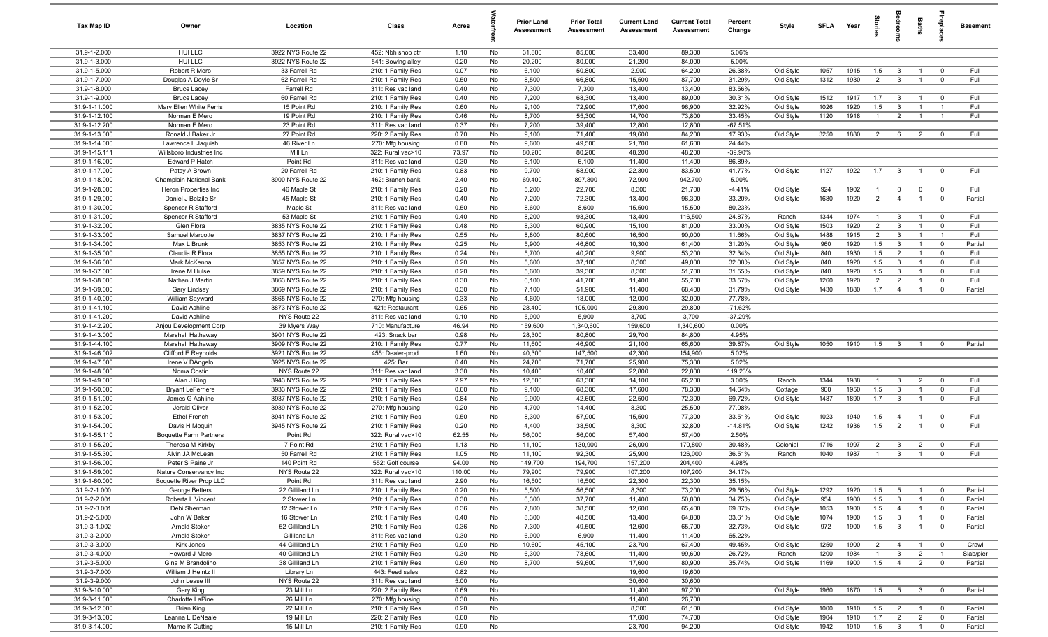| <b>Tax Map ID</b>              | Owner                                         | Location                               | Class                                  | Acres        |          | <b>Prior Land</b><br>Assessment | <b>Prior Total</b><br>Assessment | <b>Current Land</b><br>Assessment | <b>Current Total</b><br><b>Assessment</b> | Percent<br>Change | Style                  | SFLA Year    |              | $\overline{a}$      | ã                                | Baths                            | lrepla                           | <b>Basement</b>    |
|--------------------------------|-----------------------------------------------|----------------------------------------|----------------------------------------|--------------|----------|---------------------------------|----------------------------------|-----------------------------------|-------------------------------------------|-------------------|------------------------|--------------|--------------|---------------------|----------------------------------|----------------------------------|----------------------------------|--------------------|
| 31.9-1-2.000                   | HUI LLC                                       | 3922 NYS Route 22                      | 452: Nbh shop ctr                      | 1.10         | No       | 31,800                          | 85,000                           | 33,400                            | 89,300                                    | 5.06%             |                        |              |              |                     |                                  |                                  |                                  |                    |
| 31.9-1-3.000                   | HUI LLC                                       | 3922 NYS Route 22                      | 541: Bowlng alley                      | 0.20         | No       | 20,200                          | 80,000                           | 21,200                            | 84,000                                    | 5.00%             |                        |              |              |                     |                                  |                                  |                                  |                    |
| 31.9-1-5.000                   | Robert R Mero                                 | 33 Farrell Rd                          | 210: 1 Family Res                      | 0.07         | No       | 6,100                           | 50,800                           | 2,900                             | 64,200                                    | 26.38%            | Old Style              | 1057         | 1915         | 1.5                 | $\mathbf{3}$                     | $\overline{1}$                   | $\overline{0}$                   | Full               |
| 31.9-1-7.000                   | Douglas A Doyle Sr                            | 62 Farrell Rd                          | 210: 1 Family Res                      | 0.50         | No       | 8,500                           | 66,800                           | 15,500                            | 87,700                                    | 31.29%            | Old Style              | 1312         | 1930         | $\overline{2}$      | $\mathbf{3}$                     | $\overline{1}$                   | $\overline{0}$                   | Full               |
| 31.9-1-8.000                   | <b>Bruce Lacey</b>                            | Farrell Rd                             | 311: Res vac land                      | 0.40         | No       | 7,300                           | 7,300                            | 13,400                            | 13,400                                    | 83.56%            |                        |              |              |                     |                                  |                                  |                                  |                    |
| 31.9-1-9.000<br>31.9-1-11.000  | <b>Bruce Lacey</b><br>Mary Ellen White Ferris | 60 Farrell Rd<br>15 Point Rd           | 210: 1 Family Res                      | 0.40         | No<br>No | 7,200<br>9,100                  | 68,300<br>72,900                 | 13,400<br>17,600                  | 89,000<br>96,900                          | 30.31%<br>32.92%  | Old Style              | 1512<br>1026 | 1917<br>1920 | 1.7<br>1.5          | $\mathbf{3}$<br>$\mathbf{3}$     | $\overline{1}$<br>$\overline{1}$ | $\overline{0}$<br>$\overline{1}$ | Full<br>Full       |
| 31.9-1-12.100                  | Norman E Mero                                 | 19 Point Rd                            | 210: 1 Family Res<br>210: 1 Family Res | 0.60<br>0.46 | No       | 8,700                           | 55,300                           | 14,700                            | 73,800                                    | 33.45%            | Old Style<br>Old Style | 1120         | 1918         | $\overline{1}$      | $\overline{2}$                   | $\overline{1}$                   | $\overline{1}$                   | Full               |
| 31.9-1-12.200                  | Norman E Mero                                 | 23 Point Rd                            | 311: Res vac land                      | 0.37         | No       | 7,200                           | 39,400                           | 12,800                            | 12,800                                    | $-67.51%$         |                        |              |              |                     |                                  |                                  |                                  |                    |
| 31.9-1-13.000                  | Ronald J Baker Jr                             | 27 Point Rd                            | 220: 2 Family Res                      | 0.70         | No       | 9,100                           | 71,400                           | 19,600                            | 84,200                                    | 17.93%            | Old Style              | 3250         | 1880         | 2                   | 6                                | $\overline{2}$                   | $\overline{0}$                   | Full               |
| 31.9-1-14.000                  | Lawrence L Jaquish                            | 46 River Ln                            | 270: Mfg housing                       | 0.80         | No       | 9,600                           | 49,500                           | 21,700                            | 61,600                                    | 24.44%            |                        |              |              |                     |                                  |                                  |                                  |                    |
| 31.9-1-15.111                  | Willsboro Industries Inc                      | Mill Ln                                | 322: Rural vac>10                      | 73.97        | No       | 80,200                          | 80,200                           | 48,200                            | 48,200                                    | $-39.90%$         |                        |              |              |                     |                                  |                                  |                                  |                    |
| 31.9-1-16.000                  | Edward P Hatch                                | Point Rd                               | 311: Res vac land                      | 0.30         | No       | 6,100                           | 6,100                            | 11,400                            | 11,400                                    | 86.89%            |                        |              |              |                     |                                  |                                  |                                  |                    |
| 31.9-1-17.000                  | Patsy A Brown                                 | 20 Farrell Rd                          | 210: 1 Family Res                      | 0.83         | No       | 9,700                           | 58,900                           | 22,300                            | 83,500                                    | 41.77%            | Old Style              | 1127         | 1922         | 1.7                 | $\mathbf{3}$                     | $\overline{1}$                   | $\overline{0}$                   | Full               |
| 31.9-1-18.000                  | Champlain National Bank                       | 3900 NYS Route 22                      | 462: Branch bank                       | 2.40         | No       | 69,400                          | 897,800                          | 72,900                            | 942,700                                   | 5.00%             |                        |              |              |                     |                                  |                                  |                                  |                    |
| 31.9-1-28.000                  | Heron Properties Inc                          | 46 Maple St                            | 210: 1 Family Res                      | 0.20         | No       | 5,200                           | 22,700                           | 8,300                             | 21,700                                    | $-4.41%$          | Old Style              | 924          | 1902         | $\overline{1}$      | $\mathbf 0$                      | $\mathbf 0$                      | $\overline{0}$                   | Full               |
| 31.9-1-29.000                  | Daniel J Belzile Sr                           | 45 Maple St                            | 210: 1 Family Res                      | 0.40         | No       | 7,200                           | 72,300                           | 13,400                            | 96,300                                    | 33.20%            | Old Style              | 1680         | 1920         | $\overline{2}$      | $\overline{4}$                   | $\overline{1}$                   | $\overline{0}$                   | Partial            |
| 31.9-1-30.000                  | Spencer R Stafford                            | Maple St                               | 311: Res vac land                      | 0.50         | No       | 8,600                           | 8,600                            | 15,500                            | 15,500                                    | 80.23%            |                        |              |              |                     |                                  |                                  |                                  |                    |
| 31.9-1-31.000                  | Spencer R Stafford                            | 53 Maple St                            | 210: 1 Family Res                      | 0.40         | No       | 8,200                           | 93,300                           | 13,400                            | 116,500                                   | 24.87%            | Ranch                  | 1344         | 1974         | $\overline{1}$      | $\mathbf{3}$                     | $\overline{1}$                   | $\overline{0}$                   | Full               |
| 31.9-1-32.000<br>31.9-1-33.000 | Glen Flora                                    | 3835 NYS Route 22<br>3837 NYS Route 22 | 210: 1 Family Res<br>210: 1 Family Res | 0.48<br>0.55 | No<br>No | 8,300<br>8,800                  | 60,900<br>80,600                 | 15,100<br>16,500                  | 81,000<br>90,000                          | 33.00%<br>11.66%  | Old Style              | 1503<br>1488 | 1920<br>1915 | 2<br>$\overline{2}$ | $\mathbf{3}$<br>3                | $\overline{1}$<br>$\overline{1}$ | $\overline{0}$<br>$\overline{1}$ | Full<br>Full       |
| 31.9-1-34.000                  | Samuel Marcotte<br>Max L Brunk                | 3853 NYS Route 22                      | 210: 1 Family Res                      | 0.25         | No       | 5,900                           | 46,800                           | 10,300                            | 61,400                                    | 31.20%            | Old Style<br>Old Style | 960          | 1920         | 1.5                 | $\mathbf{3}$                     | $\overline{1}$                   | $\overline{0}$                   | Partial            |
| 31.9-1-35.000                  | Claudia R Flora                               | 3855 NYS Route 22                      | 210: 1 Family Res                      | 0.24         | No       | 5,700                           | 40,200                           | 9,900                             | 53,200                                    | 32.34%            | Old Style              | 840          | 1930         | 1.5                 | $\overline{2}$                   | $\overline{1}$                   | $\overline{0}$                   | Full               |
| 31.9-1-36.000                  | Mark McKenna                                  | 3857 NYS Route 22                      | 210: 1 Family Res                      | 0.20         | No       | 5,600                           | 37,100                           | 8,300                             | 49,000                                    | 32.08%            | Old Style              | 840          | 1920         | 1.5                 | $\mathbf{3}$                     | $\overline{1}$                   | $\overline{0}$                   | Full               |
| 31.9-1-37.000                  | Irene M Hulse                                 | 3859 NYS Route 22                      | 210: 1 Family Res                      | 0.20         | No       | 5,600                           | 39,300                           | 8,300                             | 51,700                                    | 31.55%            | Old Style              | 840          | 1920         | 1.5                 | $\mathbf{3}$                     | $\overline{1}$                   | $\overline{0}$                   | Full               |
| 31.9-1-38.000                  | Nathan J Martin                               | 3863 NYS Route 22                      | 210: 1 Family Res                      | 0.30         | No       | 6,100                           | 41,700                           | 11,400                            | 55,700                                    | 33.57%            | Old Style              | 1260         | 1920         | $\overline{2}$      | $\overline{2}$                   | $\overline{1}$                   | $\overline{0}$                   | Full               |
| 31.9-1-39.000                  | Gary Lindsay                                  | 3869 NYS Route 22                      | 210: 1 Family Res                      | 0.30         | No       | 7,100                           | 51,900                           | 11,400                            | 68,400                                    | 31.79%            | Old Style              | 1430         | 1880         | 1.7                 | $\overline{4}$                   | $\overline{1}$                   | $\overline{0}$                   | Partial            |
| 31.9-1-40.000                  | William Sayward                               | 3865 NYS Route 22                      | 270: Mfg housing                       | 0.33         | No       | 4,600                           | 18,000                           | 12,000                            | 32,000                                    | 77.78%            |                        |              |              |                     |                                  |                                  |                                  |                    |
| 31.9-1-41.100                  | David Ashline                                 | 3873 NYS Route 22                      | 421: Restaurant                        | 0.65         | No       | 28,400                          | 105,000                          | 29,800                            | 29,800                                    | $-71.62%$         |                        |              |              |                     |                                  |                                  |                                  |                    |
| 31.9-1-41.200                  | David Ashline                                 | NYS Route 22                           | 311: Res vac land                      | 0.10         | No       | 5,900                           | 5,900                            | 3,700                             | 3,700                                     | $-37.29%$         |                        |              |              |                     |                                  |                                  |                                  |                    |
| 31.9-1-42.200                  | Anjou Development Corp                        | 39 Myers Way                           | 710: Manufacture                       | 46.94        | No       | 159,600                         | 1,340,600                        | 159,600                           | 1,340,600                                 | 0.00%             |                        |              |              |                     |                                  |                                  |                                  |                    |
| 31.9-1-43.000                  | Marshall Hathaway                             | 3901 NYS Route 22                      | 423: Snack bar                         | 0.98         | No       | 28,300                          | 80,800                           | 29,700                            | 84,800                                    | 4.95%             |                        |              |              |                     |                                  |                                  |                                  |                    |
| 31.9-1-44.100                  | Marshall Hathaway                             | 3909 NYS Route 22                      | 210: 1 Family Res                      | 0.77         | No       | 11,600                          | 46,900                           | 21,100                            | 65,600                                    | 39.87%            | Old Style              | 1050         | 1910         | 1.5                 | $\mathbf{3}$                     | $\overline{1}$                   | $\overline{\mathbf{0}}$          | Partial            |
| 31.9-1-46.002                  | Clifford E Reynolds                           | 3921 NYS Route 22                      | 455: Dealer-prod.                      | 1.60         | No       | 40,300                          | 147,500                          | 42,300                            | 154,900                                   | 5.02%             |                        |              |              |                     |                                  |                                  |                                  |                    |
| 31.9-1-47.000<br>31.9-1-48.000 | Irene V DAngelo<br>Noma Costin                | 3925 NYS Route 22<br>NYS Route 22      | 425: Bar<br>311: Res vac land          | 0.40<br>3.30 | No<br>No | 24,700<br>10,400                | 71,700<br>10,400                 | 25,900<br>22,800                  | 75,300<br>22,800                          | 5.02%<br>119.23%  |                        |              |              |                     |                                  |                                  |                                  |                    |
| 31.9-1-49.000                  | Alan J King                                   | 3943 NYS Route 22                      | 210: 1 Family Res                      | 2.97         | No       | 12,500                          | 63,300                           | 14,100                            | 65,200                                    | 3.00%             | Ranch                  | 1344         | 1988         | $\overline{1}$      | $\mathbf{3}$                     | $\overline{2}$                   | $\overline{0}$                   | Full               |
| 31.9-1-50.000                  | <b>Bryant LeFerriere</b>                      | 3933 NYS Route 22                      | 210: 1 Family Res                      | 0.60         | No       | 9,100                           | 68,300                           | 17,600                            | 78,300                                    | 14.64%            | Cottage                | 900          | 1950         | 1.5                 | $\mathbf{3}$                     | $\overline{1}$                   | $\overline{0}$                   | Full               |
| 31.9-1-51.000                  | James G Ashline                               | 3937 NYS Route 22                      | 210: 1 Family Res                      | 0.84         | No       | 9,900                           | 42,600                           | 22,500                            | 72,300                                    | 69.72%            | Old Style              | 1487         | 1890         | 1.7                 | $\mathbf{3}$                     | $\mathbf{1}$                     | $\overline{0}$                   | Full               |
| 31.9-1-52.000                  | Jerald Oliver                                 | 3939 NYS Route 22                      | 270: Mfg housing                       | 0.20         | No       | 4,700                           | 14,400                           | 8,300                             | 25,500                                    | 77.08%            |                        |              |              |                     |                                  |                                  |                                  |                    |
| 31.9-1-53.000                  | <b>Ethel French</b>                           | 3941 NYS Route 22                      | 210: 1 Family Res                      | 0.50         | No       | 8,300                           | 57,900                           | 15,500                            | 77,300                                    | 33.51%            | Old Style              | 1023         | 1940         | 1.5                 | $\overline{4}$                   | -1                               | $\overline{0}$                   | Full               |
| 31.9-1-54.000                  | Davis H Moquin                                | 3945 NYS Route 22                      | 210: 1 Family Res                      | 0.20         | No       | 4,400                           | 38,500                           | 8,300                             | 32,800                                    | $-14.81%$         | Old Style              | 1242         | 1936         | 1.5                 | $\overline{2}$                   | $\overline{1}$                   | $\overline{0}$                   | Full               |
| 31.9-1-55.110                  | <b>Boquette Farm Partners</b>                 | Point Rd                               | 322: Rural vac>10                      | 62.55        | No       | 56,000                          | 56,000                           | 57,400                            | 57,400                                    | 2.50%             |                        |              |              |                     |                                  |                                  |                                  |                    |
| 31.9-1-55.200                  | Theresa M Kirkby                              | 7 Point Rd                             | 210: 1 Family Res                      | 1.13         | No       | 11,100                          | 130,900                          | 26,000                            | 170,800                                   | 30.48%            | Colonial               | 1716         | 1997         | $\overline{2}$      | $\mathbf{3}$                     | $\overline{2}$                   | $\overline{\mathbf{0}}$          | Full               |
| 31.9-1-55.300                  | Alvin JA McLean                               | 50 Farrell Rd                          | 210: 1 Family Res                      | 1.05         | No       | 11,100                          | 92,300                           | 25,900                            | 126,000                                   | 36.51%            | Ranch                  | 1040         | 1987         | $\overline{1}$      | $\mathbf{3}$                     | $\overline{1}$                   | $\overline{0}$                   | Full               |
| 31.9-1-56.000                  | Peter S Paine Jr                              | 140 Point Rd                           | 552: Golf course                       | 94.00        | No       | 149,700                         | 194,700                          | 157,200                           | 204,400                                   | 4.98%             |                        |              |              |                     |                                  |                                  |                                  |                    |
| 31.9-1-59.000                  | Nature Conservancy Inc                        | NYS Route 22                           | 322: Rural vac>10                      | 110.00       | No       | 79,900                          | 79,900                           | 107,200                           | 107,200                                   | 34.17%            |                        |              |              |                     |                                  |                                  |                                  |                    |
| 31.9-1-60.000<br>31.9-2-1.000  | Boquette River Prop LLC<br>George Betters     | Point Rd<br>22 Gilliland Ln            | 311: Res vac land<br>210: 1 Family Res | 2.90<br>0.20 | No<br>No | 16,500<br>5,500                 | 16,500<br>56,500                 | 22,300<br>8,300                   | 22,300<br>73,200                          | 35.15%<br>29.56%  | Old Style              | 1292         | 1920         | 1.5                 | 5                                | $\overline{1}$                   | $\overline{0}$                   | Partial            |
| 31.9-2-2.001                   | Roberta L Vincent                             | 2 Stower Ln                            | 210: 1 Family Res                      | 0.30         | No       | 6,300                           | 37,700                           | 11,400                            | 50,800                                    | 34.75%            | Old Style              | 954          | 1900         | 1.5                 | $\mathbf{3}$                     | $\overline{1}$                   | $\overline{0}$                   | Partial            |
| 31.9-2-3.001                   | Debi Sherman                                  | 12 Stower Ln                           | 210: 1 Family Res                      | 0.36         | No       | 7,800                           | 38,500                           | 12,600                            | 65,400                                    | 69.87%            | Old Style              | 1053         | 1900         | 1.5                 | $\overline{4}$                   | $\overline{1}$                   | $\overline{0}$                   | Partial            |
| 31.9-2-5.000                   | John W Baker                                  | 16 Stower Ln                           | 210: 1 Family Res                      | 0.40         | No       | 8,300                           | 48,500                           | 13,400                            | 64,800                                    | 33.61%            | Old Style              | 1074         | 1900         | 1.5                 | $\overline{\mathbf{3}}$          | $\mathbf{1}$                     | $\overline{0}$                   | Partial            |
| 31.9-3-1.002                   | Arnold Stoker                                 | 52 Gilliland Ln                        | 210: 1 Family Res                      | 0.36         | No       | 7,300                           | 49,500                           | 12,600                            | 65,700                                    | 32.73%            | Old Style              | 972          | 1900         | 1.5                 | $\overline{\mathbf{3}}$          | $\overline{1}$                   | $\overline{0}$                   | Partial            |
| 31.9-3-2.000                   | Arnold Stoker                                 | Gilliland Ln                           | 311: Res vac land                      | 0.30         | No       | 6,900                           | 6,900                            | 11,400                            | 11,400                                    | 65.22%            |                        |              |              |                     |                                  |                                  |                                  |                    |
| 31.9-3-3.000                   | Kirk Jones                                    | 44 Gilliland Ln                        | 210: 1 Family Res                      | 0.90         | No       | 10,600                          | 45,100                           | 23,700                            | 67,400                                    | 49.45%            | Old Style              | 1250         | 1900         | $\overline{2}$      | $\overline{4}$                   | $\overline{1}$                   | $\overline{0}$                   | Crawl              |
| 31.9-3-4.000                   | Howard J Mero                                 | 40 Gilliland Ln                        | 210: 1 Family Res                      | 0.30         | No       | 6,300                           | 78,600                           | 11,400                            | 99,600                                    | 26.72%            | Ranch                  | 1200         | 1984         |                     | $\mathbf{3}$                     | $\overline{2}$                   | $\overline{1}$                   | Slab/pier          |
| 31.9-3-5.000                   | Gina M Brandolino                             | 38 Gilliland Ln                        | 210: 1 Family Res                      | 0.60         | No       | 8,700                           | 59,600                           | 17,600                            | 80,900                                    | 35.74%            | Old Style              | 1169         | 1900         | 1.5                 | $\overline{4}$                   | $\overline{2}$                   | $\overline{0}$                   | Partial            |
| 31.9-3-7.000                   | William J Heintz II                           | Library Ln                             | 443: Feed sales                        | 0.82         | No       |                                 |                                  | 19,600                            | 19,600                                    |                   |                        |              |              |                     |                                  |                                  |                                  |                    |
| 31.9-3-9.000                   | John Lease III                                | NYS Route 22                           | 311: Res vac land                      | 5.00         | No       |                                 |                                  | 30,600                            | 30,600                                    |                   |                        |              |              |                     |                                  |                                  |                                  |                    |
| 31.9-3-10.000                  | Gary King                                     | 23 Mill Ln                             | 220: 2 Family Res                      | 0.69         | No       |                                 |                                  | 11,400                            | 97,200                                    |                   | Old Style              | 1960         | 1870         | 1.5                 | $5^{\circ}$                      | $\mathbf{3}$                     | $\overline{0}$                   | Partial            |
| 31.9-3-11.000                  | Charlotte LaPine                              | 26 Mill Ln                             | 270: Mfg housing                       | 0.30         | No       |                                 |                                  | 11,400                            | 26,700                                    |                   |                        |              |              |                     |                                  |                                  |                                  |                    |
| 31.9-3-12.000<br>31.9-3-13.000 | <b>Brian King</b><br>Leanna L DeNeale         | 22 Mill Ln<br>19 Mill Ln               | 210: 1 Family Res<br>220: 2 Family Res | 0.20<br>0.60 | No       |                                 |                                  | 8,300<br>17,600                   | 61,100<br>74,700                          |                   | Old Style<br>Old Style | 1000<br>1904 | 1910<br>1910 | 1.5<br>1.7          | $\overline{2}$<br>$\overline{2}$ | $\overline{1}$<br>$\overline{2}$ | $\overline{0}$<br>$\overline{0}$ | Partial<br>Partial |
| 31.9-3-14.000                  | Marne K Cutting                               | 15 Mill Ln                             | 210: 1 Family Res                      | 0.90         | No<br>No |                                 |                                  | 23,700                            | 94,200                                    |                   | Old Style              | 1942         | 1910         | 1.5                 | $\overline{\mathbf{3}}$          | $\overline{1}$                   | $\overline{0}$                   | Partial            |
|                                |                                               |                                        |                                        |              |          |                                 |                                  |                                   |                                           |                   |                        |              |              |                     |                                  |                                  |                                  |                    |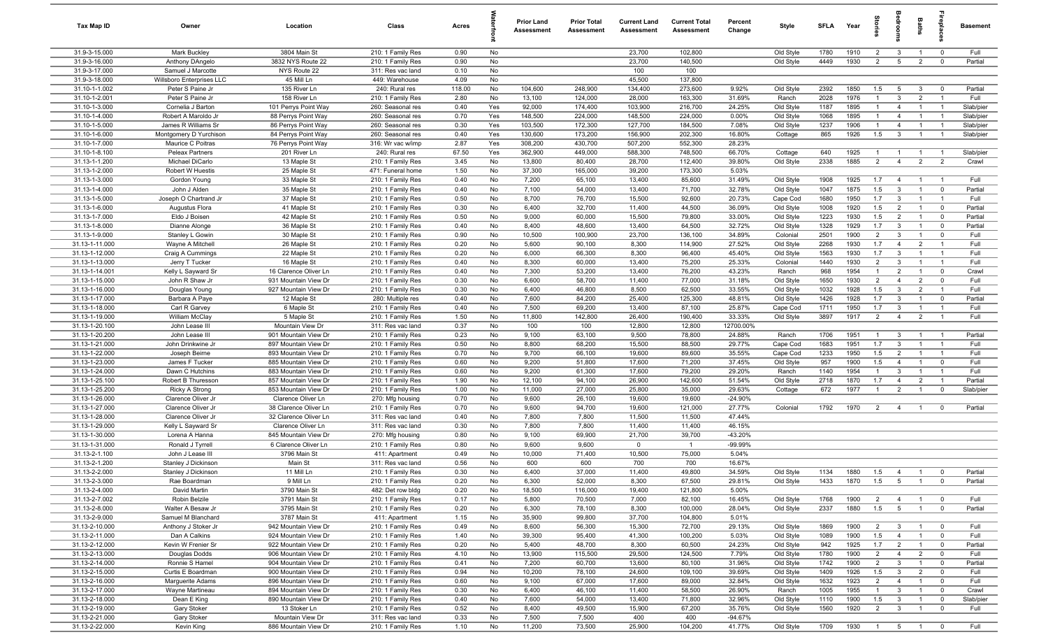| <b>Tax Map ID</b>                | Owner                                      | Location                                     | Class                                  | Acres        |            | <b>Prior Land</b><br><b>Assessment</b> | <b>Prior Total</b><br>Assessment | <b>Current Land</b><br>Assessment | <b>Current Total</b><br><b>Assessment</b> | Percent<br>Change | Style                  | SFLA         | Year         |                                |                                  | Baths                            | repla                            | Basement               |
|----------------------------------|--------------------------------------------|----------------------------------------------|----------------------------------------|--------------|------------|----------------------------------------|----------------------------------|-----------------------------------|-------------------------------------------|-------------------|------------------------|--------------|--------------|--------------------------------|----------------------------------|----------------------------------|----------------------------------|------------------------|
| 31.9-3-15.000                    | Mark Buckley                               | 3804 Main St                                 | 210: 1 Family Res                      | 0.90         | No         |                                        |                                  | 23,700                            | 102,800                                   |                   | Old Style              | 1780         | 1910         | $\overline{2}$                 | $\mathbf{3}$                     | $\overline{1}$                   | $^{\circ}$                       | Full                   |
| 31.9-3-16.000                    | Anthony DAngelo                            | 3832 NYS Route 22                            | 210: 1 Family Res                      | 0.90         | No         |                                        |                                  | 23,700                            | 140,500                                   |                   | Old Style              | 4449         | 1930         | $\overline{2}$                 | 5                                | $\overline{2}$                   | $\mathbf 0$                      | Partial                |
| 31.9-3-17.000                    | Samuel J Marcotte                          | NYS Route 22                                 | 311: Res vac land                      | 0.10         | No         |                                        |                                  | 100                               | 100                                       |                   |                        |              |              |                                |                                  |                                  |                                  |                        |
| 31.9-3-18.000                    | Willsboro Enterprises LLC                  | 45 Mill Ln                                   | 449: Warehouse                         | 4.09         | No         |                                        |                                  | 45,500                            | 137,800                                   |                   |                        |              |              |                                |                                  |                                  |                                  |                        |
| 31.10-1-1.002                    | Peter S Paine Jr                           | 135 River Ln                                 | 240: Rural res                         | 118.00       | No         | 104,600                                | 248,900                          | 134,400                           | 273,600                                   | 9.92%             | Old Style              | 2392         | 1850         | 1.5                            | 5                                | $\mathbf{3}$                     | $^{\circ}$                       | Partial                |
| 31.10-1-2.001<br>31.10-1-3.000   | Peter S Paine Jr                           | 158 River Ln                                 | 210: 1 Family Res                      | 2.80         | No         | 13,100<br>92,000                       | 124,000<br>174,400               | 28,000                            | 163,300                                   | 31.69%<br>24.25%  | Ranch                  | 2028         | 1976<br>1895 | $\overline{1}$<br>$\mathbf{1}$ | $\mathbf{3}$<br>$\overline{4}$   | $\overline{2}$<br>$\overline{1}$ | $\overline{1}$<br>$\overline{1}$ | Full                   |
| 31.10-1-4.000                    | Cornelia J Barton<br>Robert A Maroldo Jr   | 101 Perrys Point Way<br>88 Perrys Point Way  | 260: Seasonal res<br>260: Seasonal res | 0.40<br>0.70 | Yes<br>Yes | 148,500                                | 224,000                          | 103,900<br>148,500                | 216,700<br>224,000                        | 0.00%             | Old Style<br>Old Style | 1187<br>1068 | 1895         | $\overline{1}$                 | $\overline{4}$                   | $\overline{1}$                   | $\overline{1}$                   | Slab/pier<br>Slab/pier |
| 31.10-1-5.000                    | James R Williams Sr                        | 86 Perrys Point Way                          | 260: Seasonal res                      | 0.30         | Yes        | 103,500                                | 172,300                          | 127,700                           | 184,500                                   | 7.08%             | Old Style              | 1237         | 1906         | $\overline{1}$                 | $\overline{4}$                   | $\overline{1}$                   | $\overline{1}$                   | Slab/pier              |
| 31.10-1-6.000                    | Montgomery D Yurchison                     | 84 Perrys Point Way                          | 260: Seasonal res                      | 0.40         | Yes        | 130,600                                | 173,200                          | 156,900                           | 202,300                                   | 16.80%            | Cottage                | 865          | 1926         | 1.5                            | $\mathbf{3}$                     | $\overline{1}$                   | $\overline{1}$                   | Slab/pier              |
| 31.10-1-7.000                    | Maurice C Poitras                          | 76 Perrys Point Way                          | 316: Wr vac w/imp                      | 2.87         | Yes        | 308,200                                | 430,700                          | 507,200                           | 552,300                                   | 28.23%            |                        |              |              |                                |                                  |                                  |                                  |                        |
| 31.10-1-8.100                    | Peleax Partners                            | 201 River Ln                                 | 240: Rural res                         | 67.50        | Yes        | 362,900                                | 449,000                          | 588,300                           | 748,500                                   | 66.70%            | Cottage                | 640          | 1925         | $\overline{1}$                 | $\overline{1}$                   | $\overline{1}$                   | $\overline{1}$                   | Slab/pier              |
| 31.13-1-1.200                    | Michael DiCarlo                            | 13 Maple St                                  | 210: 1 Family Res                      | 3.45         | No         | 13,800                                 | 80,400                           | 28,700                            | 112,400                                   | 39.80%            | Old Style              | 2338         | 1885         | $\overline{2}$                 | $\overline{4}$                   | 2                                | 2                                | Crawl                  |
| 31.13-1-2.000                    | Robert W Huestis                           | 25 Maple St                                  | 471: Funeral home                      | 1.50         | No         | 37,300                                 | 165,000                          | 39,200                            | 173,300                                   | 5.03%             |                        |              |              |                                |                                  |                                  |                                  |                        |
| 31.13-1-3.000                    | Gordon Young                               | 33 Maple St                                  | 210: 1 Family Res                      | 0.40         | No         | 7,200                                  | 65,100                           | 13,400                            | 85,600                                    | 31.49%            | Old Style              | 1908         | 1925         | 1.7                            | $\overline{4}$                   | $\overline{1}$                   | - 1                              | Full                   |
| 31.13-1-4.000                    | John J Alden                               | 35 Maple St                                  | 210: 1 Family Res                      | 0.40         | No         | 7,100                                  | 54,000                           | 13,400                            | 71,700                                    | 32.78%            | Old Style              | 1047         | 1875         | 1.5                            | $\overline{3}$                   | $\overline{1}$                   | $\mathbf 0$                      | Partial                |
| 31.13-1-5.000                    | Joseph O Chartrand Jr                      | 37 Maple St                                  | 210: 1 Family Res                      | 0.50         | No         | 8,700                                  | 76,700                           | 15,500                            | 92,600                                    | 20.73%            | Cape Cod               | 1680         | 1950         | 1.7                            | $\mathbf{3}$                     |                                  |                                  | Full                   |
| 31.13-1-6.000                    | Augustus Flora                             | 41 Maple St                                  | 210: 1 Family Res                      | 0.30         | No         | 6,400                                  | 32,700                           | 11,400                            | 44,500                                    | 36.09%            | Old Style              | 1008         | 1920         | 1.5                            | $\overline{2}$                   | $\overline{1}$                   | $^{\circ}$                       | Partial                |
| 31.13-1-7.000                    | Eldo J Boisen                              | 42 Maple St                                  | 210: 1 Family Res                      | 0.50         | No         | 9,000                                  | 60,000                           | 15,500                            | 79,800                                    | 33.00%            | Old Style              | 1223         | 1930         | 1.5                            | $\overline{2}$                   | $\overline{1}$                   | $^{\circ}$                       | Partial                |
| 31.13-1-8.000                    | Dianne Alonge                              | 36 Maple St                                  | 210: 1 Family Res                      | 0.40         | No         | 8,400                                  | 48,600                           | 13,400                            | 64,500                                    | 32.72%            | Old Style              | 1328         | 1929<br>1900 | 1.7                            | $\mathbf{3}$                     | $\overline{1}$<br>$\overline{1}$ | $\mathbf 0$                      | Partial                |
| 31.13-1-9.000<br>31.13-1-11.000  | Stanley L Gowin<br>Wayne A Mitchell        | 30 Maple St<br>26 Maple St                   | 210: 1 Family Res<br>210: 1 Family Res | 0.90<br>0.20 | No<br>No   | 10,500<br>5,600                        | 100,900<br>90,100                | 23,700<br>8,300                   | 136,100<br>114,900                        | 34.89%<br>27.52%  | Colonial<br>Old Style  | 2501<br>2268 | 1930         | $\overline{2}$<br>1.7          | $\mathbf{3}$<br>$\overline{4}$   | $\overline{2}$                   | $\mathbf 0$<br>$\overline{1}$    | Full<br>Full           |
| 31.13-1-12.000                   | Craig A Cummings                           | 22 Maple St                                  | 210: 1 Family Res                      | 0.20         | No         | 6,000                                  | 66,300                           | 8,300                             | 96,400                                    | 45.40%            | Old Style              | 1563         | 1930         | 1.7                            | $\overline{3}$                   | $\overline{1}$                   | $\overline{1}$                   | Full                   |
| 31.13-1-13.000                   | Jerry T Tucker                             | 16 Maple St                                  | 210: 1 Family Res                      | 0.40         | No         | 8,300                                  | 60,000                           | 13,400                            | 75,200                                    | 25.33%            | Colonial               | 1440         | 1930         | $\overline{2}$                 | 3                                | $\overline{1}$                   | $\overline{1}$                   | Full                   |
| 31.13-1-14.001                   | Kelly L Sayward Sr                         | 16 Clarence Oliver Ln                        | 210: 1 Family Res                      | 0.40         | No         | 7,300                                  | 53,200                           | 13,400                            | 76,200                                    | 43.23%            | Ranch                  | 968          | 1954         | $\overline{1}$                 | 2                                | $\overline{1}$                   | $\mathbf 0$                      | Crawl                  |
| 31.13-1-15.000                   | John R Shaw Jr                             | 931 Mountain View Dr                         | 210: 1 Family Res                      | 0.30         | No         | 6,600                                  | 58,700                           | 11,400                            | 77,000                                    | 31.18%            | Old Style              | 1650         | 1930         | $\overline{2}$                 | $\overline{4}$                   | $\overline{2}$                   | $\mathbf 0$                      | Full                   |
| 31.13-1-16.000                   | Douglas Young                              | 927 Mountain View Dr                         | 210: 1 Family Res                      | 0.30         | No         | 6,400                                  | 46,800                           | 8,500                             | 62,500                                    | 33.55%            | Old Style              | 1032         | 1928         | 1.5                            | $\mathbf{3}$                     | $\overline{2}$                   | $\overline{1}$                   | Full                   |
| 31.13-1-17.000                   | Barbara A Paye                             | 12 Maple St                                  | 280: Multiple res                      | 0.40         | No         | 7,600                                  | 84,200                           | 25,400                            | 125,300                                   | 48.81%            | Old Style              | 1426         | 1928         | 1.7                            | $\mathbf{3}$                     | $\overline{1}$                   | $\mathbf 0$                      | Partial                |
| 31.13-1-18.000                   | Carl R Garvey                              | 6 Maple St                                   | 210: 1 Family Res                      | 0.40         | No         | 7,500                                  | 69,200                           | 13,400                            | 87,100                                    | 25.87%            | Cape Cod               | 1711         | 1950         | 1.7                            | $\mathbf{3}$                     | $\overline{1}$                   | $\overline{1}$                   | Full                   |
| 31.13-1-19.000                   | William McClay                             | 5 Maple St                                   | 210: 1 Family Res                      | 1.50         | No         | 11,800                                 | 142,800                          | 26,400                            | 190,400                                   | 33.33%            | Old Style              | 3897         | 1917         | $\overline{2}$                 | $\overline{4}$                   | $\overline{2}$                   |                                  | Full                   |
| 31.13-1-20.100                   | John Lease III                             | Mountain View Dr                             | 311: Res vac land                      | 0.37         | No         | 100                                    | 100                              | 12,800                            | 12,800                                    | 12700.00%         |                        |              |              |                                |                                  |                                  |                                  |                        |
| 31.13-1-20.200                   | John Lease III                             | 901 Mountain View Dr                         | 210: 1 Family Res                      | 0.23         | No         | 9,100                                  | 63,100                           | 9,500                             | 78,800                                    | 24.88%            | Ranch                  | 1706         | 1951         | $\overline{1}$                 | $\mathbf{3}$                     | $\overline{1}$                   | $\overline{1}$                   | Partial                |
| 31.13-1-21.000                   | John Drinkwine Jr                          | 897 Mountain View Dr                         | 210: 1 Family Res                      | 0.50         | No         | 8,800                                  | 68,200                           | 15,500                            | 88,500                                    | 29.77%            | Cape Cod               | 1683<br>1233 | 1951<br>1950 | 1.7                            | $\overline{3}$                   | $\overline{1}$<br>$\overline{1}$ | $\overline{1}$<br>$\overline{1}$ | Full<br>Full           |
| 31.13-1-22.000<br>31.13-1-23.000 | Joseph Beirne<br>James F Tucker            | 893 Mountain View Dr<br>885 Mountain View Dr | 210: 1 Family Res<br>210: 1 Family Res | 0.70<br>0.60 | No<br>No   | 9,700<br>9,200                         | 66,100<br>51,800                 | 19,600<br>17,600                  | 89,600<br>71,200                          | 35.55%<br>37.45%  | Cape Cod<br>Old Style  | 957          | 1900         | 1.5<br>1.5                     | $\overline{2}$<br>$\overline{4}$ | $\overline{1}$                   | $^{\circ}$                       | Full                   |
| 31.13-1-24.000                   | Dawn C Hutchins                            | 883 Mountain View Dr                         | 210: 1 Family Res                      | 0.60         | No         | 9,200                                  | 61,300                           | 17,600                            | 79,200                                    | 29.20%            | Ranch                  | 1140         | 1954         | $\overline{1}$                 | $\mathbf{3}$                     | $\overline{1}$                   | $\overline{1}$                   | Full                   |
| 31.13-1-25.100                   | Robert B Thuresson                         | 857 Mountain View Dr                         | 210: 1 Family Res                      | 1.90         | No         | 12,100                                 | 94,100                           | 26,900                            | 142,600                                   | 51.54%            | Old Style              | 2718         | 1870         | 1.7                            | $\overline{4}$                   | $\overline{2}$                   | $\overline{1}$                   | Partial                |
| 31.13-1-25.200                   | Ricky A Strong                             | 853 Mountain View Dr                         | 210: 1 Family Res                      | 1.00         | No         | 11,000                                 | 27,000                           | 25,800                            | 35,000                                    | 29.63%            | Cottage                | 672          | 1977         | $\overline{1}$                 | $\overline{2}$                   | $\overline{1}$                   | $^{\circ}$                       | Slab/pier              |
| 31.13-1-26.000                   | Clarence Oliver Jr                         | Clarence Oliver Ln                           | 270: Mfg housing                       | 0.70         | No         | 9,600                                  | 26,100                           | 19,600                            | 19,600                                    | $-24.90%$         |                        |              |              |                                |                                  |                                  |                                  |                        |
| 31.13-1-27.000                   | Clarence Oliver Jr                         | 38 Clarence Oliver Ln                        | 210: 1 Family Res                      | 0.70         | No         | 9,600                                  | 94,700                           | 19,600                            | 121,000                                   | 27.77%            | Colonial               | 1792         | 1970         | $\overline{2}$                 | $\overline{4}$                   | $\overline{1}$                   | $^{\circ}$                       | Partial                |
| 31.13-1-28.000                   | Clarence Oliver Jr                         | 32 Clarence Oliver Ln                        | 311: Res vac land                      | 0.40         | No         | 7,800                                  | 7,800                            | 11,500                            | 11,500                                    | 47.44%            |                        |              |              |                                |                                  |                                  |                                  |                        |
| 31.13-1-29.000                   | Kelly L Sayward Sr                         | Clarence Oliver Ln                           | 311: Res vac land                      | 0.30         | No         | 7,800                                  | 7,800                            | 11,400                            | 11,400                                    | 46.15%            |                        |              |              |                                |                                  |                                  |                                  |                        |
| 31.13-1-30.000                   | Lorena A Hanna                             | 845 Mountain View Dr                         | 270: Mfg housing                       | 0.80         | No         | 9,100                                  | 69,900                           | 21,700                            | 39,700                                    | $-43.20%$         |                        |              |              |                                |                                  |                                  |                                  |                        |
| 31.13-1-31.000                   | Ronald J Tyrrell                           | 6 Clarence Oliver Ln                         | 210: 1 Family Res                      | 0.80         | No         | 9,600                                  | 9,600                            | $\mathbf 0$                       | $\overline{1}$                            | -99.99%           |                        |              |              |                                |                                  |                                  |                                  |                        |
| 31.13-2-1.100                    | John J Lease III                           | 3796 Main St                                 | 411: Apartment                         | 0.49         | No         | 10,000                                 | 71,400                           | 10,500                            | 75,000                                    | 5.04%             |                        |              |              |                                |                                  |                                  |                                  |                        |
| 31.13-2-1.200<br>31.13-2-2.000   | Stanley J Dickinson<br>Stanley J Dickinson | Main St<br>11 Mill Ln                        | 311: Res vac land<br>210: 1 Family Res | 0.56<br>0.30 | No<br>No   | 600<br>6,400                           | 600<br>37,000                    | 700<br>11,400                     | 700<br>49,800                             | 16.67%<br>34.59%  | Old Style              | 1134         | 1880         | 1.5                            | $\overline{a}$                   | $\overline{1}$                   |                                  | Partial                |
| 31.13-2-3.000                    | Rae Boardman                               | 9 Mill Ln                                    | 210: 1 Family Res                      | 0.20         | No         | 6,300                                  | 52,000                           | 8,300                             | 67,500                                    | 29.81%            | Old Style              | 1433         | 1870         | 1.5                            | $5\overline{)}$                  | $\overline{1}$                   | $\overline{0}$                   | Partial                |
| 31.13-2-4.000                    | David Martin                               | 3790 Main St                                 | 482: Det row bldg                      | 0.20         | No         | 18,500                                 | 116,000                          | 19,400                            | 121,800                                   | 5.00%             |                        |              |              |                                |                                  |                                  |                                  |                        |
| 31.13-2-7.002                    | Robin Belzile                              | 3791 Main St                                 | 210: 1 Family Res                      | 0.17         | No         | 5,800                                  | 70,500                           | 7,000                             | 82,100                                    | 16.45%            | Old Style              | 1768         | 1900         | $\overline{2}$                 | $\overline{4}$                   | $\overline{1}$                   | $\overline{\mathbf{0}}$          | Full                   |
| 31.13-2-8.000                    | Walter A Besaw Jr                          | 3795 Main St                                 | 210: 1 Family Res                      | 0.20         | No         | 6,300                                  | 78,100                           | 8,300                             | 100,000                                   | 28.04%            | Old Style              | 2337         | 1880         | 1.5                            | $5\overline{)}$                  | $\overline{1}$                   | $\mathbf 0$                      | Partial                |
| 31.13-2-9.000                    | Samuel M Blanchard                         | 3787 Main St                                 | 411: Apartment                         | 1.15         | No         | 35,900                                 | 99,800                           | 37,700                            | 104,800                                   | 5.01%             |                        |              |              |                                |                                  |                                  |                                  |                        |
| 31.13-2-10.000                   | Anthony J Stoker Jr                        | 942 Mountain View Dr                         | 210: 1 Family Res                      | 0.49         | No         | 8,600                                  | 56,300                           | 15,300                            | 72,700                                    | 29.13%            | Old Style              | 1869         | 1900         | $\overline{2}$                 | $\mathbf{3}$                     | $\overline{1}$                   | $\overline{\mathbf{0}}$          | Full                   |
| 31.13-2-11.000                   | Dan A Calkins                              | 924 Mountain View Dr                         | 210: 1 Family Res                      | 1.40         | No         | 39,300                                 | 95,400                           | 41,300                            | 100,200                                   | 5.03%             | Old Style              | 1089         | 1900         | 1.5                            | $\overline{4}$                   | $\overline{1}$                   | $\mathbf 0$                      | Full                   |
| 31.13-2-12.000                   | Kevin W Frenier Sr                         | 922 Mountain View Dr                         | 210: 1 Family Res                      | 0.20         | No         | 5,400                                  | 48,700                           | 8,300                             | 60,500                                    | 24.23%            | Old Style              | 942          | 1925         | 1.7                            | $\overline{2}$                   | $\overline{1}$                   | $\overline{\mathbf{0}}$          | Partial                |
| 31.13-2-13.000                   | Douglas Dodds                              | 906 Mountain View Dr                         | 210: 1 Family Res                      | 4.10         | No         | 13,900                                 | 115,500                          | 29,500                            | 124,500                                   | 7.79%             | Old Style              | 1780         | 1900         | $\overline{2}$                 | $\overline{4}$                   | $\overline{2}$                   | $\mathbf 0$                      | Full                   |
| 31.13-2-14.000                   | Ronnie S Hamel                             | 904 Mountain View Dr                         | 210: 1 Family Res                      | 0.41         | No         | 7,200                                  | 60,700                           | 13,600                            | 80,100                                    | 31.96%            | Old Style              | 1742         | 1900         | $\overline{2}$                 | $\mathbf{3}$                     | $\overline{1}$                   | $\overline{\mathbf{0}}$          | Partial                |
| 31.13-2-15.000<br>31.13-2-16.000 | Curtis E Boardman<br>Marguerite Adams      | 900 Mountain View Dr<br>896 Mountain View Dr | 210: 1 Family Res<br>210: 1 Family Res | 0.94<br>0.60 | No<br>No   | 10,200<br>9,100                        | 78,100<br>67,000                 | 24,600<br>17,600                  | 109,100<br>89,000                         | 39.69%<br>32.84%  | Old Style              | 1409<br>1632 | 1926<br>1923 | 1.5<br>2                       | $\mathbf{3}$<br>$\overline{4}$   | $\overline{2}$<br>$\overline{1}$ | $\mathbf 0$<br>$\mathbf 0$       | Full<br>Full           |
| 31.13-2-17.000                   | Wayne Martineau                            | 894 Mountain View Dr                         | 210: 1 Family Res                      | 0.30         | No         | 6,400                                  | 46,100                           | 11,400                            | 58,500                                    | 26.90%            | Old Style<br>Ranch     | 1005         | 1955         | $\overline{1}$                 | $\mathbf{3}$                     | $\overline{1}$                   | $\mathbf 0$                      | Crawl                  |
| 31.13-2-18.000                   | Dean E King                                | 890 Mountain View Dr                         | 210: 1 Family Res                      | 0.40         | No         | 7,600                                  | 54,000                           | 13,400                            | 71,800                                    | 32.96%            | Old Style              | 1110         | 1900         | 1.5                            | $\mathbf{3}$                     | $\overline{1}$                   | $\mathbf 0$                      | Slab/pier              |
| 31.13-2-19.000                   | Gary Stoker                                | 13 Stoker Ln                                 | 210: 1 Family Res                      | 0.52         | No         | 8,400                                  | 49,500                           | 15,900                            | 67,200                                    | 35.76%            | Old Style              | 1560         | 1920         | $\overline{2}$                 | $\overline{\mathbf{3}}$          | $\overline{1}$                   | $\mathbf 0$                      | Full                   |
| 31.13-2-21.000                   | Gary Stoker                                | Mountain View Dr                             | 311: Res vac land                      | 0.33         | No         | 7,500                                  | 7,500                            | 400                               | 400                                       | $-94.67%$         |                        |              |              |                                |                                  |                                  |                                  |                        |
| 31.13-2-22.000                   | Kevin King                                 | 886 Mountain View Dr                         | 210: 1 Family Res                      | 1.10         | No         | 11,200                                 | 73,500                           | 25,900                            | 104,200                                   | 41.77%            | Old Style              | 1709         | 1930         | $\overline{1}$                 | 5 1                              |                                  | $\overline{0}$                   | Full                   |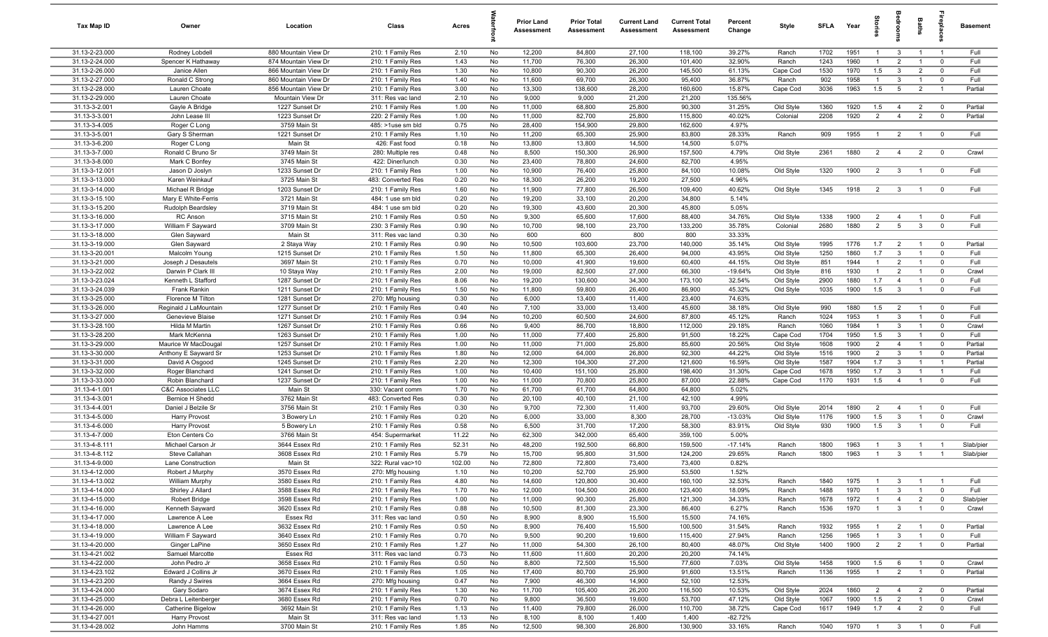| Tax Map ID                       | Owner                             | Location                                 | Class                                  | Acres        |          | Prior Land<br><b>Assessment</b> | <b>Prior Total</b><br>Assessment | <b>Current Land</b><br>Assessment | <b>Current Total</b><br><b>Assessment</b> | Percent<br>Change | Style                 | SFLA         | Year         | $\frac{1}{2}$       |                                | Baths          | epla                             | <b>Basement</b> |
|----------------------------------|-----------------------------------|------------------------------------------|----------------------------------------|--------------|----------|---------------------------------|----------------------------------|-----------------------------------|-------------------------------------------|-------------------|-----------------------|--------------|--------------|---------------------|--------------------------------|----------------|----------------------------------|-----------------|
| 31.13-2-23.000                   | Rodney Lobdell                    | 880 Mountain View Dr                     | 210: 1 Family Res                      | 2.10         | No       | 12,200                          | 84,800                           | 27,100                            | 118,100                                   | 39.27%            | Ranch                 | 1702         | 1951         | $\overline{1}$      | $\overline{3}$                 | $\overline{1}$ | $\overline{1}$                   | Full            |
| 31.13-2-24.000                   | Spencer K Hathaway                | 874 Mountain View Dr                     | 210: 1 Family Res                      | 1.43         | No       | 11,700                          | 76,300                           | 26,300                            | 101,400                                   | 32.90%            | Ranch                 | 1243         | 1960         |                     | $\overline{2}$                 |                | $\overline{0}$                   | Full            |
| 31.13-2-26.000                   | Janice Allen                      | 866 Mountain View Dr                     | 210: 1 Family Res                      | 1.30         | No       | 10,800                          | 90,300                           | 26,200                            | 145,500                                   | 61.13%            | Cape Cod              | 1530         | 1970         | 1.5                 | $\overline{3}$                 | $\overline{2}$ | $\mathbf 0$                      | Full            |
| 31.13-2-27.000                   | Ronald C Strong                   | 860 Mountain View Dr                     | 210: 1 Family Res                      | 1.40         | No       | 11,600                          | 69,700                           | 26,300                            | 95,400                                    | 36.87%            | Ranch                 | 902          | 1958         | $\overline{1}$      | $\overline{3}$                 | $\overline{1}$ | $\mathbf 0$                      | Full            |
| 31.13-2-28.000<br>31.13-2-29.000 | Lauren Choate                     | 856 Mountain View Dr<br>Mountain View Dr | 210: 1 Family Res                      | 3.00<br>2.10 | No<br>No | 13,300<br>9,000                 | 138,600<br>9,000                 | 28,200<br>21,200                  | 160,600<br>21,200                         | 15.87%<br>135.56% | Cape Cod              | 3036         | 1963         | 1.5                 | 5                              | $\overline{2}$ | $\overline{1}$                   | Partial         |
| 31.13-3-2.001                    | Lauren Choate<br>Gayle A Bridge   | 1227 Sunset Dr                           | 311: Res vac land<br>210: 1 Family Res | 1.00         | No       | 11,000                          | 68,800                           | 25,800                            | 90,300                                    | 31.25%            | Old Style             | 1360         | 1920         | 1.5                 | $\overline{4}$                 | $\overline{2}$ | $\overline{0}$                   | Partial         |
| 31.13-3-3.001                    | John Lease III                    | 1223 Sunset Dr                           | 220: 2 Family Res                      | 1.00         | No       | 11,000                          | 82,700                           | 25,800                            | 115,800                                   | 40.02%            | Colonial              | 2208         | 1920         | $\overline{2}$      | $\overline{4}$                 | $\overline{2}$ | $\overline{0}$                   | Partial         |
| 31.13-3-4.005                    | Roger C Long                      | 3759 Main St                             | 485: >1use sm bld                      | 0.75         | No       | 28,400                          | 154,900                          | 29,800                            | 162,600                                   | 4.97%             |                       |              |              |                     |                                |                |                                  |                 |
| 31.13-3-5.001                    | Gary S Sherman                    | 1221 Sunset Dr                           | 210: 1 Family Res                      | 1.10         | No       | 11,200                          | 65,300                           | 25,900                            | 83,800                                    | 28.33%            | Ranch                 | 909          | 1955         | $\overline{1}$      | $\overline{2}$                 | $\overline{1}$ | $\overline{0}$                   | Full            |
| 31.13-3-6.200                    | Roger C Long                      | Main St                                  | 426: Fast food                         | 0.18         | No       | 13,800                          | 13,800                           | 14,500                            | 14,500                                    | 5.07%             |                       |              |              |                     |                                |                |                                  |                 |
| 31.13-3-7.000                    | Ronald C Bruno Sr                 | 3749 Main St                             | 280: Multiple res                      | 0.48         | No       | 8,500                           | 150,300                          | 26,900                            | 157,500                                   | 4.79%             | Old Style             | 2361         | 1880         | $\overline{2}$      | $\overline{4}$                 | $\overline{2}$ | $\overline{0}$                   | Crawl           |
| 31.13-3-8.000                    | Mark C Bonfey                     | 3745 Main St                             | 422: Diner/lunch                       | 0.30         | No       | 23,400                          | 78,800                           | 24,600                            | 82,700                                    | 4.95%             |                       |              |              |                     |                                |                |                                  |                 |
| 31.13-3-12.001                   | Jason D Joslyn                    | 1233 Sunset Dr                           | 210: 1 Family Res                      | 1.00         | No       | 10,900                          | 76,400                           | 25,800                            | 84,100                                    | 10.08%            | Old Style             | 1320         | 1900         | $\overline{2}$      | $\mathbf{3}$                   | $\overline{1}$ | $\overline{\mathbf{0}}$          | Full            |
| 31.13-3-13.000                   | Karen Weinkauf                    | 3725 Main St                             | 483: Converted Res                     | 0.20         | No       | 18,300                          | 26,200                           | 19,200                            | 27,500                                    | 4.96%             |                       |              |              |                     |                                |                |                                  |                 |
| 31.13-3-14.000                   | Michael R Bridge                  | 1203 Sunset Dr                           | 210: 1 Family Res                      | 1.60         | No       | 11,900                          | 77,800                           | 26,500                            | 109,400                                   | 40.62%            | Old Style             | 1345         | 1918         | $\overline{2}$      | $\overline{3}$                 | $\overline{1}$ | $\mathbf 0$                      | Full            |
| 31.13-3-15.100                   | Mary E White-Ferris               | 3721 Main St                             | 484: 1 use sm bld                      | 0.20         | No       | 19,200                          | 33,100                           | 20,200                            | 34,800                                    | 5.14%             |                       |              |              |                     |                                |                |                                  |                 |
| 31.13-3-15.200                   | Rudolph Beardsley                 | 3719 Main St                             | 484: 1 use sm bld                      | 0.20         | No       | 19,300                          | 43,600                           | 20,300                            | 45,800                                    | 5.05%             |                       |              |              |                     |                                |                |                                  |                 |
| 31.13-3-16.000                   | RC Anson                          | 3715 Main St                             | 210: 1 Family Res                      | 0.50         | No       | 9,300                           | 65,600                           | 17,600                            | 88,400                                    | 34.76%            | Old Style             | 1338         | 1900         | $\overline{2}$      | $\overline{4}$                 | $\overline{1}$ | $\overline{0}$                   | Full            |
| 31.13-3-17.000                   | William F Sayward                 | 3709 Main St                             | 230: 3 Family Res                      | 0.90         | No       | 10,700                          | 98,100                           | 23,700                            | 133,200                                   | 35.78%            | Colonial              | 2680         | 1880         | 2                   | $5\overline{5}$                | $\mathbf{3}$   | $\overline{0}$                   | Full            |
| 31.13-3-18.000<br>31.13-3-19.000 | Glen Sayward<br>Glen Sayward      | Main St<br>2 Staya Way                   | 311: Res vac land<br>210: 1 Family Res | 0.30<br>0.90 | No<br>No | 600<br>10,500                   | 600<br>103,600                   | 800<br>23,700                     | 800<br>140,000                            | 33.33%<br>35.14%  | Old Style             | 1995         | 1776         | 1.7                 | $\overline{2}$                 | $\overline{1}$ | $\overline{0}$                   | Partial         |
| 31.13-3-20.001                   | Malcolm Young                     | 1215 Sunset Dr                           | 210: 1 Family Res                      | 1.50         | No       | 11,800                          | 65,300                           | 26,400                            | 94,000                                    | 43.95%            | Old Style             | 1250         | 1860         | 1.7                 | $\mathbf{3}$                   | $\mathbf{1}$   | $\mathbf 0$                      | Full            |
| 31.13-3-21.000                   | Joseph J Desautels                | 3697 Main St                             | 210: 1 Family Res                      | 0.70         | No       | 10,000                          | 41,900                           | 19,600                            | 60,400                                    | 44.15%            | Old Style             | 851          | 1944         | $\overline{1}$      | $\overline{2}$                 | $\overline{1}$ | $\mathbf 0$                      | Full            |
| 31.13-3-22.002                   | Darwin P Clark III                | 10 Staya Way                             | 210: 1 Family Res                      | 2.00         | No       | 19,000                          | 82,500                           | 27,000                            | 66,300                                    | $-19.64%$         | Old Style             | 816          | 1930         | $\overline{1}$      | $\overline{2}$                 |                | $\mathbf 0$                      | Crawl           |
| 31.13-3-23.024                   | Kenneth L Stafford                | 1287 Sunset Dr                           | 210: 1 Family Res                      | 8.06         | No       | 19,200                          | 130,600                          | 34,300                            | 173,100                                   | 32.54%            | Old Style             | 2900         | 1880         | 1.7                 | $\overline{4}$                 |                | $\mathbf{0}$                     | Full            |
| 31.13-3-24.039                   | Frank Rankin                      | 1211 Sunset Dr                           | 210: 1 Family Res                      | 1.50         | No       | 11,800                          | 59,800                           | 26,400                            | 86,900                                    | 45.32%            | Old Style             | 1035         | 1900         | 1.5                 | $\overline{3}$                 |                | $\mathbf 0$                      | Full            |
| 31.13-3-25.000                   | Florence M Tilton                 | 1281 Sunset Dr                           | 270: Mfg housing                       | 0.30         | No       | 6,000                           | 13,400                           | 11,400                            | 23,400                                    | 74.63%            |                       |              |              |                     |                                |                |                                  |                 |
| 31.13-3-26.000                   | Reginald J LaMountain             | 1277 Sunset Dr                           | 210: 1 Family Res                      | 0.40         | No       | 7,100                           | 33,000                           | 13,400                            | 45,600                                    | 38.18%            | Old Style             | 990          | 1880         | 1.5                 | $\overline{2}$                 | $\overline{1}$ | $\overline{0}$                   | Full            |
| 31.13-3-27.000                   | Genevieve Blaise                  | 1271 Sunset Dr                           | 210: 1 Family Res                      | 0.94         | No       | 10,200                          | 60,500                           | 24,600                            | 87,800                                    | 45.12%            | Ranch                 | 1024         | 1953         | $\overline{1}$      | $\overline{3}$                 | $\overline{1}$ | $\overline{0}$                   | Full            |
| 31.13-3-28.100                   | Hilda M Martin                    | 1267 Sunset Dr                           | 210: 1 Family Res                      | 0.66         | No       | 9,400                           | 86,700                           | 18,800                            | 112,000                                   | 29.18%            | Ranch                 | 1060         | 1984         | $\overline{1}$      | $\mathbf{3}$                   | $\overline{1}$ | $\overline{0}$                   | Crawl           |
| 31.13-3-28.200                   | Mark McKenna                      | 1263 Sunset Dr                           | 210: 1 Family Res                      | 1.00         | No       | 11,000                          | 77,400                           | 25,800                            | 91,500                                    | 18.22%            | Cape Cod              | 1704         | 1950         | 1.5                 | $\mathbf{3}$                   | $\overline{1}$ | $\overline{0}$                   | Full            |
| 31.13-3-29.000                   | Maurice W MacDougal               | 1257 Sunset Dr                           | 210: 1 Family Res                      | 1.00         | No       | 11,000                          | 71,000                           | 25,800                            | 85,600                                    | 20.56%            | Old Style             | 1608         | 1900         | 2                   | $\overline{4}$                 | $\overline{1}$ | $\overline{0}$                   | Partial         |
| 31.13-3-30.000                   | Anthony E Sayward Sr              | 1253 Sunset Dr                           | 210: 1 Family Res                      | 1.80         | No       | 12,000                          | 64,000                           | 26,800                            | 92,300                                    | 44.22%            | Old Style             | 1516         | 1900         | $\overline{2}$      | $\mathbf{3}$                   | $\overline{1}$ | $\mathbf 0$                      | Partial         |
| 31.13-3-31.000<br>31.13-3-32.000 | David A Osgood<br>Roger Blanchard | 1245 Sunset Dr<br>1241 Sunset Dr         | 210: 1 Family Res                      | 2.20         | No       | 12,300<br>10,400                | 104,300                          | 27,200<br>25,800                  | 121,600<br>198,400                        | 16.59%<br>31.30%  | Old Style<br>Cape Cod | 1587<br>1678 | 1904<br>1950 | 1.7<br>1.7          | $\mathbf{3}$<br>$\overline{3}$ | $\overline{1}$ | $\overline{1}$<br>$\overline{1}$ | Partial<br>Full |
| 31.13-3-33.000                   | Robin Blanchard                   | 1237 Sunset Dr                           | 210: 1 Family Res<br>210: 1 Family Res | 1.00<br>1.00 | No<br>No | 11,000                          | 151,100<br>70,800                | 25,800                            | 87,000                                    | 22.88%            | Cape Cod              | 1170         | 1931         | 1.5                 | $\overline{4}$                 |                | $\mathbf 0$                      | Full            |
| 31.13-4-1.001                    | C&C Associates LLC                | Main St                                  | 330: Vacant comm                       | 1.70         | No       | 61,700                          | 61,700                           | 64,800                            | 64,800                                    | 5.02%             |                       |              |              |                     |                                |                |                                  |                 |
| 31.13-4-3.001                    | Bernice H Shedd                   | 3762 Main St                             | 483: Converted Res                     | 0.30         | No       | 20,100                          | 40,100                           | 21,100                            | 42,100                                    | 4.99%             |                       |              |              |                     |                                |                |                                  |                 |
| 31.13-4-4.001                    | Daniel J Belzile Sr               | 3756 Main St                             | 210: 1 Family Res                      | 0.30         | No       | 9,700                           | 72,300                           | 11,400                            | 93,700                                    | 29.60%            | Old Style             | 2014         | 1890         | $\overline{2}$      | $\overline{4}$                 |                | $\overline{0}$                   | Full            |
| 31.13-4-5.000                    | <b>Harry Provost</b>              | 3 Bowery Ln                              | 210: 1 Family Res                      | 0.20         | No       | 6,000                           | 33,000                           | 8,300                             | 28,700                                    | $-13.03%$         | Old Style             | 1176         | 1900         | 1.5                 | $\overline{3}$                 | $\overline{1}$ | $\mathbf 0$                      | Crawl           |
| 31.13-4-6.000                    | <b>Harry Provost</b>              | 5 Bowery Ln                              | 210: 1 Family Res                      | 0.58         | No       | 6,500                           | 31,700                           | 17,200                            | 58,300                                    | 83.91%            | Old Style             | 930          | 1900         | 1.5                 | $\overline{\mathbf{3}}$        | $\overline{1}$ | $\overline{0}$                   | Full            |
| 31.13-4-7.000                    | Eton Centers Co                   | 3766 Main St                             | 454: Supermarket                       | 11.22        | No       | 62,300                          | 342,000                          | 65,400                            | 359,100                                   | 5.00%             |                       |              |              |                     |                                |                |                                  |                 |
| 31.13-4-8.111                    | Michael Carson Jr                 | 3644 Essex Rd                            | 210: 1 Family Res                      | 52.31        | No       | 48,200                          | 192,500                          | 66,800                            | 159,500                                   | $-17.14%$         | Ranch                 | 1800         | 1963         | $\mathbf{1}$        | -3                             | $\overline{1}$ | $\overline{1}$                   | Slab/pier       |
| 31.13-4-8.112                    | Steve Callahan                    | 3608 Essex Rd                            | 210: 1 Family Res                      | 5.79         | No       | 15,700                          | 95,800                           | 31,500                            | 124,200                                   | 29.65%            | Ranch                 | 1800         | 1963         | $\overline{1}$      | $\mathbf{3}$                   | $\overline{1}$ | $\overline{1}$                   | Slab/pier       |
| 31.13-4-9.000                    | Lane Construction                 | Main St                                  | 322: Rural vac>10                      | 102.00       | No       | 72,800                          | 72,800                           | 73,400                            | 73,400                                    | 0.82%             |                       |              |              |                     |                                |                |                                  |                 |
| 31.13-4-12.000                   | Robert J Murphy                   | 3570 Essex Rd                            | 270: Mfg housing                       | 1.10         | No       | 10.200                          | 52.700                           | 25,900                            | 53,500                                    | 1.52%             |                       |              |              |                     |                                |                |                                  |                 |
| 31.13-4-13.002                   | William Murphy                    | 3580 Essex Rd                            | 210: 1 Family Res                      | 4.80         | No       | 14,600                          | 120,800                          | 30,400                            | 160,100                                   | 32.53%            | Ranch                 | 1840         | 1975         | $\overline{1}$      | $\mathbf{3}$                   | $\overline{1}$ | $\overline{1}$                   | Full            |
| 31.13-4-14.000                   | Shirley J Allard                  | 3588 Essex Rd                            | 210: 1 Family Res                      | 1.70         | No       | 12,000                          | 104,500                          | 26,600                            | 123,400                                   | 18.09%            | Ranch                 | 1488         | 1970         |                     | $\mathbf{3}$                   | $\mathbf{1}$   | $\mathbf 0$                      | Full            |
| 31.13-4-15.000                   | Robert Bridge                     | 3598 Essex Rd                            | 210: 1 Family Res                      | 1.00         | No       | 11,000                          | 90,300                           | 25,800                            | 121,300                                   | 34.33%            | Ranch                 | 1678         | 1972         | -1                  | $\overline{4}$                 | $\overline{2}$ | $\overline{0}$                   | Slab/pier       |
| 31.13-4-16.000<br>31.13-4-17.000 | Kenneth Sayward<br>Lawrence A Lee | 3620 Essex Rd<br>Essex Rd                | 210: 1 Family Res<br>311: Res vac land | 0.88<br>0.50 | No<br>No | 10,500<br>8,900                 | 81,300<br>8,900                  | 23,300<br>15,500                  | 86,400<br>15,500                          | 6.27%<br>74.16%   | Ranch                 | 1536         | 1970         | $\overline{1}$      | $\overline{\mathbf{3}}$        | $\overline{1}$ | $\overline{0}$                   | Crawl           |
| 31.13-4-18.000                   | Lawrence A Lee                    | 3632 Essex Rd                            | 210: 1 Family Res                      | 0.50         | No       | 8,900                           | 76,400                           | 15,500                            | 100,500                                   | 31.54%            | Ranch                 | 1932         | 1955         |                     | $\overline{2}$                 | $\overline{1}$ | $\overline{0}$                   | Partial         |
| 31.13-4-19.000                   | William F Sayward                 | 3640 Essex Rd                            | 210: 1 Family Res                      | 0.70         | No       | 9,500                           | 90,200                           | 19,600                            | 115,400                                   | 27.94%            | Ranch                 | 1256         | 1965         | $\overline{1}$      | $\mathbf{3}$                   | $\overline{1}$ | $\overline{0}$                   | Full            |
| 31.13-4-20.000                   | Ginger LaPine                     | 3650 Essex Rd                            | 210: 1 Family Res                      | 1.27         | No       | 11,000                          | 54,300                           | 26,100                            | 80,400                                    | 48.07%            | Old Style             | 1400         | 1900         | $\overline{2}$      | $\overline{2}$                 | $\overline{1}$ | $\overline{\mathbf{0}}$          | Partial         |
| 31.13-4-21.002                   | Samuel Marcotte                   | Essex Rd                                 | 311: Res vac land                      | 0.73         | No       | 11,600                          | 11,600                           | 20,200                            | 20,200                                    | 74.14%            |                       |              |              |                     |                                |                |                                  |                 |
| 31.13-4-22.000                   | John Pedro Jr                     | 3658 Essex Rd                            | 210: 1 Family Res                      | 0.50         | No       | 8,800                           | 72,500                           | 15,500                            | 77,600                                    | 7.03%             | Old Style             | 1458         | 1900         | 1.5                 | 6                              | $\overline{1}$ | $\overline{0}$                   | Crawl           |
| 31.13-4-23.102                   | Edward J Collins Jr               | 3670 Essex Rd                            | 210: 1 Family Res                      | 1.05         | No       | 17,400                          | 80,700                           | 25,900                            | 91,600                                    | 13.51%            | Ranch                 | 1136         | 1955         | $\overline{1}$      | $\overline{2}$                 | $\overline{1}$ | $\overline{0}$                   | Partial         |
| 31.13-4-23.200                   | Randy J Swires                    | 3664 Essex Rd                            | 270: Mfg housing                       | 0.47         | No       | 7,900                           | 46,300                           | 14,900                            | 52,100                                    | 12.53%            |                       |              |              |                     |                                |                |                                  |                 |
| 31.13-4-24.000                   | Gary Sodaro                       | 3674 Essex Rd                            | 210: 1 Family Res                      | 1.30         | No       | 11,700                          | 105,400                          | 26,200                            | 116,500                                   | 10.53%            | Old Style             | 2024         | 1860         | $\overline{2}$      | $\overline{4}$                 | $\overline{2}$ | $\overline{\mathbf{0}}$          | Partial         |
| 31.13-4-25.000                   | Debra L Leitenberger              | 3680 Essex Rd                            | 210: 1 Family Res                      | 0.70         | No       | 9,800                           | 36,500                           | 19,600                            | 53,700                                    | 47.12%            | Old Style             | 1067         | 1900         | 1.5                 | $\overline{2}$                 | $\mathbf{1}$   | $\overline{0}$                   | Crawl           |
| 31.13-4-26.000                   | Catherine Bigelow                 | 3692 Main St                             | 210: 1 Family Res                      | 1.13         | No       | 11,400                          | 79,800                           | 26,000                            | 110,700                                   | 38.72%            | Cape Cod              | 1617         | 1949         | 1.7                 | $\overline{4}$                 | $\overline{2}$ | $\mathbf 0$                      | Full            |
| 31.13-4-27.001                   | Harry Provost                     | Main St                                  | 311: Res vac land                      | 1.13         | No       | 8,100                           | 8,100                            | 1,400                             | 1,400                                     | $-82.72%$         |                       |              |              |                     |                                |                |                                  |                 |
| 31.13-4-28.002                   | John Hamms                        | 3700 Main St                             | 210: 1 Family Res                      | 1.85         | No       | 12,500                          | 98,300                           | 26,800                            | 130,900                                   | 33.16%            | Ranch                 | 1040         | 1970         | $1 \quad 3 \quad 1$ |                                |                | $\overline{\mathbf{0}}$          | Full            |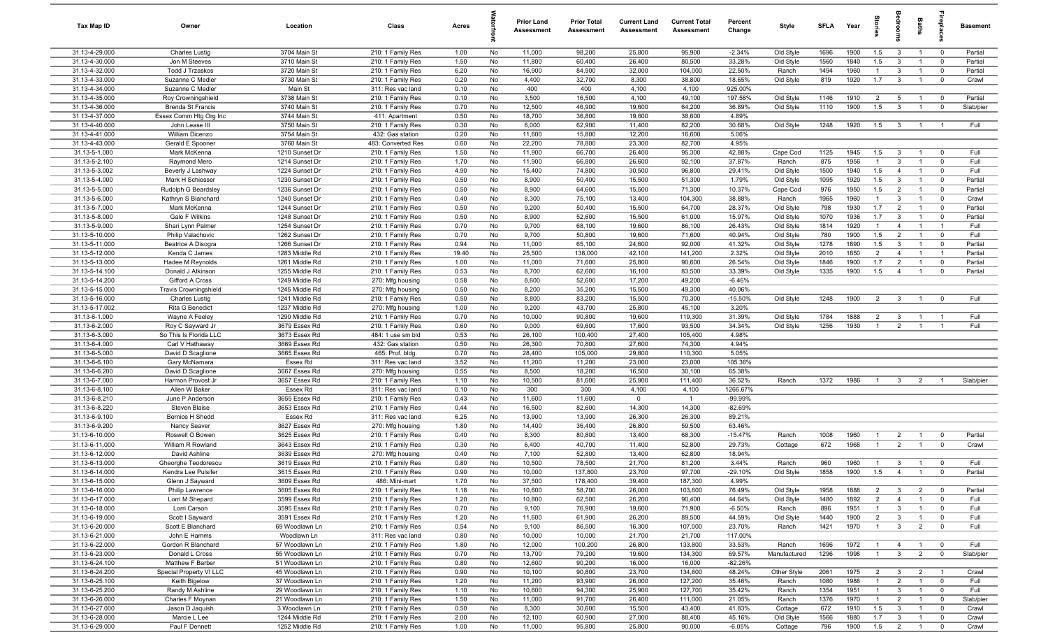| Tax Map ID                       | Owner                                      | Location                         | Class                                  | Acres        |                 | Prior Land<br>Assessment | <b>Prior Total</b><br>Assessment | <b>Current Land</b><br>Assessment | <b>Current Total</b><br>Assessment | Percent<br>Change | Style                  | <b>SFLA</b>  | Year         | $\frac{1}{2}$                    | droom                          | Baths                            |                                     | <b>Basement</b>   |
|----------------------------------|--------------------------------------------|----------------------------------|----------------------------------------|--------------|-----------------|--------------------------|----------------------------------|-----------------------------------|------------------------------------|-------------------|------------------------|--------------|--------------|----------------------------------|--------------------------------|----------------------------------|-------------------------------------|-------------------|
| 31.13-4-29.000                   | <b>Charles Lustig</b>                      | 3704 Main St                     | 210: 1 Family Res                      | 1.00         | No              | 11,000                   | 98,200                           | 25,800                            | 95,900                             | $-2.34%$          | Old Style              | 1696         | 1900         | 1.5                              | $\mathbf{3}$                   | $\overline{1}$                   | $\overline{0}$                      | Partial           |
| 31.13-4-30.000                   | Jon M Steeves                              | 3710 Main St                     | 210: 1 Family Res                      | 1.50         | No              | 11,800                   | 60,400                           | 26,400                            | 80,500                             | 33.28%            | Old Style              | 1560         | 1840         | 1.5                              | $\mathbf{3}$                   | $\overline{1}$                   | $\overline{0}$                      | Partial           |
| 31.13-4-32.000                   | <b>Todd J Trzaskos</b>                     | 3720 Main St                     | 210: 1 Family Res                      | 6.20         | No              | 16,900                   | 84,900                           | 32,000                            | 104,000                            | 22.50%            | Ranch                  | 1494         | 1960         | $\mathbf{1}$                     | $\mathbf{3}$                   | $\overline{1}$                   | $\mathbf 0$                         | Partial           |
| 31.13-4-33.000<br>31.13-4-34.000 | Suzanne C Medler<br>Suzanne C Medler       | 3730 Main St<br>Main St          | 210: 1 Family Res                      | 0.20<br>0.10 | No              | 4,400                    | 32,700<br>400                    | 8,300<br>4,100                    | 38,800                             | 18.65%<br>925.00% | Old Style              | 819          | 1920         | 1.7                              | $\mathbf{3}$                   | $\overline{1}$                   | $^{\circ}$                          | Crawl             |
| 31.13-4-35.000                   | Roy Crowningshield                         | 3738 Main St                     | 311: Res vac land<br>210: 1 Family Res | 0.10         | No<br>No        | 400<br>3,500             | 16,500                           | 4,100                             | 4,100<br>49,100                    | 197.58%           | Old Style              | 1146         | 1910         | $\overline{2}$                   | $5\overline{5}$                | $\overline{1}$                   | $\overline{0}$                      | Partial           |
| 31.13-4-36.000                   | <b>Brenda St Francis</b>                   | 3740 Main St                     | 210: 1 Family Res                      | 0.70         | No              | 12,500                   | 46,900                           | 19,600                            | 64,200                             | 36.89%            | Old Style              | 1110         | 1900         | 1.5                              | $\mathbf{3}$                   | $\overline{1}$                   | $\overline{0}$                      | Slab/pier         |
| 31.13-4-37.000                   | Essex Comm Htg Org Inc                     | 3744 Main St                     | 411: Apartment                         | 0.50         | No              | 18,700                   | 36,800                           | 19,600                            | 38,600                             | 4.89%             |                        |              |              |                                  |                                |                                  |                                     |                   |
| 31.13-4-40.000                   | John Lease III                             | 3750 Main St                     | 210: 1 Family Res                      | 0.30         | No              | 6,000                    | 62,900                           | 11,400                            | 82,200                             | 30.68%            | Old Style              | 1248         | 1920         | 1.5                              | $\overline{\mathbf{3}}$        | $\overline{1}$                   | $\overline{1}$                      | Full              |
| 31.13-4-41.000                   | William Dicenzo                            | 3754 Main St                     | 432: Gas station                       | 0.20         | No              | 11,600                   | 15,800                           | 12,200                            | 16,600                             | 5.06%             |                        |              |              |                                  |                                |                                  |                                     |                   |
| 31.13-4-43.000                   | Gerald E Spooner                           | 3760 Main St                     | 483: Converted Res                     | 0.60         | No              | 22,200                   | 78,800                           | 23,300                            | 82,700                             | 4.95%             |                        |              |              |                                  |                                |                                  |                                     |                   |
| 31.13-5-1.000                    | Mark McKenna                               | 1210 Sunset Dr                   | 210: 1 Family Res                      | 1.50         | No              | 11,900                   | 66,700                           | 26,400                            | 95,300                             | 42.88%            | Cape Cod               | 1125         | 1945         | 1.5                              | $\mathbf{3}$                   | $\overline{1}$                   | $\overline{0}$                      | Full              |
| 31.13-5-2.100                    | Raymond Mero                               | 1214 Sunset Dr                   | 210: 1 Family Res                      | 1.70         | No              | 11,900                   | 66,800                           | 26,600                            | 92,100                             | 37.87%            | Ranch                  | 875          | 1956         | $\overline{1}$                   | $\mathbf{3}$                   | $\overline{1}$                   | $\overline{0}$                      | Full              |
| 31.13-5-3.002                    | Beverly J Lashway                          | 1224 Sunset Dr                   | 210: 1 Family Res                      | 4.90         | No              | 15,400                   | 74,800                           | 30,500                            | 96,800                             | 29.41%            | Old Style              | 1500         | 1940         | 1.5                              | $\overline{4}$                 | $\overline{1}$                   | $\mathbf 0$                         | Full              |
| 31.13-5-4.000                    | Mark H Schiesser                           | 1230 Sunset Dr                   | 210: 1 Family Res                      | 0.50         | No              | 8,900                    | 50,400                           | 15,500                            | 51,300                             | 1.79%             | Old Style              | 1095         | 1920         | 1.5                              | $\mathbf{3}$                   | $\overline{1}$                   | $\mathbf{0}$                        | Partial           |
| 31.13-5-5.000                    | Rudolph G Beardsley                        | 1236 Sunset Dr                   | 210: 1 Family Res                      | 0.50         | No              | 8,900                    | 64,600                           | 15,500                            | 71,300                             | 10.37%            | Cape Cod               | 976          | 1950         | 1.5                              | $\overline{2}$                 | $\overline{1}$                   | $\mathbf 0$                         | Partial           |
| 31.13-5-6.000<br>31.13-5-7.000   | Kathryn S Blanchard<br>Mark McKenna        | 1240 Sunset Dr                   | 210: 1 Family Res                      | 0.40<br>0.50 | No              | 8,300<br>9,200           | 75,100<br>50,400                 | 13,400<br>15,500                  | 104,300<br>64,700                  | 38.88%<br>28.37%  | Ranch                  | 1965<br>798  | 1960<br>1930 | $\overline{1}$<br>1.7            | $\mathbf{3}$<br>$\overline{2}$ | $\overline{1}$<br>$\overline{1}$ | $\mathbf 0$<br>$\overline{0}$       | Crawl<br>Partial  |
| 31.13-5-8.000                    | Gale F Wilkins                             | 1244 Sunset Dr<br>1248 Sunset Dr | 210: 1 Family Res<br>210: 1 Family Res | 0.50         | No<br>No        | 8,900                    | 52,600                           | 15,500                            | 61,000                             | 15.97%            | Old Style<br>Old Style | 1070         | 1936         | 1.7                              | $\mathbf{3}$                   | $\mathbf{1}$                     | $\overline{0}$                      | Partial           |
| 31.13-5-9.000                    | Shari Lynn Palmer                          | 1254 Sunset Dr                   | 210: 1 Family Res                      | 0.70         | No              | 9,700                    | 68,100                           | 19,600                            | 86,100                             | 26.43%            | Old Style              | 1814         | 1920         | $\overline{1}$                   | $\overline{4}$                 | $\overline{1}$                   | $\overline{1}$                      | Full              |
| 31.13-5-10.000                   | Philip Valachovic                          | 1262 Sunset Dr                   | 210: 1 Family Res                      | 0.70         | No              | 9,700                    | 50,800                           | 19,600                            | 71,600                             | 40.94%            | Old Style              | 780          | 1900         | 1.5                              | $\overline{2}$                 | $\overline{1}$                   | $\overline{0}$                      | Full              |
| 31.13-5-11.000                   | Beatrice A Disogra                         | 1266 Sunset Dr                   | 210: 1 Family Res                      | 0.94         | No              | 11,000                   | 65,100                           | 24,600                            | 92,000                             | 41.32%            | Old Style              | 1278         | 1890         | 1.5                              | $\mathbf{3}$                   | $\mathbf{1}$                     | $\overline{0}$                      | Partial           |
| 31.13-5-12.000                   | Kenda C James                              | 1283 Middle Rd                   | 210: 1 Family Res                      | 19.40        | No              | 25,500                   | 138,000                          | 42,100                            | 141,200                            | 2.32%             | Old Style              | 2010         | 1850         | $\overline{2}$                   | $\overline{4}$                 | $\overline{1}$                   | $\overline{1}$                      | Partial           |
| 31.13-5-13.000                   | Hadee M Reynolds                           | 1261 Middle Rd                   | 210: 1 Family Res                      | 1.00         | No              | 11,000                   | 71,600                           | 25,800                            | 90,600                             | 26.54%            | Old Style              | 1846         | 1900         | 1.7                              | 2                              | $\overline{1}$                   | $\overline{0}$                      | Partial           |
| 31.13-5-14.100                   | Donald J Atkinson                          | 1255 Middle Rd                   | 210: 1 Family Res                      | 0.53         | No              | 8,700                    | 62,600                           | 16,100                            | 83,500                             | 33.39%            | Old Style              | 1335         | 1900         | 1.5                              | $\overline{4}$                 | $\overline{1}$                   | $\overline{0}$                      | Partial           |
| 31.13-5-14.200                   | Gifford A Cross                            | 1249 Middle Rd                   | 270: Mfg housing                       | 0.58         | No              | 8,600                    | 52,600                           | 17,200                            | 49,200                             | $-6.46%$          |                        |              |              |                                  |                                |                                  |                                     |                   |
| 31.13-5-15.000                   | <b>Travis Crowningshield</b>               | 1245 Middle Rd                   | 270: Mfg housing                       | 0.50         | No              | 8,200                    | 35,200                           | 15,500                            | 49,300                             | 40.06%            |                        |              |              |                                  |                                |                                  |                                     |                   |
| 31.13-5-16.000                   | <b>Charles Lustig</b>                      | 1241 Middle Rd                   | 210: 1 Family Res                      | 0.50         | No              | 8,800                    | 83,200                           | 15,500                            | 70,300                             | $-15.50%$         | Old Style              | 1248         | 1900         | $\overline{2}$                   | $\mathbf{3}$                   | $\overline{1}$                   | $\overline{0}$                      | Full              |
| 31.13-5-17.002                   | Rita G Benedict                            | 1237 Middle Rd                   | 270: Mfg housing                       | 1.00         | No              | 9,200                    | 43,700                           | 25,800                            | 45,100                             | 3.20%             |                        |              |              |                                  |                                |                                  |                                     |                   |
| 31.13-6-1.000                    | Wayne A Feeley                             | 1290 Middle Rd                   | 210: 1 Family Res                      | 0.70         | No              | 10,000                   | 90,800                           | 19,600                            | 119,300                            | 31.39%            | Old Style              | 1784         | 1888         | $\overline{2}$                   | $\mathbf{3}$                   | $\overline{1}$                   | $\overline{1}$                      | Full              |
| 31.13-6-2.000                    | Roy C Sayward Jr                           | 3679 Essex Rd                    | 210: 1 Family Res                      | 0.60         | No              | 9,000                    | 69,600                           | 17,600                            | 93,500                             | 34.34%            | Old Style              | 1256         | 1930         | $\overline{1}$                   | $\overline{2}$                 | $\mathbf{1}$                     | $\overline{1}$                      | Full              |
| 31.13-6-3.000<br>31.13-6-4.000   | So This Is Florida LLC<br>Carl V Hathaway  | 3673 Essex Rd<br>3669 Essex Rd   | 484: 1 use sm bld<br>432: Gas station  | 0.53<br>0.50 | No<br>No        | 26,100<br>26,300         | 100,400<br>70,800                | 27,400<br>27,600                  | 105,400<br>74,300                  | 4.98%<br>4.94%    |                        |              |              |                                  |                                |                                  |                                     |                   |
| 31.13-6-5.000                    | David D Scaglione                          | 3665 Essex Rd                    | 465: Prof. bldg                        | 0.70         | No              | 28,400                   | 105,000                          | 29,800                            | 110,300                            | 5.05%             |                        |              |              |                                  |                                |                                  |                                     |                   |
| 31.13-6-6.100                    | Gary McNamara                              | Essex Rd                         | 311: Res vac land                      | 3.52         | No              | 11,200                   | 11,200                           | 23,000                            | 23,000                             | 105.36%           |                        |              |              |                                  |                                |                                  |                                     |                   |
| 31.13-6-6.200                    | David D Scaglione                          | 3667 Essex Rd                    | 270: Mfg housing                       | 0.55         | No              | 8,500                    | 18,200                           | 16,500                            | 30,100                             | 65.38%            |                        |              |              |                                  |                                |                                  |                                     |                   |
| 31.13-6-7.000                    | Harmon Provost Jr                          | 3657 Essex Rd                    | 210: 1 Family Res                      | 1.10         | No              | 10,500                   | 81,600                           | 25,900                            | 111,400                            | 36.52%            | Ranch                  | 1372         | 1986         | $\overline{1}$                   | $\mathbf{3}$                   | $\overline{2}$                   | $\overline{1}$                      | Slab/pier         |
| 31.13-6-8.100                    | Allen W Baker                              | Essex Rd                         | 311: Res vac land                      | 0.10         | No              | 300                      | 300                              | 4,100                             | 4,100                              | 1266.67%          |                        |              |              |                                  |                                |                                  |                                     |                   |
| 31.13-6-8.210                    | June P Anderson                            | 3655 Essex Rd                    | 210: 1 Family Res                      | 0.43         | No              | 11,600                   | 11,600                           | $\mathbf 0$                       | $\overline{1}$                     | -99.99%           |                        |              |              |                                  |                                |                                  |                                     |                   |
| 31.13-6-8.220                    | Steven Blaise                              | 3653 Essex Rd                    | 210: 1 Family Res                      | 0.44         | No              | 16,500                   | 82,600                           | 14,300                            | 14,300                             | $-82.69%$         |                        |              |              |                                  |                                |                                  |                                     |                   |
| 31.13-6-9.100                    | Bernice H Shedd                            | Essex Rd                         | 311: Res vac land                      | 6.25         | No              | 13,900                   | 13,900                           | 26,300                            | 26,300                             | 89.21%            |                        |              |              |                                  |                                |                                  |                                     |                   |
| 31.13-6-9.200                    | Nancy Seaver                               | 3627 Essex Rd                    | 270: Mfg housing                       | 1.80         | No              | 14,400                   | 36,400                           | 26,800                            | 59,500                             | 63.46%            |                        |              |              |                                  |                                |                                  |                                     |                   |
| 31.13-6-10.000                   | Roswell O Bowen                            | 3625 Essex Rd                    | 210: 1 Family Res                      | 0.40         | No              | 8,300                    | 80,800                           | 13,400                            | 68,300                             | $-15.47%$         | Ranch                  | 1008         | 1960         | $\overline{1}$                   | $\overline{2}$                 | $\overline{1}$                   | $\overline{0}$                      | Partial           |
| 31.13-6-11.000                   | William R Rowland                          | 3643 Essex Rd                    | 210: 1 Family Res                      | 0.30         | No              | 6,400                    | 40,700                           | 11,400                            | 52,800                             | 29.73%            | Cottage                | 672          | 1968         | $\overline{1}$                   | $\overline{2}$                 | $\overline{1}$                   | $\overline{0}$                      | Crawl             |
| 31.13-6-12.000                   | David Ashline                              | 3639 Essex Rd                    | 270: Mfg housing                       | 0.40         | No              | 7,100                    | 52,800                           | 13,400                            | 62,800                             | 18.94%            |                        |              |              |                                  |                                |                                  |                                     |                   |
| 31.13-6-13.000                   | Gheorghe Teodorescu<br>Kendra Lee Pulsifer | 3619 Essex Rd<br>3615 Essex Rd   | 210: 1 Family Res                      | 0.80         | No<br><b>No</b> | 10,500<br>10,000         | 78,500                           | 21,700                            | 81,200<br>97,700                   | 3.44%<br>-29.10%  | Ranch                  | 960<br>1858  | 1960<br>1900 | $\overline{1}$<br>1.5            | $\mathbf{3}$<br>$\overline{4}$ | $\overline{1}$                   | $\overline{\mathbf{0}}$<br>$\Omega$ | Full<br>Partial   |
| 31.13-6-14.000<br>31.13-6-15.000 | Glenn J Sayward                            | 3609 Essex Rd                    | 210: 1 Family Res<br>486: Mini-mart    | 0.90<br>1.70 | No              | 37,500                   | 137,800<br>178,400               | 23,700<br>39,400                  | 187,300                            | 4.99%             | Old Style              |              |              |                                  |                                |                                  |                                     |                   |
| 31.13-6-16.000                   | Philip Lawrence                            | 3605 Essex Rd                    | 210: 1 Family Res                      | 1.18         | No              | 10,600                   | 58,700                           | 26,000                            | 103,600                            | 76.49%            | Old Style              | 1958         | 1888         | $\overline{2}$                   | $\overline{3}$                 | $\overline{2}$                   | $\overline{0}$                      | Partial           |
| 31.13-6-17.000                   | Lorri M Shepard                            | 3599 Essex Rd                    | 210: 1 Family Res                      | 1.20         | No              | 10,800                   | 62,500                           | 26,200                            | 90,400                             | 44.64%            | Old Style              | 1480         | 1892         | $\overline{2}$                   | $\overline{4}$                 | $\mathbf{1}$                     | $\overline{0}$                      | Full              |
| 31.13-6-18.000                   | Lorri Carson                               | 3595 Essex Rd                    | 210: 1 Family Res                      | 0.70         | No              | 9,100                    | 76,900                           | 19,600                            | 71,900                             | $-6.50%$          | Ranch                  | 896          | 1951         | $\mathbf{1}$                     | $\mathbf{3}$                   | $\overline{1}$                   | $\overline{0}$                      | Full              |
| 31.13-6-19.000                   | Scott I Sayward                            | 3591 Essex Rd                    | 210: 1 Family Res                      | 1.20         | No              | 11,600                   | 61,900                           | 26,200                            | 89,500                             | 44.59%            | Old Style              | 1440         | 1900         | $\overline{2}$                   | $\mathbf{3}$                   | $\overline{1}$                   | $\mathbf{0}$                        | Full              |
| 31.13-6-20.000                   | Scott E Blanchard                          | 69 Woodlawn Ln                   | 210: 1 Family Res                      | 0.54         | No              | 9,100                    | 86,500                           | 16,300                            | 107,000                            | 23.70%            | Ranch                  | 1421         | 1970         | $\overline{1}$                   | $\mathbf{3}$                   | $\overline{2}$                   | $\mathbf{0}$                        | Full              |
| 31.13-6-21.000                   | John E Hamms                               | Woodlawn Ln                      | 311: Res vac land                      | 0.80         | No              | 10,000                   | 10,000                           | 21,700                            | 21,700                             | 117.00%           |                        |              |              |                                  |                                |                                  |                                     |                   |
| 31.13-6-22.000                   | Gordon R Blanchard                         | 57 Woodlawn Ln                   | 210: 1 Family Res                      | 1.80         | No              | 12,000                   | 100,200                          | 26,800                            | 133,800                            | 33.53%            | Ranch                  | 1696         | 1972         | $\mathbf{1}$                     | $\overline{4}$                 | $\overline{1}$                   | $\overline{\mathbf{0}}$             | Full              |
| 31.13-6-23.000                   | Donald L Cross                             | 55 Woodlawn Ln                   | 210: 1 Family Res                      | 0.70         | No              | 13,700                   | 79,200                           | 19,600                            | 134,300                            | 69.57%            | Manufactured           | 1296         | 1998         | $\overline{1}$                   | $\mathbf{3}$                   | 2                                | $\overline{0}$                      | Slab/pier         |
| 31.13-6-24.100                   | Matthew F Barber                           | 51 Woodlawn Ln                   | 210: 1 Family Res                      | 0.80         | No              | 12,600                   | 90,200                           | 16,000                            | 16,000                             | $-82.26%$         |                        |              |              |                                  |                                |                                  |                                     |                   |
| 31.13-6-24.200                   | Special Property VI LLC                    | 45 Woodlawn Ln                   | 210: 1 Family Res                      | 0.90         | No              | 10,100                   | 90,800                           | 23,700                            | 134,600                            | 48.24%            | Other Style            | 2061         | 1975         | $\overline{2}$                   | $\mathbf{3}$                   | $\overline{2}$                   | $\overline{1}$                      | Crawl             |
| 31.13-6-25.100                   | Keith Bigelow                              | 37 Woodlawn Ln                   | 210: 1 Family Res                      | 1.20         | No              | 11,200                   | 93,900                           | 26,000                            | 127,200                            | 35.46%            | Ranch                  | 1080         | 1988         | $\overline{1}$                   | $\overline{2}$                 | $\overline{1}$                   | $\overline{0}$                      | Full              |
| 31.13-6-25.200<br>31.13-6-26.000 | Randy M Ashline<br>Charles F Moynan        | 29 Woodlawn Ln                   | 210: 1 Family Res<br>210: 1 Family Res | 1.10         | No              | 10,600<br>11,000         | 94,300<br>91,700                 | 25,900<br>26,400                  | 127,700<br>111,000                 | 35.42%<br>21.05%  | Ranch                  | 1354<br>1376 | 1951<br>1970 | $\overline{1}$<br>$\overline{1}$ | $\mathbf{3}$<br>$\overline{2}$ | $\overline{1}$<br>$\overline{1}$ | $\overline{0}$<br>$\overline{0}$    | Full<br>Slab/pier |
| 31.13-6-27.000                   | Jason D Jaquish                            | 21 Woodlawn Ln<br>3 Woodlawn Ln  | 210: 1 Family Res                      | 1.50<br>0.50 | No<br>No        | 8,300                    | 30,600                           | 15,500                            | 43,400                             | 41.83%            | Ranch<br>Cottage       | 672          | 1910         | 1.5                              | $\mathbf{3}$                   | $\overline{1}$                   | $\overline{0}$                      | Crawl             |
| 31.13-6-28.000                   | Marcie L Lee                               | 1244 Middle Rd                   | 210: 1 Family Res                      | 2.00         | No              | 12,100                   | 60,900                           | 27,000                            | 88,400                             | 45.16%            | Old Style              | 1566         | 1880         | 1.7                              | $\mathbf{3}$                   | $\overline{1}$                   | $\mathbf{0}$                        | Crawl             |
| 31.13-6-29.000                   | Paul F Dennett                             | 1252 Middle Rd                   | 210: 1 Family Res                      | 1.00         | No              | 11,000                   | 95,800                           | 25,800                            | 90,000                             | $-6.05%$          | Cottage                | 796          | 1900         | $1.5 \t 2$                       |                                | $\overline{1}$                   | $\overline{0}$                      | Crawl             |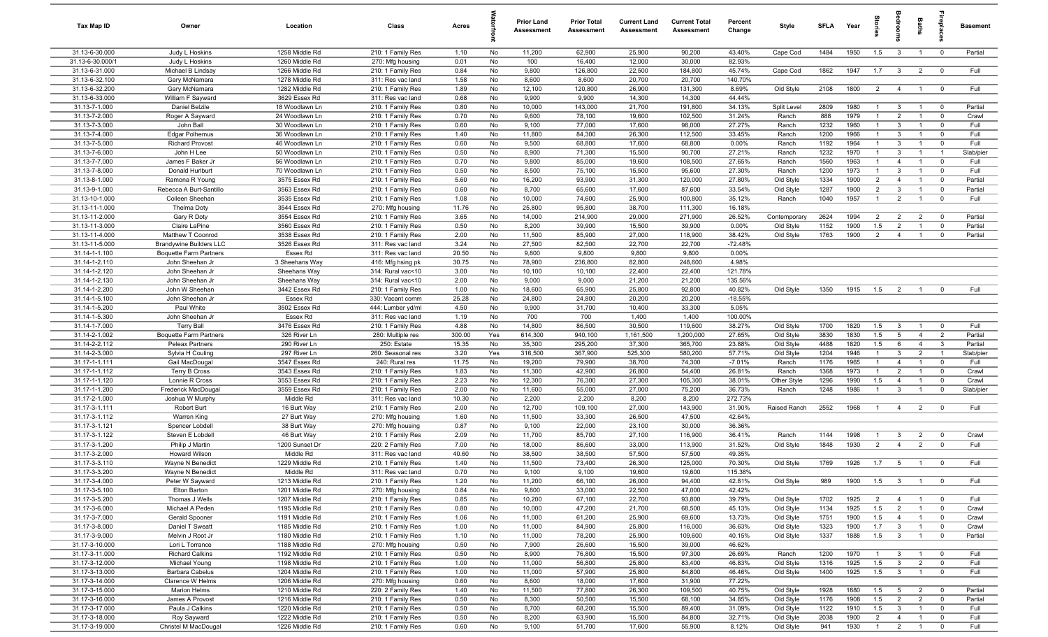| Tax Map ID                       | Owner                               | Location                         | Class                                  | Acres         |           | Prior Land<br><b>Assessment</b> | <b>Prior Total</b><br>Assessment | <b>Current Land</b><br>Assessment | <b>Current Total</b><br><b>Assessment</b> | Percent<br>Change  | Style                  | <b>SFLA</b>  | Year         | $\frac{1}{2}$                    |                                  | Baths                            | -8                            | <b>Basement</b>    |
|----------------------------------|-------------------------------------|----------------------------------|----------------------------------------|---------------|-----------|---------------------------------|----------------------------------|-----------------------------------|-------------------------------------------|--------------------|------------------------|--------------|--------------|----------------------------------|----------------------------------|----------------------------------|-------------------------------|--------------------|
| 31.13-6-30.000                   | Judy L Hoskins                      | 1258 Middle Rd                   | 210: 1 Family Res                      | 1.10          | No        | 11,200                          | 62,900                           | 25,900                            | 90,200                                    | 43.40%             | Cape Cod               | 1484         | 1950         | 1.5                              | $\mathbf{3}$                     | $\overline{1}$                   | $\overline{\mathbf{0}}$       | Partial            |
| 31.13-6-30.000/1                 | Judy L Hoskins                      | 1260 Middle Rd                   | 270: Mfg housing                       | 0.01          | No        | 100                             | 16,400                           | 12,000                            | 30,000                                    | 82.93%             |                        |              |              |                                  |                                  |                                  |                               |                    |
| 31.13-6-31.000                   | Michael B Lindsay                   | 1266 Middle Rd                   | 210: 1 Family Res                      | 0.84          | No        | 9,800                           | 126,800                          | 22,500                            | 184,800                                   | 45.74%             | Cape Cod               | 1862         | 1947         | 1.7                              | $\overline{3}$                   | $\overline{2}$                   | $\overline{\mathbf{0}}$       | Full               |
| 31.13-6-32.100                   | Gary McNamara                       | 1278 Middle Rd                   | 311: Res vac land                      | 1.58          | No        | 8,600                           | 8,600                            | 20,700                            | 20,700                                    | 140.70%            |                        |              |              |                                  |                                  |                                  |                               |                    |
| 31.13-6-32.200<br>31.13-6-33.000 | Gary McNamara                       | 1282 Middle Rd<br>3629 Essex Rd  | 210: 1 Family Res                      | 1.89          | No        | 12,100                          | 120,800<br>9,900                 | 26,900<br>14,300                  | 131,300<br>14,300                         | 8.69%<br>44.44%    | Old Style              | 2108         | 1800         | $\overline{2}$                   | $\overline{4}$                   | $\overline{1}$                   | $\overline{0}$                | Full               |
| 31.13-7-1.000                    | William F Sayward<br>Daniel Belzile | 18 Woodlawn Ln                   | 311: Res vac land<br>210: 1 Family Res | 0.68<br>0.80  | No<br>No  | 9,900<br>10,000                 | 143,000                          | 21,700                            | 191,800                                   | 34.13%             | Split Level            | 2809         | 1980         | $\overline{1}$                   | $\overline{3}$                   | $\overline{1}$                   | $\overline{0}$                | Partial            |
| 31.13-7-2.000                    | Roger A Sayward                     | 24 Woodlawn Ln                   | 210: 1 Family Res                      | 0.70          | No        | 9,600                           | 78,100                           | 19,600                            | 102,500                                   | 31.24%             | Ranch                  | 888          | 1979         | $\overline{1}$                   | $\overline{2}$                   | $\overline{1}$                   | $\overline{0}$                | Crawl              |
| 31.13-7-3.000                    | John Ball                           | 30 Woodlawn Ln                   | 210: 1 Family Res                      | 0.60          | No        | 9,100                           | 77,000                           | 17,600                            | 98,000                                    | 27.27%             | Ranch                  | 1232         | 1960         | $\overline{1}$                   | $\mathbf{3}$                     | $\overline{1}$                   | $\mathbf 0$                   | Full               |
| 31.13-7-4.000                    | <b>Edgar Polhemus</b>               | 36 Woodlawn Ln                   | 210: 1 Family Res                      | 1.40          | No        | 11,800                          | 84,300                           | 26,300                            | 112,500                                   | 33.45%             | Ranch                  | 1200         | 1966         | $\overline{1}$                   | $\mathbf{3}$                     | $\overline{1}$                   | $\overline{0}$                | Full               |
| 31.13-7-5.000                    | <b>Richard Provost</b>              | 46 Woodlawn Ln                   | 210: 1 Family Res                      | 0.60          | No        | 9,500                           | 68,800                           | 17,600                            | 68,800                                    | 0.00%              | Ranch                  | 1192         | 1964         | $\overline{1}$                   | $\mathbf{3}$                     | $\overline{1}$                   | $\overline{0}$                | Full               |
| 31.13-7-6.000                    | John H Lee                          | 50 Woodlawn Ln                   | 210: 1 Family Res                      | 0.50          | No        | 8,900                           | 71,300                           | 15,500                            | 90,700                                    | 27.21%             | Ranch                  | 1232         | 1970         | $\overline{1}$                   | $\mathbf{3}$                     | $\overline{1}$                   | $\overline{1}$                | Slab/pier          |
| 31.13-7-7.000                    | James F Baker Jr                    | 56 Woodlawn Ln                   | 210: 1 Family Res                      | 0.70          | No        | 9,800                           | 85,000                           | 19,600                            | 108,500                                   | 27.65%             | Ranch                  | 1560         | 1963         | $\overline{1}$                   | $\overline{4}$                   | $\overline{1}$                   | $\mathbf 0$                   | Full               |
| 31.13-7-8.000                    | Donald Hurlburt                     | 70 Woodlawn Ln                   | 210: 1 Family Res                      | 0.50          | No        | 8,500                           | 75,100                           | 15,500                            | 95,600                                    | 27.30%             | Ranch                  | 1200         | 1973         | $\overline{1}$                   | $\mathbf{3}$                     | $\overline{1}$                   | $\overline{0}$                | Full               |
| 31.13-8-1.000                    | Ramona R Young                      | 3575 Essex Rd                    | 210: 1 Family Res                      | 5.60          | No        | 16,200                          | 93,900                           | 31,300                            | 120,000                                   | 27.80%             | Old Style              | 1334         | 1900         | $\overline{2}$                   | $\overline{4}$                   |                                  | $\mathbf 0$                   | Partial            |
| 31.13-9-1.000                    | Rebecca A Burt-Santillo             | 3563 Essex Rd                    | 210: 1 Family Res                      | 0.60          | No        | 8,700                           | 65,600                           | 17,600                            | 87,600                                    | 33.54%             | Old Style              | 1287         | 1900         | 2                                | $\mathbf{3}$                     |                                  | $\mathbf 0$                   | Partial            |
| 31.13-10-1.000                   | Colleen Sheehan                     | 3535 Essex Rd                    | 210: 1 Family Res                      | 1.08          | No        | 10,000                          | 74,600                           | 25,900                            | 100,800                                   | 35.12%             | Ranch                  | 1040         | 1957         | -1                               | $\overline{2}$                   |                                  | $\mathbf 0$                   | Full               |
| 31.13-11-1.000                   | Thelma Doty                         | 3544 Essex Rd                    | 270: Mfg housing                       | 11.76         | No        | 25,800                          | 95,800                           | 38,700                            | 111,300                                   | 16.18%             |                        |              |              |                                  |                                  |                                  |                               |                    |
| 31.13-11-2.000                   | Gary R Doty                         | 3554 Essex Rd                    | 210: 1 Family Res                      | 3.65          | No        | 14,000                          | 214,900                          | 29,000                            | 271,900                                   | 26.52%             | Contemporary           | 2624         | 1994<br>1900 | $\overline{2}$                   | $\overline{2}$                   | $\overline{2}$                   | $\overline{0}$<br>$\mathbf 0$ | Partial            |
| 31.13-11-3.000<br>31.13-11-4.000 | Claire LaPine<br>Matthew T Coonrod  | 3560 Essex Rd<br>3538 Essex Rd   | 210: 1 Family Res<br>210: 1 Family Res | 0.50<br>2.00  | No<br>No  | 8,200<br>11,500                 | 39,900<br>85,900                 | 15,500<br>27,000                  | 39,900<br>118,900                         | 0.00%<br>38.42%    | Old Style<br>Old Style | 1152<br>1763 | 1900         | 1.5<br>$\overline{2}$            | $\overline{2}$<br>$\overline{4}$ | $\overline{1}$                   | $\mathbf 0$                   | Partial<br>Partial |
| 31.13-11-5.000                   | <b>Brandywine Builders LLC</b>      | 3526 Essex Rd                    | 311: Res vac land                      | 3.24          | No        | 27,500                          | 82,500                           | 22,700                            | 22,700                                    | $-72.48%$          |                        |              |              |                                  |                                  |                                  |                               |                    |
| 31.14-1-1.100                    | <b>Boquette Farm Partners</b>       | Essex Rd                         | 311: Res vac land                      | 20.50         | No        | 9,800                           | 9,800                            | 9,800                             | 9,800                                     | 0.00%              |                        |              |              |                                  |                                  |                                  |                               |                    |
| 31.14-1-2.110                    | John Sheehan Jr                     | 3 Sheehans Way                   | 416: Mfg hsing pk                      | 30.75         | No        | 78,900                          | 236,800                          | 82,800                            | 248,600                                   | 4.98%              |                        |              |              |                                  |                                  |                                  |                               |                    |
| 31.14-1-2.120                    | John Sheehan Jr                     | Sheehans Way                     | 314: Rural vac<10                      | 3.00          | No        | 10,100                          | 10,100                           | 22,400                            | 22,400                                    | 121.78%            |                        |              |              |                                  |                                  |                                  |                               |                    |
| 31.14-1-2.130                    | John Sheehan Jr                     | Sheehans Way                     | 314: Rural vac<10                      | 2.00          | No        | 9,000                           | 9,000                            | 21,200                            | 21,200                                    | 135.56%            |                        |              |              |                                  |                                  |                                  |                               |                    |
| 31.14-1-2.200                    | John W Sheehan                      | 3442 Essex Rd                    | 210: 1 Family Res                      | 1.00          | No        | 18,600                          | 65,900                           | 25,800                            | 92,800                                    | 40.82%             | Old Style              | 1350         | 1915         | 1.5                              | $\overline{2}$                   | $\overline{1}$                   | $\mathbf 0$                   | Full               |
| 31.14-1-5.100                    | John Sheehan Jr                     | Essex Rd                         | 330: Vacant comm                       | 25.28         | No        | 24,800                          | 24,800                           | 20,200                            | 20,200                                    | $-18.55%$          |                        |              |              |                                  |                                  |                                  |                               |                    |
| 31.14-1-5.200                    | Paul White                          | 3502 Essex Rd                    | 444: Lumber yd/ml                      | 4.50          | No        | 9,900                           | 31,700                           | 10,400                            | 33,300                                    | 5.05%              |                        |              |              |                                  |                                  |                                  |                               |                    |
| 31.14-1-5.300                    | John Sheehan Jr                     | Essex Rd                         | 311: Res vac land                      | 1.19          | No        | 700                             | 700                              | 1,400                             | 1,400                                     | 100.00%            |                        |              |              |                                  |                                  |                                  |                               |                    |
| 31.14-1-7.000                    | <b>Terry Ball</b>                   | 3476 Essex Rd                    | 210: 1 Family Res                      | 4.88          | No        | 14,800                          | 86,500                           | 30,500                            | 119,600                                   | 38.27%             | Old Style              | 1700         | 1820         | 1.5                              | $\overline{3}$                   | $\overline{1}$                   | $\overline{0}$                | Full               |
| 31.14-2-1.002                    | <b>Boquette Farm Partners</b>       | 326 River Ln                     | 280: Multiple res                      | 300.00        | Yes       | 614,300                         | 940,100                          | 1,161,500                         | 1,200,000                                 | 27.65%             | Old Style              | 3830         | 1830         | 1.5                              | 5                                | $\overline{4}$                   | $\overline{2}$                | Partial            |
| 31.14-2-2.112                    | Peleax Partners                     | 290 River Ln                     | 250: Estate                            | 15.35         | No        | 35,300                          | 295,200                          | 37,300                            | 365,700                                   | 23.88%             | Old Style              | 4488         | 1820         | 1.5                              | 6                                | $\overline{4}$                   | $\mathbf{3}$                  | Partial            |
| 31.14-2-3.000<br>31.17-1-1.111   | Sylvia H Couling<br>Gail MacDougal  | 297 River Ln<br>3547 Essex Rd    | 260: Seasonal res<br>240: Rural res    | 3.20<br>11.75 | Yes<br>No | 316,500<br>19,200               | 367,900<br>79,900                | 525,300<br>38,700                 | 580,200<br>74,300                         | 57.71%<br>$-7.01%$ | Old Style<br>Ranch     | 1204<br>1176 | 1946<br>1965 | $\overline{1}$<br>$\overline{1}$ | $\mathbf{3}$<br>$\overline{4}$   | $\overline{2}$<br>$\overline{1}$ | $\overline{1}$<br>$\mathbf 0$ | Slab/pier<br>Full  |
| 31.17-1-1.112                    | Terry B Cross                       | 3543 Essex Rd                    | 210: 1 Family Res                      | 1.83          | No        | 11,300                          | 42,900                           | 26,800                            | 54,400                                    | 26.81%             | Ranch                  | 1368         | 1973         | $\overline{1}$                   | $\overline{2}$                   | $\overline{1}$                   | $\overline{0}$                | Crawl              |
| 31.17-1-1.120                    | Lonnie R Cross                      | 3553 Essex Rd                    | 210: 1 Family Res                      | 2.23          | No        | 12,300                          | 76,300                           | 27,300                            | 105,300                                   | 38.01%             | Other Style            | 1296         | 1990         | 1.5                              | $\overline{4}$                   | $\overline{1}$                   | $\overline{0}$                | Crawl              |
| 31.17-1-1.200                    | Frederick MacDougal                 | 3559 Essex Rd                    | 210: 1 Family Res                      | 2.00          | No        | 11,600                          | 55,000                           | 27,000                            | 75,200                                    | 36.73%             | Ranch                  | 1248         | 1986         | $\overline{1}$                   | $\mathbf{3}$                     | $\overline{1}$                   | $\mathbf 0$                   | Slab/pier          |
| 31.17-2-1.000                    | Joshua W Murphy                     | Middle Rd                        | 311: Res vac land                      | 10.30         | No        | 2,200                           | 2,200                            | 8,200                             | 8,200                                     | 272.73%            |                        |              |              |                                  |                                  |                                  |                               |                    |
| 31.17-3-1.111                    | Robert Burt                         | 16 Burt Way                      | 210: 1 Family Res                      | 2.00          | No        | 12,700                          | 109,100                          | 27,000                            | 143,900                                   | 31.90%             | Raised Ranch           | 2552         | 1968         | $\overline{1}$                   | $\overline{4}$                   | $\overline{2}$                   | $\mathbf 0$                   | Full               |
| 31.17-3-1.112                    | Warren King                         | 27 Burt Way                      | 270: Mfg housing                       | 1.60          | No        | 11,500                          | 33,300                           | 26,500                            | 47,500                                    | 42.64%             |                        |              |              |                                  |                                  |                                  |                               |                    |
| 31.17-3-1.121                    | Spencer Lobdell                     | 38 Burt Way                      | 270: Mfg housing                       | 0.87          | No        | 9,100                           | 22,000                           | 23,100                            | 30,000                                    | 36.36%             |                        |              |              |                                  |                                  |                                  |                               |                    |
| 31.17-3-1.122                    | Steven E Lobdell                    | 46 Burt Way                      | 210: 1 Family Res                      | 2.09          | No        | 11,700                          | 85,700                           | 27,100                            | 116,900                                   | 36.41%             | Ranch                  | 1144         | 1998         | $\mathbf{1}$                     | $\overline{3}$                   | $\overline{2}$                   | $\overline{0}$                | Crawl              |
| 31.17-3-1.200                    | Philip J Martin                     | 1200 Sunset Dr                   | 220: 2 Family Res                      | 7.00          | No        | 18,000                          | 86,600                           | 33,000                            | 113,900                                   | 31.52%             | Old Style              | 1848         | 1930         | $\overline{2}$                   | $\overline{4}$                   | $\overline{2}$                   | $\overline{0}$                | Full               |
| 31.17-3-2.000                    | Howard Wilson                       | Middle Rd                        | 311: Res vac land                      | 40.60         | No        | 38,500                          | 38,500                           | 57,500                            | 57,500                                    | 49.35%             |                        |              |              |                                  |                                  |                                  |                               |                    |
| 31.17-3-3.110                    | Wayne N Benedict                    | 1229 Middle Rd                   | 210: 1 Family Res                      | 1.40          | No        | 11,500                          | 73,400                           | 26,300                            | 125,000                                   | 70.30%             | Old Style              | 1769         | 1926         | 1.7                              | $5\overline{)}$                  | $\overline{1}$                   | $\overline{0}$                | Full               |
| 31.17-3-3.200                    | Wayne N Benedict                    | Middle Rd                        | 311: Res vac land                      | 0.70          | No        | 9,100                           | 9,100                            | 19,600                            | 19,600                                    | 115.38%            |                        |              |              |                                  |                                  |                                  |                               |                    |
| 31.17-3-4.000<br>31.17-3-5.100   | Peter W Sayward<br>Elton Barton     | 1213 Middle Rd<br>1201 Middle Rd | 210: 1 Family Res<br>270: Mfg housing  | 1.20<br>0.84  | No<br>No  | 11,200<br>9,800                 | 66,100<br>33,000                 | 26,000<br>22,500                  | 94,400<br>47,000                          | 42.81%<br>42.42%   | Old Style              | 989          | 1900         | 1.5                              | $\mathbf{3}$                     | $\overline{1}$                   | $\overline{0}$                | Full               |
| 31.17-3-5.200                    | Thomas J Wells                      | 1207 Middle Rd                   | 210: 1 Family Res                      | 0.85          | No        | 10,200                          | 67,100                           | 22,700                            | 93,800                                    | 39.79%             | Old Style              | 1702         | 1925         | $\overline{2}$                   | $\overline{4}$                   | $\overline{1}$                   | $\overline{0}$                | Full               |
| 31.17-3-6.000                    | Michael A Peden                     | 1195 Middle Rd                   | 210: 1 Family Res                      | 0.80          | No        | 10,000                          | 47,200                           | 21,700                            | 68,500                                    | 45.13%             | Old Style              | 1134         | 1925         | 1.5                              | $\overline{2}$                   | $\overline{1}$                   | $\overline{\mathbf{0}}$       | Crawl              |
| 31.17-3-7.000                    | Gerald Spooner                      | 1191 Middle Rd                   | 210: 1 Family Res                      | 1.06          | No        | 11,000                          | 61,200                           | 25,900                            | 69,600                                    | 13.73%             | Old Style              | 1751         | 1900         | 1.5                              | $\overline{4}$                   | $\mathbf{1}$                     | $\overline{0}$                | Crawl              |
| 31.17-3-8.000                    | Daniel T Sweatt                     | 1185 Middle Rd                   | 210: 1 Family Res                      | 1.00          | No        | 11,000                          | 84,900                           | 25,800                            | 116,000                                   | 36.63%             | Old Style              | 1323         | 1900         | 1.7                              | $\mathbf{3}$                     | $\overline{1}$                   | $\overline{0}$                | Crawl              |
| 31.17-3-9.000                    | Melvin J Root Jr                    | 1180 Middle Rd                   | 210: 1 Family Res                      | 1.10          | No        | 11,000                          | 78,200                           | 25,900                            | 109,600                                   | 40.15%             | Old Style              | 1337         | 1888         | 1.5                              | $\overline{\mathbf{3}}$          |                                  | $\mathbf 0$                   | Partial            |
| 31.17-3-10.000                   | Lori L Torrance                     | 1188 Middle Rd                   | 270: Mfg housing                       | 0.50          | No        | 7,900                           | 26,600                           | 15,500                            | 39,000                                    | 46.62%             |                        |              |              |                                  |                                  |                                  |                               |                    |
| 31.17-3-11.000                   | <b>Richard Calkins</b>              | 1192 Middle Rd                   | 210: 1 Family Res                      | 0.50          | No        | 8,900                           | 76,800                           | 15,500                            | 97,300                                    | 26.69%             | Ranch                  | 1200         | 1970         |                                  | $\mathbf{3}$                     |                                  | $\overline{0}$                | Full               |
| 31.17-3-12.000                   | Michael Young                       | 1198 Middle Rd                   | 210: 1 Family Res                      | 1.00          | No        | 11,000                          | 56,800                           | 25,800                            | 83,400                                    | 46.83%             | Old Style              | 1316         | 1925         | 1.5                              | $\mathbf{3}$                     | $\overline{2}$                   | $\mathbf 0$                   | Full               |
| 31.17-3-13.000                   | Barbara Cabelus                     | 1204 Middle Rd                   | 210: 1 Family Res                      | 1.00          | No        | 11,000                          | 57,900                           | 25,800                            | 84,800                                    | 46.46%             | Old Style              | 1400         | 1925         | 1.5                              | $\overline{3}$                   | $\overline{1}$                   | $\overline{0}$                | Full               |
| 31.17-3-14.000                   | Clarence W Helms                    | 1206 Middle Rd                   | 270: Mfg housing                       | 0.60          | No        | 8,600                           | 18,000                           | 17,600                            | 31,900                                    | 77.22%             |                        |              |              |                                  |                                  |                                  |                               |                    |
| 31.17-3-15.000                   | <b>Marion Helms</b>                 | 1210 Middle Rd                   | 220: 2 Family Res                      | 1.40          | No        | 11,500                          | 77,800                           | 26,300                            | 109,500                                   | 40.75%             | Old Style              | 1928         | 1880         | 1.5                              | $5\overline{5}$                  | $\overline{2}$                   | $\overline{\mathbf{0}}$       | Partial            |
| 31.17-3-16.000                   | James A Provost                     | 1216 Middle Rd                   | 210: 1 Family Res                      | 0.50          | No        | 8,300                           | 50,500                           | 15,500                            | 68,100                                    | 34.85%             | Old Style              | 1176         | 1908         | 1.5                              | $\overline{2}$                   | $\overline{2}$                   | $\overline{0}$                | Partial            |
| 31.17-3-17.000                   | Paula J Calkins                     | 1220 Middle Rd                   | 210: 1 Family Res                      | 0.50          | No        | 8,700                           | 68,200                           | 15,500                            | 89,400                                    | 31.09%             | Old Style              | 1122         | 1910         | 1.5                              | $\overline{3}$                   | $\overline{1}$                   | $\overline{0}$                | Full               |
| 31.17-3-18.000<br>31.17-3-19.000 | Roy Sayward<br>Christel M MacDougal | 1222 Middle Rd<br>1226 Middle Rd | 210: 1 Family Res<br>210: 1 Family Res | 0.50<br>0.60  | No<br>No  | 8,200<br>9,100                  | 63,900<br>51,700                 | 15,500<br>17,600                  | 84,800<br>55,900                          | 32.71%<br>8.12%    | Old Style<br>Old Style | 2038<br>941  | 1900<br>1930 | 2<br>$\overline{1}$              | $\overline{4}$<br>$\overline{2}$ | $\overline{1}$<br>$\overline{1}$ | $\mathbf 0$<br>$\mathbf 0$    | Full<br>Full       |
|                                  |                                     |                                  |                                        |               |           |                                 |                                  |                                   |                                           |                    |                        |              |              |                                  |                                  |                                  |                               |                    |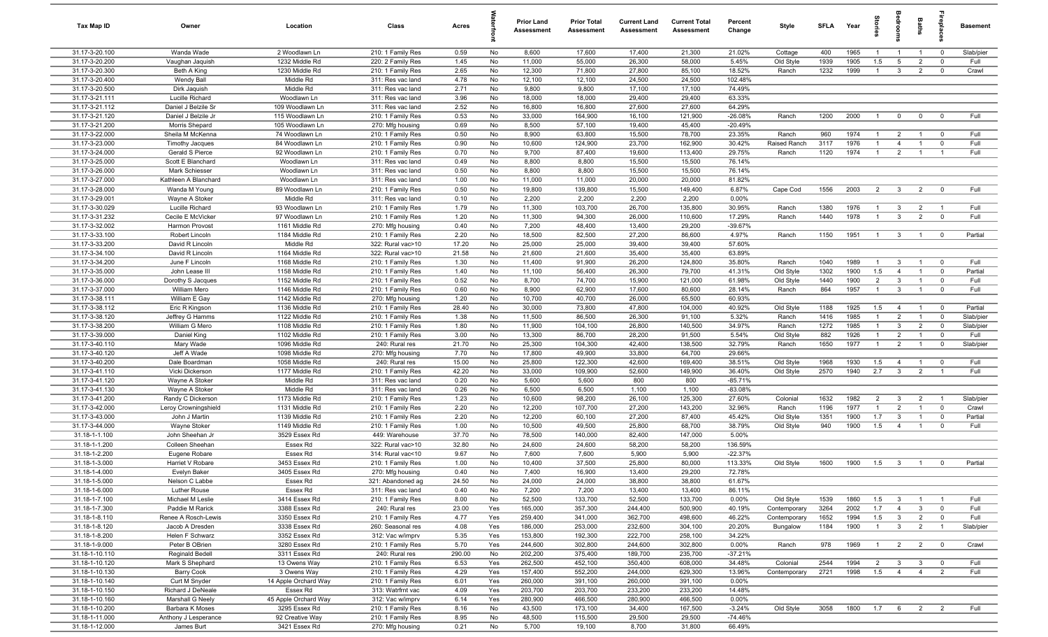| Tax Map ID                       | Owner                                  | Location                         | Class                                  | Acres        |            | <b>Prior Land</b><br><b>Assessment</b> | <b>Prior Total</b><br>Assessment | <b>Current Land</b><br>Assessment | <b>Current Total</b><br><b>Assessment</b> | Percent<br>Change      | Style                    | <b>SFLA</b>  | Year         |                       |                                | <b>Baths</b>                     | ę                                | <b>Basement</b>   |
|----------------------------------|----------------------------------------|----------------------------------|----------------------------------------|--------------|------------|----------------------------------------|----------------------------------|-----------------------------------|-------------------------------------------|------------------------|--------------------------|--------------|--------------|-----------------------|--------------------------------|----------------------------------|----------------------------------|-------------------|
| 31.17-3-20.100                   | Wanda Wade                             | 2 Woodlawn Ln                    | 210: 1 Family Res                      | 0.59         | No         | 8,600                                  | 17,600                           | 17,400                            | 21,300                                    | 21.02%                 | Cottage                  | 400          | 1965         | $\overline{1}$        | $\overline{1}$                 | $\overline{1}$                   | $\overline{0}$                   | Slab/pier         |
| 31.17-3-20.200                   | Vaughan Jaquish                        | 1232 Middle Rd                   | 220: 2 Family Res                      | 1.45         | No         | 11,000                                 | 55,000                           | 26,300                            | 58,000                                    | 5.45%                  | Old Style                | 1939         | 1905         | 1.5                   | 5                              | $\overline{2}$                   | $\mathbf 0$                      | Full              |
| 31.17-3-20.300                   | Beth A King                            | 1230 Middle Rd                   | 210: 1 Family Res                      | 2.65         | No         | 12,300                                 | 71,800                           | 27,800                            | 85,100                                    | 18.52%                 | Ranch                    | 1232         | 1999         | $\overline{1}$        | $\mathbf{3}$                   | $\overline{2}$                   | $\mathbf 0$                      | Crawl             |
| 31.17-3-20.400                   | Wendy Ball                             | Middle Rd                        | 311: Res vac land                      | 4.78         | No         | 12,100                                 | 12,100                           | 24,500                            | 24,500                                    | 102.48%                |                          |              |              |                       |                                |                                  |                                  |                   |
| 31.17-3-20.500                   | Dirk Jaquish                           | Middle Rd                        | 311: Res vac land                      | 2.71         | No         | 9,800                                  | 9,800                            | 17,100                            | 17,100                                    | 74.49%                 |                          |              |              |                       |                                |                                  |                                  |                   |
| 31.17-3-21.111<br>31.17-3-21.112 | Lucille Richard<br>Daniel J Belzile Sr | Woodlawn Ln<br>109 Woodlawn Ln   | 311: Res vac land<br>311: Res vac land | 3.96<br>2.52 | No<br>No   | 18,000<br>16,800                       | 18,000<br>16,800                 | 29,400<br>27,600                  | 29,400<br>27,600                          | 63.33%<br>64.29%       |                          |              |              |                       |                                |                                  |                                  |                   |
| 31.17-3-21.120                   | Daniel J Belzile Jr                    | 115 Woodlawn Ln                  | 210: 1 Family Res                      | 0.53         | No         | 33,000                                 | 164,900                          | 16,100                            | 121,900                                   | $-26.08%$              | Ranch                    | 1200         | 2000         | $\overline{1}$        | $\mathbf 0$                    | $\mathbf 0$                      | $\overline{0}$                   | Full              |
| 31.17-3-21.200                   | Morris Shepard                         | 105 Woodlawn Ln                  | 270: Mfg housing                       | 0.69         | No         | 8,500                                  | 57,100                           | 19,400                            | 45,400                                    | $-20.49%$              |                          |              |              |                       |                                |                                  |                                  |                   |
| 31.17-3-22.000                   | Sheila M McKenna                       | 74 Woodlawn Ln                   | 210: 1 Family Res                      | 0.50         | No         | 8,900                                  | 63,800                           | 15,500                            | 78,700                                    | 23.35%                 | Ranch                    | 960          | 1974         | $\overline{1}$        | $\overline{2}$                 | $\overline{1}$                   | $\overline{0}$                   | Full              |
| 31.17-3-23.000                   | <b>Timothy Jacques</b>                 | 84 Woodlawn Ln                   | 210: 1 Family Res                      | 0.90         | No         | 10,600                                 | 124,900                          | 23,700                            | 162,900                                   | 30.42%                 | Raised Ranch             | 3117         | 1976         | $\overline{1}$        | $\overline{4}$                 | $\overline{1}$                   | $\overline{0}$                   | Full              |
| 31.17-3-24.000                   | Gerald S Pierce                        | 92 Woodlawn Ln                   | 210: 1 Family Res                      | 0.70         | No         | 9,700                                  | 87,400                           | 19,600                            | 113,400                                   | 29.75%                 | Ranch                    | 1120         | 1974         | $\overline{1}$        | $\overline{2}$                 | $\overline{1}$                   | $\overline{1}$                   | Full              |
| 31.17-3-25.000                   | Scott E Blanchard                      | Woodlawn Ln                      | 311: Res vac land                      | 0.49         | No         | 8,800                                  | 8,800                            | 15,500                            | 15,500                                    | 76.14%                 |                          |              |              |                       |                                |                                  |                                  |                   |
| 31.17-3-26.000                   | Mark Schiesser                         | Woodlawn Ln                      | 311: Res vac land                      | 0.50         | No         | 8,800                                  | 8,800                            | 15,500                            | 15,500                                    | 76.14%                 |                          |              |              |                       |                                |                                  |                                  |                   |
| 31.17-3-27.000                   | Kathleen A Blanchard                   | Woodlawn Ln                      | 311: Res vac land                      | 1.00         | No         | 11,000                                 | 11,000                           | 20,000                            | 20,000                                    | 81.82%                 |                          |              |              |                       |                                |                                  |                                  |                   |
| 31.17-3-28.000                   | Wanda M Young                          | 89 Woodlawn Ln                   | 210: 1 Family Res                      | 0.50         | No         | 19,800                                 | 139,800                          | 15,500                            | 149,400                                   | 6.87%                  | Cape Cod                 | 1556         | 2003         | $\overline{2}$        | $\overline{\mathbf{3}}$        | $\overline{2}$                   | $\overline{0}$                   | Full              |
| 31.17-3-29.001                   | Wayne A Stoker                         | Middle Rd                        | 311: Res vac land                      | 0.10         | No         | 2,200                                  | 2,200                            | 2,200                             | 2,200                                     | 0.00%                  |                          |              |              |                       |                                |                                  |                                  |                   |
| 31.17-3-30.029                   | Lucille Richard                        | 93 Woodlawn Ln                   | 210: 1 Family Res                      | 1.79         | No         | 11,300                                 | 103,700                          | 26,700                            | 135,800                                   | 30.95%                 | Ranch                    | 1380         | 1976         | $\overline{1}$        | $\mathbf{3}$                   | $\overline{2}$                   | $\overline{1}$                   | Full              |
| 31.17-3-31.232                   | Cecile E McVicker                      | 97 Woodlawn Ln                   | 210: 1 Family Res                      | 1.20         | No         | 11,300                                 | 94,300                           | 26,000                            | 110,600                                   | 17.29%                 | Ranch                    | 1440         | 1978         | -1                    | $\overline{3}$                 | $\overline{2}$                   | $\mathbf 0$                      | Full              |
| 31.17-3-32.002                   | Harmon Provost                         | 1161 Middle Rd                   | 270: Mfg housing                       | 0.40         | No         | 7,200                                  | 48,400                           | 13,400                            | 29,200                                    | $-39.67%$              |                          |              |              |                       |                                |                                  |                                  |                   |
| 31.17-3-33.100                   | Robert Lincoln                         | 1184 Middle Rd                   | 210: 1 Family Res                      | 2.20         | No         | 18,500                                 | 82,500                           | 27,200                            | 86,600                                    | 4.97%                  | Ranch                    | 1150         | 1951         | $\overline{1}$        | $\overline{\mathbf{3}}$        | $\overline{1}$                   | $\overline{0}$                   | Partial           |
| 31.17-3-33.200                   | David R Lincoln                        | Middle Rd                        | 322: Rural vac>10                      | 17.20        | No         | 25,000                                 | 25,000                           | 39,400                            | 39,400                                    | 57.60%                 |                          |              |              |                       |                                |                                  |                                  |                   |
| 31.17-3-34.100<br>31.17-3-34.200 | David R Lincoln                        | 1164 Middle Rd                   | 322: Rural vac>10                      | 21.58        | No         | 21,600                                 | 21,600                           | 35,400                            | 35,400                                    | 63.89%<br>35.80%       | Ranch                    | 1040         | 1989         | $\overline{1}$        |                                | $\overline{1}$                   | $\overline{0}$                   | Full              |
| 31.17-3-35.000                   | June F Lincoln<br>John Lease III       | 1168 Middle Rd<br>1158 Middle Rd | 210: 1 Family Res<br>210: 1 Family Res | 1.30<br>1.40 | No<br>No   | 11,400<br>11,100                       | 91,900<br>56,400                 | 26,200<br>26,300                  | 124,800<br>79,700                         | 41.31%                 | Old Style                | 1302         | 1900         | 1.5                   | $\mathbf{3}$<br>$\overline{4}$ | $\overline{1}$                   | $\mathbf 0$                      | Partial           |
| 31.17-3-36.000                   | Dorothy S Jacques                      | 1152 Middle Rd                   | 210: 1 Family Res                      | 0.52         | No         | 8,700                                  | 74,700                           | 15,900                            | 121,000                                   | 61.98%                 | Old Style                | 1440         | 1900         | $\overline{2}$        | $\mathbf{3}$                   | $\overline{1}$                   | $\mathbf 0$                      | Full              |
| 31.17-3-37.000                   | William Mero                           | 1146 Middle Rd                   | 210: 1 Family Res                      | 0.60         | No         | 8,900                                  | 62,900                           | 17,600                            | 80,600                                    | 28.14%                 | Ranch                    | 864          | 1957         | $\overline{1}$        | $\mathbf{3}$                   | $\overline{1}$                   | $\mathbf 0$                      | Full              |
| 31.17-3-38.111                   | William E Gay                          | 1142 Middle Rd                   | 270: Mfg housing                       | 1.20         | No         | 10,700                                 | 40,700                           | 26,000                            | 65,500                                    | 60.93%                 |                          |              |              |                       |                                |                                  |                                  |                   |
| 31.17-3-38.112                   | Eric R Kingson                         | 1136 Middle Rd                   | 210: 1 Family Res                      | 28.40        | No         | 30,000                                 | 73,800                           | 47,800                            | 104,000                                   | 40.92%                 | Old Style                | 1188         | 1925         | 1.5                   | $\overline{4}$                 | $\overline{1}$                   | $\overline{0}$                   | Partial           |
| 31.17-3-38.120                   | Jeffrey G Hamms                        | 1122 Middle Rd                   | 210: 1 Family Res                      | 1.38         | No         | 11,500                                 | 86,500                           | 26,300                            | 91,100                                    | 5.32%                  | Ranch                    | 1416         | 1985         | $\mathbf{1}$          | $\overline{2}$                 |                                  | $\overline{0}$                   | Slab/pier         |
| 31.17-3-38.200                   | William G Mero                         | 1108 Middle Rd                   | 210: 1 Family Res                      | 1.80         | No         | 11,900                                 | 104,100                          | 26,800                            | 140,500                                   | 34.97%                 | Ranch                    | 1272         | 1985         | $\mathbf{1}$          | $\mathbf{3}$                   | $\overline{2}$                   | $\overline{0}$                   | Slab/pier         |
| 31.17-3-39.000                   | Daniel King                            | 1102 Middle Rd                   | 210: 1 Family Res                      | 3.00         | No         | 13,300                                 | 86,700                           | 28,200                            | 91,500                                    | 5.54%                  | Old Style                | 882          | 1926         | $\overline{1}$        | 2                              | $\overline{1}$                   | $\overline{0}$                   | Full              |
| 31.17-3-40.110                   | Mary Wade                              | 1096 Middle Rd                   | 240: Rural res                         | 21.70        | No         | 25,300                                 | 104,300                          | 42,400                            | 138,500                                   | 32.79%                 | Ranch                    | 1650         | 1977         | $\overline{1}$        | $\overline{2}$                 | $\overline{1}$                   | $\overline{0}$                   | Slab/pier         |
| 31.17-3-40.120                   | Jeff A Wade                            | 1098 Middle Rd                   | 270: Mfg housing                       | 7.70         | No         | 17,800                                 | 49,900                           | 33,800                            | 64,700                                    | 29.66%                 |                          |              |              |                       |                                |                                  |                                  |                   |
| 31.17-3-40.200                   | Dale Boardman                          | 1058 Middle Rd                   | 240: Rural res                         | 15.00        | No         | 25,800                                 | 122,300                          | 42,600                            | 169,400                                   | 38.51%                 | Old Style                | 1968         | 1930         | 1.5                   | $\overline{4}$                 | $\overline{1}$                   | $\overline{0}$                   | Full              |
| 31.17-3-41.110                   | Vicki Dickerson                        | 1177 Middle Rd                   | 210: 1 Family Res                      | 42.20        | No         | 33,000                                 | 109,900                          | 52,600                            | 149,900                                   | 36.40%                 | Old Style                | 2570         | 1940         | 2.7                   | $\mathbf{3}$                   | $\overline{2}$                   | $\overline{1}$                   | Full              |
| 31.17-3-41.120<br>31.17-3-41.130 | Wayne A Stoker                         | Middle Rd<br>Middle Rd           | 311: Res vac land                      | 0.20         | No         | 5,600                                  | 5,600<br>6,500                   | 800<br>1,100                      | 800                                       | $-85.71%$<br>$-83.08%$ |                          |              |              |                       |                                |                                  |                                  |                   |
| 31.17-3-41.200                   | Wayne A Stoker<br>Randy C Dickerson    | 1173 Middle Rd                   | 311: Res vac land<br>210: 1 Family Res | 0.26<br>1.23 | No<br>No   | 6,500<br>10,600                        | 98,200                           | 26,100                            | 1,100<br>125,300                          | 27.60%                 | Colonial                 | 1632         | 1982         | $\overline{2}$        | $\overline{3}$                 | $\overline{2}$                   | - 1                              | Slab/pier         |
| 31.17-3-42.000                   | Leroy Crowningshield                   | 1131 Middle Rd                   | 210: 1 Family Res                      | 2.20         | No         | 12,200                                 | 107,700                          | 27,200                            | 143,200                                   | 32.96%                 | Ranch                    | 1196         | 1977         | $\overline{1}$        | $\overline{2}$                 | $\overline{1}$                   | $\overline{0}$                   | Crawl             |
| 31.17-3-43.000                   | John J Martin                          | 1139 Middle Rd                   | 210: 1 Family Res                      | 2.20         | No         | 12,200                                 | 60,100                           | 27,200                            | 87,400                                    | 45.42%                 | Old Style                | 1351         | 1900         | 1.7                   | $\overline{3}$                 |                                  | $\mathbf 0$                      | Partial           |
| 31.17-3-44.000                   | Wayne Stoker                           | 1149 Middle Rd                   | 210: 1 Family Res                      | 1.00         | No         | 10,500                                 | 49,500                           | 25,800                            | 68,700                                    | 38.79%                 | Old Style                | 940          | 1900         | 1.5                   | $\overline{4}$                 | $\overline{1}$                   | $\overline{0}$                   | Full              |
| 31.18-1-1.100                    | John Sheehan Jr                        | 3529 Essex Rd                    | 449: Warehouse                         | 37.70        | No         | 78,500                                 | 140,000                          | 82,400                            | 147,000                                   | 5.00%                  |                          |              |              |                       |                                |                                  |                                  |                   |
| 31.18-1-1.200                    | Colleen Sheehan                        | Essex Rd                         | 322: Rural vac>10                      | 32.80        | No         | 24,600                                 | 24,600                           | 58,200                            | 58,200                                    | 136.59%                |                          |              |              |                       |                                |                                  |                                  |                   |
| 31.18-1-2.200                    | Eugene Robare                          | Essex Rd                         | 314: Rural vac<10                      | 9.67         | No         | 7,600                                  | 7,600                            | 5,900                             | 5,900                                     | $-22.37%$              |                          |              |              |                       |                                |                                  |                                  |                   |
| 31.18-1-3.000                    | Harriet V Robare                       | 3453 Essex Rd                    | 210: 1 Family Res                      | 1.00         | No         | 10,400                                 | 37,500                           | 25,800                            | 80,000                                    | 113.33%                | Old Style                | 1600         | 1900         | 1.5                   | $\mathbf{3}$                   | $\overline{1}$                   | $\overline{0}$                   | Partial           |
| 31.18-1-4.000                    | Evelyn Baker                           | 3405 Essex Rd                    | 270: Mfg housing                       | 0.40         | No         | 7,400                                  | 16,900                           | 13,400                            | 29,200                                    | 72.78%                 |                          |              |              |                       |                                |                                  |                                  |                   |
| 31.18-1-5.000                    | Nelson C Labbe                         | Essex Rd                         | 321: Abandoned ag                      | 24.50        | No         | 24,000                                 | 24,000                           | 38,800                            | 38,800                                    | 61.67%                 |                          |              |              |                       |                                |                                  |                                  |                   |
| 31.18-1-6.000                    | Luther Rouse                           | Essex Rd                         | 311: Res vac land                      | 0.40         | No         | 7,200                                  | 7,200                            | 13,400                            | 13,400                                    | 86.11%                 |                          |              |              |                       |                                |                                  |                                  |                   |
| 31.18-1-7.100                    | Michael M Leslie                       | 3414 Essex Rd                    | 210: 1 Family Res                      | 8.00         | No         | 52,500                                 | 133,700                          | 52,500                            | 133,700                                   | 0.00%                  | Old Style                | 1539         | 1860         | 1.5                   | $\mathbf{3}$                   | $\overline{1}$                   | $\overline{1}$                   | Full              |
| 31.18-1-7.300                    | Paddie M Rarick                        | 3388 Essex Rd                    | 240: Rural res                         | 23.00        | Yes        | 165,000                                | 357,300                          | 244,400                           | 500,900                                   | 40.19%                 | Contemporary             | 3264         | 2002         | 1.7                   | $\overline{4}$                 | $\mathbf{3}$                     | $\overline{0}$                   | Full              |
| 31.18-1-8.110<br>31.18-1-8.120   | Renee A Rosch-Lewis<br>Jacob A Dresden | 3350 Essex Rd<br>3338 Essex Rd   | 210: 1 Family Res<br>260: Seasonal res | 4.77<br>4.08 | Yes<br>Yes | 259,400<br>186,000                     | 341,000<br>253,000               | 362,700<br>232,600                | 498,600<br>304,100                        | 46.22%<br>20.20%       | Contemporary<br>Bungalow | 1652<br>1184 | 1994<br>1900 | 1.5<br>$\overline{1}$ | $\overline{3}$<br>$\mathbf{3}$ | $\overline{2}$<br>$\overline{2}$ | $\overline{0}$<br>$\overline{1}$ | Full<br>Slab/pier |
| 31.18-1-8.200                    | Helen F Schwarz                        | 3352 Essex Rd                    | 312: Vac w/imprv                       | 5.35         | Yes        | 153,800                                | 192,300                          | 222,700                           | 258,100                                   | 34.22%                 |                          |              |              |                       |                                |                                  |                                  |                   |
| 31.18-1-9.000                    | Peter B OBrien                         | 3280 Essex Rd                    | 210: 1 Family Res                      | 5.70         | Yes        | 244,600                                | 302,800                          | 244,600                           | 302,800                                   | 0.00%                  | Ranch                    | 978          | 1969         | $\overline{1}$        | $\overline{2}$                 | $\overline{2}$                   | $\overline{0}$                   | Crawl             |
| 31.18-1-10.110                   | Reginald Bedell                        | 3311 Essex Rd                    | 240: Rural res                         | 290.00       | No         | 202,200                                | 375,400                          | 189,700                           | 235,700                                   | $-37.21%$              |                          |              |              |                       |                                |                                  |                                  |                   |
| 31.18-1-10.120                   | Mark S Shephard                        | 13 Owens Way                     | 210: 1 Family Res                      | 6.53         | Yes        | 262,500                                | 452,100                          | 350,400                           | 608,000                                   | 34.48%                 | Colonial                 | 2544         | 1994         | $\overline{2}$        | $\mathbf{3}$                   | $\mathbf{3}$                     | $\overline{\mathbf{0}}$          | Full              |
| 31.18-1-10.130                   | <b>Barry Cook</b>                      | 3 Owens Way                      | 210: 1 Family Res                      | 4.29         | Yes        | 157,400                                | 552,200                          | 244,000                           | 629,300                                   | 13.96%                 | Contemporary             | 2721         | 1998         | 1.5                   | $\overline{4}$                 | $\overline{4}$                   | $\overline{2}$                   | Full              |
| 31.18-1-10.140                   | Curt M Snyder                          | 14 Apple Orchard Way             | 210: 1 Family Res                      | 6.01         | Yes        | 260,000                                | 391,100                          | 260,000                           | 391,100                                   | 0.00%                  |                          |              |              |                       |                                |                                  |                                  |                   |
| 31.18-1-10.150                   | Richard J DeNeale                      | Essex Rd                         | 313: Watrfrnt vac                      | 4.09         | Yes        | 203,700                                | 203,700                          | 233,200                           | 233,200                                   | 14.48%                 |                          |              |              |                       |                                |                                  |                                  |                   |
| 31.18-1-10.160                   | Marshall G Neely                       | 45 Apple Orchard Way             | 312: Vac w/imprv                       | 6.14         | Yes        | 280,900                                | 466,500                          | 280,900                           | 466,500                                   | 0.00%                  |                          |              |              |                       |                                |                                  |                                  |                   |
| 31.18-1-10.200                   | Barbara K Moses                        | 3295 Essex Rd                    | 210: 1 Family Res                      | 8.16         | No         | 43,500                                 | 173,100                          | 34,400                            | 167,500                                   | $-3.24%$               | Old Style                | 3058         | 1800         | 1.7                   | 6                              | $\overline{2}$                   | $\overline{2}$                   | Full              |
| 31.18-1-11.000                   | Anthony J Lesperance                   | 92 Creative Way                  | 210: 1 Family Res                      | 8.95         | No         | 48,500                                 | 115,500                          | 29,500                            | 29,500                                    | $-74.46%$              |                          |              |              |                       |                                |                                  |                                  |                   |
| 31.18-1-12.000                   | James Burt                             | 3421 Essex Rd                    | 270: Mfg housing                       | 0.21         | No         | 5,700                                  | 19,100                           | 8,700                             | 31,800                                    | 66.49%                 |                          |              |              |                       |                                |                                  |                                  |                   |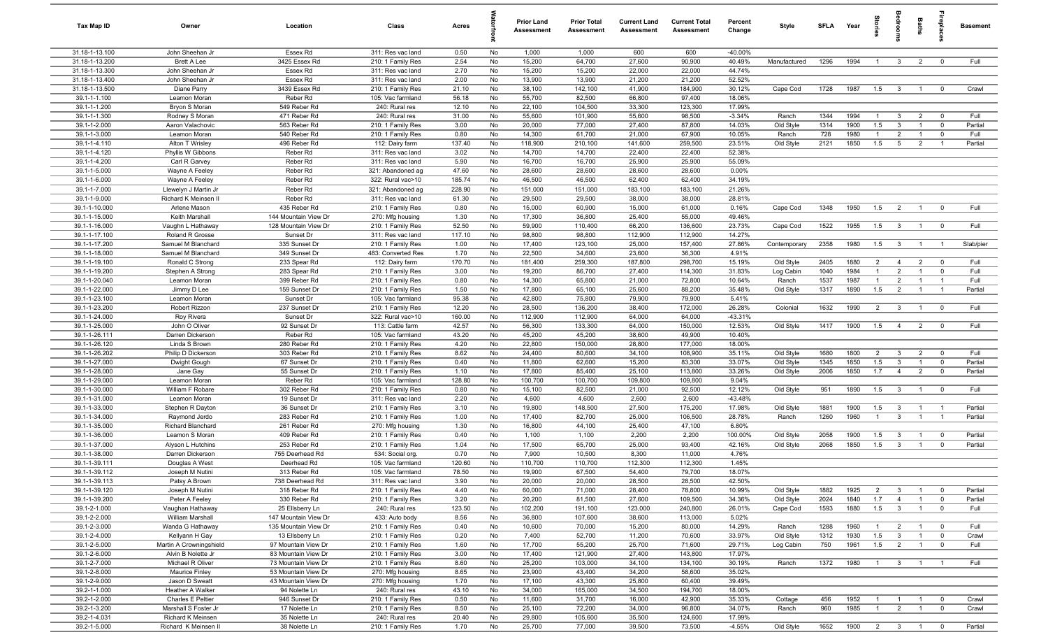| Tax Map ID                     | Owner                                     | Location                                     | Class                                  | Acres          |          | <b>Prior Land</b><br>Assessment | <b>Prior Total</b><br>Assessment | <b>Current Land</b><br>Assessment | <b>Current Total</b><br>Assessment | Percent<br>Change | Style            | <b>SFLA</b> | Year         | Stories                          | droom                            | Baths                            |                               | <b>Basement</b> |
|--------------------------------|-------------------------------------------|----------------------------------------------|----------------------------------------|----------------|----------|---------------------------------|----------------------------------|-----------------------------------|------------------------------------|-------------------|------------------|-------------|--------------|----------------------------------|----------------------------------|----------------------------------|-------------------------------|-----------------|
| 31.18-1-13.100                 | John Sheehan Jr                           | Essex Rd                                     | 311: Res vac land                      | 0.50           | No       | 1,000                           | 1,000                            | 600                               | 600                                | $-40.00%$         |                  |             |              |                                  |                                  |                                  |                               |                 |
| 31.18-1-13.200                 | <b>Brett A Lee</b>                        | 3425 Essex Rd                                | 210: 1 Family Res                      | 2.54           | No       | 15,200                          | 64,700                           | 27,600                            | 90,900                             | 40.49%            | Manufactured     | 1296        | 1994         | $\overline{1}$                   | $\mathbf{3}$                     | 2                                | $\overline{0}$                | Full            |
| 31.18-1-13.300                 | John Sheehan Jr                           | Essex Rd                                     | 311: Res vac land                      | 2.70           | No       | 15,200                          | 15,200                           | 22,000                            | 22,000                             | 44.74%            |                  |             |              |                                  |                                  |                                  |                               |                 |
| 31.18-1-13.400                 | John Sheehan Jr                           | Essex Rd                                     | 311: Res vac land                      | 2.00           | No       | 13,900                          | 13,900                           | 21,200                            | 21,200                             | 52.52%            |                  |             |              |                                  |                                  |                                  |                               |                 |
| 31.18-1-13.500<br>39.1-1-1.100 | Diane Parry<br>Leamon Moran               | 3439 Essex Rd<br>Reber Rd                    | 210: 1 Family Res<br>105: Vac farmland | 21.10<br>56.18 | No<br>No | 38,100<br>55,700                | 142,100<br>82,500                | 41,900<br>66,800                  | 184,900<br>97,400                  | 30.12%<br>18.06%  | Cape Cod         | 1728        | 1987         | 1.5                              | $\overline{3}$                   | $\overline{1}$                   | $\overline{0}$                | Crawl           |
| 39.1-1-1.200                   | Bryon S Moran                             | 549 Reber Rd                                 | 240: Rural res                         | 12.10          | No       | 22,100                          | 104,500                          | 33,300                            | 123,300                            | 17.99%            |                  |             |              |                                  |                                  |                                  |                               |                 |
| 39.1-1-1.300                   | Rodney S Moran                            | 471 Reber Rd                                 | 240: Rural res                         | 31.00          | No       | 55,600                          | 101,900                          | 55,600                            | 98,500                             | $-3.34%$          | Ranch            | 1344        | 1994         | $\overline{1}$                   | $\mathbf{3}$                     | $\overline{2}$                   | $\overline{0}$                | Full            |
| 39.1-1-2.000                   | Aaron Valachovic                          | 563 Reber Rd                                 | 210: 1 Family Res                      | 3.00           | No       | 20,000                          | 77,000                           | 27,400                            | 87,800                             | 14.03%            | Old Style        | 1314        | 1900         | 1.5                              | $\overline{3}$                   | $\overline{1}$                   | $\mathbf 0$                   | Partial         |
| 39.1-1-3.000                   | Leamon Moran                              | 540 Reber Rd                                 | 210: 1 Family Res                      | 0.80           | No       | 14,300                          | 61,700                           | 21,000                            | 67,900                             | 10.05%            | Ranch            | 728         | 1980         | $\mathbf{1}$                     | $\overline{2}$                   |                                  | $\mathbf 0$                   | Full            |
| 39.1-1-4.110                   | Alton T Wrisley                           | 496 Reber Rd                                 | 112: Dairy farm                        | 137.40         | No       | 118,900                         | 210,100                          | 141,600                           | 259,500                            | 23.51%            | Old Style        | 2121        | 1850         | 1.5                              | 5                                | $\overline{2}$                   | $\overline{1}$                | Partial         |
| 39.1-1-4.120                   | Phyllis W Gibbons                         | Reber Rd                                     | 311: Res vac land                      | 3.02           | No       | 14,700                          | 14,700                           | 22,400                            | 22,400                             | 52.38%            |                  |             |              |                                  |                                  |                                  |                               |                 |
| 39.1-1-4.200                   | Carl R Garvey                             | Reber Rd                                     | 311: Res vac land                      | 5.90           | No       | 16,700                          | 16,700                           | 25,900                            | 25,900                             | 55.09%            |                  |             |              |                                  |                                  |                                  |                               |                 |
| 39.1-1-5.000                   | Wayne A Feeley                            | Reber Rd                                     | 321: Abandoned ag                      | 47.60          | No       | 28,600                          | 28,600                           | 28,600                            | 28,600                             | 0.00%             |                  |             |              |                                  |                                  |                                  |                               |                 |
| 39.1-1-6.000                   | Wayne A Feeley                            | Reber Rd                                     | 322: Rural vac>10                      | 185.74         | No       | 46,500                          | 46,500                           | 62,400                            | 62,400                             | 34.19%            |                  |             |              |                                  |                                  |                                  |                               |                 |
| 39.1-1-7.000                   | Llewelyn J Martin Jr                      | Reber Rd                                     | 321: Abandoned ag                      | 228.90         | No       | 151,000                         | 151,000                          | 183,100                           | 183,100                            | 21.26%            |                  |             |              |                                  |                                  |                                  |                               |                 |
| 39.1-1-9.000                   | Richard K Meinsen II                      | Reber Rd                                     | 311: Res vac land                      | 61.30          | No       | 29,500                          | 29,500                           | 38,000                            | 38,000                             | 28.81%            |                  |             |              |                                  |                                  |                                  |                               |                 |
| 39.1-1-10.000                  | Arlene Mason<br>Keith Marshall            | 435 Reber Rd                                 | 210: 1 Family Res                      | 0.80           | No       | 15,000                          | 60,900                           | 15,000                            | 61,000                             | 0.16%             | Cape Cod         | 1348        | 1950         | 1.5                              | $\overline{2}$                   | $\overline{1}$                   | $\overline{0}$                | Full            |
| 39.1-1-15.000<br>39.1-1-16.000 | Vaughn L Hathaway                         | 144 Mountain View Dr<br>128 Mountain View Dr | 270: Mfg housing<br>210: 1 Family Res  | 1.30<br>52.50  | No<br>No | 17,300<br>59,900                | 36,800<br>110,400                | 25,400<br>66,200                  | 55,000<br>136,600                  | 49.46%<br>23.73%  | Cape Cod         | 1522        | 1955         | 1.5                              | $\mathbf{3}$                     | $\overline{1}$                   | $\overline{\mathbf{0}}$       | Full            |
| 39.1-1-17.100                  | Roland R Grosse                           | Sunset Dr                                    | 311: Res vac land                      | 117.10         | No       | 98,800                          | 98,800                           | 112,900                           | 112,900                            | 14.27%            |                  |             |              |                                  |                                  |                                  |                               |                 |
| 39.1-1-17.200                  | Samuel M Blanchard                        | 335 Sunset Dr                                | 210: 1 Family Res                      | 1.00           | No       | 17,400                          | 123,100                          | 25,000                            | 157,400                            | 27.86%            | Contemporary     | 2358        | 1980         | 1.5                              | $\overline{\mathbf{3}}$          | $\overline{1}$                   | $\overline{1}$                | Slab/pier       |
| 39.1-1-18.000                  | Samuel M Blanchard                        | 349 Sunset Dr                                | 483: Converted Res                     | 1.70           | No       | 22,500                          | 34,600                           | 23,600                            | 36,300                             | 4.91%             |                  |             |              |                                  |                                  |                                  |                               |                 |
| 39.1-1-19.100                  | Ronald C Strong                           | 233 Spear Rd                                 | 112: Dairy farm                        | 170.70         | No       | 181,400                         | 259,300                          | 187,800                           | 298,700                            | 15.19%            | Old Style        | 2405        | 1880         | $\overline{2}$                   | $\overline{4}$                   | $\overline{2}$                   | $\overline{0}$                | Full            |
| 39.1-1-19.200                  | Stephen A Strong                          | 283 Spear Rd                                 | 210: 1 Family Res                      | 3.00           | No       | 19,200                          | 86,700                           | 27,400                            | 114,300                            | 31.83%            | Log Cabin        | 1040        | 1984         | $\overline{1}$                   | 2                                | $\overline{1}$                   | $\overline{0}$                | Full            |
| 39.1-1-20.040                  | Leamon Moran                              | 399 Reber Rd                                 | 210: 1 Family Res                      | 0.80           | No       | 14,300                          | 65,800                           | 21,000                            | 72,800                             | 10.64%            | Ranch            | 1537        | 1987         | $\overline{1}$                   | $\overline{2}$                   | $\overline{1}$                   | $\overline{1}$                | Full            |
| 39.1-1-22.000                  | Jimmy D Lee                               | 159 Sunset Dr                                | 210: 1 Family Res                      | 1.50           | No       | 17,800                          | 65,100                           | 25,600                            | 88,200                             | 35.48%            | Old Style        | 1317        | 1890         | 1.5                              | $\overline{2}$                   | $\mathbf{1}$                     | $\overline{1}$                | Partial         |
| 39.1-1-23.100                  | Leamon Moran                              | Sunset Dr                                    | 105: Vac farmland                      | 95.38          | No       | 42,800                          | 75,800                           | 79,900                            | 79,900                             | 5.41%             |                  |             |              |                                  |                                  |                                  |                               |                 |
| 39.1-1-23.200                  | Robert Rizzon                             | 237 Sunset Dr                                | 210: 1 Family Res                      | 12.20          | No       | 28,500                          | 136,200                          | 38,400                            | 172,000                            | 26.28%            | Colonial         | 1632        | 1990         | $\overline{2}$                   | $\mathbf{3}$                     | $\overline{1}$                   | $\overline{0}$                | Full            |
| 39.1-1-24.000                  | Roy Rivera                                | Sunset Dr                                    | 322: Rural vac>10                      | 160.00         | No       | 112,900                         | 112,900                          | 64,000                            | 64,000                             | $-43.31%$         |                  |             |              |                                  |                                  |                                  |                               |                 |
| 39.1-1-25.000                  | John O Oliver                             | 92 Sunset Dr                                 | 113: Cattle farm                       | 42.57          | No       | 56,300                          | 133,300                          | 64,000                            | 150,000                            | 12.53%            | Old Style        | 1417        | 1900         | 1.5                              | $\overline{4}$                   | $\overline{2}$                   | $\overline{0}$                | Full            |
| 39.1-1-26.111                  | Darren Dickerson                          | Reber Rd                                     | 105: Vac farmland                      | 43.20          | No       | 45,200                          | 45,200                           | 38,600                            | 49,900                             | 10.40%            |                  |             |              |                                  |                                  |                                  |                               |                 |
| 39.1-1-26.120<br>39.1-1-26.202 | Linda S Brown<br>Philip D Dickerson       | 280 Reber Rd<br>303 Reber Rd                 | 210: 1 Family Res                      | 4.20<br>8.62   | No<br>No | 22,800<br>24,400                | 150,000<br>80,600                | 28,800<br>34,100                  | 177,000<br>108,900                 | 18.00%<br>35.11%  | Old Style        | 1680        | 1800         | $\overline{2}$                   | $\overline{3}$                   | $\overline{2}$                   | $\overline{\mathbf{0}}$       | Full            |
| 39.1-1-27.000                  | Dwight Gough                              | 67 Sunset Dr                                 | 210: 1 Family Res<br>210: 1 Family Res | 0.40           | No       | 11,800                          | 62,600                           | 15,200                            | 83,300                             | 33.07%            | Old Style        | 1345        | 1850         | 1.5                              | $\mathbf{3}$                     | $\overline{1}$                   | $\overline{0}$                | Partial         |
| 39.1-1-28.000                  | Jane Gay                                  | 55 Sunset Dr                                 | 210: 1 Family Res                      | 1.10           | No       | 17,800                          | 85,400                           | 25,100                            | 113,800                            | 33.26%            | Old Style        | 2006        | 1850         | 1.7                              | $\overline{4}$                   | $\overline{2}$                   | $\mathbf 0$                   | Partial         |
| 39.1-1-29.000                  | Leamon Moran                              | Reber Rd                                     | 105: Vac farmland                      | 128.80         | No       | 100,700                         | 100,700                          | 109,800                           | 109,800                            | 9.04%             |                  |             |              |                                  |                                  |                                  |                               |                 |
| 39.1-1-30.000                  | William F Robare                          | 302 Reber Rd                                 | 210: 1 Family Res                      | 0.80           | No       | 15,100                          | 82,500                           | 21,000                            | 92,500                             | 12.12%            | Old Style        | 951         | 1890         | 1.5                              | $\mathbf{3}$                     | $\overline{1}$                   | $\overline{0}$                | Full            |
| 39.1-1-31.000                  | Leamon Moran                              | 19 Sunset Dr                                 | 311: Res vac land                      | 2.20           | No       | 4,600                           | 4,600                            | 2,600                             | 2,600                              | $-43.48%$         |                  |             |              |                                  |                                  |                                  |                               |                 |
| 39.1-1-33.000                  | Stephen R Dayton                          | 36 Sunset Dr                                 | 210: 1 Family Res                      | 3.10           | No       | 19,800                          | 148,500                          | 27,500                            | 175,200                            | 17.98%            | Old Style        | 1881        | 1900         | 1.5                              | $\overline{3}$                   | $\overline{1}$                   | $\overline{1}$                | Partial         |
| 39.1-1-34.000                  | Raymond Jerdo                             | 283 Reber Rd                                 | 210: 1 Family Res                      | 1.00           | No       | 17,400                          | 82,700                           | 25,000                            | 106,500                            | 28.78%            | Ranch            | 1260        | 1960         | $\overline{1}$                   | $\overline{\mathbf{3}}$          | $\overline{1}$                   | $\overline{1}$                | Partial         |
| 39.1-1-35.000                  | Richard Blanchard                         | 261 Reber Rd                                 | 270: Mfg housing                       | 1.30           | No       | 16,800                          | 44,100                           | 25,400                            | 47,100                             | 6.80%             |                  |             |              |                                  |                                  |                                  |                               |                 |
| 39.1-1-36.000                  | Leamon S Moran                            | 409 Reber Rd                                 | 210: 1 Family Res                      | 0.40           | No       | 1,100                           | 1,100                            | 2,200                             | 2,200                              | 100.00%           | Old Style        | 2058        | 1900         | 1.5                              | $\mathbf{3}$                     |                                  | $\overline{0}$                | Partial         |
| 39.1-1-37.000                  | Alyson L Hutchins                         | 253 Reber Rd                                 | 210: 1 Family Res                      | 1.04           | No       | 17,500                          | 65,700                           | 25,000                            | 93,400                             | 42.16%            | Old Style        | 2068        | 1850         | 1.5                              | $\overline{3}$                   |                                  | $\overline{0}$                | Partial         |
| 39.1-1-38.000                  | Darren Dickerson                          | 755 Deerhead Rd                              | 534: Social org.                       | 0.70           | No       | 7,900                           | 10,500                           | 8,300                             | 11,000                             | 4.76%             |                  |             |              |                                  |                                  |                                  |                               |                 |
| 39.1-1-39.111                  | Douglas A West                            | Deerhead Rd                                  | 105: Vac farmland                      | 120.60         | No       | 110,700                         | 110,700                          | 112,300                           | 112,300                            | 1.45%             |                  |             |              |                                  |                                  |                                  |                               |                 |
| 39.1-1-39.112<br>39.1-1-39.113 | Joseph M Nutini<br>Patsy A Brown          | 313 Reber Rd<br>738 Deerhead Rd              | 105: Vac farmland<br>311: Res vac land | 78.50<br>3.90  | No<br>No | 19,900<br>20,000                | 67,500<br>20,000                 | 54,400<br>28,500                  | 79,700<br>28,500                   | 18.07%<br>42.50%  |                  |             |              |                                  |                                  |                                  |                               |                 |
| 39.1-1-39.120                  | Joseph M Nutini                           | 318 Reber Rd                                 | 210: 1 Family Res                      | 4.40           | No       | 60,000                          | 71,000                           | 28,400                            | 78,800                             | 10.99%            | Old Style        | 1882        | 1925         | 2                                | $\mathbf{3}$                     | $\overline{1}$                   | $\overline{0}$                | Partial         |
| 39.1-1-39.200                  | Peter A Feeley                            | 330 Reber Rd                                 | 210: 1 Family Res                      | 3.20           | No       | 20,200                          | 81,500                           | 27,600                            | 109,500                            | 34.36%            | Old Style        | 2024        | 1840         | 1.7                              | $\overline{4}$                   | $\mathbf{1}$                     | $\overline{0}$                | Partial         |
| 39.1-2-1.000                   | Vaughan Hathaway                          | 25 Ellsberry Ln                              | 240: Rural res                         | 123.50         | No       | 102,200                         | 191,100                          | 123,000                           | 240,800                            | 26.01%            | Cape Cod         | 1593        | 1880         | 1.5                              | $\overline{\mathbf{3}}$          | $\overline{1}$                   | $\overline{0}$                | Full            |
| 39.1-2-2.000                   | <b>William Marshall</b>                   | 147 Mountain View Dr                         | 433: Auto body                         | 8.56           | No       | 36,800                          | 107,600                          | 38,600                            | 113,000                            | 5.02%             |                  |             |              |                                  |                                  |                                  |                               |                 |
| 39.1-2-3.000                   | Wanda G Hathaway                          | 135 Mountain View Dr                         | 210: 1 Family Res                      | 0.40           | No       | 10,600                          | 70,000                           | 15,200                            | 80,000                             | 14.29%            | Ranch            | 1288        | 1960         | $\overline{1}$                   | $\overline{2}$                   | $\overline{1}$                   | $\overline{\mathbf{0}}$       | Full            |
| 39.1-2-4.000                   | Kellyann H Gay                            | 13 Ellsberry Ln                              | 210: 1 Family Res                      | 0.20           | No       | 7,400                           | 52,700                           | 11,200                            | 70,600                             | 33.97%            | Old Style        | 1312        | 1930         | 1.5                              | $\overline{\mathbf{3}}$          | $\overline{1}$                   | $\overline{0}$                | Crawl           |
| 39.1-2-5.000                   | Martin A Crowningshield                   | 97 Mountain View Dr                          | 210: 1 Family Res                      | 1.60           | No       | 17,700                          | 55,200                           | 25,700                            | 71,600                             | 29.71%            | Log Cabin        | 750         | 1961         | 1.5                              | $\overline{2}$                   | $\mathbf{1}$                     | $\overline{0}$                | Full            |
| 39.1-2-6.000                   | Alvin B Nolette Jr                        | 83 Mountain View Dr                          | 210: 1 Family Res                      | 3.00           | No       | 17,400                          | 121,900                          | 27,400                            | 143,800                            | 17.97%            |                  |             |              |                                  |                                  |                                  |                               |                 |
| 39.1-2-7.000                   | Michael R Oliver                          | 73 Mountain View Dr                          | 210: 1 Family Res                      | 8.60           | No       | 25,200                          | 103,000                          | 34,100                            | 134,100                            | 30.19%            | Ranch            | 1372        | 1980         | $\overline{1}$                   | $\mathbf{3}$                     | $\overline{1}$                   | - 1                           | Full            |
| 39.1-2-8.000                   | <b>Maurice Finley</b>                     | 53 Mountain View Dr                          | 270: Mfg housing                       | 8.65           | No       | 23,900                          | 43,400                           | 34,200                            | 58,600                             | 35.02%            |                  |             |              |                                  |                                  |                                  |                               |                 |
| 39.1-2-9.000                   | Jason D Sweatt                            | 43 Mountain View Dr                          | 270: Mfg housing                       | 1.70           | No       | 17,100                          | 43,300                           | 25,800                            | 60,400                             | 39.49%            |                  |             |              |                                  |                                  |                                  |                               |                 |
| 39.2-1-1.000                   | Heather A Walker                          | 94 Nolette Ln                                | 240: Rural res                         | 43.10          | No       | 34,000                          | 165,000                          | 34,500                            | 194,700                            | 18.00%            |                  |             |              |                                  |                                  |                                  |                               |                 |
| 39.2-1-2.000<br>39.2-1-3.200   | Charles E Peltier<br>Marshall S Foster Jr | 946 Sunset Dr<br>17 Nolette Ln               | 210: 1 Family Res                      | 0.50<br>8.50   | No<br>No | 11,600<br>25,100                | 31,700                           | 16,000<br>34,000                  | 42,900<br>96,800                   | 35.33%<br>34.07%  | Cottage<br>Ranch | 456<br>960  | 1952<br>1985 | $\overline{1}$<br>$\overline{1}$ | $\overline{1}$<br>$\overline{2}$ | $\overline{1}$<br>$\overline{1}$ | $\overline{0}$<br>$\mathbf 0$ | Crawl<br>Crawl  |
| 39.2-1-4.031                   | Richard K Meinsen                         | 35 Nolette Ln                                | 210: 1 Family Res<br>240: Rural res    | 20.40          | No       | 29,800                          | 72,200<br>105,600                | 35,500                            | 124,600                            | 17.99%            |                  |             |              |                                  |                                  |                                  |                               |                 |
| 39.2-1-5.000                   | Richard K Meinsen II                      | 38 Nolette Ln                                | 210: 1 Family Res                      | 1.70           | No       | 25,700                          | 77,000                           | 39,500                            | 73,500                             | $-4.55%$          | Old Style        | 1652        | 1900         |                                  | $2 \qquad 3$                     | $\overline{1}$                   | $\overline{0}$                | Partial         |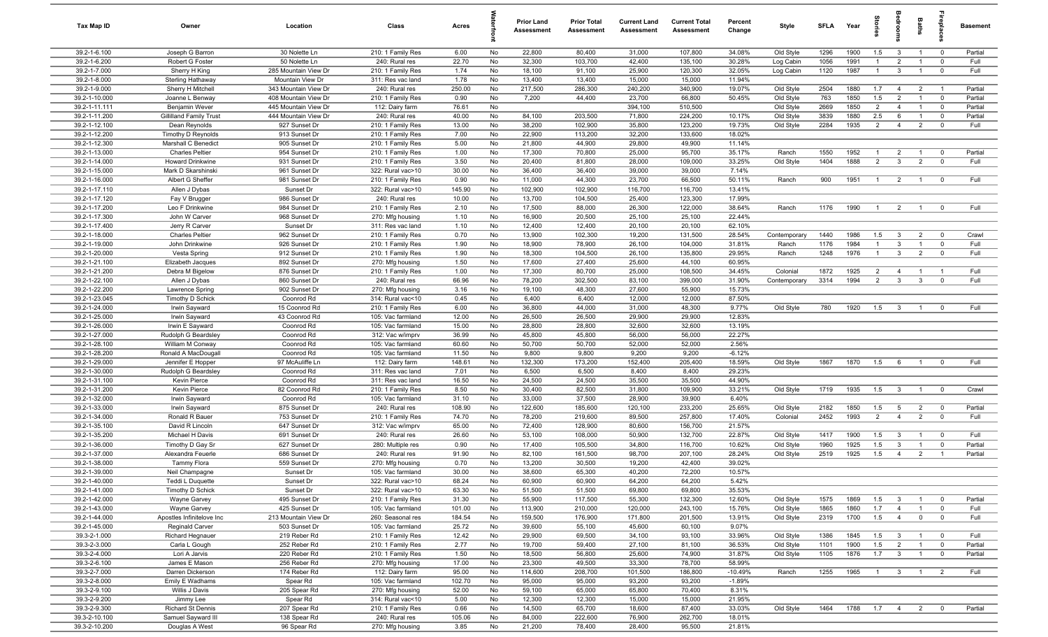| Tax Map ID                     | Owner                                         | Location                                 | Class                                  | Acres          |          | Prior Land<br><b>Assessment</b> | <b>Prior Total</b><br>Assessment | <b>Current Land</b><br>Assessment | <b>Current Total</b><br><b>Assessment</b> | Percent<br>Change | Style                  | <b>SFLA</b>  | Year         | g                   |                                | Baths                            | epla                          | <b>Basement</b>    |
|--------------------------------|-----------------------------------------------|------------------------------------------|----------------------------------------|----------------|----------|---------------------------------|----------------------------------|-----------------------------------|-------------------------------------------|-------------------|------------------------|--------------|--------------|---------------------|--------------------------------|----------------------------------|-------------------------------|--------------------|
| 39.2-1-6.100                   | Joseph G Barron                               | 30 Nolette Ln                            | 210: 1 Family Res                      | 6.00           | No       | 22,800                          | 80,400                           | 31,000                            | 107,800                                   | 34.08%            | Old Style              | 1296         | 1900         | 1.5                 | $\overline{3}$                 | $\overline{1}$                   | $\overline{0}$                | Partial            |
| 39.2-1-6.200                   | Robert G Foster                               | 50 Nolette Ln                            | 240: Rural res                         | 22.70          | No       | 32,300                          | 103,700                          | 42,400                            | 135,100                                   | 30.28%            | Log Cabin              | 1056         | 1991         | $\mathbf{1}$        | $\overline{2}$                 | $\overline{1}$                   | $\overline{0}$                | Full               |
| 39.2-1-7.000                   | Sherry H King                                 | 285 Mountain View Dr                     | 210: 1 Family Res                      | 1.74           | No       | 18,100                          | 91,100                           | 25,900                            | 120,300                                   | 32.05%            | Log Cabin              | 1120         | 1987         | $\overline{1}$      | $\mathbf{3}$                   | $\overline{1}$                   | $\overline{0}$                | Full               |
| 39.2-1-8.000<br>39.2-1-9.000   | <b>Sterling Hathaway</b><br>Sherry H Mitchell | Mountain View Dr<br>343 Mountain View Dr | 311: Res vac land<br>240: Rural res    | 1.78<br>250.00 | No<br>No | 13,400<br>217,500               | 13,400<br>286,300                | 15,000<br>240,200                 | 15,000<br>340,900                         | 11.94%<br>19.07%  | Old Style              | 2504         | 1880         | 1.7                 | $\overline{4}$                 | $\overline{2}$                   | $\overline{1}$                | Partial            |
| 39.2-1-10.000                  | Joanne L Benway                               | 408 Mountain View Dr                     | 210: 1 Family Res                      | 0.90           | No       | 7,200                           | 44,400                           | 23,700                            | 66,800                                    | 50.45%            | Old Style              | 763          | 1850         | 1.5                 | $\overline{2}$                 | $\mathbf{1}$                     | $\overline{0}$                | Partial            |
| 39.2-1-11.111                  | Benjamin Wever                                | 445 Mountain View Dr                     | 112: Dairy farm                        | 76.61          | No       |                                 |                                  | 394,100                           | 510,500                                   |                   | Old Style              | 2669         | 1850         | 2                   | $\overline{4}$                 | $\overline{1}$                   | $\overline{0}$                | Partial            |
| 39.2-1-11.200                  | <b>Gillilland Family Trust</b>                | 444 Mountain View Dr                     | 240: Rural res                         | 40.00          | No       | 84,100                          | 203,500                          | 71,800                            | 224,200                                   | 10.17%            | Old Style              | 3839         | 1880         | 2.5                 | 6                              | $\overline{1}$                   | $\overline{0}$                | Partial            |
| 39.2-1-12.100                  | Dean Reynolds                                 | 927 Sunset Dr                            | 210: 1 Family Res                      | 13.00          | No       | 38,200                          | 102,900                          | 35,800                            | 123,200                                   | 19.73%            | Old Style              | 2284         | 1935         | 2                   | $\overline{4}$                 | $\overline{2}$                   | $\overline{0}$                | Full               |
| 39.2-1-12.200                  | Timothy D Reynolds                            | 913 Sunset Dr                            | 210: 1 Family Res                      | 7.00           | No       | 22,900                          | 113,200                          | 32,200                            | 133,600                                   | 18.02%            |                        |              |              |                     |                                |                                  |                               |                    |
| 39.2-1-12.300                  | Marshall C Benedict                           | 905 Sunset Dr                            | 210: 1 Family Res                      | 5.00           | No       | 21,800                          | 44,900                           | 29,800                            | 49,900                                    | 11.14%            |                        |              |              |                     |                                |                                  |                               |                    |
| 39.2-1-13.000                  | <b>Charles Peltier</b>                        | 954 Sunset Dr                            | 210: 1 Family Res                      | 1.00           | No       | 17,300                          | 70,800                           | 25,000                            | 95,700                                    | 35.17%            | Ranch                  | 1550         | 1952         | $\overline{1}$      | $\overline{2}$                 | $\overline{1}$                   | $\overline{0}$                | Partial            |
| 39.2-1-14.000                  | Howard Drinkwine                              | 931 Sunset Dr                            | 210: 1 Family Res                      | 3.50           | No       | 20,400                          | 81,800                           | 28,000                            | 109,000                                   | 33.25%            | Old Style              | 1404         | 1888         | $\overline{2}$      | $\mathbf{3}$                   | $\overline{2}$                   | $\overline{0}$                | Full               |
| 39.2-1-15.000                  | Mark D Skarshinski                            | 961 Sunset Dr<br>981 Sunset Dr           | 322: Rural vac>10                      | 30.00          | No       | 36,400                          | 36,400<br>44,300                 | 39,000                            | 39,000                                    | 7.14%<br>50.11%   |                        |              |              |                     |                                |                                  |                               | Full               |
| 39.2-1-16.000<br>39.2-1-17.110 | Albert G Sheffer<br>Allen J Dybas             | Sunset Dr                                | 210: 1 Family Res<br>322: Rural vac>10 | 0.90<br>145.90 | No<br>No | 11,000<br>102,900               | 102,900                          | 23,700<br>116,700                 | 66,500<br>116,700                         | 13.41%            | Ranch                  | 900          | 1951         | $\overline{1}$      | $\overline{2}$                 | $\overline{1}$                   | $\overline{0}$                |                    |
| 39.2-1-17.120                  | Fay V Brugger                                 | 986 Sunset Dr                            | 240: Rural res                         | 10.00          | No       | 13,700                          | 104,500                          | 25,400                            | 123,300                                   | 17.99%            |                        |              |              |                     |                                |                                  |                               |                    |
| 39.2-1-17.200                  | Leo F Drinkwine                               | 984 Sunset Dr                            | 210: 1 Family Res                      | 2.10           | No       | 17,500                          | 88,000                           | 26,300                            | 122,000                                   | 38.64%            | Ranch                  | 1176         | 1990         | $\overline{1}$      | $\overline{2}$                 | $\overline{1}$                   | $\overline{0}$                | Full               |
| 39.2-1-17.300                  | John W Carver                                 | 968 Sunset Dr                            | 270: Mfg housing                       | 1.10           | No       | 16,900                          | 20,500                           | 25,100                            | 25,100                                    | 22.44%            |                        |              |              |                     |                                |                                  |                               |                    |
| 39.2-1-17.400                  | Jerry R Carver                                | Sunset Dr                                | 311: Res vac land                      | 1.10           | No       | 12,400                          | 12,400                           | 20,100                            | 20,100                                    | 62.10%            |                        |              |              |                     |                                |                                  |                               |                    |
| 39.2-1-18.000                  | <b>Charles Peltier</b>                        | 962 Sunset Dr                            | 210: 1 Family Res                      | 0.70           | No       | 13,900                          | 102,300                          | 19,200                            | 131,500                                   | 28.54%            | Contemporary           | 1440         | 1986         | 1.5                 | $\mathbf{3}$                   | $\overline{2}$                   | $\overline{0}$                | Crawl              |
| 39.2-1-19.000                  | John Drinkwine                                | 926 Sunset Dr                            | 210: 1 Family Res                      | 1.90           | No       | 18,900                          | 78,900                           | 26,100                            | 104,000                                   | 31.81%            | Ranch                  | 1176         | 1984         | $\overline{1}$      | $\mathbf{3}$                   | -1                               | $\overline{0}$                | Full               |
| 39.2-1-20.000                  | Vesta Spring                                  | 912 Sunset Dr                            | 210: 1 Family Res                      | 1.90           | No       | 18,300                          | 104,500                          | 26,100                            | 135,800                                   | 29.95%            | Ranch                  | 1248         | 1976         | $\overline{1}$      | $\mathbf{3}$                   | $\overline{2}$                   | $\mathbf 0$                   | Full               |
| 39.2-1-21.100                  | Elizabeth Jacques                             | 892 Sunset Dr                            | 270: Mfg housing                       | 1.50           | No       | 17,600                          | 27,400                           | 25,600                            | 44,100                                    | 60.95%            |                        |              |              |                     |                                |                                  |                               |                    |
| 39.2-1-21.200<br>39.2-1-22.100 | Debra M Bigelow                               | 876 Sunset Dr<br>860 Sunset Dr           | 210: 1 Family Res<br>240: Rural res    | 1.00<br>66.96  | No<br>No | 17,300<br>78,200                | 80,700<br>302,500                | 25,000<br>83,100                  | 108,500<br>399,000                        | 34.45%<br>31.90%  | Colonial               | 1872<br>3314 | 1925<br>1994 | $\overline{2}$<br>2 | $\overline{4}$<br>$\mathbf{3}$ | $\overline{1}$<br>$\mathbf{3}$   | $\overline{1}$<br>$\mathbf 0$ | Full<br>Full       |
| 39.2-1-22.200                  | Allen J Dybas<br>Lawrence Spring              | 902 Sunset Dr                            | 270: Mfg housing                       | 3.16           | No       | 19,100                          | 48,300                           | 27,600                            | 55,900                                    | 15.73%            | Contemporary           |              |              |                     |                                |                                  |                               |                    |
| 39.2-1-23.045                  | Timothy D Schick                              | Coonrod Rd                               | 314: Rural vac<10                      | 0.45           | No       | 6,400                           | 6,400                            | 12,000                            | 12,000                                    | 87.50%            |                        |              |              |                     |                                |                                  |                               |                    |
| 39.2-1-24.000                  | Irwin Sayward                                 | 15 Coonrod Rd                            | 210: 1 Family Res                      | 6.00           | No       | 36,800                          | 44,000                           | 31,000                            | 48,300                                    | 9.77%             | Old Style              | 780          | 1920         | 1.5                 | $\mathbf{3}$                   | $\overline{1}$                   | $\overline{0}$                | Full               |
| 39.2-1-25.000                  | Irwin Sayward                                 | 43 Coonrod Rd                            | 105: Vac farmland                      | 12.00          | No       | 26,500                          | 26,500                           | 29,900                            | 29,900                                    | 12.83%            |                        |              |              |                     |                                |                                  |                               |                    |
| 39.2-1-26.000                  | Irwin E Sayward                               | Coonrod Rd                               | 105: Vac farmland                      | 15.00          | No       | 28,800                          | 28,800                           | 32,600                            | 32,600                                    | 13.19%            |                        |              |              |                     |                                |                                  |                               |                    |
| 39.2-1-27.000                  | Rudolph G Beardsley                           | Coonrod Rd                               | 312: Vac w/imprv                       | 36.99          | No       | 45,800                          | 45,800                           | 56,000                            | 56,000                                    | 22.27%            |                        |              |              |                     |                                |                                  |                               |                    |
| 39.2-1-28.100                  | William M Conway                              | Coonrod Rd                               | 105: Vac farmland                      | 60.60          | No       | 50,700                          | 50,700                           | 52,000                            | 52,000                                    | 2.56%             |                        |              |              |                     |                                |                                  |                               |                    |
| 39.2-1-28.200                  | Ronald A MacDougall                           | Coonrod Rd                               | 105: Vac farmland                      | 11.50          | No       | 9,800                           | 9,800                            | 9,200                             | 9,200                                     | $-6.12%$          |                        |              |              |                     |                                |                                  |                               |                    |
| 39.2-1-29.000<br>39.2-1-30.000 | Jennifer E Hopper                             | 97 McAuliffe Ln<br>Coonrod Rd            | 112: Dairy farm<br>311: Res vac land   | 148.61<br>7.01 | No<br>No | 132,300<br>6,500                | 173,200<br>6,500                 | 152,400<br>8,400                  | 205,400<br>8,400                          | 18.59%<br>29.23%  | Old Style              | 1867         | 1870         | 1.5                 | 6                              | $\overline{1}$                   | $\mathbf 0$                   | Full               |
| 39.2-1-31.100                  | Rudolph G Beardsley<br>Kevin Pierce           | Coonrod Rd                               | 311: Res vac land                      | 16.50          | No       | 24,500                          | 24,500                           | 35,500                            | 35,500                                    | 44.90%            |                        |              |              |                     |                                |                                  |                               |                    |
| 39.2-1-31.200                  | Kevin Pierce                                  | 82 Coonrod Rd                            | 210: 1 Family Res                      | 8.50           | No       | 30,400                          | 82,500                           | 31,800                            | 109,900                                   | 33.21%            | Old Style              | 1719         | 1935         | 1.5                 | $\overline{\mathbf{3}}$        | $\overline{1}$                   | $\overline{0}$                | Crawl              |
| 39.2-1-32.000                  | Irwin Sayward                                 | Coonrod Rd                               | 105: Vac farmland                      | 31.10          | No       | 33,000                          | 37,500                           | 28,900                            | 39,900                                    | 6.40%             |                        |              |              |                     |                                |                                  |                               |                    |
| 39.2-1-33.000                  | Irwin Sayward                                 | 875 Sunset Dr                            | 240: Rural res                         | 108.90         | No       | 122,600                         | 185,600                          | 120,100                           | 233,200                                   | 25.65%            | Old Style              | 2182         | 1850         | 1.5                 | 5                              | $\overline{2}$                   | $\overline{0}$                | Partial            |
| 39.2-1-34.000                  | Ronald R Bauer                                | 753 Sunset Dr                            | 210: 1 Family Res                      | 74.70          | No       | 78,200                          | 219,600                          | 89,500                            | 257,800                                   | 17.40%            | Colonial               | 2452         | 1993         | 2                   | $\overline{4}$                 | $\overline{2}$                   | $\overline{0}$                | Full               |
| 39.2-1-35.100                  | David R Lincoln                               | 647 Sunset Dr                            | 312: Vac w/imprv                       | 65.00          | No       | 72,400                          | 128,900                          | 80,600                            | 156,700                                   | 21.57%            |                        |              |              |                     |                                |                                  |                               |                    |
| 39.2-1-35.200                  | Michael H Davis                               | 691 Sunset Dr                            | 240: Rural res                         | 26.60          | No       | 53,100                          | 108,000                          | 50,900                            | 132,700                                   | 22.87%            | Old Style              | 1417         | 1900         | 1.5                 | $\mathbf{3}$                   | $\overline{1}$                   | $\overline{0}$                | Full               |
| 39.2-1-36.000<br>39.2-1-37.000 | Timothy D Gay Sr                              | 627 Sunset Dr                            | 280: Multiple res                      | 0.90           | No<br>No | 17,400<br>82,100                | 105,500                          | 34,800                            | 116,700<br>207,100                        | 10.62%<br>28.24%  | Old Style              | 1960<br>2519 | 1925<br>1925 | 1.5<br>1.5          | $\mathbf{3}$<br>$\overline{4}$ | $\mathbf{1}$<br>$\overline{2}$   | $\mathbf 0$<br>$\overline{1}$ | Partial<br>Partial |
| 39.2-1-38.000                  | Alexandra Feuerle<br>Tammy Flora              | 686 Sunset Dr<br>559 Sunset Dr           | 240: Rural res<br>270: Mfg housing     | 91.90<br>0.70  | No       | 13,200                          | 161,500<br>30,500                | 98,700<br>19,200                  | 42,400                                    | 39.02%            | Old Style              |              |              |                     |                                |                                  |                               |                    |
| 39.2-1-39.000                  | Neil Champagne                                | Sunset Dr                                | 105: Vac farmland                      | 30.00          | No       | 38,600                          | 65.300                           | 40.200                            | 72.200                                    | 10.57%            |                        |              |              |                     |                                |                                  |                               |                    |
| 39.2-1-40.000                  | Teddi L Duquette                              | Sunset Dr                                | 322: Rural vac>10                      | 68.24          | No       | 60,900                          | 60,900                           | 64,200                            | 64,200                                    | 5.42%             |                        |              |              |                     |                                |                                  |                               |                    |
| 39.2-1-41.000                  | Timothy D Schick                              | Sunset Dr                                | 322: Rural vac>10                      | 63.30          | No       | 51,500                          | 51,500                           | 69,800                            | 69,800                                    | 35.53%            |                        |              |              |                     |                                |                                  |                               |                    |
| 39.2-1-42.000                  | Wayne Garvey                                  | 495 Sunset Dr                            | 210: 1 Family Res                      | 31.30          | No       | 55,900                          | 117,500                          | 55,300                            | 132,300                                   | 12.60%            | Old Style              | 1575         | 1869         | 1.5                 | $\mathbf{3}$                   | $\overline{1}$                   | $\overline{0}$                | Partial            |
| 39.2-1-43.000                  | Wayne Garvey                                  | 425 Sunset Dr                            | 105: Vac farmland                      | 101.00         | No       | 113,900                         | 210,000                          | 120,000                           | 243,100                                   | 15.76%            | Old Style              | 1865         | 1860         | 1.7                 | $\overline{4}$                 | $\overline{1}$                   | $\overline{0}$                | Full               |
| 39.2-1-44.000                  | Apostles Infinitelove Inc                     | 213 Mountain View Dr                     | 260: Seasonal res                      | 184.54         | No       | 159,500                         | 176,900                          | 171,800                           | 201,500                                   | 13.91%            | Old Style              | 2319         | 1700         | 1.5                 | $\overline{4}$                 | $\mathbf 0$                      | $\overline{0}$                | Full               |
| 39.2-1-45.000                  | <b>Reginald Carver</b>                        | 503 Sunset Dr                            | 105: Vac farmland                      | 25.72          | No       | 39,600                          | 55,100                           | 45,600                            | 60,100                                    | 9.07%             |                        |              |              |                     |                                |                                  |                               |                    |
| 39.3-2-1.000                   | Richard Hegnauer                              | 219 Reber Rd<br>252 Reber Rd             | 210: 1 Family Res                      | 12.42          | No       | 29,900                          | 69,500                           | 34,100                            | 93,100                                    | 33.96%            | Old Style              | 1386         | 1845         | 1.5                 | $\mathbf{3}$                   | $\overline{1}$                   | $\overline{0}$                | Full               |
| 39.3-2-3.000<br>39.3-2-4.000   | Carla L Gough<br>Lori A Jarvis                | 220 Reber Rd                             | 210: 1 Family Res<br>210: 1 Family Res | 2.77<br>1.50   | No<br>No | 19,700<br>18,500                | 59,400<br>56,800                 | 27,100<br>25,600                  | 81,100<br>74,900                          | 36.53%<br>31.87%  | Old Style<br>Old Style | 1101<br>1105 | 1900<br>1876 | 1.5<br>1.7          | $\overline{2}$<br>$\mathbf{3}$ | $\overline{1}$<br>$\overline{1}$ | $\overline{0}$<br>$\mathbf 0$ | Partial<br>Partial |
| 39.3-2-6.100                   | James E Mason                                 | 256 Reber Rd                             | 270: Mfg housing                       | 17.00          | No       | 23,300                          | 49,500                           | 33,300                            | 78,700                                    | 58.99%            |                        |              |              |                     |                                |                                  |                               |                    |
| 39.3-2-7.000                   | Darren Dickerson                              | 174 Reber Rd                             | 112: Dairy farm                        | 95.00          | No       | 114,600                         | 208,700                          | 101,500                           | 186,800                                   | $-10.49%$         | Ranch                  | 1255         | 1965         | $\overline{1}$      | $\overline{3}$                 | $\overline{1}$                   | $\overline{2}$                | Full               |
| 39.3-2-8.000                   | Emily E Wadhams                               | Spear Rd                                 | 105: Vac farmland                      | 102.70         | No       | 95,000                          | 95,000                           | 93,200                            | 93,200                                    | $-1.89%$          |                        |              |              |                     |                                |                                  |                               |                    |
| 39.3-2-9.100                   | Willis J Davis                                | 205 Spear Rd                             | 270: Mfg housing                       | 52.00          | No       | 59,100                          | 65,000                           | 65,800                            | 70,400                                    | 8.31%             |                        |              |              |                     |                                |                                  |                               |                    |
| 39.3-2-9.200                   | Jimmy Lee                                     | Spear Rd                                 | 314: Rural vac<10                      | 5.00           | No       | 12,300                          | 12,300                           | 15,000                            | 15,000                                    | 21.95%            |                        |              |              |                     |                                |                                  |                               |                    |
| 39.3-2-9.300                   | Richard St Dennis                             | 207 Spear Rd                             | 210: 1 Family Res                      | 0.66           | No       | 14,500                          | 65,700                           | 18,600                            | 87,400                                    | 33.03%            | Old Style              | 1464         | 1788         | $1.7 \t 4$          |                                | $\overline{2}$                   | $\mathbf{0}$                  | Partial            |
| 39.3-2-10.100                  | Samuel Sayward III                            | 138 Spear Rd                             | 240: Rural res                         | 105.06         | No       | 84,000                          | 222,600                          | 76,900                            | 262,700                                   | 18.01%            |                        |              |              |                     |                                |                                  |                               |                    |
| 39.3-2-10.200                  | Douglas A West                                | 96 Spear Rd                              | 270: Mfg housing                       | 3.85           | No       | 21,200                          | 78,400                           | 28,400                            | 95,500                                    | 21.81%            |                        |              |              |                     |                                |                                  |                               |                    |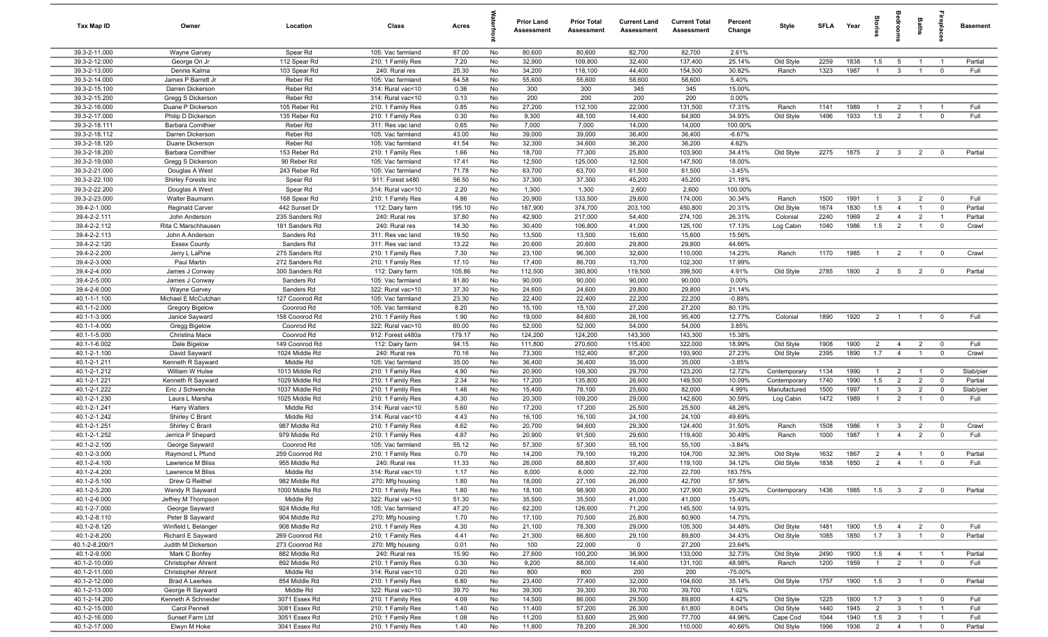| Tax Map ID                     | Owner                                  | Location                        | Class                                  | Acres          |          | <b>Prior Land</b><br>Assessment | <b>Prior Total</b><br>Assessment | <b>Current Land</b><br><b>Assessment</b> | <b>Current Total</b><br><b>Assessment</b> | Percent<br>Change  | Style        | SFLA | Year         | tories         |                         | <b>Baths</b>                     | ę                                | <b>Basement</b> |
|--------------------------------|----------------------------------------|---------------------------------|----------------------------------------|----------------|----------|---------------------------------|----------------------------------|------------------------------------------|-------------------------------------------|--------------------|--------------|------|--------------|----------------|-------------------------|----------------------------------|----------------------------------|-----------------|
| 39.3-2-11.000                  | Wayne Garvey                           | Spear Rd                        | 105: Vac farmland                      | 87.00          | No       | 80,600                          | 80,600                           | 82,700                                   | 82,700                                    | 2.61%              |              |      |              |                |                         |                                  |                                  |                 |
| 39.3-2-12.000                  | George Ori Jr                          | 112 Spear Rd                    | 210: 1 Family Res                      | 7.20           | No       | 32,900                          | 109,800                          | 32,400                                   | 137,400                                   | 25.14%             | Old Style    | 2259 | 1838         | 1.5            | $5\overline{5}$         | $\overline{1}$                   | $\overline{1}$                   | Partial         |
| 39.3-2-13.000                  | Dennis Kalma                           | 103 Spear Rd                    | 240: Rural res                         | 25.30          | No       | 34,200                          | 118,100                          | 44,400                                   | 154,500                                   | 30.82%             | Ranch        | 1323 | 1987         | $\mathbf{1}$   | $\mathbf{3}$            |                                  | $\mathbf 0$                      | Full            |
| 39.3-2-14.000                  | James P Barrett Jr                     | Reber Rd                        | 105: Vac farmland                      | 64.58          | No       | 55,600                          | 55,600                           | 58,600                                   | 58,600                                    | 5.40%              |              |      |              |                |                         |                                  |                                  |                 |
| 39.3-2-15.100<br>39.3-2-15.200 | Darren Dickerson                       | Reber Rd<br>Reber Rd            | 314: Rural vac<10                      | 0.36           | No       | 300<br>200                      | 300<br>200                       | 345<br>200                               | 345<br>200                                | 15.00%<br>0.00%    |              |      |              |                |                         |                                  |                                  |                 |
| 39.3-2-16.000                  | Gregg S Dickerson<br>Duane P Dickerson | 105 Reber Rd                    | 314: Rural vac<10<br>210: 1 Family Res | 0.13<br>0.85   | No<br>No | 27,200                          | 112,100                          | 22,000                                   | 131,500                                   | 17.31%             | Ranch        | 1141 | 1989         | $\mathbf 1$    | $\overline{2}$          |                                  |                                  | Full            |
| 39.3-2-17.000                  | Philip D Dickerson                     | 135 Reber Rd                    | 210: 1 Family Res                      | 0.30           | No       | 9,300                           | 48,100                           | 14,400                                   | 64,900                                    | 34.93%             | Old Style    | 1496 | 1933         | 1.5            | $\overline{2}$          | $\overline{1}$                   | $\mathbf 0$                      | Full            |
| 39.3-2-18.111                  | <b>Barbara Comithier</b>               | Reber Rd                        | 311: Res vac land                      | 0.65           | No       | 7,000                           | 7,000                            | 14,000                                   | 14,000                                    | 100.00%            |              |      |              |                |                         |                                  |                                  |                 |
| 39.3-2-18.112                  | Darren Dickerson                       | Reber Rd                        | 105: Vac farmland                      | 43.00          | No       | 39,000                          | 39,000                           | 36,400                                   | 36,400                                    | $-6.67%$           |              |      |              |                |                         |                                  |                                  |                 |
| 39.3-2-18.120                  | Duane Dickerson                        | Reber Rd                        | 105: Vac farmland                      | 41.54          | No       | 32,300                          | 34,600                           | 36,200                                   | 36,200                                    | 4.62%              |              |      |              |                |                         |                                  |                                  |                 |
| 39.3-2-18.200                  | <b>Barbara Comithier</b>               | 153 Reber Rd                    | 210: 1 Family Res                      | 1.66           | No       | 18,700                          | 77,300                           | 25,800                                   | 103,900                                   | 34.41%             | Old Style    | 2275 | 1875         | $\overline{2}$ | $\overline{3}$          | $\overline{2}$                   | $\overline{0}$                   | Partial         |
| 39.3-2-19.000                  | Gregg S Dickerson                      | 90 Reber Rd                     | 105: Vac farmland                      | 17.41          | No       | 12,500                          | 125,000                          | 12,500                                   | 147,500                                   | 18.00%             |              |      |              |                |                         |                                  |                                  |                 |
| 39.3-2-21.000                  | Douglas A West                         | 243 Reber Rd                    | 105: Vac farmland                      | 71.78          | No       | 63,700                          | 63,700                           | 61,500                                   | 61,500                                    | $-3.45%$           |              |      |              |                |                         |                                  |                                  |                 |
| 39.3-2-22.100                  | Shirley Forests Inc                    | Spear Rd                        | 911: Forest s480                       | 56.50          | No       | 37,300                          | 37,300                           | 45,200                                   | 45,200                                    | 21.18%             |              |      |              |                |                         |                                  |                                  |                 |
| 39.3-2-22.200                  | Douglas A West                         | Spear Rd                        | 314: Rural vac<10                      | 2.20           | No       | 1,300                           | 1,300                            | 2,600                                    | 2,600                                     | 100.00%            |              |      |              |                |                         |                                  |                                  |                 |
| 39.3-2-23.000                  | Walter Baumann                         | 168 Spear Rd                    | 210: 1 Family Res                      | 4.86           | No       | 20,900                          | 133,500                          | 29,600                                   | 174,000                                   | 30.34%             | Ranch        | 1500 | 1991         | $\overline{1}$ | $\mathbf{3}$            | $\overline{2}$                   | $\overline{0}$                   | Full            |
| 39.4-2-1.000                   | Reginald Carver                        | 442 Sunset Dr                   | 112: Dairy farm                        | 195.10         | No       | 187,900                         | 374,700                          | 203,100                                  | 450,800                                   | 20.31%             | Old Style    | 1674 | 1830         | 1.5            | $\overline{4}$          |                                  | $\overline{0}$                   | Partial         |
| 39.4-2-2.111<br>39.4-2-2.112   | John Anderson                          | 235 Sanders Rd                  | 240: Rural res<br>240: Rural res       | 37.80<br>14.30 | No       | 42,900                          | 217,000                          | 54,400                                   | 274,100                                   | 26.31%             | Colonial     | 2240 | 1969         | $\overline{2}$ | $\overline{4}$          | $\overline{2}$<br>$\overline{1}$ | $\overline{1}$<br>$\mathbf 0$    | Partial         |
| 39.4-2-2.113                   | Rita C Marschhausen<br>John A Anderson | 181 Sanders Rd<br>Sanders Rd    | 311: Res vac land                      | 19.50          | No<br>No | 30,400<br>13,500                | 106,800<br>13,500                | 41,000<br>15,600                         | 125,100<br>15,600                         | 17.13%<br>15.56%   | Log Cabin    | 1040 | 1986         | 1.5            | $\overline{2}$          |                                  |                                  | Crawl           |
| 39.4-2-2.120                   | <b>Essex County</b>                    | Sanders Rd                      | 311: Res vac land                      | 13.22          | No       | 20,600                          | 20,600                           | 29,800                                   | 29,800                                    | 44.66%             |              |      |              |                |                         |                                  |                                  |                 |
| 39.4-2-2.200                   | Jerry L LaPine                         | 275 Sanders Rd                  | 210: 1 Family Res                      | 7.30           | No       | 23,100                          | 96,300                           | 32,600                                   | 110,000                                   | 14.23%             | Ranch        | 1170 | 1985         | $\overline{1}$ | $\overline{2}$          | $\overline{1}$                   | $\overline{0}$                   | Crawl           |
| 39.4-2-3.000                   | Paul Martin                            | 272 Sanders Rd                  | 210: 1 Family Res                      | 17.10          | No       | 17,400                          | 86,700                           | 13,700                                   | 102,300                                   | 17.99%             |              |      |              |                |                         |                                  |                                  |                 |
| 39.4-2-4.000                   | James J Conway                         | 300 Sanders Rd                  | 112: Dairy farm                        | 105.86         | No       | 112,500                         | 380,800                          | 119,500                                  | 399,500                                   | 4.91%              | Old Style    | 2785 | 1800         | $\overline{2}$ | $5\overline{)}$         | $\overline{2}$                   | $\overline{0}$                   | Partial         |
| 39.4-2-5.000                   | James J Conway                         | Sanders Rd                      | 105: Vac farmland                      | 81.80          | No       | 90,000                          | 90,000                           | 90,000                                   | 90,000                                    | 0.00%              |              |      |              |                |                         |                                  |                                  |                 |
| 39.4-2-6.000                   | Wayne Garvey                           | Sanders Rd                      | 322: Rural vac>10                      | 37.30          | No       | 24,600                          | 24,600                           | 29,800                                   | 29,800                                    | 21.14%             |              |      |              |                |                         |                                  |                                  |                 |
| 40.1-1-1.100                   | Michael E McCutchan                    | 127 Coonrod Rd                  | 105: Vac farmland                      | 23.30          | No       | 22,400                          | 22,400                           | 22,200                                   | 22,200                                    | $-0.89%$           |              |      |              |                |                         |                                  |                                  |                 |
| 40.1-1-2.000                   | Gregory Bigelow                        | Coonrod Rd                      | 105: Vac farmland                      | 8.20           | No       | 15,100                          | 15,100                           | 27,200                                   | 27,200                                    | 80.13%             |              |      |              |                |                         |                                  |                                  |                 |
| 40.1-1-3.000                   | Janice Sayward                         | 158 Coonrod Rd                  | 210: 1 Family Res                      | 1.90           | No       | 19,000                          | 84,600                           | 26,100                                   | 95,400                                    | 12.77%             | Colonial     | 1890 | 1920         | $\overline{2}$ | $\overline{1}$          |                                  | $\overline{0}$                   | Full            |
| 40.1-1-4.000                   | Gregg Bigelow                          | Coonrod Rd                      | 322: Rural vac>10                      | 60.00          | No       | 52,000                          | 52,000                           | 54,000                                   | 54,000                                    | 3.85%              |              |      |              |                |                         |                                  |                                  |                 |
| 40.1-1-5.000                   | Christina Mace                         | Coonrod Rd                      | 912: Forest s480a                      | 179.17         | No       | 124,200                         | 124,200                          | 143,300                                  | 143,300                                   | 15.38%             |              |      |              |                |                         |                                  |                                  |                 |
| 40.1-1-6.002                   | Dale Bigelow                           | 149 Coonrod Rd                  | 112: Dairy farm                        | 94.15          | No       | 111,800                         | 270,600                          | 115,400                                  | 322,000                                   | 18.99%             | Old Style    | 1908 | 1900         | $\overline{2}$ | $\overline{4}$          | $\overline{2}$                   | $\overline{0}$                   | Full            |
| 40.1-2-1.100<br>40.1-2-1.211   | David Sayward<br>Kenneth R Sayward     | 1024 Middle Rd<br>Middle Rd     | 240: Rural res<br>105: Vac farmland    | 70.16<br>35.00 | No<br>No | 73,300<br>36,400                | 152,400<br>36,400                | 87,200<br>35,000                         | 193,900<br>35,000                         | 27.23%<br>$-3.85%$ | Old Style    | 2395 | 1890         | 1.7            | $\overline{4}$          | $\overline{1}$                   | $\mathbf 0$                      | Crawl           |
| 40.1-2-1.212                   | William W Hulse                        | 1013 Middle Rd                  | 210: 1 Family Res                      | 4.90           | No       | 20,900                          | 109,300                          | 29,700                                   | 123,200                                   | 12.72%             | Contemporary | 1134 | 1990         | $\overline{1}$ | $\overline{2}$          | $\overline{1}$                   | $\overline{0}$                   | Slab/pier       |
| 40.1-2-1.221                   | Kenneth R Sayward                      | 1029 Middle Rd                  | 210: 1 Family Res                      | 2.34           | No       | 17,200                          | 135,800                          | 26,600                                   | 149,500                                   | 10.09%             | Contemporary | 1740 | 1990         | 1.5            | $\overline{2}$          | $\overline{2}$                   | $\overline{0}$                   | Partial         |
| 40.1-2-1.222                   | Eric J Schwencke                       | 1037 Middle Rd                  | 210: 1 Family Res                      | 1.46           | No       | 15,400                          | 78,100                           | 25,600                                   | 82,000                                    | 4.99%              | Manufactured | 1500 | 1997         | $\overline{1}$ | $\mathbf{3}$            | $\overline{2}$                   | $\mathbf 0$                      | Slab/pier       |
| 40.1-2-1.230                   | Laura L Marsha                         | 1025 Middle Rd                  | 210: 1 Family Res                      | 4.30           | No       | 20,300                          | 109,200                          | 29,000                                   | 142,600                                   | 30.59%             | Log Cabin    | 1472 | 1989         | $\overline{1}$ | $\overline{2}$          |                                  | $\mathbf 0$                      | Full            |
| 40.1-2-1.241                   | <b>Harry Walters</b>                   | Middle Rd                       | 314: Rural vac<10                      | 5.60           | No       | 17,200                          | 17,200                           | 25,500                                   | 25,500                                    | 48.26%             |              |      |              |                |                         |                                  |                                  |                 |
| 40.1-2-1.242                   | Shirley C Brant                        | Middle Rd                       | 314: Rural vac<10                      | 4.43           | No       | 16,100                          | 16,100                           | 24,100                                   | 24,100                                    | 49.69%             |              |      |              |                |                         |                                  |                                  |                 |
| 40.1-2-1.251                   | Shirley C Brant                        | 987 Middle Rd                   | 210: 1 Family Res                      | 4.62           | No       | 20,700                          | 94,600                           | 29,300                                   | 124,400                                   | 31.50%             | Ranch        | 1508 | 1986         | $\overline{1}$ | $\mathbf{3}$            | $\overline{2}$                   | $\overline{0}$                   | Crawl           |
| 40.1-2-1.252                   | Jerrica P Shepard                      | 979 Middle Rd                   | 210: 1 Family Res                      | 4.87           | No       | 20,900                          | 91,500                           | 29,600                                   | 119,400                                   | 30.49%             | Ranch        | 1000 | 1987         |                | $\overline{4}$          | $\overline{2}$                   | $\overline{0}$                   | Full            |
| 40.1-2-2.100                   | George Sayward                         | Coonrod Rd                      | 105: Vac farmland                      | 55.12          | No       | 57,300                          | 57,300                           | 55,100                                   | 55,100                                    | $-3.84%$           |              |      |              |                |                         |                                  |                                  |                 |
| 40.1-2-3.000                   | Raymond L Pfund                        | 259 Coonrod Rd                  | 210: 1 Family Res                      | 0.70           | No       | 14,200                          | 79,100                           | 19,200                                   | 104,700                                   | 32.36%             | Old Style    | 1632 | 1867         | $\overline{2}$ | $\overline{4}$          |                                  | $\mathbf 0$                      | Partial         |
| 40.1-2-4.100                   | Lawrence M Bliss                       | 955 Middle Rd                   | 240: Rural res                         | 11.33          | No       | 26,000                          | 88,800                           | 37,400                                   | 119,100                                   | 34.12%             | Old Style    | 1838 | 1850         | $\overline{2}$ | $\overline{4}$          | $\overline{1}$                   | $\overline{0}$                   | Full            |
| 40.1-2-4.200                   | Lawrence M Bliss                       | Middle Rd                       | 314: Rural vac<10                      | 1.17           | No       | 8,000                           | 8,000                            | 22,700                                   | 22,700                                    | 183.75%            |              |      |              |                |                         |                                  |                                  |                 |
| 40.1-2-5.100<br>40.1-2-5.200   | Drew G Reithel<br>Wendy R Sayward      | 982 Middle Rd<br>1000 Middle Rd | 270: Mfg housing<br>210: 1 Family Res  | 1.80<br>1.80   | No<br>No | 18,000<br>18,100                | 27,100<br>98,900                 | 26,000<br>26,000                         | 42,700<br>127,900                         | 57.56%<br>29.32%   | Contemporary | 1436 | 1985         | 1.5            | $\overline{\mathbf{3}}$ | $\overline{2}$                   | $\overline{0}$                   | Partial         |
| 40.1-2-6.000                   | Jeffrey M Thompson                     | Middle Rd                       | 322: Rural vac>10                      | 51.30          | No       | 35,500                          | 35,500                           | 41,000                                   | 41,000                                    | 15.49%             |              |      |              |                |                         |                                  |                                  |                 |
| 40.1-2-7.000                   | George Sayward                         | 924 Middle Rd                   | 105: Vac farmland                      | 47.20          | No       | 62,200                          | 126,600                          | 71,200                                   | 145,500                                   | 14.93%             |              |      |              |                |                         |                                  |                                  |                 |
| 40.1-2-8.110                   | Peter B Sayward                        | 904 Middle Rd                   | 270: Mfg housing                       | 1.70           | No       | 17,100                          | 70,500                           | 25,800                                   | 80,900                                    | 14.75%             |              |      |              |                |                         |                                  |                                  |                 |
| 40.1-2-8.120                   | Winfield L Belanger                    | 908 Middle Rd                   | 210: 1 Family Res                      | 4.30           | No       | 21,100                          | 78,300                           | 29,000                                   | 105,300                                   | 34.48%             | Old Style    | 1481 | 1900         | 1.5            | $\overline{4}$          | $\overline{2}$                   | $\overline{0}$                   | Full            |
| 40.1-2-8.200                   | Richard E Sayward                      | 269 Coonrod Rd                  | 210: 1 Family Res                      | 4.41           | No       | 21,300                          | 66,800                           | 29,100                                   | 89,800                                    | 34.43%             | Old Style    | 1085 | 1850         | 1.7            | $\mathbf{3}$            |                                  | $\mathbf 0$                      | Partial         |
| 40.1-2-8.200/1                 | Judith M Dickerson                     | 273 Coonrod Rd                  | 270: Mfg housing                       | 0.01           | No       | 100                             | 22,000                           | $\mathbf 0$                              | 27,200                                    | 23.64%             |              |      |              |                |                         |                                  |                                  |                 |
| 40.1-2-9.000                   | Mark C Bonfey                          | 882 Middle Rd                   | 240: Rural res                         | 15.90          | No       | 27,600                          | 100,200                          | 36,900                                   | 133,000                                   | 32.73%             | Old Style    | 2490 | 1900         | 1.5            | $\overline{4}$          |                                  | - 1                              | Partial         |
| 40.1-2-10.000                  | <b>Christopher Ahrent</b>              | 892 Middle Rd                   | 210: 1 Family Res                      | 0.30           | No       | 9,200                           | 88,000                           | 14,400                                   | 131,100                                   | 48.98%             | Ranch        | 1200 | 1959         | $\overline{1}$ | $\overline{2}$          | $\overline{1}$                   | $\overline{\mathbf{0}}$          | Full            |
| 40.1-2-11.000                  | <b>Christopher Ahrent</b>              | Middle Rd                       | 314: Rural vac<10                      | 0.20           | No       | 800                             | 800                              | 200                                      | 200                                       | $-75.00%$          |              |      |              |                |                         |                                  |                                  |                 |
| 40.1-2-12.000                  | <b>Brad A Leerkes</b>                  | 854 Middle Rd                   | 210: 1 Family Res                      | 6.80           | No       | 23,400                          | 77,400                           | 32,000                                   | 104,600                                   | 35.14%             | Old Style    | 1757 | 1900         | 1.5            | $\overline{\mathbf{3}}$ | $\overline{1}$                   | $\overline{0}$                   | Partial         |
| 40.1-2-13.000                  | George R Sayward                       | Middle Rd                       | 322: Rural vac>10                      | 39.70          | No       | 39,300                          | 39,300                           | 39,700                                   | 39,700                                    | 1.02%              |              |      |              |                |                         |                                  |                                  |                 |
| 40.1-2-14.200                  | Kenneth A Schneider                    | 3071 Essex Rd                   | 210: 1 Family Res                      | 4.09           | No       | 14,500                          | 86,000                           | 29,500                                   | 89,800                                    | 4.42%              | Old Style    | 1225 | 1800         | 1.7            | $\overline{\mathbf{3}}$ | $\overline{1}$                   | $\overline{0}$                   | Full            |
| 40.1-2-15.000                  | Carol Pennell                          | 3081 Essex Rd                   | 210: 1 Family Res                      | 1.40           | No       | 11,400                          | 57,200                           | 26,300                                   | 61,800                                    | 8.04%              | Old Style    | 1440 | 1945         | $\overline{2}$ | $\overline{\mathbf{3}}$ | $\overline{1}$                   | $\overline{1}$                   | Full            |
| 40.1-2-16.000                  | Sunset Farm Ltd                        | 3051 Essex Rd                   | 210: 1 Family Res                      | 1.08           | No       | 11,200                          | 53,600                           | 25,900                                   | 77,700                                    | 44.96%             | Cape Cod     | 1044 | 1940<br>1936 | 1.5<br>2       | $\overline{\mathbf{3}}$ | $\mathbf{1}$                     | $\overline{1}$<br>$\overline{0}$ | Full            |
| 40.1-2-17.000                  | Elwyn M Hoke                           | 3041 Essex Rd                   | 210: 1 Family Res                      | 1.40           | No       | 11,800                          | 78,200                           | 26,300                                   | 110,000                                   | 40.66%             | Old Style    | 1996 |              |                | $\overline{4}$          | $\overline{1}$                   |                                  | Partial         |